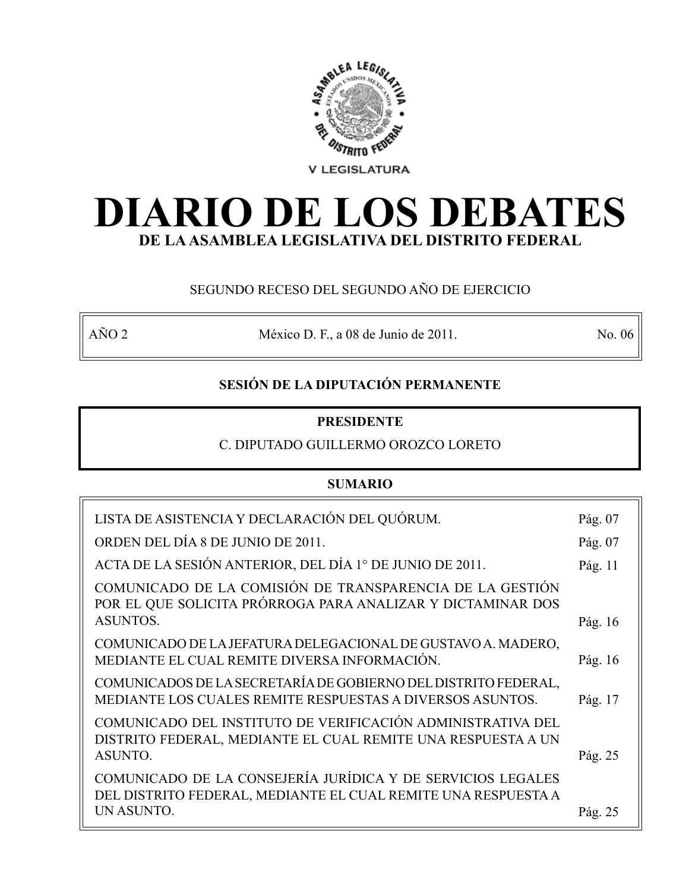

# **DIARIO DE LOS DEBATES DE LA ASAMBLEA LEGISLATIVA DEL DISTRITO FEDERAL**

# SEGUNDO RECESO DEL SEGUNDO AÑO DE EJERCICIO

AÑO 2 México D. F., a 08 de Junio de 2011. No. 06

# **SESIÓN DE LA DIPUTACIÓN PERMANENTE**

# **PRESIDENTE**

# C. DIPUTADO GUILLERMO OROZCO LORETO

# **SUMARIO**

| LISTA DE ASISTENCIA Y DECLARACIÓN DEL QUÓRUM.                                                                                          | Pág. 07 |
|----------------------------------------------------------------------------------------------------------------------------------------|---------|
| ORDEN DEL DÍA 8 DE JUNIO DE 2011.                                                                                                      | Pág. 07 |
| ACTA DE LA SESIÓN ANTERIOR, DEL DÍA 1° DE JUNIO DE 2011.                                                                               | Pág. 11 |
| COMUNICADO DE LA COMISIÓN DE TRANSPARENCIA DE LA GESTIÓN<br>POR EL QUE SOLICITA PRÓRROGA PARA ANALIZAR Y DICTAMINAR DOS                |         |
| <b>ASUNTOS.</b>                                                                                                                        | Pág. 16 |
| COMUNICADO DE LA JEFATURA DELEGACIONAL DE GUSTAVO A. MADERO,<br>MEDIANTE EL CUAL REMITE DIVERSA INFORMACIÓN.                           | Pág. 16 |
| COMUNICADOS DE LA SECRETARÍA DE GOBIERNO DEL DISTRITO FEDERAL,<br>MEDIANTE LOS CUALES REMITE RESPUESTAS A DIVERSOS ASUNTOS.            | Pág. 17 |
| COMUNICADO DEL INSTITUTO DE VERIFICACIÓN ADMINISTRATIVA DEL<br>DISTRITO FEDERAL, MEDIANTE EL CUAL REMITE UNA RESPUESTA A UN<br>ASUNTO. | Pág. 25 |
| COMUNICADO DE LA CONSEJERÍA JURÍDICA Y DE SERVICIOS LEGALES<br>DEL DISTRITO FEDERAL, MEDIANTE EL CUAL REMITE UNA RESPUESTA A           |         |
| UN ASUNTO.                                                                                                                             | Pág. 25 |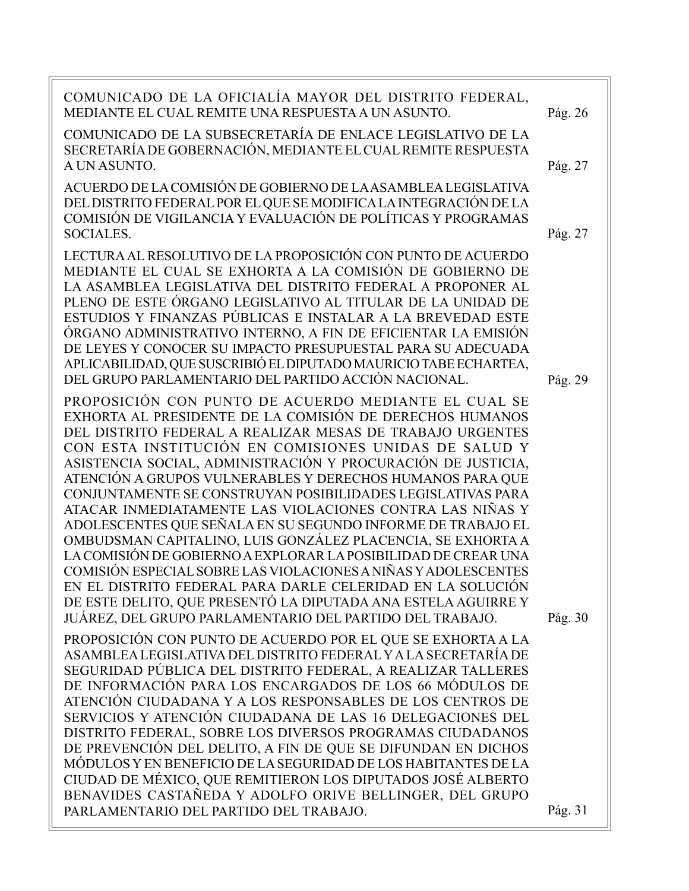| COMUNICADO DE LA OFICIALÍA MAYOR DEL DISTRITO FEDERAL,<br>MEDIANTE EL CUAL REMITE UNA RESPUESTA A UN ASUNTO.                                                                                                                                                                                                                                                                                                                                                                                                                                                                                                                                                                                                                                                                                                                                                                                                                                               | Pág. 26            |
|------------------------------------------------------------------------------------------------------------------------------------------------------------------------------------------------------------------------------------------------------------------------------------------------------------------------------------------------------------------------------------------------------------------------------------------------------------------------------------------------------------------------------------------------------------------------------------------------------------------------------------------------------------------------------------------------------------------------------------------------------------------------------------------------------------------------------------------------------------------------------------------------------------------------------------------------------------|--------------------|
| COMUNICADO DE LA SUBSECRETARÍA DE ENLACE LEGISLATIVO DE LA<br>SECRETARÍA DE GOBERNACIÓN, MEDIANTE EL CUAL REMITE RESPUESTA<br>A UN ASUNTO.                                                                                                                                                                                                                                                                                                                                                                                                                                                                                                                                                                                                                                                                                                                                                                                                                 | Pág. 27            |
| ACUERDO DE LA COMISIÓN DE GOBIERNO DE LA ASAMBLEA LEGISLATIVA<br>DEL DISTRITO FEDERAL POR EL QUE SE MODIFICA LA INTEGRACIÓN DE LA<br>COMISIÓN DE VIGILANCIA Y EVALUACIÓN DE POLÍTICAS Y PROGRAMAS<br>SOCIALES.                                                                                                                                                                                                                                                                                                                                                                                                                                                                                                                                                                                                                                                                                                                                             | Pág. 27            |
| LECTURA AL RESOLUTIVO DE LA PROPOSICIÓN CON PUNTO DE ACUERDO<br>MEDIANTE EL CUAL SE EXHORTA A LA COMISIÓN DE GOBIERNO DE<br>LA ASAMBLEA LEGISLATIVA DEL DISTRITO FEDERAL A PROPONER AL<br>PLENO DE ESTE ÓRGANO LEGISLATIVO AL TITULAR DE LA UNIDAD DE<br>ESTUDIOS Y FINANZAS PÚBLICAS E INSTALAR A LA BREVEDAD ESTE<br>ÓRGANO ADMINISTRATIVO INTERNO, A FIN DE EFICIENTAR LA EMISIÓN<br>DE LEYES Y CONOCER SU IMPACTO PRESUPUESTAL PARA SU ADECUADA<br>APLICABILIDAD, QUE SUSCRIBIÓ EL DIPUTADO MAURICIO TABE ECHARTEA,<br>DEL GRUPO PARLAMENTARIO DEL PARTIDO ACCIÓN NACIONAL.                                                                                                                                                                                                                                                                                                                                                                            |                    |
| PROPOSICIÓN CON PUNTO DE ACUERDO MEDIANTE EL CUAL SE<br>EXHORTA AL PRESIDENTE DE LA COMISIÓN DE DERECHOS HUMANOS<br>DEL DISTRITO FEDERAL A REALIZAR MESAS DE TRABAJO URGENTES<br>CON ESTA INSTITUCIÓN EN COMISIONES UNIDAS DE SALUD Y<br>ASISTENCIA SOCIAL, ADMINISTRACIÓN Y PROCURACIÓN DE JUSTICIA,<br>ATENCIÓN A GRUPOS VULNERABLES Y DERECHOS HUMANOS PARA QUE<br>CONJUNTAMENTE SE CONSTRUYAN POSIBILIDADES LEGISLATIVAS PARA<br>ATACAR INMEDIATAMENTE LAS VIOLACIONES CONTRA LAS NIÑAS Y<br>ADOLESCENTES QUE SEÑALA EN SU SEGUNDO INFORME DE TRABAJO EL<br>OMBUDSMAN CAPITALINO, LUIS GONZÁLEZ PLACENCIA, SE EXHORTA A<br>LA COMISIÓN DE GOBIERNO A EXPLORAR LA POSIBILIDAD DE CREAR UNA<br>COMISIÓN ESPECIAL SOBRE LAS VIOLACIONES A NIÑAS Y ADOLESCENTES<br>EN EL DISTRITO FEDERAL PARA DARLE CELERIDAD EN LA SOLUCIÓN<br>DE ESTE DELITO, QUE PRESENTÓ LA DIPUTADA ANA ESTELA AGUIRRE Y<br>JUÁREZ, DEL GRUPO PARLAMENTARIO DEL PARTIDO DEL TRABAJO. | Pág. 29<br>Pág. 30 |
| PROPOSICIÓN CON PUNTO DE ACUERDO POR EL QUE SE EXHORTA A LA<br>ASAMBLEA LEGISLATIVA DEL DISTRITO FEDERAL Y A LA SECRETARÍA DE<br>SEGURIDAD PÚBLICA DEL DISTRITO FEDERAL, A REALIZAR TALLERES<br>DE INFORMACIÓN PARA LOS ENCARGADOS DE LOS 66 MÓDULOS DE<br>ATENCIÓN CIUDADANA Y A LOS RESPONSABLES DE LOS CENTROS DE<br>SERVICIOS Y ATENCIÓN CIUDADANA DE LAS 16 DELEGACIONES DEL<br>DISTRITO FEDERAL, SOBRE LOS DIVERSOS PROGRAMAS CIUDADANOS<br>DE PREVENCIÓN DEL DELITO, A FIN DE QUE SE DIFUNDAN EN DICHOS<br>MÓDULOS Y EN BENEFICIO DE LA SEGURIDAD DE LOS HABITANTES DE LA<br>CIUDAD DE MÉXICO, QUE REMITIERON LOS DIPUTADOS JOSÉ ALBERTO<br>BENAVIDES CASTAÑEDA Y ADOLFO ORIVE BELLINGER, DEL GRUPO                                                                                                                                                                                                                                                 |                    |
| PARLAMENTARIO DEL PARTIDO DEL TRABAJO.                                                                                                                                                                                                                                                                                                                                                                                                                                                                                                                                                                                                                                                                                                                                                                                                                                                                                                                     | Pág. 31            |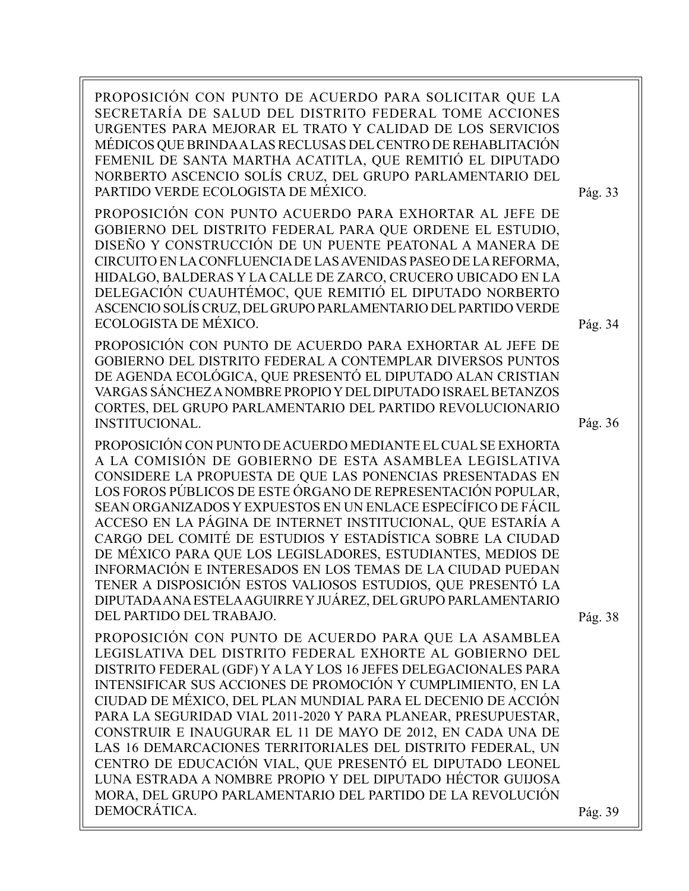PROPOSICIÓN CON PUNTO DE ACUERDO PARA SOLICITAR QUE LA SECRETARÍA DE SALUD DEL DISTRITO FEDERAL TOME ACCIONES URGENTES PARA MEJORAR EL TRATO Y CALIDAD DE LOS SERVICIOS MÉDICOS QUE BRINDA A LAS RECLUSAS DEL CENTRO DE REHABLITACIÓN FEMENIL DE SANTA MARTHA ACATITLA, QUE REMITIÓ EL DIPUTADO NORBERTO ASCENCIO SOLÍS CRUZ, DEL GRUPO PARLAMENTARIO DEL PARTIDO VERDE ECOLOGISTA DE MÉXICO.

PROPOSICIÓN CON PUNTO ACUERDO PARA EXHORTAR AL JEFE DE GOBIERNO DEL DISTRITO FEDERAL PARA QUE ORDENE EL ESTUDIO, DISEÑO Y CONSTRUCCIÓN DE UN PUENTE PEATONAL A MANERA DE CIRCUITO EN LA CONFLUENCIA DE LAS AVENIDAS PASEO DE LA REFORMA, HIDALGO, BALDERAS Y LA CALLE DE ZARCO, CRUCERO UBICADO EN LA DELEGACIÓN CUAUHTÉMOC, QUE REMITIÓ EL DIPUTADO NORBERTO ASCENCIO SOLÍS CRUZ, DEL GRUPO PARLAMENTARIO DEL PARTIDO VERDE ECOLOGISTA DE MÉXICO.

PROPOSICIÓN CON PUNTO DE ACUERDO PARA EXHORTAR AL JEFE DE GOBIERNO DEL DISTRITO FEDERAL A CONTEMPLAR DIVERSOS PUNTOS DE AGENDA ECOLÓGICA, QUE PRESENTÓ EL DIPUTADO ALAN CRISTIAN VARGAS SÁNCHEZ A NOMBRE PROPIO Y DEL DIPUTADO ISRAEL BETANZOS CORTES, DEL GRUPO PARLAMENTARIO DEL PARTIDO REVOLUCIONARIO INSTITUCIONAL.

PROPOSICIÓN CON PUNTO DE ACUERDO MEDIANTE EL CUAL SE EXHORTA A LA COMISIÓN DE GOBIERNO DE ESTA ASAMBLEA LEGISLATIVA CONSIDERE LA PROPUESTA DE QUE LAS PONENCIAS PRESENTADAS EN LOS FOROS PÚBLICOS DE ESTE ÓRGANO DE REPRESENTACIÓN POPULAR, SEAN ORGANIZADOS Y EXPUESTOS EN UN ENLACE ESPECÍFICO DE FÁCIL ACCESO EN LA PÁGINA DE INTERNET INSTITUCIONAL, QUE ESTARÍA A CARGO DEL COMITÉ DE ESTUDIOS Y ESTADÍSTICA SOBRE LA CIUDAD DE MÉXICO PARA QUE LOS LEGISLADORES, ESTUDIANTES, MEDIOS DE INFORMACIÓN E INTERESADOS EN LOS TEMAS DE LA CIUDAD PUEDAN TENER A DISPOSICIÓN ESTOS VALIOSOS ESTUDIOS, QUE PRESENTÓ LA DIPUTADA ANA ESTELA AGUIRRE Y JUÁREZ, DEL GRUPO PARLAMENTARIO DEL PARTIDO DEL TRABAJO.

Pág. 38

PROPOSICIÓN CON PUNTO DE ACUERDO PARA QUE LA ASAMBLEA LEGISLATIVA DEL DISTRITO FEDERAL EXHORTE AL GOBIERNO DEL DISTRITO FEDERAL (GDF) Y A LA Y LOS 16 JEFES DELEGACIONALES PARA INTENSIFICAR SUS ACCIONES DE PROMOCIÓN Y CUMPLIMIENTO, EN LA CIUDAD DE MÉXICO, DEL PLAN MUNDIAL PARA EL DECENIO DE ACCIÓN PARA LA SEGURIDAD VIAL 2011-2020 Y PARA PLANEAR, PRESUPUESTAR, CONSTRUIR E INAUGURAR EL 11 DE MAYO DE 2012, EN CADA UNA DE LAS 16 DEMARCACIONES TERRITORIALES DEL DISTRITO FEDERAL, UN CENTRO DE EDUCACIÓN VIAL, QUE PRESENTÓ EL DIPUTADO LEONEL LUNA ESTRADA A NOMBRE PROPIO Y DEL DIPUTADO HÉCTOR GUIJOSA MORA, DEL GRUPO PARLAMENTARIO DEL PARTIDO DE LA REVOLUCIÓN DEMOCRÁTICA.

Pág. 39

Pág. 34

Pág. 33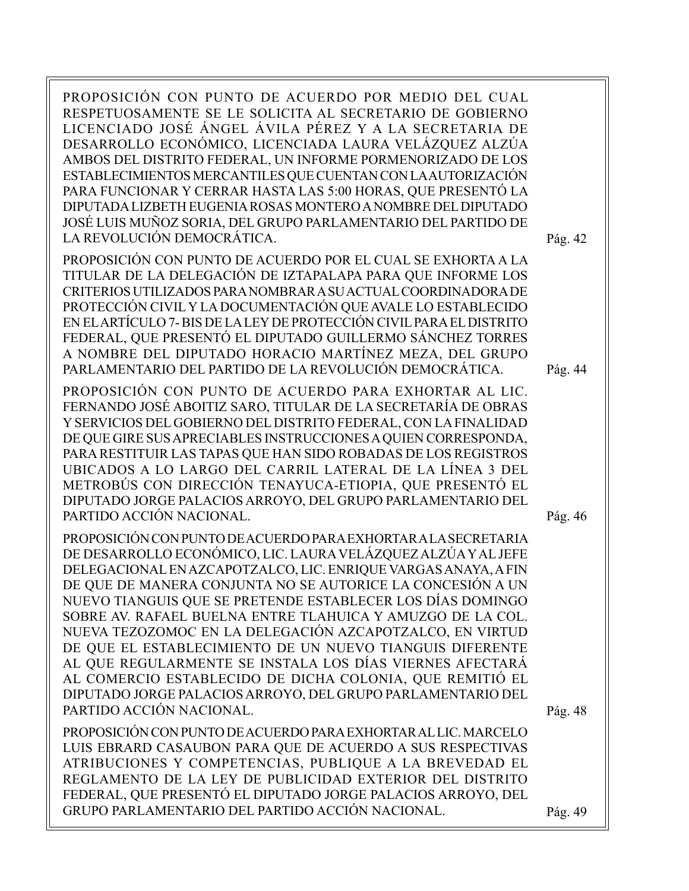PROPOSICIÓN CON PUNTO DE ACUERDO POR MEDIO DEL CUAL RESPETUOSAMENTE SE LE SOLICITA AL SECRETARIO DE GOBIERNO LICENCIADO JOSÉ ÁNGEL ÁVILA PÉREZ Y A LA SECRETARIA DE DESARROLLO ECONÓMICO, LICENCIADA LAURA VELÁZQUEZ ALZÚA AMBOS DEL DISTRITO FEDERAL, UN INFORME PORMENORIZADO DE LOS ESTABLECIMIENTOS MERCANTILES QUE CUENTAN CON LA AUTORIZACIÓN PARA FUNCIONAR Y CERRAR HASTA LAS 5:00 HORAS, QUE PRESENTÓ LA DIPUTADA LIZBETH EUGENIA ROSAS MONTERO A NOMBRE DEL DIPUTADO JOSÉ LUIS MUÑOZ SORIA, DEL GRUPO PARLAMENTARIO DEL PARTIDO DE LA REVOLUCIÓN DEMOCRÁTICA.

PROPOSICIÓN CON PUNTO DE ACUERDO POR EL CUAL SE EXHORTA A LA TITULAR DE LA DELEGACIÓN DE IZTAPALAPA PARA QUE INFORME LOS CRITERIOS UTILIZADOS PARA NOMBRAR A SU ACTUAL COORDINADORA DE PROTECCIÓN CIVIL Y LA DOCUMENTACIÓN QUE AVALE LO ESTABLECIDO EN EL ARTÍCULO 7- BIS DE LA LEY DE PROTECCIÓN CIVIL PARA EL DISTRITO FEDERAL, QUE PRESENTÓ EL DIPUTADO GUILLERMO SÁNCHEZ TORRES A NOMBRE DEL DIPUTADO HORACIO MARTÍNEZ MEZA, DEL GRUPO PARLAMENTARIO DEL PARTIDO DE LA REVOLUCIÓN DEMOCRÁTICA.

PROPOSICIÓN CON PUNTO DE ACUERDO PARA EXHORTAR AL LIC. FERNANDO JOSÉ ABOITIZ SARO, TITULAR DE LA SECRETARÍA DE OBRAS Y SERVICIOS DEL GOBIERNO DEL DISTRITO FEDERAL, CON LA FINALIDAD DE QUE GIRE SUS APRECIABLES INSTRUCCIONES A QUIEN CORRESPONDA, PARA RESTITUIR LAS TAPAS QUE HAN SIDO ROBADAS DE LOS REGISTROS UBICADOS A LO LARGO DEL CARRIL LATERAL DE LA LÍNEA 3 DEL METROBÚS CON DIRECCIÓN TENAYUCA-ETIOPIA, QUE PRESENTÓ EL DIPUTADO JORGE PALACIOS ARROYO, DEL GRUPO PARLAMENTARIO DEL PARTIDO ACCIÓN NACIONAL.

PROPOSICIÓN CON PUNTO DE ACUERDO PARA EXHORTAR A LA SECRETARIA DE DESARROLLO ECONÓMICO, LIC. LAURA VELÁZQUEZ ALZÚA Y AL JEFE DELEGACIONAL EN AZCAPOTZALCO, LIC. ENRIQUE VARGAS ANAYA, A FIN DE QUE DE MANERA CONJUNTA NO SE AUTORICE LA CONCESIÓN A UN NUEVO TIANGUIS QUE SE PRETENDE ESTABLECER LOS DÍAS DOMINGO SOBRE AV. RAFAEL BUELNA ENTRE TLAHUICA Y AMUZGO DE LA COL. NUEVA TEZOZOMOC EN LA DELEGACIÓN AZCAPOTZALCO, EN VIRTUD DE QUE EL ESTABLECIMIENTO DE UN NUEVO TIANGUIS DIFERENTE AL QUE REGULARMENTE SE INSTALA LOS DÍAS VIERNES AFECTARÁ AL COMERCIO ESTABLECIDO DE DICHA COLONIA, QUE REMITIÓ EL DIPUTADO JORGE PALACIOS ARROYO, DEL GRUPO PARLAMENTARIO DEL PARTIDO ACCIÓN NACIONAL.

PROPOSICIÓN CON PUNTO DE ACUERDO PARA EXHORTAR AL LIC. MARCELO LUIS EBRARD CASAUBON PARA QUE DE ACUERDO A SUS RESPECTIVAS ATRIBUCIONES Y COMPETENCIAS, PUBLIQUE A LA BREVEDAD EL REGLAMENTO DE LA LEY DE PUBLICIDAD EXTERIOR DEL DISTRITO FEDERAL, QUE PRESENTÓ EL DIPUTADO JORGE PALACIOS ARROYO, DEL GRUPO PARLAMENTARIO DEL PARTIDO ACCIÓN NACIONAL. Pág. 49

Pág. 42

Pág. 44

Pág. 46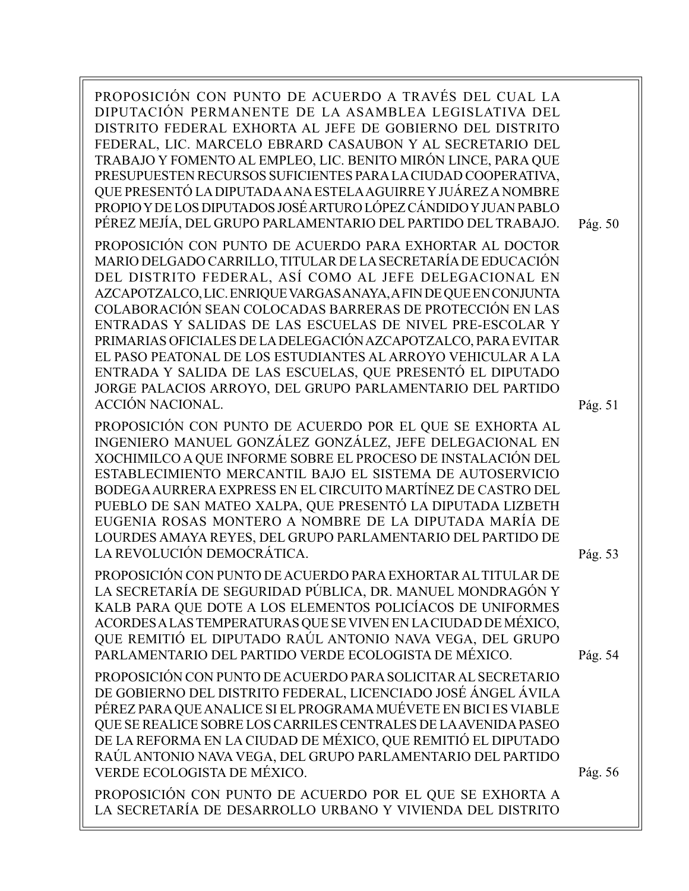PROPOSICIÓN CON PUNTO DE ACUERDO A TRAVÉS DEL CUAL LA DIPUTACIÓN PERMANENTE DE LA ASAMBLEA LEGISLATIVA DEL DISTRITO FEDERAL EXHORTA AL JEFE DE GOBIERNO DEL DISTRITO FEDERAL, LIC. MARCELO EBRARD CASAUBON Y AL SECRETARIO DEL TRABAJO Y FOMENTO AL EMPLEO, LIC. BENITO MIRÓN LINCE, PARA QUE PRESUPUESTEN RECURSOS SUFICIENTES PARA LA CIUDAD COOPERATIVA, QUE PRESENTÓ LA DIPUTADA ANA ESTELA AGUIRRE Y JUÁREZ A NOMBRE PROPIO Y DE LOS DIPUTADOS JOSÉ ARTURO LÓPEZ CÁNDIDO Y JUAN PABLO PÉREZ MEJÍA, DEL GRUPO PARLAMENTARIO DEL PARTIDO DEL TRABAJO. PROPOSICIÓN CON PUNTO DE ACUERDO PARA EXHORTAR AL DOCTOR MARIO DELGADO CARRILLO, TITULAR DE LA SECRETARÍA DE EDUCACIÓN DEL DISTRITO FEDERAL, ASÍ COMO AL JEFE DELEGACIONAL EN AZCAPOTZALCO, LIC. ENRIQUE VARGAS ANAYA, A FIN DE QUE EN CONJUNTA COLABORACIÓN SEAN COLOCADAS BARRERAS DE PROTECCIÓN EN LAS ENTRADAS Y SALIDAS DE LAS ESCUELAS DE NIVEL PRE-ESCOLAR Y PRIMARIAS OFICIALES DE LA DELEGACIÓN AZCAPOTZALCO, PARA EVITAR EL PASO PEATONAL DE LOS ESTUDIANTES AL ARROYO VEHICULAR A LA ENTRADA Y SALIDA DE LAS ESCUELAS, QUE PRESENTÓ EL DIPUTADO JORGE PALACIOS ARROYO, DEL GRUPO PARLAMENTARIO DEL PARTIDO ACCIÓN NACIONAL. PROPOSICIÓN CON PUNTO DE ACUERDO POR EL QUE SE EXHORTA AL Pág. 51 Pág. 50

INGENIERO MANUEL GONZÁLEZ GONZÁLEZ, JEFE DELEGACIONAL EN XOCHIMILCO A QUE INFORME SOBRE EL PROCESO DE INSTALACIÓN DEL ESTABLECIMIENTO MERCANTIL BAJO EL SISTEMA DE AUTOSERVICIO BODEGA AURRERA EXPRESS EN EL CIRCUITO MARTÍNEZ DE CASTRO DEL PUEBLO DE SAN MATEO XALPA, QUE PRESENTÓ LA DIPUTADA LIZBETH EUGENIA ROSAS MONTERO A NOMBRE DE LA DIPUTADA MARÍA DE LOURDES AMAYA REYES, DEL GRUPO PARLAMENTARIO DEL PARTIDO DE LA REVOLUCIÓN DEMOCRÁTICA.

PROPOSICIÓN CON PUNTO DE ACUERDO PARA EXHORTAR AL TITULAR DE LA SECRETARÍA DE SEGURIDAD PÚBLICA, DR. MANUEL MONDRAGÓN Y KALB PARA QUE DOTE A LOS ELEMENTOS POLICÍACOS DE UNIFORMES ACORDES A LAS TEMPERATURAS QUE SE VIVEN EN LA CIUDAD DE MÉXICO, QUE REMITIÓ EL DIPUTADO RAÚL ANTONIO NAVA VEGA, DEL GRUPO PARLAMENTARIO DEL PARTIDO VERDE ECOLOGISTA DE MÉXICO.

PROPOSICIÓN CON PUNTO DE ACUERDO PARA SOLICITAR AL SECRETARIO DE GOBIERNO DEL DISTRITO FEDERAL, LICENCIADO JOSÉ ÁNGEL ÁVILA PÉREZ PARA QUE ANALICE SI EL PROGRAMA MUÉVETE EN BICI ES VIABLE QUE SE REALICE SOBRE LOS CARRILES CENTRALES DE LA AVENIDA PASEO DE LA REFORMA EN LA CIUDAD DE MÉXICO, QUE REMITIÓ EL DIPUTADO RAÚL ANTONIO NAVA VEGA, DEL GRUPO PARLAMENTARIO DEL PARTIDO VERDE ECOLOGISTA DE MÉXICO.

PROPOSICIÓN CON PUNTO DE ACUERDO POR EL QUE SE EXHORTA A LA SECRETARÍA DE DESARROLLO URBANO Y VIVIENDA DEL DISTRITO

Pág. 53

Pág. 54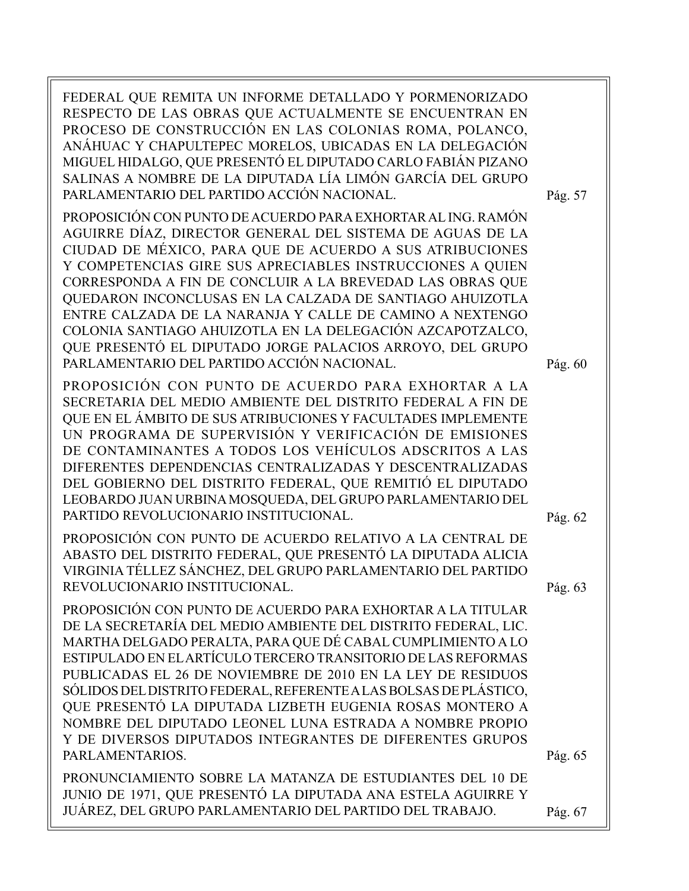FEDERAL QUE REMITA UN INFORME DETALLADO Y PORMENORIZADO RESPECTO DE LAS OBRAS QUE ACTUALMENTE SE ENCUENTRAN EN PROCESO DE CONSTRUCCIÓN EN LAS COLONIAS ROMA, POLANCO, ANÁHUAC Y CHAPULTEPEC MORELOS, UBICADAS EN LA DELEGACIÓN MIGUEL HIDALGO, QUE PRESENTÓ EL DIPUTADO CARLO FABIÁN PIZANO SALINAS A NOMBRE DE LA DIPUTADA LÍA LIMÓN GARCÍA DEL GRUPO PARLAMENTARIO DEL PARTIDO ACCIÓN NACIONAL. PROPOSICIÓN CON PUNTO DE ACUERDO PARA EXHORTAR AL ING. RAMÓN AGUIRRE DÍAZ, DIRECTOR GENERAL DEL SISTEMA DE AGUAS DE LA CIUDAD DE MÉXICO, PARA QUE DE ACUERDO A SUS ATRIBUCIONES Y COMPETENCIAS GIRE SUS APRECIABLES INSTRUCCIONES A QUIEN CORRESPONDA A FIN DE CONCLUIR A LA BREVEDAD LAS OBRAS QUE QUEDARON INCONCLUSAS EN LA CALZADA DE SANTIAGO AHUIZOTLA ENTRE CALZADA DE LA NARANJA Y CALLE DE CAMINO A NEXTENGO COLONIA SANTIAGO AHUIZOTLA EN LA DELEGACIÓN AZCAPOTZALCO, QUE PRESENTÓ EL DIPUTADO JORGE PALACIOS ARROYO, DEL GRUPO PARLAMENTARIO DEL PARTIDO ACCIÓN NACIONAL. PROPOSICIÓN CON PUNTO DE ACUERDO PARA EXHORTAR A LA SECRETARIA DEL MEDIO AMBIENTE DEL DISTRITO FEDERAL A FIN DE QUE EN EL ÁMBITO DE SUS ATRIBUCIONES Y FACULTADES IMPLEMENTE UN PROGRAMA DE SUPERVISIÓN Y VERIFICACIÓN DE EMISIONES DE CONTAMINANTES A TODOS LOS VEHÍCULOS ADSCRITOS A LAS DIFERENTES DEPENDENCIAS CENTRALIZADAS Y DESCENTRALIZADAS DEL GOBIERNO DEL DISTRITO FEDERAL, QUE REMITIÓ EL DIPUTADO LEOBARDO JUAN URBINA MOSQUEDA, DEL GRUPO PARLAMENTARIO DEL PARTIDO REVOLUCIONARIO INSTITUCIONAL. PROPOSICIÓN CON PUNTO DE ACUERDO RELATIVO A LA CENTRAL DE ABASTO DEL DISTRITO FEDERAL, QUE PRESENTÓ LA DIPUTADA ALICIA Pág. 62 Pág. 57

PROPOSICIÓN CON PUNTO DE ACUERDO PARA EXHORTAR A LA TITULAR DE LA SECRETARÍA DEL MEDIO AMBIENTE DEL DISTRITO FEDERAL, LIC. MARTHA DELGADO PERALTA, PARA QUE DÉ CABAL CUMPLIMIENTO A LO ESTIPULADO EN EL ARTÍCULO TERCERO TRANSITORIO DE LAS REFORMAS PUBLICADAS EL 26 DE NOVIEMBRE DE 2010 EN LA LEY DE RESIDUOS SÓLIDOS DEL DISTRITO FEDERAL, REFERENTE A LAS BOLSAS DE PLÁSTICO, QUE PRESENTÓ LA DIPUTADA LIZBETH EUGENIA ROSAS MONTERO A NOMBRE DEL DIPUTADO LEONEL LUNA ESTRADA A NOMBRE PROPIO Y DE DIVERSOS DIPUTADOS INTEGRANTES DE DIFERENTES GRUPOS PARLAMENTARIOS.

VIRGINIA TÉLLEZ SÁNCHEZ, DEL GRUPO PARLAMENTARIO DEL PARTIDO

REVOLUCIONARIO INSTITUCIONAL.

PRONUNCIAMIENTO SOBRE LA MATANZA DE ESTUDIANTES DEL 10 DE JUNIO DE 1971, QUE PRESENTÓ LA DIPUTADA ANA ESTELA AGUIRRE Y JUÁREZ, DEL GRUPO PARLAMENTARIO DEL PARTIDO DEL TRABAJO.

Pág. 60

Pág. 63

Pág. 65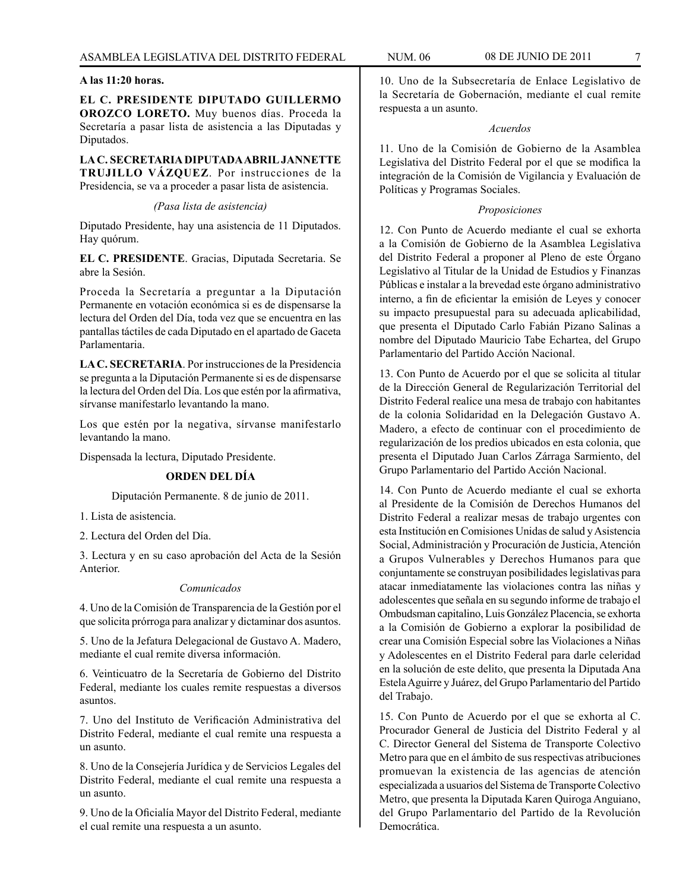# **A las 11:20 horas.**

**EL C. PRESIDENTE DIPUTADO GUILLERMO OROZCO LORETO.** Muy buenos días. Proceda la Secretaría a pasar lista de asistencia a las Diputadas y Diputados.

**LA C. SECRETARIA DIPUTADA ABRIL JANNETTE TRUJILLO VÁZQUEZ**. Por instrucciones de la Presidencia, se va a proceder a pasar lista de asistencia.

#### *(Pasa lista de asistencia)*

Diputado Presidente, hay una asistencia de 11 Diputados. Hay quórum.

**EL C. PRESIDENTE**. Gracias, Diputada Secretaria. Se abre la Sesión.

Proceda la Secretaría a preguntar a la Diputación Permanente en votación económica si es de dispensarse la lectura del Orden del Día, toda vez que se encuentra en las pantallas táctiles de cada Diputado en el apartado de Gaceta Parlamentaria.

**LA C. SECRETARIA**. Por instrucciones de la Presidencia se pregunta a la Diputación Permanente si es de dispensarse la lectura del Orden del Día. Los que estén por la afirmativa, sírvanse manifestarlo levantando la mano.

Los que estén por la negativa, sírvanse manifestarlo levantando la mano.

Dispensada la lectura, Diputado Presidente.

# **ORDEN DEL DÍA**

Diputación Permanente. 8 de junio de 2011.

1. Lista de asistencia.

2. Lectura del Orden del Día.

3. Lectura y en su caso aprobación del Acta de la Sesión Anterior.

# *Comunicados*

4. Uno de la Comisión de Transparencia de la Gestión por el que solicita prórroga para analizar y dictaminar dos asuntos.

5. Uno de la Jefatura Delegacional de Gustavo A. Madero, mediante el cual remite diversa información.

6. Veinticuatro de la Secretaría de Gobierno del Distrito Federal, mediante los cuales remite respuestas a diversos asuntos.

7. Uno del Instituto de Verificación Administrativa del Distrito Federal, mediante el cual remite una respuesta a un asunto.

8. Uno de la Consejería Jurídica y de Servicios Legales del Distrito Federal, mediante el cual remite una respuesta a un asunto.

9. Uno de la Oficialía Mayor del Distrito Federal, mediante el cual remite una respuesta a un asunto.

10. Uno de la Subsecretaría de Enlace Legislativo de la Secretaría de Gobernación, mediante el cual remite respuesta a un asunto.

#### *Acuerdos*

11. Uno de la Comisión de Gobierno de la Asamblea Legislativa del Distrito Federal por el que se modifica la integración de la Comisión de Vigilancia y Evaluación de Políticas y Programas Sociales.

### *Proposiciones*

12. Con Punto de Acuerdo mediante el cual se exhorta a la Comisión de Gobierno de la Asamblea Legislativa del Distrito Federal a proponer al Pleno de este Órgano Legislativo al Titular de la Unidad de Estudios y Finanzas Públicas e instalar a la brevedad este órgano administrativo interno, a fin de eficientar la emisión de Leyes y conocer su impacto presupuestal para su adecuada aplicabilidad, que presenta el Diputado Carlo Fabián Pizano Salinas a nombre del Diputado Mauricio Tabe Echartea, del Grupo Parlamentario del Partido Acción Nacional.

13. Con Punto de Acuerdo por el que se solicita al titular de la Dirección General de Regularización Territorial del Distrito Federal realice una mesa de trabajo con habitantes de la colonia Solidaridad en la Delegación Gustavo A. Madero, a efecto de continuar con el procedimiento de regularización de los predios ubicados en esta colonia, que presenta el Diputado Juan Carlos Zárraga Sarmiento, del Grupo Parlamentario del Partido Acción Nacional.

14. Con Punto de Acuerdo mediante el cual se exhorta al Presidente de la Comisión de Derechos Humanos del Distrito Federal a realizar mesas de trabajo urgentes con esta Institución en Comisiones Unidas de salud y Asistencia Social, Administración y Procuración de Justicia, Atención a Grupos Vulnerables y Derechos Humanos para que conjuntamente se construyan posibilidades legislativas para atacar inmediatamente las violaciones contra las niñas y adolescentes que señala en su segundo informe de trabajo el Ombudsman capitalino, Luis González Placencia, se exhorta a la Comisión de Gobierno a explorar la posibilidad de crear una Comisión Especial sobre las Violaciones a Niñas y Adolescentes en el Distrito Federal para darle celeridad en la solución de este delito, que presenta la Diputada Ana Estela Aguirre y Juárez, del Grupo Parlamentario del Partido del Trabajo.

15. Con Punto de Acuerdo por el que se exhorta al C. Procurador General de Justicia del Distrito Federal y al C. Director General del Sistema de Transporte Colectivo Metro para que en el ámbito de sus respectivas atribuciones promuevan la existencia de las agencias de atención especializada a usuarios del Sistema de Transporte Colectivo Metro, que presenta la Diputada Karen Quiroga Anguiano, del Grupo Parlamentario del Partido de la Revolución Democrática.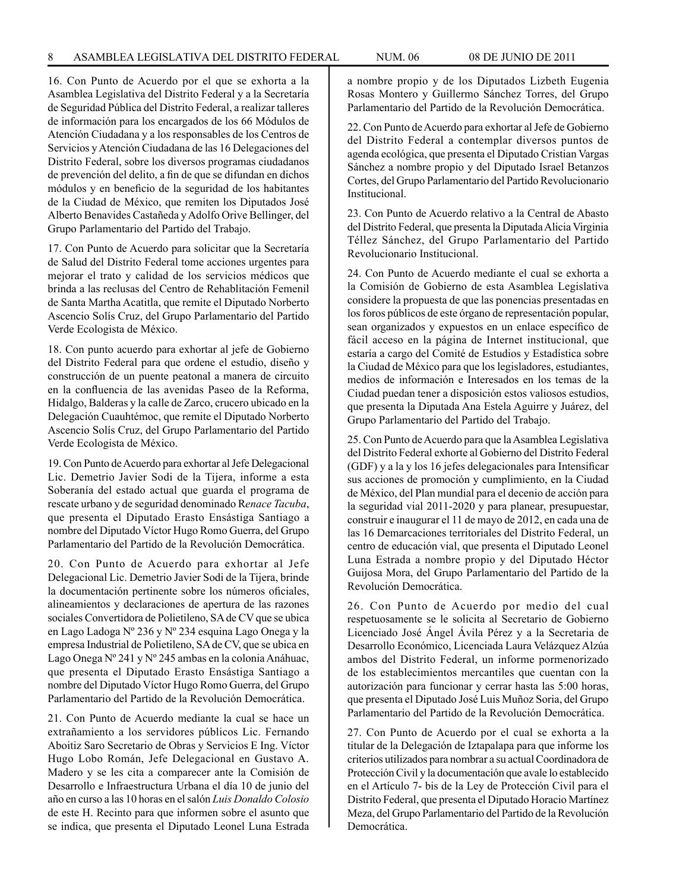16. Con Punto de Acuerdo por el que se exhorta a la Asamblea Legislativa del Distrito Federal y a la Secretaría de Seguridad Pública del Distrito Federal, a realizar talleres de información para los encargados de los 66 Módulos de Atención Ciudadana y a los responsables de los Centros de Servicios y Atención Ciudadana de las 16 Delegaciones del Distrito Federal, sobre los diversos programas ciudadanos de prevención del delito, a fin de que se difundan en dichos módulos y en beneficio de la seguridad de los habitantes de la Ciudad de México, que remiten los Diputados José Alberto Benavides Castañeda y Adolfo Orive Bellinger, del Grupo Parlamentario del Partido del Trabajo.

17. Con Punto de Acuerdo para solicitar que la Secretaría de Salud del Distrito Federal tome acciones urgentes para mejorar el trato y calidad de los servicios médicos que brinda a las reclusas del Centro de Rehablitación Femenil de Santa Martha Acatitla, que remite el Diputado Norberto Ascencio Solís Cruz, del Grupo Parlamentario del Partido Verde Ecologista de México.

18. Con punto acuerdo para exhortar al jefe de Gobierno del Distrito Federal para que ordene el estudio, diseño y construcción de un puente peatonal a manera de circuito en la confluencia de las avenidas Paseo de la Reforma, Hidalgo, Balderas y la calle de Zarco, crucero ubicado en la Delegación Cuauhtémoc, que remite el Diputado Norberto Ascencio Solís Cruz, del Grupo Parlamentario del Partido Verde Ecologista de México.

19. Con Punto de Acuerdo para exhortar al Jefe Delegacional Lic. Demetrio Javier Sodi de la Tijera, informe a esta Soberanía del estado actual que guarda el programa de rescate urbano y de seguridad denominado R*enace Tacuba*, que presenta el Diputado Erasto Ensástiga Santiago a nombre del Diputado Víctor Hugo Romo Guerra, del Grupo Parlamentario del Partido de la Revolución Democrática.

20. Con Punto de Acuerdo para exhortar al Jefe Delegacional Lic. Demetrio Javier Sodi de la Tijera, brinde la documentación pertinente sobre los números oficiales, alineamientos y declaraciones de apertura de las razones sociales Convertidora de Polietileno, SA de CV que se ubica en Lago Ladoga Nº 236 y Nº 234 esquina Lago Onega y la empresa Industrial de Polietileno, SA de CV, que se ubica en Lago Onega Nº 241 y Nº 245 ambas en la colonia Anáhuac, que presenta el Diputado Erasto Ensástiga Santiago a nombre del Diputado Víctor Hugo Romo Guerra, del Grupo Parlamentario del Partido de la Revolución Democrática.

21. Con Punto de Acuerdo mediante la cual se hace un extrañamiento a los servidores públicos Lic. Fernando Aboitiz Saro Secretario de Obras y Servicios E Ing. Víctor Hugo Lobo Román, Jefe Delegacional en Gustavo A. Madero y se les cita a comparecer ante la Comisión de Desarrollo e Infraestructura Urbana el día 10 de junio del año en curso a las 10 horas en el salón *Luis Donaldo Colosio* de este H. Recinto para que informen sobre el asunto que se indica, que presenta el Diputado Leonel Luna Estrada a nombre propio y de los Diputados Lizbeth Eugenia Rosas Montero y Guillermo Sánchez Torres, del Grupo Parlamentario del Partido de la Revolución Democrática.

22. Con Punto de Acuerdo para exhortar al Jefe de Gobierno del Distrito Federal a contemplar diversos puntos de agenda ecológica, que presenta el Diputado Cristian Vargas Sánchez a nombre propio y del Diputado Israel Betanzos Cortes, del Grupo Parlamentario del Partido Revolucionario Institucional.

23. Con Punto de Acuerdo relativo a la Central de Abasto del Distrito Federal, que presenta la Diputada Alicia Virginia Téllez Sánchez, del Grupo Parlamentario del Partido Revolucionario Institucional.

24. Con Punto de Acuerdo mediante el cual se exhorta a la Comisión de Gobierno de esta Asamblea Legislativa considere la propuesta de que las ponencias presentadas en los foros públicos de este órgano de representación popular, sean organizados y expuestos en un enlace específico de fácil acceso en la página de Internet institucional, que estaría a cargo del Comité de Estudios y Estadística sobre la Ciudad de México para que los legisladores, estudiantes, medios de información e Interesados en los temas de la Ciudad puedan tener a disposición estos valiosos estudios, que presenta la Diputada Ana Estela Aguirre y Juárez, del Grupo Parlamentario del Partido del Trabajo.

25. Con Punto de Acuerdo para que la Asamblea Legislativa del Distrito Federal exhorte al Gobierno del Distrito Federal (GDF) y a la y los 16 jefes delegacionales para Intensificar sus acciones de promoción y cumplimiento, en la Ciudad de México, del Plan mundial para el decenio de acción para la seguridad vial 2011-2020 y para planear, presupuestar, construir e inaugurar el 11 de mayo de 2012, en cada una de las 16 Demarcaciones territoriales del Distrito Federal, un centro de educación vial, que presenta el Diputado Leonel Luna Estrada a nombre propio y del Diputado Héctor Guijosa Mora, del Grupo Parlamentario del Partido de la Revolución Democrática.

26. Con Punto de Acuerdo por medio del cual respetuosamente se le solicita al Secretario de Gobierno Licenciado José Ángel Ávila Pérez y a la Secretaria de Desarrollo Económico, Licenciada Laura Velázquez Alzúa ambos del Distrito Federal, un informe pormenorizado de los establecimientos mercantiles que cuentan con la autorización para funcionar y cerrar hasta las 5:00 horas, que presenta el Diputado José Luis Muñoz Soria, del Grupo Parlamentario del Partido de la Revolución Democrática.

27. Con Punto de Acuerdo por el cual se exhorta a la titular de la Delegación de Iztapalapa para que informe los criterios utilizados para nombrar a su actual Coordinadora de Protección Civil y la documentación que avale lo establecido en el Artículo 7- bis de la Ley de Protección Civil para el Distrito Federal, que presenta el Diputado Horacio Martínez Meza, del Grupo Parlamentario del Partido de la Revolución Democrática.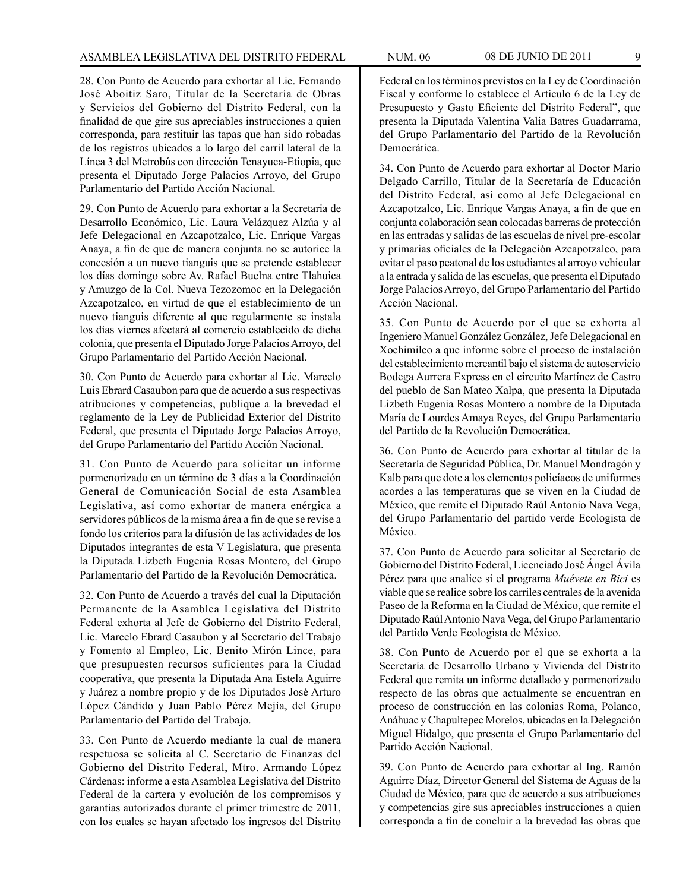28. Con Punto de Acuerdo para exhortar al Lic. Fernando José Aboitiz Saro, Titular de la Secretaría de Obras y Servicios del Gobierno del Distrito Federal, con la finalidad de que gire sus apreciables instrucciones a quien corresponda, para restituir las tapas que han sido robadas de los registros ubicados a lo largo del carril lateral de la Línea 3 del Metrobús con dirección Tenayuca-Etiopia, que presenta el Diputado Jorge Palacios Arroyo, del Grupo Parlamentario del Partido Acción Nacional.

29. Con Punto de Acuerdo para exhortar a la Secretaria de Desarrollo Económico, Lic. Laura Velázquez Alzúa y al Jefe Delegacional en Azcapotzalco, Lic. Enrique Vargas Anaya, a fin de que de manera conjunta no se autorice la concesión a un nuevo tianguis que se pretende establecer los días domingo sobre Av. Rafael Buelna entre Tlahuica y Amuzgo de la Col. Nueva Tezozomoc en la Delegación Azcapotzalco, en virtud de que el establecimiento de un nuevo tianguis diferente al que regularmente se instala los días viernes afectará al comercio establecido de dicha colonia, que presenta el Diputado Jorge Palacios Arroyo, del Grupo Parlamentario del Partido Acción Nacional.

30. Con Punto de Acuerdo para exhortar al Lic. Marcelo Luis Ebrard Casaubon para que de acuerdo a sus respectivas atribuciones y competencias, publique a la brevedad el reglamento de la Ley de Publicidad Exterior del Distrito Federal, que presenta el Diputado Jorge Palacios Arroyo, del Grupo Parlamentario del Partido Acción Nacional.

31. Con Punto de Acuerdo para solicitar un informe pormenorizado en un término de 3 días a la Coordinación General de Comunicación Social de esta Asamblea Legislativa, así como exhortar de manera enérgica a servidores públicos de la misma área a fin de que se revise a fondo los criterios para la difusión de las actividades de los Diputados integrantes de esta V Legislatura, que presenta la Diputada Lizbeth Eugenia Rosas Montero, del Grupo Parlamentario del Partido de la Revolución Democrática.

32. Con Punto de Acuerdo a través del cual la Diputación Permanente de la Asamblea Legislativa del Distrito Federal exhorta al Jefe de Gobierno del Distrito Federal, Lic. Marcelo Ebrard Casaubon y al Secretario del Trabajo y Fomento al Empleo, Lic. Benito Mirón Lince, para que presupuesten recursos suficientes para la Ciudad cooperativa, que presenta la Diputada Ana Estela Aguirre y Juárez a nombre propio y de los Diputados José Arturo López Cándido y Juan Pablo Pérez Mejía, del Grupo Parlamentario del Partido del Trabajo.

33. Con Punto de Acuerdo mediante la cual de manera respetuosa se solicita al C. Secretario de Finanzas del Gobierno del Distrito Federal, Mtro. Armando López Cárdenas: informe a esta Asamblea Legislativa del Distrito Federal de la cartera y evolución de los compromisos y garantías autorizados durante el primer trimestre de 2011, con los cuales se hayan afectado los ingresos del Distrito

Federal en los términos previstos en la Ley de Coordinación Fiscal y conforme lo establece el Artículo 6 de la Ley de Presupuesto y Gasto Eficiente del Distrito Federal", que presenta la Diputada Valentina Valia Batres Guadarrama, del Grupo Parlamentario del Partido de la Revolución Democrática.

34. Con Punto de Acuerdo para exhortar al Doctor Mario Delgado Carrillo, Titular de la Secretaría de Educación del Distrito Federal, así como al Jefe Delegacional en Azcapotzalco, Lic. Enrique Vargas Anaya, a fin de que en conjunta colaboración sean colocadas barreras de protección en las entradas y salidas de las escuelas de nivel pre-escolar y primarias oficiales de la Delegación Azcapotzalco, para evitar el paso peatonal de los estudiantes al arroyo vehicular a la entrada y salida de las escuelas, que presenta el Diputado Jorge Palacios Arroyo, del Grupo Parlamentario del Partido Acción Nacional.

35. Con Punto de Acuerdo por el que se exhorta al Ingeniero Manuel González González, Jefe Delegacional en Xochimilco a que informe sobre el proceso de instalación del establecimiento mercantil bajo el sistema de autoservicio Bodega Aurrera Express en el circuito Martínez de Castro del pueblo de San Mateo Xalpa, que presenta la Diputada Lizbeth Eugenia Rosas Montero a nombre de la Diputada María de Lourdes Amaya Reyes, del Grupo Parlamentario del Partido de la Revolución Democrática.

36. Con Punto de Acuerdo para exhortar al titular de la Secretaría de Seguridad Pública, Dr. Manuel Mondragón y Kalb para que dote a los elementos policíacos de uniformes acordes a las temperaturas que se viven en la Ciudad de México, que remite el Diputado Raúl Antonio Nava Vega, del Grupo Parlamentario del partido verde Ecologista de México.

37. Con Punto de Acuerdo para solicitar al Secretario de Gobierno del Distrito Federal, Licenciado José Ángel Ávila Pérez para que analice si el programa *Muévete en Bici* es viable que se realice sobre los carriles centrales de la avenida Paseo de la Reforma en la Ciudad de México, que remite el Diputado Raúl Antonio Nava Vega, del Grupo Parlamentario del Partido Verde Ecologista de México.

38. Con Punto de Acuerdo por el que se exhorta a la Secretaría de Desarrollo Urbano y Vivienda del Distrito Federal que remita un informe detallado y pormenorizado respecto de las obras que actualmente se encuentran en proceso de construcción en las colonias Roma, Polanco, Anáhuac y Chapultepec Morelos, ubicadas en la Delegación Miguel Hidalgo, que presenta el Grupo Parlamentario del Partido Acción Nacional.

39. Con Punto de Acuerdo para exhortar al Ing. Ramón Aguirre Díaz, Director General del Sistema de Aguas de la Ciudad de México, para que de acuerdo a sus atribuciones y competencias gire sus apreciables instrucciones a quien corresponda a fin de concluir a la brevedad las obras que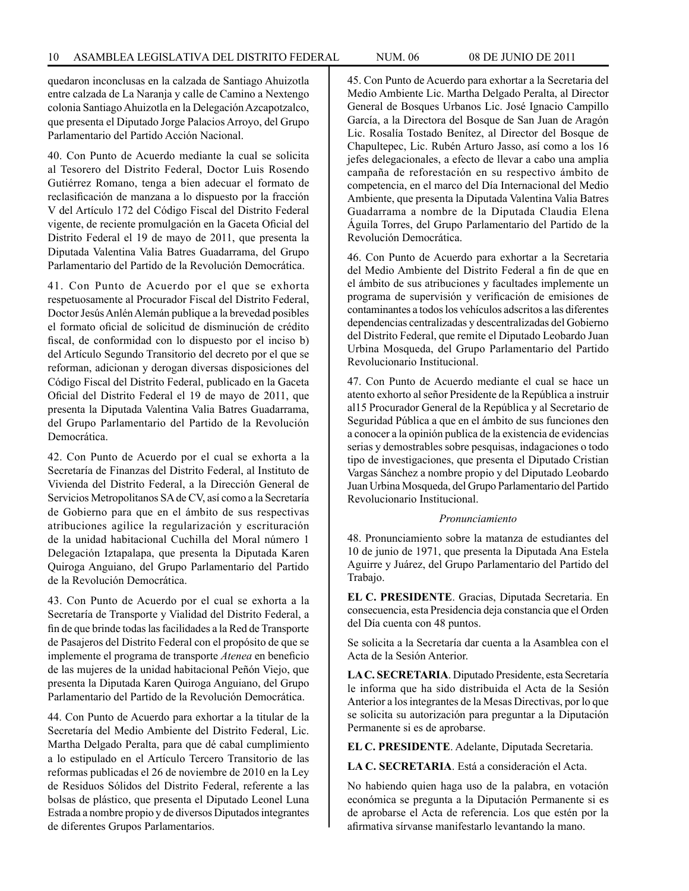quedaron inconclusas en la calzada de Santiago Ahuizotla entre calzada de La Naranja y calle de Camino a Nextengo colonia Santiago Ahuizotla en la Delegación Azcapotzalco, que presenta el Diputado Jorge Palacios Arroyo, del Grupo Parlamentario del Partido Acción Nacional.

40. Con Punto de Acuerdo mediante la cual se solicita al Tesorero del Distrito Federal, Doctor Luis Rosendo Gutiérrez Romano, tenga a bien adecuar el formato de reclasificación de manzana a lo dispuesto por la fracción V del Artículo 172 del Código Fiscal del Distrito Federal vigente, de reciente promulgación en la Gaceta Oficial del Distrito Federal el 19 de mayo de 2011, que presenta la Diputada Valentina Valia Batres Guadarrama, del Grupo Parlamentario del Partido de la Revolución Democrática.

41. Con Punto de Acuerdo por el que se exhorta respetuosamente al Procurador Fiscal del Distrito Federal, Doctor Jesús Anlén Alemán publique a la brevedad posibles el formato oficial de solicitud de disminución de crédito fiscal, de conformidad con lo dispuesto por el inciso b) del Artículo Segundo Transitorio del decreto por el que se reforman, adicionan y derogan diversas disposiciones del Código Fiscal del Distrito Federal, publicado en la Gaceta Oficial del Distrito Federal el 19 de mayo de 2011, que presenta la Diputada Valentina Valia Batres Guadarrama, del Grupo Parlamentario del Partido de la Revolución Democrática.

42. Con Punto de Acuerdo por el cual se exhorta a la Secretaría de Finanzas del Distrito Federal, al Instituto de Vivienda del Distrito Federal, a la Dirección General de Servicios Metropolitanos SA de CV, así como a la Secretaría de Gobierno para que en el ámbito de sus respectivas atribuciones agilice la regularización y escrituración de la unidad habitacional Cuchilla del Moral número 1 Delegación Iztapalapa, que presenta la Diputada Karen Quiroga Anguiano, del Grupo Parlamentario del Partido de la Revolución Democrática.

43. Con Punto de Acuerdo por el cual se exhorta a la Secretaría de Transporte y Vialidad del Distrito Federal, a fin de que brinde todas las facilidades a la Red de Transporte de Pasajeros del Distrito Federal con el propósito de que se implemente el programa de transporte *Atenea* en beneficio de las mujeres de la unidad habitacional Peñón Viejo, que presenta la Diputada Karen Quiroga Anguiano, del Grupo Parlamentario del Partido de la Revolución Democrática.

44. Con Punto de Acuerdo para exhortar a la titular de la Secretaría del Medio Ambiente del Distrito Federal, Lic. Martha Delgado Peralta, para que dé cabal cumplimiento a lo estipulado en el Artículo Tercero Transitorio de las reformas publicadas el 26 de noviembre de 2010 en la Ley de Residuos Sólidos del Distrito Federal, referente a las bolsas de plástico, que presenta el Diputado Leonel Luna Estrada a nombre propio y de diversos Diputados integrantes de diferentes Grupos Parlamentarios.

45. Con Punto de Acuerdo para exhortar a la Secretaria del Medio Ambiente Lic. Martha Delgado Peralta, al Director General de Bosques Urbanos Lic. José Ignacio Campillo García, a la Directora del Bosque de San Juan de Aragón Lic. Rosalía Tostado Benítez, al Director del Bosque de Chapultepec, Lic. Rubén Arturo Jasso, así como a los 16 jefes delegacionales, a efecto de llevar a cabo una amplia campaña de reforestación en su respectivo ámbito de competencia, en el marco del Día Internacional del Medio Ambiente, que presenta la Diputada Valentina Valia Batres Guadarrama a nombre de la Diputada Claudia Elena Águila Torres, del Grupo Parlamentario del Partido de la Revolución Democrática.

46. Con Punto de Acuerdo para exhortar a la Secretaria del Medio Ambiente del Distrito Federal a fin de que en el ámbito de sus atribuciones y facultades implemente un programa de supervisión y verificación de emisiones de contaminantes a todos los vehículos adscritos a las diferentes dependencias centralizadas y descentralizadas del Gobierno del Distrito Federal, que remite el Diputado Leobardo Juan Urbina Mosqueda, del Grupo Parlamentario del Partido Revolucionario Institucional.

47. Con Punto de Acuerdo mediante el cual se hace un atento exhorto al señor Presidente de la República a instruir al15 Procurador General de la República y al Secretario de Seguridad Pública a que en el ámbito de sus funciones den a conocer a la opinión publica de la existencia de evidencias serias y demostrables sobre pesquisas, indagaciones o todo tipo de investigaciones, que presenta el Diputado Cristian Vargas Sánchez a nombre propio y del Diputado Leobardo Juan Urbina Mosqueda, del Grupo Parlamentario del Partido Revolucionario Institucional.

#### *Pronunciamiento*

48. Pronunciamiento sobre la matanza de estudiantes del 10 de junio de 1971, que presenta la Diputada Ana Estela Aguirre y Juárez, del Grupo Parlamentario del Partido del Trabajo.

**EL C. PRESIDENTE**. Gracias, Diputada Secretaria. En consecuencia, esta Presidencia deja constancia que el Orden del Día cuenta con 48 puntos.

Se solicita a la Secretaría dar cuenta a la Asamblea con el Acta de la Sesión Anterior.

**LA C. SECRETARIA**. Diputado Presidente, esta Secretaría le informa que ha sido distribuida el Acta de la Sesión Anterior a los integrantes de la Mesas Directivas, por lo que se solicita su autorización para preguntar a la Diputación Permanente si es de aprobarse.

**EL C. PRESIDENTE**. Adelante, Diputada Secretaria.

**LA C. SECRETARIA**. Está a consideración el Acta.

No habiendo quien haga uso de la palabra, en votación económica se pregunta a la Diputación Permanente si es de aprobarse el Acta de referencia. Los que estén por la afirmativa sírvanse manifestarlo levantando la mano.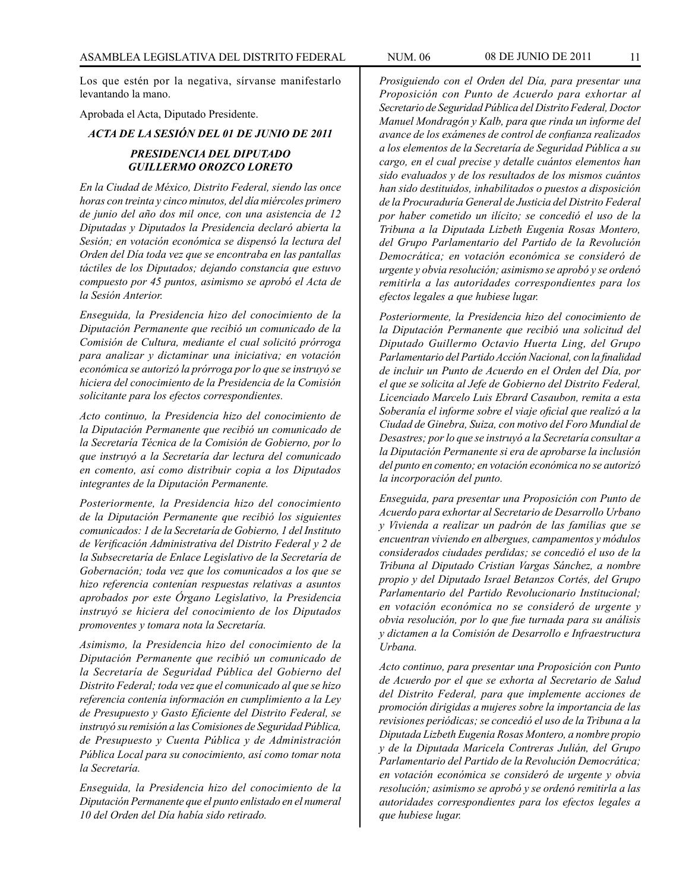Los que estén por la negativa, sírvanse manifestarlo levantando la mano.

Aprobada el Acta, Diputado Presidente.

*ACTA DE LA SESIÓN DEL 01 DE JUNIO DE 2011*

# *PRESIDENCIA DEL DIPUTADO GUILLERMO OROZCO LORETO*

*En la Ciudad de México, Distrito Federal, siendo las once horas con treinta y cinco minutos, del día miércoles primero de junio del año dos mil once, con una asistencia de 12 Diputadas y Diputados la Presidencia declaró abierta la Sesión; en votación económica se dispensó la lectura del Orden del Día toda vez que se encontraba en las pantallas táctiles de los Diputados; dejando constancia que estuvo compuesto por 45 puntos, asimismo se aprobó el Acta de la Sesión Anterior.*

*Enseguida, la Presidencia hizo del conocimiento de la Diputación Permanente que recibió un comunicado de la Comisión de Cultura, mediante el cual solicitó prórroga para analizar y dictaminar una iniciativa; en votación económica se autorizó la prórroga por lo que se instruyó se hiciera del conocimiento de la Presidencia de la Comisión solicitante para los efectos correspondientes.*

*Acto continuo, la Presidencia hizo del conocimiento de la Diputación Permanente que recibió un comunicado de la Secretaría Técnica de la Comisión de Gobierno, por lo que instruyó a la Secretaría dar lectura del comunicado en comento, así como distribuir copia a los Diputados integrantes de la Diputación Permanente.*

*Posteriormente, la Presidencia hizo del conocimiento de la Diputación Permanente que recibió los siguientes comunicados: 1 de la Secretaría de Gobierno, 1 del Instituto de Verificación Administrativa del Distrito Federal y 2 de la Subsecretaría de Enlace Legislativo de la Secretaría de Gobernación; toda vez que los comunicados a los que se hizo referencia contenían respuestas relativas a asuntos aprobados por este Órgano Legislativo, la Presidencia instruyó se hiciera del conocimiento de los Diputados promoventes y tomara nota la Secretaría.*

*Asimismo, la Presidencia hizo del conocimiento de la Diputación Permanente que recibió un comunicado de la Secretaría de Seguridad Pública del Gobierno del Distrito Federal; toda vez que el comunicado al que se hizo referencia contenía información en cumplimiento a la Ley de Presupuesto y Gasto Eficiente del Distrito Federal, se instruyó su remisión a las Comisiones de Seguridad Pública, de Presupuesto y Cuenta Pública y de Administración Pública Local para su conocimiento, así como tomar nota la Secretaría.*

*Enseguida, la Presidencia hizo del conocimiento de la Diputación Permanente que el punto enlistado en el numeral 10 del Orden del Día había sido retirado.* 

*Prosiguiendo con el Orden del Día, para presentar una Proposición con Punto de Acuerdo para exhortar al Secretario de Seguridad Pública del Distrito Federal, Doctor Manuel Mondragón y Kalb, para que rinda un informe del avance de los exámenes de control de confianza realizados a los elementos de la Secretaría de Seguridad Pública a su cargo, en el cual precise y detalle cuántos elementos han sido evaluados y de los resultados de los mismos cuántos han sido destituidos, inhabilitados o puestos a disposición de la Procuraduría General de Justicia del Distrito Federal por haber cometido un ilícito; se concedió el uso de la Tribuna a la Diputada Lizbeth Eugenia Rosas Montero, del Grupo Parlamentario del Partido de la Revolución Democrática; en votación económica se consideró de urgente y obvia resolución; asimismo se aprobó y se ordenó remitirla a las autoridades correspondientes para los efectos legales a que hubiese lugar.*

*Posteriormente, la Presidencia hizo del conocimiento de la Diputación Permanente que recibió una solicitud del Diputado Guillermo Octavio Huerta Ling, del Grupo Parlamentario del Partido Acción Nacional, con la finalidad de incluir un Punto de Acuerdo en el Orden del Día, por el que se solicita al Jefe de Gobierno del Distrito Federal, Licenciado Marcelo Luis Ebrard Casaubon, remita a esta Soberanía el informe sobre el viaje oficial que realizó a la Ciudad de Ginebra, Suiza, con motivo del Foro Mundial de Desastres; por lo que se instruyó a la Secretaría consultar a la Diputación Permanente si era de aprobarse la inclusión del punto en comento; en votación económica no se autorizó la incorporación del punto.* 

*Enseguida, para presentar una Proposición con Punto de Acuerdo para exhortar al Secretario de Desarrollo Urbano y Vivienda a realizar un padrón de las familias que se encuentran viviendo en albergues, campamentos y módulos considerados ciudades perdidas; se concedió el uso de la Tribuna al Diputado Cristian Vargas Sánchez, a nombre propio y del Diputado Israel Betanzos Cortés, del Grupo Parlamentario del Partido Revolucionario Institucional; en votación económica no se consideró de urgente y obvia resolución, por lo que fue turnada para su análisis y dictamen a la Comisión de Desarrollo e Infraestructura Urbana.*

*Acto continuo, para presentar una Proposición con Punto de Acuerdo por el que se exhorta al Secretario de Salud del Distrito Federal, para que implemente acciones de promoción dirigidas a mujeres sobre la importancia de las revisiones periódicas; se concedió el uso de la Tribuna a la Diputada Lizbeth Eugenia Rosas Montero, a nombre propio y de la Diputada Maricela Contreras Julián, del Grupo Parlamentario del Partido de la Revolución Democrática; en votación económica se consideró de urgente y obvia resolución; asimismo se aprobó y se ordenó remitirla a las autoridades correspondientes para los efectos legales a que hubiese lugar.*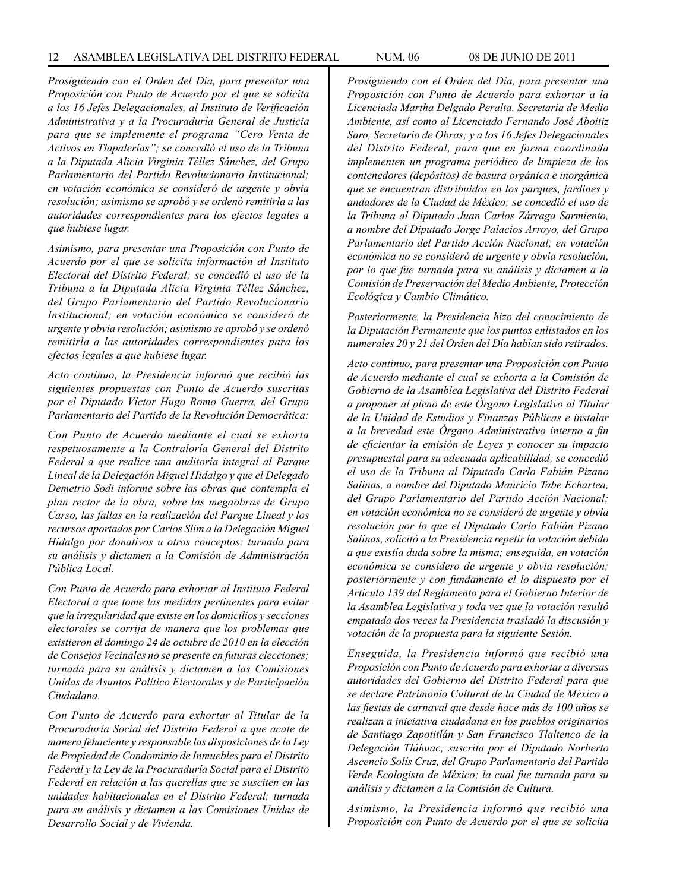*Prosiguiendo con el Orden del Día, para presentar una Proposición con Punto de Acuerdo por el que se solicita a los 16 Jefes Delegacionales, al Instituto de Verificación Administrativa y a la Procuraduría General de Justicia para que se implemente el programa "Cero Venta de Activos en Tlapalerías"; se concedió el uso de la Tribuna a la Diputada Alicia Virginia Téllez Sánchez, del Grupo Parlamentario del Partido Revolucionario Institucional; en votación económica se consideró de urgente y obvia resolución; asimismo se aprobó y se ordenó remitirla a las autoridades correspondientes para los efectos legales a que hubiese lugar.* 

*Asimismo, para presentar una Proposición con Punto de Acuerdo por el que se solicita información al Instituto Electoral del Distrito Federal; se concedió el uso de la Tribuna a la Diputada Alicia Virginia Téllez Sánchez, del Grupo Parlamentario del Partido Revolucionario Institucional; en votación económica se consideró de urgente y obvia resolución; asimismo se aprobó y se ordenó remitirla a las autoridades correspondientes para los efectos legales a que hubiese lugar.* 

*Acto continuo, la Presidencia informó que recibió las siguientes propuestas con Punto de Acuerdo suscritas por el Diputado Víctor Hugo Romo Guerra, del Grupo Parlamentario del Partido de la Revolución Democrática:*

*Con Punto de Acuerdo mediante el cual se exhorta respetuosamente a la Contraloría General del Distrito Federal a que realice una auditoría integral al Parque Lineal de la Delegación Miguel Hidalgo y que el Delegado Demetrio Sodi informe sobre las obras que contempla el plan rector de la obra, sobre las megaobras de Grupo Carso, las fallas en la realización del Parque Lineal y los recursos aportados por Carlos Slim a la Delegación Miguel Hidalgo por donativos u otros conceptos; turnada para su análisis y dictamen a la Comisión de Administración Pública Local.*

*Con Punto de Acuerdo para exhortar al Instituto Federal Electoral a que tome las medidas pertinentes para evitar que la irregularidad que existe en los domicilios y secciones electorales se corrija de manera que los problemas que existieron el domingo 24 de octubre de 2010 en la elección de Consejos Vecinales no se presente en futuras elecciones; turnada para su análisis y dictamen a las Comisiones Unidas de Asuntos Político Electorales y de Participación Ciudadana.*

*Con Punto de Acuerdo para exhortar al Titular de la Procuraduría Social del Distrito Federal a que acate de manera fehaciente y responsable las disposiciones de la Ley de Propiedad de Condominio de Inmuebles para el Distrito Federal y la Ley de la Procuraduría Social para el Distrito Federal en relación a las querellas que se susciten en las unidades habitacionales en el Distrito Federal; turnada para su análisis y dictamen a las Comisiones Unidas de Desarrollo Social y de Vivienda.*

*Prosiguiendo con el Orden del Día, para presentar una Proposición con Punto de Acuerdo para exhortar a la Licenciada Martha Delgado Peralta, Secretaria de Medio Ambiente, así como al Licenciado Fernando José Aboitiz Saro, Secretario de Obras; y a los 16 Jefes Delegacionales del Distrito Federal, para que en forma coordinada implementen un programa periódico de limpieza de los contenedores (depósitos) de basura orgánica e inorgánica que se encuentran distribuidos en los parques, jardines y andadores de la Ciudad de México; se concedió el uso de la Tribuna al Diputado Juan Carlos Zárraga Sarmiento, a nombre del Diputado Jorge Palacios Arroyo, del Grupo Parlamentario del Partido Acción Nacional; en votación económica no se consideró de urgente y obvia resolución, por lo que fue turnada para su análisis y dictamen a la Comisión de Preservación del Medio Ambiente, Protección Ecológica y Cambio Climático.*

*Posteriormente, la Presidencia hizo del conocimiento de la Diputación Permanente que los puntos enlistados en los numerales 20 y 21 del Orden del Día habían sido retirados.*

*Acto continuo, para presentar una Proposición con Punto de Acuerdo mediante el cual se exhorta a la Comisión de Gobierno de la Asamblea Legislativa del Distrito Federal a proponer al pleno de este Órgano Legislativo al Titular de la Unidad de Estudios y Finanzas Públicas e instalar a la brevedad este Órgano Administrativo interno a fin de eficientar la emisión de Leyes y conocer su impacto presupuestal para su adecuada aplicabilidad; se concedió el uso de la Tribuna al Diputado Carlo Fabián Pizano Salinas, a nombre del Diputado Mauricio Tabe Echartea, del Grupo Parlamentario del Partido Acción Nacional; en votación económica no se consideró de urgente y obvia resolución por lo que el Diputado Carlo Fabián Pizano Salinas, solicitó a la Presidencia repetir la votación debido a que existía duda sobre la misma; enseguida, en votación económica se considero de urgente y obvia resolución; posteriormente y con fundamento el lo dispuesto por el Artículo 139 del Reglamento para el Gobierno Interior de la Asamblea Legislativa y toda vez que la votación resultó empatada dos veces la Presidencia trasladó la discusión y votación de la propuesta para la siguiente Sesión.*

*Enseguida, la Presidencia informó que recibió una Proposición con Punto de Acuerdo para exhortar a diversas autoridades del Gobierno del Distrito Federal para que se declare Patrimonio Cultural de la Ciudad de México a las fiestas de carnaval que desde hace más de 100 años se realizan a iniciativa ciudadana en los pueblos originarios de Santiago Zapotitlán y San Francisco Tlaltenco de la Delegación Tláhuac; suscrita por el Diputado Norberto Ascencio Solís Cruz, del Grupo Parlamentario del Partido Verde Ecologista de México; la cual fue turnada para su análisis y dictamen a la Comisión de Cultura.*

*Asimismo, la Presidencia informó que recibió una Proposición con Punto de Acuerdo por el que se solicita*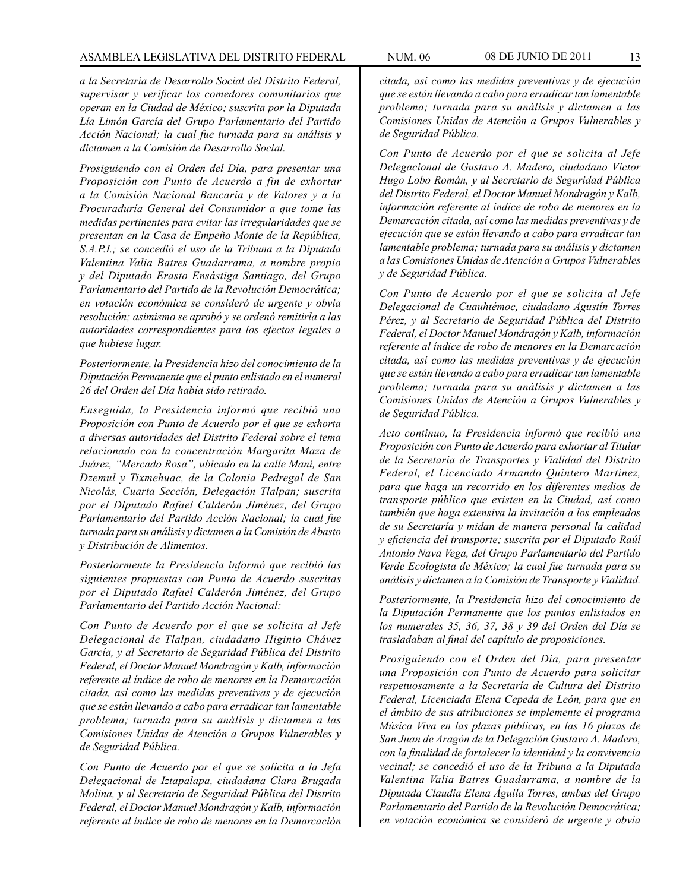*a la Secretaría de Desarrollo Social del Distrito Federal, supervisar y verificar los comedores comunitarios que operan en la Ciudad de México; suscrita por la Diputada Lía Limón García del Grupo Parlamentario del Partido Acción Nacional; la cual fue turnada para su análisis y dictamen a la Comisión de Desarrollo Social.* 

*Prosiguiendo con el Orden del Día, para presentar una Proposición con Punto de Acuerdo a fin de exhortar a la Comisión Nacional Bancaria y de Valores y a la Procuraduría General del Consumidor a que tome las medidas pertinentes para evitar las irregularidades que se presentan en la Casa de Empeño Monte de la República, S.A.P.I.; se concedió el uso de la Tribuna a la Diputada Valentina Valia Batres Guadarrama, a nombre propio y del Diputado Erasto Ensástiga Santiago, del Grupo Parlamentario del Partido de la Revolución Democrática; en votación económica se consideró de urgente y obvia resolución; asimismo se aprobó y se ordenó remitirla a las autoridades correspondientes para los efectos legales a que hubiese lugar.* 

*Posteriormente, la Presidencia hizo del conocimiento de la Diputación Permanente que el punto enlistado en el numeral 26 del Orden del Día había sido retirado.*

*Enseguida, la Presidencia informó que recibió una Proposición con Punto de Acuerdo por el que se exhorta a diversas autoridades del Distrito Federal sobre el tema relacionado con la concentración Margarita Maza de Juárez, "Mercado Rosa", ubicado en la calle Maní, entre Dzemul y Tixmehuac, de la Colonia Pedregal de San Nicolás, Cuarta Sección, Delegación Tlalpan; suscrita por el Diputado Rafael Calderón Jiménez, del Grupo Parlamentario del Partido Acción Nacional; la cual fue turnada para su análisis y dictamen a la Comisión de Abasto y Distribución de Alimentos.* 

*Posteriormente la Presidencia informó que recibió las siguientes propuestas con Punto de Acuerdo suscritas por el Diputado Rafael Calderón Jiménez, del Grupo Parlamentario del Partido Acción Nacional:*

*Con Punto de Acuerdo por el que se solicita al Jefe Delegacional de Tlalpan, ciudadano Higinio Chávez García, y al Secretario de Seguridad Pública del Distrito Federal, el Doctor Manuel Mondragón y Kalb, información referente al índice de robo de menores en la Demarcación citada, así como las medidas preventivas y de ejecución que se están llevando a cabo para erradicar tan lamentable problema; turnada para su análisis y dictamen a las Comisiones Unidas de Atención a Grupos Vulnerables y de Seguridad Pública.* 

*Con Punto de Acuerdo por el que se solicita a la Jefa Delegacional de Iztapalapa, ciudadana Clara Brugada Molina, y al Secretario de Seguridad Pública del Distrito Federal, el Doctor Manuel Mondragón y Kalb, información referente al índice de robo de menores en la Demarcación* 

*citada, así como las medidas preventivas y de ejecución que se están llevando a cabo para erradicar tan lamentable problema; turnada para su análisis y dictamen a las Comisiones Unidas de Atención a Grupos Vulnerables y de Seguridad Pública.*

*Con Punto de Acuerdo por el que se solicita al Jefe Delegacional de Gustavo A. Madero, ciudadano Víctor Hugo Lobo Román, y al Secretario de Seguridad Pública del Distrito Federal, el Doctor Manuel Mondragón y Kalb, información referente al índice de robo de menores en la Demarcación citada, así como las medidas preventivas y de ejecución que se están llevando a cabo para erradicar tan lamentable problema; turnada para su análisis y dictamen a las Comisiones Unidas de Atención a Grupos Vulnerables y de Seguridad Pública.*

*Con Punto de Acuerdo por el que se solicita al Jefe Delegacional de Cuauhtémoc, ciudadano Agustín Torres Pérez, y al Secretario de Seguridad Pública del Distrito Federal, el Doctor Manuel Mondragón y Kalb, información referente al índice de robo de menores en la Demarcación citada, así como las medidas preventivas y de ejecución que se están llevando a cabo para erradicar tan lamentable problema; turnada para su análisis y dictamen a las Comisiones Unidas de Atención a Grupos Vulnerables y de Seguridad Pública.* 

*Acto continuo, la Presidencia informó que recibió una Proposición con Punto de Acuerdo para exhortar al Titular de la Secretaría de Transportes y Vialidad del Distrito Federal, el Licenciado Armando Quintero Martínez, para que haga un recorrido en los diferentes medios de transporte público que existen en la Ciudad, así como también que haga extensiva la invitación a los empleados de su Secretaría y midan de manera personal la calidad y eficiencia del transporte; suscrita por el Diputado Raúl Antonio Nava Vega, del Grupo Parlamentario del Partido Verde Ecologista de México; la cual fue turnada para su análisis y dictamen a la Comisión de Transporte y Vialidad.*

*Posteriormente, la Presidencia hizo del conocimiento de la Diputación Permanente que los puntos enlistados en los numerales 35, 36, 37, 38 y 39 del Orden del Día se trasladaban al final del capítulo de proposiciones.*

*Prosiguiendo con el Orden del Día, para presentar una Proposición con Punto de Acuerdo para solicitar respetuosamente a la Secretaría de Cultura del Distrito Federal, Licenciada Elena Cepeda de León, para que en el ámbito de sus atribuciones se implemente el programa Música Viva en las plazas públicas, en las 16 plazas de San Juan de Aragón de la Delegación Gustavo A. Madero, con la finalidad de fortalecer la identidad y la convivencia vecinal; se concedió el uso de la Tribuna a la Diputada Valentina Valia Batres Guadarrama, a nombre de la Diputada Claudia Elena Águila Torres, ambas del Grupo Parlamentario del Partido de la Revolución Democrática; en votación económica se consideró de urgente y obvia*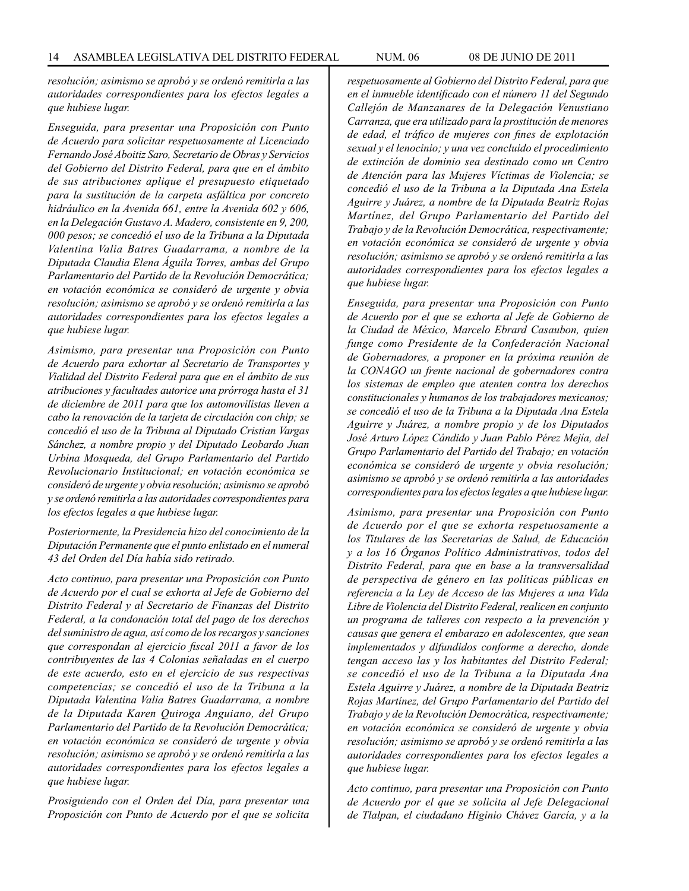*resolución; asimismo se aprobó y se ordenó remitirla a las autoridades correspondientes para los efectos legales a que hubiese lugar.*

*Enseguida, para presentar una Proposición con Punto de Acuerdo para solicitar respetuosamente al Licenciado Fernando José Aboitiz Saro, Secretario de Obras y Servicios del Gobierno del Distrito Federal, para que en el ámbito de sus atribuciones aplique el presupuesto etiquetado para la sustitución de la carpeta asfáltica por concreto hidráulico en la Avenida 661, entre la Avenida 602 y 606, en la Delegación Gustavo A. Madero, consistente en 9, 200, 000 pesos; se concedió el uso de la Tribuna a la Diputada Valentina Valia Batres Guadarrama, a nombre de la Diputada Claudia Elena Águila Torres, ambas del Grupo Parlamentario del Partido de la Revolución Democrática; en votación económica se consideró de urgente y obvia resolución; asimismo se aprobó y se ordenó remitirla a las autoridades correspondientes para los efectos legales a que hubiese lugar.*

*Asimismo, para presentar una Proposición con Punto de Acuerdo para exhortar al Secretario de Transportes y Vialidad del Distrito Federal para que en el ámbito de sus atribuciones y facultades autorice una prórroga hasta el 31 de diciembre de 2011 para que los automovilistas lleven a cabo la renovación de la tarjeta de circulación con chip; se concedió el uso de la Tribuna al Diputado Cristian Vargas Sánchez, a nombre propio y del Diputado Leobardo Juan Urbina Mosqueda, del Grupo Parlamentario del Partido Revolucionario Institucional; en votación económica se consideró de urgente y obvia resolución; asimismo se aprobó y se ordenó remitirla a las autoridades correspondientes para los efectos legales a que hubiese lugar.*

*Posteriormente, la Presidencia hizo del conocimiento de la Diputación Permanente que el punto enlistado en el numeral 43 del Orden del Día había sido retirado.*

*Acto continuo, para presentar una Proposición con Punto de Acuerdo por el cual se exhorta al Jefe de Gobierno del Distrito Federal y al Secretario de Finanzas del Distrito Federal, a la condonación total del pago de los derechos del suministro de agua, así como de los recargos y sanciones que correspondan al ejercicio fiscal 2011 a favor de los contribuyentes de las 4 Colonias señaladas en el cuerpo de este acuerdo, esto en el ejercicio de sus respectivas competencias; se concedió el uso de la Tribuna a la Diputada Valentina Valia Batres Guadarrama, a nombre de la Diputada Karen Quiroga Anguiano, del Grupo Parlamentario del Partido de la Revolución Democrática; en votación económica se consideró de urgente y obvia resolución; asimismo se aprobó y se ordenó remitirla a las autoridades correspondientes para los efectos legales a que hubiese lugar.* 

*Prosiguiendo con el Orden del Día, para presentar una Proposición con Punto de Acuerdo por el que se solicita* 

*respetuosamente al Gobierno del Distrito Federal, para que en el inmueble identificado con el número 11 del Segundo Callejón de Manzanares de la Delegación Venustiano Carranza, que era utilizado para la prostitución de menores de edad, el tráfico de mujeres con fines de explotación sexual y el lenocinio; y una vez concluido el procedimiento de extinción de dominio sea destinado como un Centro de Atención para las Mujeres Víctimas de Violencia; se concedió el uso de la Tribuna a la Diputada Ana Estela Aguirre y Juárez, a nombre de la Diputada Beatriz Rojas Martínez, del Grupo Parlamentario del Partido del Trabajo y de la Revolución Democrática, respectivamente; en votación económica se consideró de urgente y obvia resolución; asimismo se aprobó y se ordenó remitirla a las autoridades correspondientes para los efectos legales a que hubiese lugar.*

*Enseguida, para presentar una Proposición con Punto de Acuerdo por el que se exhorta al Jefe de Gobierno de la Ciudad de México, Marcelo Ebrard Casaubon, quien funge como Presidente de la Confederación Nacional de Gobernadores, a proponer en la próxima reunión de la CONAGO un frente nacional de gobernadores contra los sistemas de empleo que atenten contra los derechos constitucionales y humanos de los trabajadores mexicanos; se concedió el uso de la Tribuna a la Diputada Ana Estela Aguirre y Juárez, a nombre propio y de los Diputados José Arturo López Cándido y Juan Pablo Pérez Mejía, del Grupo Parlamentario del Partido del Trabajo; en votación económica se consideró de urgente y obvia resolución; asimismo se aprobó y se ordenó remitirla a las autoridades correspondientes para los efectos legales a que hubiese lugar.*

*Asimismo, para presentar una Proposición con Punto de Acuerdo por el que se exhorta respetuosamente a los Titulares de las Secretarías de Salud, de Educación y a los 16 Órganos Político Administrativos, todos del Distrito Federal, para que en base a la transversalidad de perspectiva de género en las políticas públicas en referencia a la Ley de Acceso de las Mujeres a una Vida Libre de Violencia del Distrito Federal, realicen en conjunto un programa de talleres con respecto a la prevención y causas que genera el embarazo en adolescentes, que sean implementados y difundidos conforme a derecho, donde tengan acceso las y los habitantes del Distrito Federal; se concedió el uso de la Tribuna a la Diputada Ana Estela Aguirre y Juárez, a nombre de la Diputada Beatriz Rojas Martínez, del Grupo Parlamentario del Partido del Trabajo y de la Revolución Democrática, respectivamente; en votación económica se consideró de urgente y obvia resolución; asimismo se aprobó y se ordenó remitirla a las autoridades correspondientes para los efectos legales a que hubiese lugar.*

*Acto continuo, para presentar una Proposición con Punto de Acuerdo por el que se solicita al Jefe Delegacional de Tlalpan, el ciudadano Higinio Chávez García, y a la*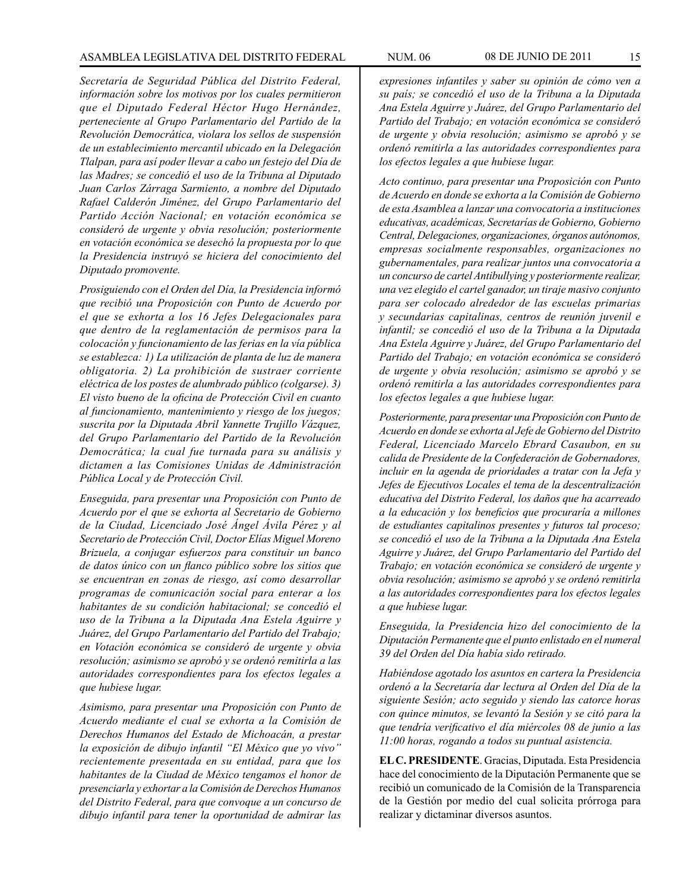*Secretaría de Seguridad Pública del Distrito Federal, información sobre los motivos por los cuales permitieron que el Diputado Federal Héctor Hugo Hernández, perteneciente al Grupo Parlamentario del Partido de la Revolución Democrática, violara los sellos de suspensión de un establecimiento mercantil ubicado en la Delegación Tlalpan, para así poder llevar a cabo un festejo del Día de las Madres; se concedió el uso de la Tribuna al Diputado Juan Carlos Zárraga Sarmiento, a nombre del Diputado Rafael Calderón Jiménez, del Grupo Parlamentario del Partido Acción Nacional; en votación económica se consideró de urgente y obvia resolución; posteriormente en votación económica se desechó la propuesta por lo que la Presidencia instruyó se hiciera del conocimiento del Diputado promovente.*

*Prosiguiendo con el Orden del Día, la Presidencia informó que recibió una Proposición con Punto de Acuerdo por el que se exhorta a los 16 Jefes Delegacionales para que dentro de la reglamentación de permisos para la colocación y funcionamiento de las ferias en la vía pública se establezca: 1) La utilización de planta de luz de manera obligatoria. 2) La prohibición de sustraer corriente eléctrica de los postes de alumbrado público (colgarse). 3) El visto bueno de la oficina de Protección Civil en cuanto al funcionamiento, mantenimiento y riesgo de los juegos; suscrita por la Diputada Abril Yannette Trujillo Vázquez, del Grupo Parlamentario del Partido de la Revolución Democrática; la cual fue turnada para su análisis y dictamen a las Comisiones Unidas de Administración Pública Local y de Protección Civil.*

*Enseguida, para presentar una Proposición con Punto de Acuerdo por el que se exhorta al Secretario de Gobierno de la Ciudad, Licenciado José Ángel Ávila Pérez y al Secretario de Protección Civil, Doctor Elías Miguel Moreno Brizuela, a conjugar esfuerzos para constituir un banco de datos único con un flanco público sobre los sitios que se encuentran en zonas de riesgo, así como desarrollar programas de comunicación social para enterar a los habitantes de su condición habitacional; se concedió el uso de la Tribuna a la Diputada Ana Estela Aguirre y Juárez, del Grupo Parlamentario del Partido del Trabajo; en Votación económica se consideró de urgente y obvia resolución; asimismo se aprobó y se ordenó remitirla a las autoridades correspondientes para los efectos legales a que hubiese lugar.*

*Asimismo, para presentar una Proposición con Punto de Acuerdo mediante el cual se exhorta a la Comisión de Derechos Humanos del Estado de Michoacán, a prestar la exposición de dibujo infantil "El México que yo vivo" recientemente presentada en su entidad, para que los habitantes de la Ciudad de México tengamos el honor de presenciarla y exhortar a la Comisión de Derechos Humanos del Distrito Federal, para que convoque a un concurso de dibujo infantil para tener la oportunidad de admirar las* 

*expresiones infantiles y saber su opinión de cómo ven a su país; se concedió el uso de la Tribuna a la Diputada Ana Estela Aguirre y Juárez, del Grupo Parlamentario del Partido del Trabajo; en votación económica se consideró de urgente y obvia resolución; asimismo se aprobó y se ordenó remitirla a las autoridades correspondientes para los efectos legales a que hubiese lugar.*

*Acto continuo, para presentar una Proposición con Punto de Acuerdo en donde se exhorta a la Comisión de Gobierno de esta Asamblea a lanzar una convocatoria a instituciones educativas, académicas, Secretarías de Gobierno, Gobierno Central, Delegaciones, organizaciones, órganos autónomos, empresas socialmente responsables, organizaciones no gubernamentales, para realizar juntos una convocatoria a un concurso de cartel Antibullying y posteriormente realizar, una vez elegido el cartel ganador, un tiraje masivo conjunto para ser colocado alrededor de las escuelas primarias y secundarias capitalinas, centros de reunión juvenil e infantil; se concedió el uso de la Tribuna a la Diputada Ana Estela Aguirre y Juárez, del Grupo Parlamentario del Partido del Trabajo; en votación económica se consideró de urgente y obvia resolución; asimismo se aprobó y se ordenó remitirla a las autoridades correspondientes para los efectos legales a que hubiese lugar.*

*Posteriormente, para presentar una Proposición con Punto de Acuerdo en donde se exhorta al Jefe de Gobierno del Distrito Federal, Licenciado Marcelo Ebrard Casaubon, en su calida de Presidente de la Confederación de Gobernadores, incluir en la agenda de prioridades a tratar con la Jefa y Jefes de Ejecutivos Locales el tema de la descentralización educativa del Distrito Federal, los daños que ha acarreado a la educación y los beneficios que procuraría a millones de estudiantes capitalinos presentes y futuros tal proceso; se concedió el uso de la Tribuna a la Diputada Ana Estela Aguirre y Juárez, del Grupo Parlamentario del Partido del Trabajo; en votación económica se consideró de urgente y obvia resolución; asimismo se aprobó y se ordenó remitirla a las autoridades correspondientes para los efectos legales a que hubiese lugar.* 

*Enseguida, la Presidencia hizo del conocimiento de la Diputación Permanente que el punto enlistado en el numeral 39 del Orden del Día había sido retirado.* 

*Habiéndose agotado los asuntos en cartera la Presidencia ordenó a la Secretaría dar lectura al Orden del Día de la siguiente Sesión; acto seguido y siendo las catorce horas con quince minutos, se levantó la Sesión y se citó para la que tendría verificativo el día miércoles 08 de junio a las 11:00 horas, rogando a todos su puntual asistencia.*

**EL C. PRESIDENTE**. Gracias, Diputada. Esta Presidencia hace del conocimiento de la Diputación Permanente que se recibió un comunicado de la Comisión de la Transparencia de la Gestión por medio del cual solicita prórroga para realizar y dictaminar diversos asuntos.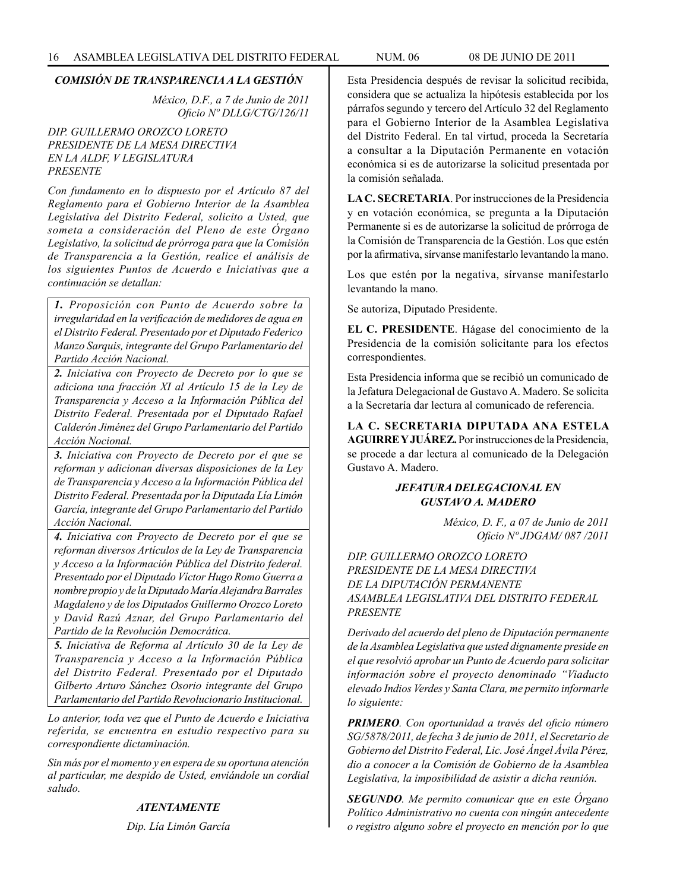#### *COMISIÓN DE TRANSPARENCIA A LA GESTIÓN*

*México, D.F., a 7 de Junio de 2011 Oficio Nº DLLG/CTG/126/11*

# *DIP. GUILLERMO OROZCO LORETO PRESIDENTE DE LA MESA DIRECTIVA EN LA ALDF, V LEGISLATURA PRESENTE*

*Con fundamento en lo dispuesto por el Artículo 87 del Reglamento para el Gobierno Interior de la Asamblea Legislativa del Distrito Federal, solicito a Usted, que someta a consideración del Pleno de este Órgano Legislativo, la solicitud de prórroga para que la Comisión de Transparencia a la Gestión, realice el análisis de los siguientes Puntos de Acuerdo e Iniciativas que a continuación se detallan:*

*1. Proposición con Punto de Acuerdo sobre la irregularidad en la verificación de medidores de agua en el Distrito Federal. Presentado por et Diputado Federico Manzo Sarquis, integrante del Grupo Parlamentario del Partido Acción Nacional.*

*2. Iniciativa con Proyecto de Decreto por lo que se adiciona una fracción XI al Artículo 15 de la Ley de Transparencia y Acceso a la Información Pública del Distrito Federal. Presentada por el Diputado Rafael Calderón Jiménez del Grupo Parlamentario del Partido Acción Nocional.*

*3. Iniciativa con Proyecto de Decreto por el que se reforman y adicionan diversas disposiciones de la Ley de Transparencia y Acceso a la Información Pública del Distrito Federal. Presentada por la Diputada Lía Limón García, integrante del Grupo Parlamentario del Partido Acción Nacional.*

*4. Iniciativa con Proyecto de Decreto por el que se reforman diversos Artículos de la Ley de Transparencia y Acceso a la Información Pública del Distrito federal. Presentado por el Diputado Víctor Hugo Romo Guerra a nombre propio y de la Diputado María Alejandra Barrales Magdaleno y de los Diputados Guillermo Orozco Loreto y David Razú Aznar, del Grupo Parlamentario del Partido de la Revolución Democrática.* 

*5. Iniciativa de Reforma al Artículo 30 de la Ley de Transparencia y Acceso a la Información Pública del Distrito Federal. Presentado por el Diputado Gilberto Arturo Sánchez Osorio integrante del Grupo Parlamentario del Partido Revolucionario Institucional.*

*Lo anterior, toda vez que el Punto de Acuerdo e Iniciativa referida, se encuentra en estudio respectivo para su correspondiente dictaminación.*

*Sin más por el momento y en espera de su oportuna atención al particular, me despido de Usted, enviándole un cordial saludo.*

#### *ATENTAMENTE*

*Dip. Lía Limón García*

Esta Presidencia después de revisar la solicitud recibida, considera que se actualiza la hipótesis establecida por los párrafos segundo y tercero del Artículo 32 del Reglamento para el Gobierno Interior de la Asamblea Legislativa del Distrito Federal. En tal virtud, proceda la Secretaría a consultar a la Diputación Permanente en votación económica si es de autorizarse la solicitud presentada por la comisión señalada.

**LA C. SECRETARIA**. Por instrucciones de la Presidencia y en votación económica, se pregunta a la Diputación Permanente si es de autorizarse la solicitud de prórroga de la Comisión de Transparencia de la Gestión. Los que estén por la afirmativa, sírvanse manifestarlo levantando la mano.

Los que estén por la negativa, sírvanse manifestarlo levantando la mano.

Se autoriza, Diputado Presidente.

**EL C. PRESIDENTE**. Hágase del conocimiento de la Presidencia de la comisión solicitante para los efectos correspondientes.

Esta Presidencia informa que se recibió un comunicado de la Jefatura Delegacional de Gustavo A. Madero. Se solicita a la Secretaría dar lectura al comunicado de referencia.

**LA C. SECRETARIA DIPUTADA ANA ESTELA AGUIRRE Y JUÁREZ.** Por instrucciones de la Presidencia, se procede a dar lectura al comunicado de la Delegación Gustavo A. Madero.

# *JEFATURA DELEGACIONAL EN GUSTAVO A. MADERO*

*México, D. F., a 07 de Junio de 2011 Oficio Nº JDGAM/ 087 /2011*

*DIP. GUILLERMO OROZCO LORETO PRESIDENTE DE LA MESA DIRECTIVA DE LA DIPUTACIÓN PERMANENTE ASAMBLEA LEGISLATIVA DEL DISTRITO FEDERAL PRESENTE*

*Derivado del acuerdo del pleno de Diputación permanente de la Asamblea Legislativa que usted dignamente preside en el que resolvió aprobar un Punto de Acuerdo para solicitar información sobre el proyecto denominado "Viaducto elevado Indios Verdes y Santa Clara, me permito informarle lo siguiente:* 

*PRIMERO. Con oportunidad a través del oficio número SG/5878/2011, de fecha 3 de junio de 2011, el Secretario de Gobierno del Distrito Federal, Lic. José Ángel Ávila Pérez, dio a conocer a la Comisión de Gobierno de la Asamblea Legislativa, la imposibilidad de asistir a dicha reunión.*

*SEGUNDO. Me permito comunicar que en este Órgano Político Administrativo no cuenta con ningún antecedente o registro alguno sobre el proyecto en mención por lo que*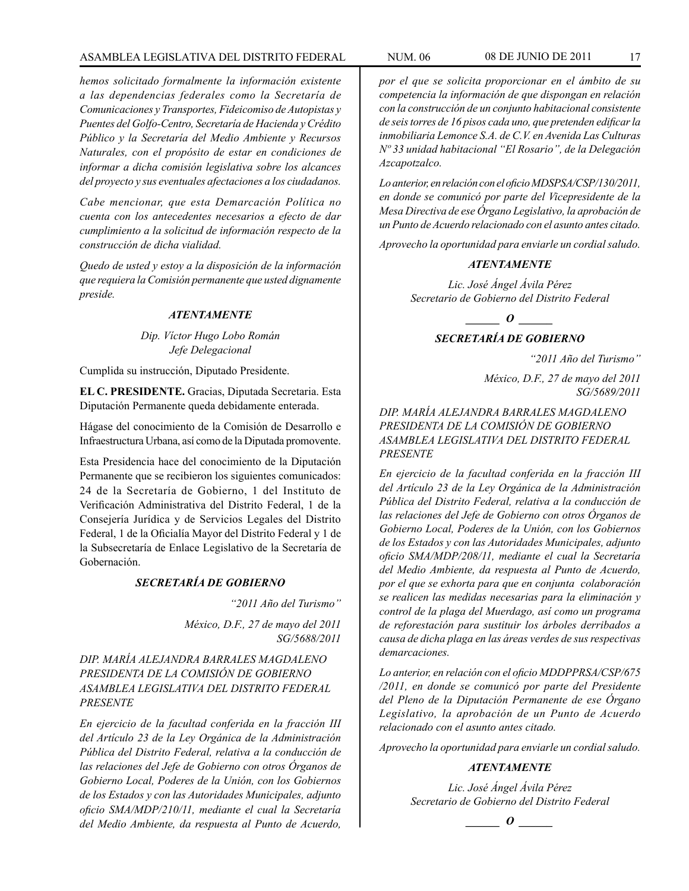# ASAMBLEA LEGISLATIVA DEL DISTRITO FEDERAL NUM. 06 08 DE JUNIO DE 2011 17

*hemos solicitado formalmente la información existente a las dependencias federales como la Secretaría de Comunicaciones y Transportes, Fideicomiso de Autopistas y Puentes del Golfo-Centro, Secretaría de Hacienda y Crédito Público y la Secretaría del Medio Ambiente y Recursos Naturales, con el propósito de estar en condiciones de informar a dicha comisión legislativa sobre los alcances del proyecto y sus eventuales afectaciones a los ciudadanos.*

*Cabe mencionar, que esta Demarcación Política no cuenta con los antecedentes necesarios a efecto de dar cumplimiento a la solicitud de información respecto de la construcción de dicha vialidad.*

*Quedo de usted y estoy a la disposición de la información que requiera la Comisión permanente que usted dignamente preside.*

# *ATENTAMENTE*

*Dip. Víctor Hugo Lobo Román Jefe Delegacional*

Cumplida su instrucción, Diputado Presidente.

**EL C. PRESIDENTE.** Gracias, Diputada Secretaria. Esta Diputación Permanente queda debidamente enterada.

Hágase del conocimiento de la Comisión de Desarrollo e Infraestructura Urbana, así como de la Diputada promovente.

Esta Presidencia hace del conocimiento de la Diputación Permanente que se recibieron los siguientes comunicados: 24 de la Secretaría de Gobierno, 1 del Instituto de Verificación Administrativa del Distrito Federal, 1 de la Consejería Jurídica y de Servicios Legales del Distrito Federal, 1 de la Oficialía Mayor del Distrito Federal y 1 de la Subsecretaría de Enlace Legislativo de la Secretaría de Gobernación.

# *SECRETARÍA DE GOBIERNO*

*"2011 Año del Turismo"*

*México, D.F., 27 de mayo del 2011 SG/5688/2011*

*DIP. MARÍA ALEJANDRA BARRALES MAGDALENO PRESIDENTA DE LA COMISIÓN DE GOBIERNO ASAMBLEA LEGISLATIVA DEL DISTRITO FEDERAL PRESENTE*

*En ejercicio de la facultad conferida en la fracción III del Artículo 23 de la Ley Orgánica de la Administración Pública del Distrito Federal, relativa a la conducción de las relaciones del Jefe de Gobierno con otros Órganos de Gobierno Local, Poderes de la Unión, con los Gobiernos de los Estados y con las Autoridades Municipales, adjunto oficio SMA/MDP/210/11, mediante el cual la Secretaría del Medio Ambiente, da respuesta al Punto de Acuerdo,* 

*por el que se solicita proporcionar en el ámbito de su competencia la información de que dispongan en relación con la construcción de un conjunto habitacional consistente de seis torres de 16 pisos cada uno, que pretenden edificar la inmobiliaria Lemonce S.A. de C.V. en Avenida Las Culturas Nº 33 unidad habitacional "El Rosario", de la Delegación Azcapotzalco.*

*Lo anterior, en relación con el oficio MDSPSA/CSP/130/2011, en donde se comunicó por parte del Vicepresidente de la Mesa Directiva de ese Órgano Legislativo, la aprobación de un Punto de Acuerdo relacionado con el asunto antes citado.*

*Aprovecho la oportunidad para enviarle un cordial saludo.*

#### *ATENTAMENTE*

*Lic. José Ángel Ávila Pérez Secretario de Gobierno del Distrito Federal*

*\_\_\_\_\_\_ O \_\_\_\_\_\_*

# *SECRETARÍA DE GOBIERNO*

*"2011 Año del Turismo"*

*México, D.F., 27 de mayo del 2011 SG/5689/2011*

*DIP. MARÍA ALEJANDRA BARRALES MAGDALENO PRESIDENTA DE LA COMISIÓN DE GOBIERNO ASAMBLEA LEGISLATIVA DEL DISTRITO FEDERAL PRESENTE*

*En ejercicio de la facultad conferida en la fracción III del Artículo 23 de la Ley Orgánica de la Administración Pública del Distrito Federal, relativa a la conducción de las relaciones del Jefe de Gobierno con otros Órganos de Gobierno Local, Poderes de la Unión, con los Gobiernos de los Estados y con las Autoridades Municipales, adjunto oficio SMA/MDP/208/11, mediante el cual la Secretaría del Medio Ambiente, da respuesta al Punto de Acuerdo, por el que se exhorta para que en conjunta colaboración se realicen las medidas necesarias para la eliminación y control de la plaga del Muerdago, así como un programa de reforestación para sustituir los árboles derribados a causa de dicha plaga en las áreas verdes de sus respectivas demarcaciones.* 

*Lo anterior, en relación con el oficio MDDPPRSA/CSP/675 /2011, en donde se comunicó por parte del Presidente del Pleno de la Diputación Permanente de ese Órgano Legislativo, la aprobación de un Punto de Acuerdo relacionado con el asunto antes citado.*

*Aprovecho la oportunidad para enviarle un cordial saludo.*

# *ATENTAMENTE*

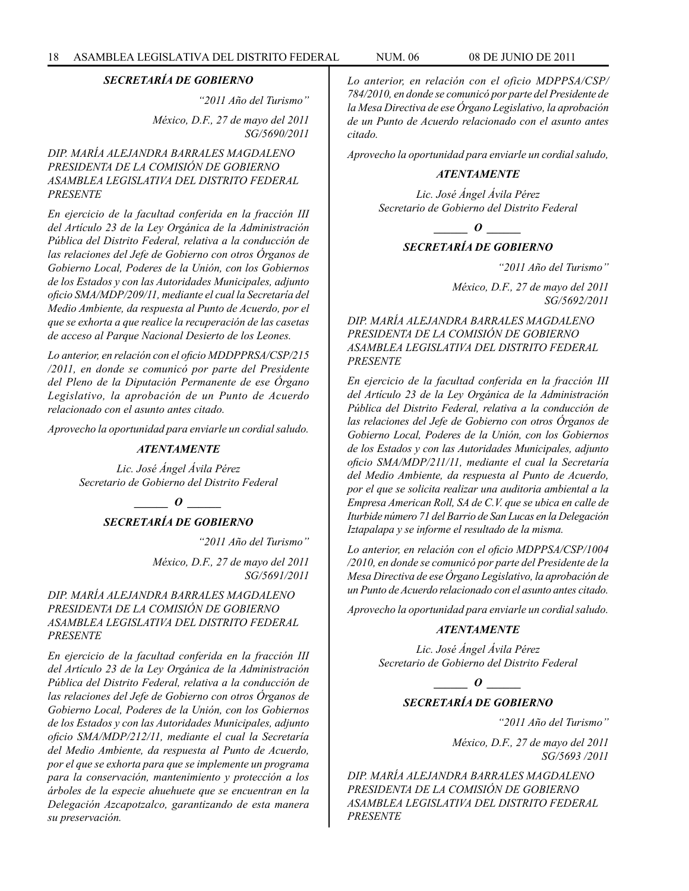*"2011 Año del Turismo"*

*México, D.F., 27 de mayo del 2011 SG/5690/2011*

# *DIP. MARÍA ALEJANDRA BARRALES MAGDALENO PRESIDENTA DE LA COMISIÓN DE GOBIERNO ASAMBLEA LEGISLATIVA DEL DISTRITO FEDERAL PRESENTE*

*En ejercicio de la facultad conferida en la fracción III del Artículo 23 de la Ley Orgánica de la Administración Pública del Distrito Federal, relativa a la conducción de las relaciones del Jefe de Gobierno con otros Órganos de Gobierno Local, Poderes de la Unión, con los Gobiernos de los Estados y con las Autoridades Municipales, adjunto oficio SMA/MDP/209/11, mediante el cual la Secretaría del Medio Ambiente, da respuesta al Punto de Acuerdo, por el que se exhorta a que realice la recuperación de las casetas de acceso al Parque Nacional Desierto de los Leones.* 

*Lo anterior, en relación con el oficio MDDPPRSA/CSP/215 /2011, en donde se comunicó por parte del Presidente del Pleno de la Diputación Permanente de ese Órgano Legislativo, la aprobación de un Punto de Acuerdo relacionado con el asunto antes citado.*

*Aprovecho la oportunidad para enviarle un cordial saludo.*

# *ATENTAMENTE*

*Lic. José Ángel Ávila Pérez Secretario de Gobierno del Distrito Federal*

> *\_\_\_\_\_\_ O \_\_\_\_\_\_ SECRETARÍA DE GOBIERNO*

> > *"2011 Año del Turismo"*

*México, D.F., 27 de mayo del 2011 SG/5691/2011*

# *DIP. MARÍA ALEJANDRA BARRALES MAGDALENO PRESIDENTA DE LA COMISIÓN DE GOBIERNO ASAMBLEA LEGISLATIVA DEL DISTRITO FEDERAL PRESENTE*

*En ejercicio de la facultad conferida en la fracción III del Artículo 23 de la Ley Orgánica de la Administración Pública del Distrito Federal, relativa a la conducción de las relaciones del Jefe de Gobierno con otros Órganos de Gobierno Local, Poderes de la Unión, con los Gobiernos de los Estados y con las Autoridades Municipales, adjunto oficio SMA/MDP/212/11, mediante el cual la Secretaría del Medio Ambiente, da respuesta al Punto de Acuerdo, por el que se exhorta para que se implemente un programa para la conservación, mantenimiento y protección a los árboles de la especie ahuehuete que se encuentran en la Delegación Azcapotzalco, garantizando de esta manera su preservación.*

*Lo anterior, en relación con el oficio MDPPSA/CSP/ 784/2010, en donde se comunicó por parte del Presidente de la Mesa Directiva de ese Órgano Legislativo, la aprobación de un Punto de Acuerdo relacionado con el asunto antes citado.* 

*Aprovecho la oportunidad para enviarle un cordial saludo,*

# *ATENTAMENTE*

*Lic. José Ángel Ávila Pérez Secretario de Gobierno del Distrito Federal*

*\_\_\_\_\_\_ O \_\_\_\_\_\_*

# *SECRETARÍA DE GOBIERNO*

*"2011 Año del Turismo"*

*México, D.F., 27 de mayo del 2011 SG/5692/2011*

*DIP. MARÍA ALEJANDRA BARRALES MAGDALENO PRESIDENTA DE LA COMISIÓN DE GOBIERNO ASAMBLEA LEGISLATIVA DEL DISTRITO FEDERAL PRESENTE*

*En ejercicio de la facultad conferida en la fracción III del Artículo 23 de la Ley Orgánica de la Administración Pública del Distrito Federal, relativa a la conducción de las relaciones del Jefe de Gobierno con otros Órganos de Gobierno Local, Poderes de la Unión, con los Gobiernos de los Estados y con las Autoridades Municipales, adjunto oficio SMA/MDP/211/11, mediante el cual la Secretaría del Medio Ambiente, da respuesta al Punto de Acuerdo, por el que se solicita realizar una auditoria ambiental a la Empresa American Roll, SA de C.V. que se ubica en calle de Iturbide número 71 del Barrio de San Lucas en la Delegación Iztapalapa y se informe el resultado de la misma.*

*Lo anterior, en relación con el oficio MDPPSA/CSP/1004 /2010, en donde se comunicó por parte del Presidente de la Mesa Directiva de ese Órgano Legislativo, la aprobación de un Punto de Acuerdo relacionado con el asunto antes citado.*

*Aprovecho la oportunidad para enviarle un cordial saludo.*

#### *ATENTAMENTE*

*Lic. José Ángel Ávila Pérez Secretario de Gobierno del Distrito Federal*

*\_\_\_\_\_\_ O \_\_\_\_\_\_*

# *SECRETARÍA DE GOBIERNO*

*"2011 Año del Turismo"*

*México, D.F., 27 de mayo del 2011 SG/5693 /2011*

*DIP. MARÍA ALEJANDRA BARRALES MAGDALENO PRESIDENTA DE LA COMISIÓN DE GOBIERNO ASAMBLEA LEGISLATIVA DEL DISTRITO FEDERAL PRESENTE*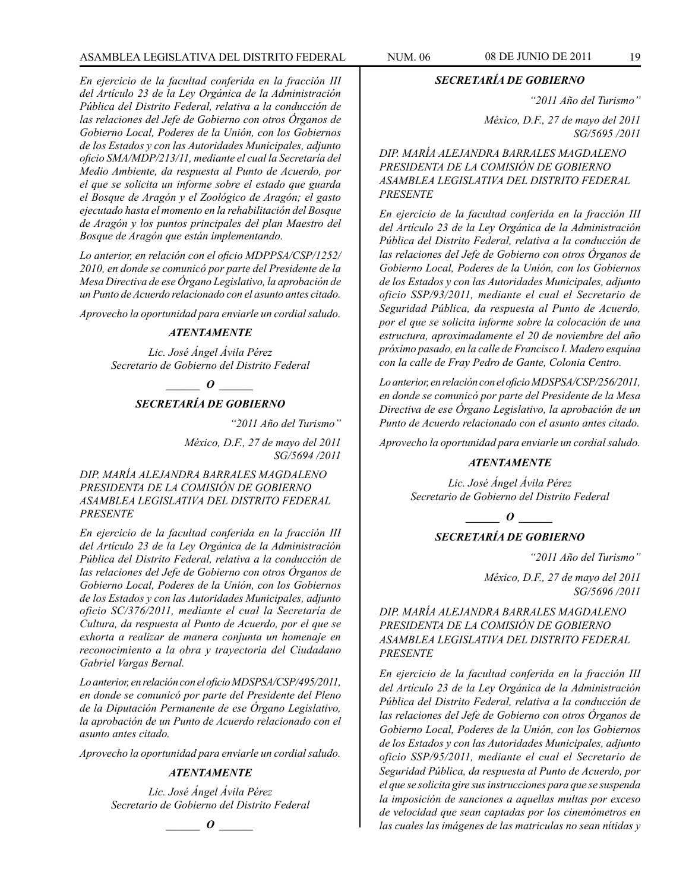# ASAMBLEA LEGISLATIVA DEL DISTRITO FEDERAL NUM. 06 08 DE JUNIO DE 2011 19

*En ejercicio de la facultad conferida en la fracción III del Artículo 23 de la Ley Orgánica de la Administración Pública del Distrito Federal, relativa a la conducción de las relaciones del Jefe de Gobierno con otros Órganos de Gobierno Local, Poderes de la Unión, con los Gobiernos de los Estados y con las Autoridades Municipales, adjunto oficio SMA/MDP/213/11, mediante el cual la Secretaría del Medio Ambiente, da respuesta al Punto de Acuerdo, por el que se solicita un informe sobre el estado que guarda el Bosque de Aragón y el Zoológico de Aragón; el gasto ejecutado hasta el momento en la rehabilitación del Bosque de Aragón y los puntos principales del plan Maestro del Bosque de Aragón que están implementando.*

*Lo anterior, en relación con el oficio MDPPSA/CSP/1252/ 2010, en donde se comunicó por parte del Presidente de la Mesa Directiva de ese Órgano Legislativo, la aprobación de un Punto de Acuerdo relacionado con el asunto antes citado.*

*Aprovecho la oportunidad para enviarle un cordial saludo.*

#### *ATENTAMENTE*

*Lic. José Ángel Ávila Pérez Secretario de Gobierno del Distrito Federal*

*o*  $\theta$ 

# *SECRETARÍA DE GOBIERNO*

*"2011 Año del Turismo"*

*México, D.F., 27 de mayo del 2011 SG/5694 /2011*

*DIP. MARÍA ALEJANDRA BARRALES MAGDALENO PRESIDENTA DE LA COMISIÓN DE GOBIERNO ASAMBLEA LEGISLATIVA DEL DISTRITO FEDERAL PRESENTE*

*En ejercicio de la facultad conferida en la fracción III del Artículo 23 de la Ley Orgánica de la Administración Pública del Distrito Federal, relativa a la conducción de las relaciones del Jefe de Gobierno con otros Órganos de Gobierno Local, Poderes de la Unión, con los Gobiernos de los Estados y con las Autoridades Municipales, adjunto oficio SC/376/2011, mediante el cual la Secretaría de Cultura, da respuesta al Punto de Acuerdo, por el que se exhorta a realizar de manera conjunta un homenaje en reconocimiento a la obra y trayectoria del Ciudadano Gabriel Vargas Bernal.*

*Lo anterior, en relación con el oficio MDSPSA/CSP/495/2011, en donde se comunicó por parte del Presidente del Pleno de la Diputación Permanente de ese Órgano Legislativo, la aprobación de un Punto de Acuerdo relacionado con el asunto antes citado.*

*Aprovecho la oportunidad para enviarle un cordial saludo.*

#### *ATENTAMENTE*

*Lic. José Ángel Ávila Pérez Secretario de Gobierno del Distrito Federal*

*\_\_\_\_\_\_ O \_\_\_\_\_\_*

*SECRETARÍA DE GOBIERNO*

*"2011 Año del Turismo"*

*México, D.F., 27 de mayo del 2011 SG/5695 /2011*

*DIP. MARÍA ALEJANDRA BARRALES MAGDALENO PRESIDENTA DE LA COMISIÓN DE GOBIERNO ASAMBLEA LEGISLATIVA DEL DISTRITO FEDERAL PRESENTE*

*En ejercicio de la facultad conferida en la fracción III del Artículo 23 de la Ley Orgánica de la Administración Pública del Distrito Federal, relativa a la conducción de las relaciones del Jefe de Gobierno con otros Órganos de Gobierno Local, Poderes de la Unión, con los Gobiernos de los Estados y con las Autoridades Municipales, adjunto oficio SSP/93/2011, mediante el cual el Secretario de Seguridad Pública, da respuesta al Punto de Acuerdo, por el que se solicita informe sobre la colocación de una estructura, aproximadamente el 20 de noviembre del año próximo pasado, en la calle de Francisco I. Madero esquina con la calle de Fray Pedro de Gante, Colonia Centro.*

*Lo anterior, en relación con el oficio MDSPSA/CSP/256/2011, en donde se comunicó por parte del Presidente de la Mesa Directiva de ese Órgano Legislativo, la aprobación de un Punto de Acuerdo relacionado con el asunto antes citado.*

*Aprovecho la oportunidad para enviarle un cordial saludo.*

#### *ATENTAMENTE*

*Lic. José Ángel Ávila Pérez Secretario de Gobierno del Distrito Federal*

*o*  $\theta$ *SECRETARÍA DE GOBIERNO*

*"2011 Año del Turismo"*

*México, D.F., 27 de mayo del 2011 SG/5696 /2011*

*DIP. MARÍA ALEJANDRA BARRALES MAGDALENO PRESIDENTA DE LA COMISIÓN DE GOBIERNO ASAMBLEA LEGISLATIVA DEL DISTRITO FEDERAL PRESENTE*

*En ejercicio de la facultad conferida en la fracción III del Artículo 23 de la Ley Orgánica de la Administración Pública del Distrito Federal, relativa a la conducción de las relaciones del Jefe de Gobierno con otros Órganos de Gobierno Local, Poderes de la Unión, con los Gobiernos de los Estados y con las Autoridades Municipales, adjunto oficio SSP/95/2011, mediante el cual el Secretario de Seguridad Pública, da respuesta al Punto de Acuerdo, por el que se solicita gire sus instrucciones para que se suspenda la imposición de sanciones a aquellas multas por exceso de velocidad que sean captadas por los cinemómetros en las cuales las imágenes de las matriculas no sean nítidas y*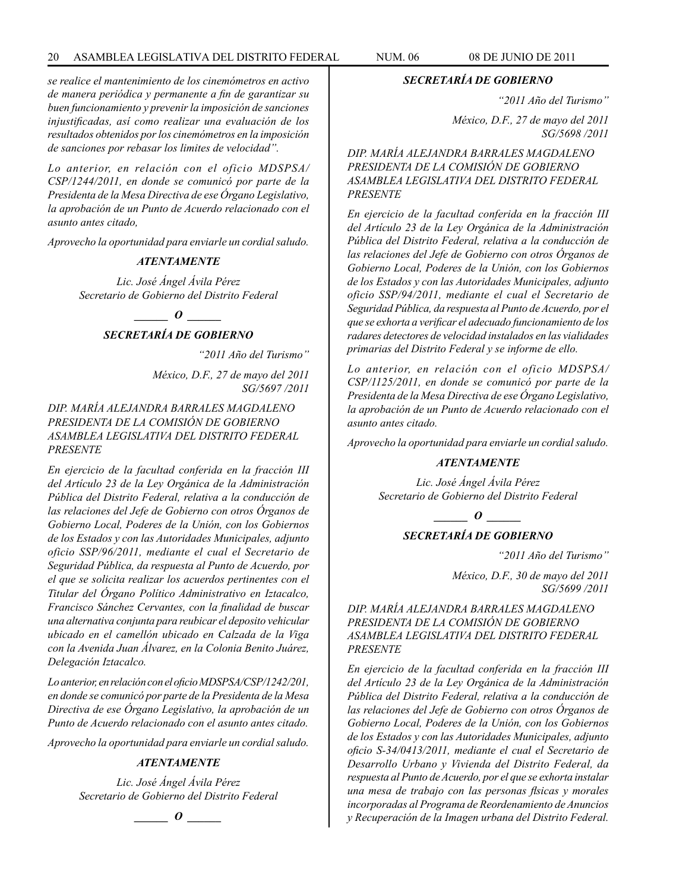*se realice el mantenimiento de los cinemómetros en activo de manera periódica y permanente a fin de garantizar su buen funcionamiento y prevenir la imposición de sanciones injustificadas, así como realizar una evaluación de los resultados obtenidos por los cinemómetros en la imposición de sanciones por rebasar los limites de velocidad".*

*Lo anterior, en relación con el oficio MDSPSA/ CSP/1244/2011, en donde se comunicó por parte de la Presidenta de la Mesa Directiva de ese Órgano Legislativo, la aprobación de un Punto de Acuerdo relacionado con el asunto antes citado,*

*Aprovecho la oportunidad para enviarle un cordial saludo.*

#### *ATENTAMENTE*

*Lic. José Ángel Ávila Pérez Secretario de Gobierno del Distrito Federal*

*\_\_\_\_\_\_ O \_\_\_\_\_\_*

# *SECRETARÍA DE GOBIERNO*

*"2011 Año del Turismo"*

*México, D.F., 27 de mayo del 2011 SG/5697 /2011*

# *DIP. MARÍA ALEJANDRA BARRALES MAGDALENO PRESIDENTA DE LA COMISIÓN DE GOBIERNO ASAMBLEA LEGISLATIVA DEL DISTRITO FEDERAL PRESENTE*

*En ejercicio de la facultad conferida en la fracción III del Artículo 23 de la Ley Orgánica de la Administración Pública del Distrito Federal, relativa a la conducción de las relaciones del Jefe de Gobierno con otros Órganos de Gobierno Local, Poderes de la Unión, con los Gobiernos de los Estados y con las Autoridades Municipales, adjunto oficio SSP/96/2011, mediante el cual el Secretario de Seguridad Pública, da respuesta al Punto de Acuerdo, por el que se solicita realizar los acuerdos pertinentes con el Titular del Órgano Político Administrativo en Iztacalco, Francisco Sánchez Cervantes, con la finalidad de buscar una alternativa conjunta para reubicar el deposito vehicular ubicado en el camellón ubicado en Calzada de la Viga con la Avenida Juan Álvarez, en la Colonia Benito Juárez, Delegación Iztacalco.*

*Lo anterior, en relación con el oficio MDSPSA/CSP/1242/201, en donde se comunicó por parte de la Presidenta de la Mesa Directiva de ese Órgano Legislativo, la aprobación de un Punto de Acuerdo relacionado con el asunto antes citado.*

*Aprovecho la oportunidad para enviarle un cordial saludo.*

# *ATENTAMENTE*

*Lic. José Ángel Ávila Pérez Secretario de Gobierno del Distrito Federal*

$$
\_\_o\_
$$

#### *SECRETARÍA DE GOBIERNO*

*"2011 Año del Turismo"*

*México, D.F., 27 de mayo del 2011 SG/5698 /2011*

*DIP. MARÍA ALEJANDRA BARRALES MAGDALENO PRESIDENTA DE LA COMISIÓN DE GOBIERNO ASAMBLEA LEGISLATIVA DEL DISTRITO FEDERAL PRESENTE*

*En ejercicio de la facultad conferida en la fracción III del Artículo 23 de la Ley Orgánica de la Administración Pública del Distrito Federal, relativa a la conducción de las relaciones del Jefe de Gobierno con otros Órganos de Gobierno Local, Poderes de la Unión, con los Gobiernos de los Estados y con las Autoridades Municipales, adjunto oficio SSP/94/2011, mediante el cual el Secretario de Seguridad Pública, da respuesta al Punto de Acuerdo, por el que se exhorta a verificar el adecuado funcionamiento de los radares detectores de velocidad instalados en las vialidades primarias del Distrito Federal y se informe de ello.*

*Lo anterior, en relación con el oficio MDSPSA/ CSP/1125/2011, en donde se comunicó por parte de la Presidenta de la Mesa Directiva de ese Órgano Legislativo, la aprobación de un Punto de Acuerdo relacionado con el asunto antes citado.*

*Aprovecho la oportunidad para enviarle un cordial saludo.*

# *ATENTAMENTE*

*Lic. José Ángel Ávila Pérez Secretario de Gobierno del Distrito Federal*

*\_\_\_\_\_\_ O \_\_\_\_\_\_*

# *SECRETARÍA DE GOBIERNO*

*"2011 Año del Turismo"*

*México, D.F., 30 de mayo del 2011 SG/5699 /2011*

# *DIP. MARÍA ALEJANDRA BARRALES MAGDALENO PRESIDENTA DE LA COMISIÓN DE GOBIERNO ASAMBLEA LEGISLATIVA DEL DISTRITO FEDERAL PRESENTE*

*En ejercicio de la facultad conferida en la fracción III del Artículo 23 de la Ley Orgánica de la Administración Pública del Distrito Federal, relativa a la conducción de las relaciones del Jefe de Gobierno con otros Órganos de Gobierno Local, Poderes de la Unión, con los Gobiernos de los Estados y con las Autoridades Municipales, adjunto oficio S-34/0413/2011, mediante el cual el Secretario de Desarrollo Urbano y Vivienda del Distrito Federal, da respuesta al Punto de Acuerdo, por el que se exhorta instalar una mesa de trabajo con las personas flsicas y morales incorporadas al Programa de Reordenamiento de Anuncios y Recuperación de la Imagen urbana del Distrito Federal.*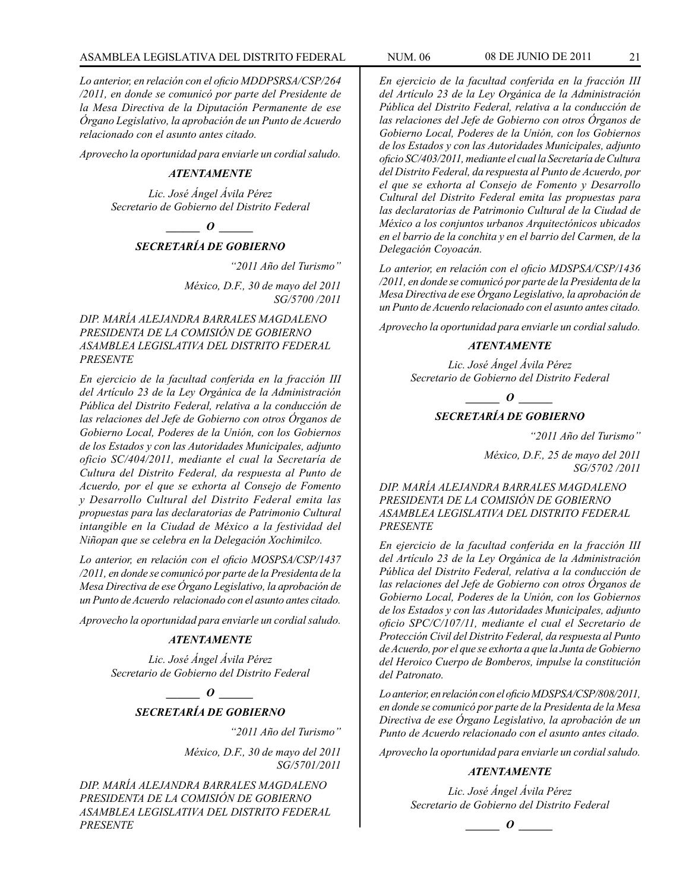*Lo anterior, en relación con el oficio MDDPSRSA/CSP/264 /2011, en donde se comunicó por parte del Presidente de la Mesa Directiva de la Diputación Permanente de ese Órgano Legislativo, la aprobación de un Punto de Acuerdo relacionado con el asunto antes citado.*

*Aprovecho la oportunidad para enviarle un cordial saludo.*

# *ATENTAMENTE*

*Lic. José Ángel Ávila Pérez Secretario de Gobierno del Distrito Federal*

*\_\_\_\_\_\_ O \_\_\_\_\_\_*

# *SECRETARÍA DE GOBIERNO*

*"2011 Año del Turismo"*

*México, D.F., 30 de mayo del 2011 SG/5700 /2011*

*DIP. MARÍA ALEJANDRA BARRALES MAGDALENO PRESIDENTA DE LA COMISIÓN DE GOBIERNO ASAMBLEA LEGISLATIVA DEL DISTRITO FEDERAL PRESENTE*

*En ejercicio de la facultad conferida en la fracción III del Artículo 23 de la Ley Orgánica de la Administración Pública del Distrito Federal, relativa a la conducción de las relaciones del Jefe de Gobierno con otros Órganos de Gobierno Local, Poderes de la Unión, con los Gobiernos de los Estados y con las Autoridades Municipales, adjunto oficio SC/404/2011, mediante el cual la Secretaría de Cultura del Distrito Federal, da respuesta al Punto de Acuerdo, por el que se exhorta al Consejo de Fomento y Desarrollo Cultural del Distrito Federal emita las propuestas para las declaratorias de Patrimonio Cultural intangible en la Ciudad de México a la festividad del Niñopan que se celebra en la Delegación Xochimilco.*

*Lo anterior, en relación con el oficio MOSPSA/CSP/1437 /2011, en donde se comunicó por parte de la Presidenta de la Mesa Directiva de ese Órgano Legislativo, la aprobación de un Punto de Acuerdo relacionado con el asunto antes citado.*

*Aprovecho la oportunidad para enviarle un cordial saludo.*

# *ATENTAMENTE*

*Lic. José Ángel Ávila Pérez Secretario de Gobierno del Distrito Federal*

*\_\_\_\_\_\_ O \_\_\_\_\_\_*

# *SECRETARÍA DE GOBIERNO*

*"2011 Año del Turismo"*

*México, D.F., 30 de mayo del 2011 SG/5701/2011*

*DIP. MARÍA ALEJANDRA BARRALES MAGDALENO PRESIDENTA DE LA COMISIÓN DE GOBIERNO ASAMBLEA LEGISLATIVA DEL DISTRITO FEDERAL PRESENTE*

*En ejercicio de la facultad conferida en la fracción III del Artículo 23 de la Ley Orgánica de la Administración Pública del Distrito Federal, relativa a la conducción de las relaciones del Jefe de Gobierno con otros Órganos de Gobierno Local, Poderes de la Unión, con los Gobiernos de los Estados y con las Autoridades Municipales, adjunto oficio SC/403/2011, mediante el cual la Secretaría de Cultura del Distrito Federal, da respuesta al Punto de Acuerdo, por el que se exhorta al Consejo de Fomento y Desarrollo Cultural del Distrito Federal emita las propuestas para las declaratorias de Patrimonio Cultural de la Ciudad de México a los conjuntos urbanos Arquitectónicos ubicados en el barrio de la conchita y en el barrio del Carmen, de la Delegación Coyoacán.* 

*Lo anterior, en relación con el oficio MDSPSA/CSP/1436 /2011, en donde se comunicó por parte de la Presidenta de la Mesa Directiva de ese Órgano Legislativo, la aprobación de un Punto de Acuerdo relacionado con el asunto antes citado.*

*Aprovecho la oportunidad para enviarle un cordial saludo.*

#### *ATENTAMENTE*

*Lic. José Ángel Ávila Pérez Secretario de Gobierno del Distrito Federal*

*d*  $\theta$ 

# *SECRETARÍA DE GOBIERNO*

*"2011 Año del Turismo"*

*México, D.F., 25 de mayo del 2011 SG/5702 /2011*

*DIP. MARÍA ALEJANDRA BARRALES MAGDALENO PRESIDENTA DE LA COMISIÓN DE GOBIERNO ASAMBLEA LEGISLATIVA DEL DISTRITO FEDERAL PRESENTE*

*En ejercicio de la facultad conferida en la fracción III del Artículo 23 de la Ley Orgánica de la Administración Pública del Distrito Federal, relativa a la conducción de las relaciones del Jefe de Gobierno con otros Órganos de Gobierno Local, Poderes de la Unión, con los Gobiernos de los Estados y con las Autoridades Municipales, adjunto oficio SPC/C/107/11, mediante el cual el Secretario de Protección Civil del Distrito Federal, da respuesta al Punto de Acuerdo, por el que se exhorta a que la Junta de Gobierno del Heroico Cuerpo de Bomberos, impulse la constitución del Patronato.* 

*Lo anterior, en relación con el oficio MDSPSA/CSP/808/2011, en donde se comunicó por parte de la Presidenta de la Mesa Directiva de ese Órgano Legislativo, la aprobación de un Punto de Acuerdo relacionado con el asunto antes citado.*

*Aprovecho la oportunidad para enviarle un cordial saludo.*

#### *ATENTAMENTE*

*Lic. José Ángel Ávila Pérez Secretario de Gobierno del Distrito Federal*

*\_\_\_\_\_\_ O \_\_\_\_\_\_*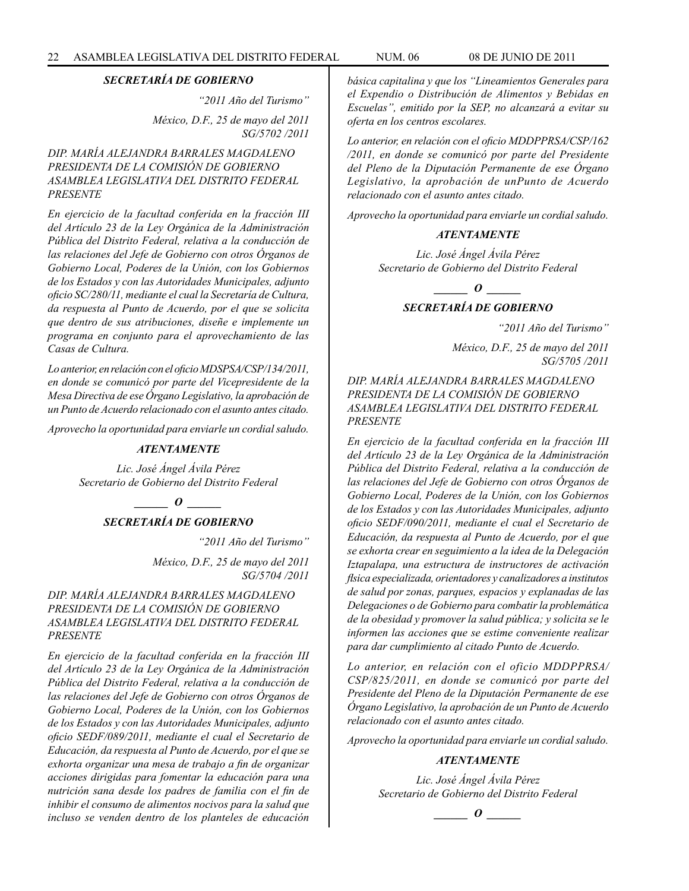*"2011 Año del Turismo" México, D.F., 25 de mayo del 2011 SG/5702 /2011*

# *DIP. MARÍA ALEJANDRA BARRALES MAGDALENO PRESIDENTA DE LA COMISIÓN DE GOBIERNO ASAMBLEA LEGISLATIVA DEL DISTRITO FEDERAL PRESENTE*

*En ejercicio de la facultad conferida en la fracción III del Artículo 23 de la Ley Orgánica de la Administración Pública del Distrito Federal, relativa a la conducción de las relaciones del Jefe de Gobierno con otros Órganos de Gobierno Local, Poderes de la Unión, con los Gobiernos de los Estados y con las Autoridades Municipales, adjunto oficio SC/280/11, mediante el cual la Secretaría de Cultura, da respuesta al Punto de Acuerdo, por el que se solicita que dentro de sus atribuciones, diseñe e implemente un programa en conjunto para el aprovechamiento de las Casas de Cultura.* 

*Lo anterior, en relación con el oficio MDSPSA/CSP/134/2011, en donde se comunicó por parte del Vicepresidente de la Mesa Directiva de ese Órgano Legislativo, la aprobación de un Punto de Acuerdo relacionado con el asunto antes citado.*

*Aprovecho la oportunidad para enviarle un cordial saludo.*

# *ATENTAMENTE*

*Lic. José Ángel Ávila Pérez Secretario de Gobierno del Distrito Federal*

> *\_\_\_\_\_\_ O \_\_\_\_\_\_ SECRETARÍA DE GOBIERNO*

> > *"2011 Año del Turismo"*

*México, D.F., 25 de mayo del 2011 SG/5704 /2011*

# *DIP. MARÍA ALEJANDRA BARRALES MAGDALENO PRESIDENTA DE LA COMISIÓN DE GOBIERNO ASAMBLEA LEGISLATIVA DEL DISTRITO FEDERAL PRESENTE*

*En ejercicio de la facultad conferida en la fracción III del Artículo 23 de la Ley Orgánica de la Administración Pública del Distrito Federal, relativa a la conducción de las relaciones del Jefe de Gobierno con otros Órganos de Gobierno Local, Poderes de la Unión, con los Gobiernos de los Estados y con las Autoridades Municipales, adjunto oficio SEDF/089/2011, mediante el cual el Secretario de Educación, da respuesta al Punto de Acuerdo, por el que se exhorta organizar una mesa de trabajo a fin de organizar acciones dirigidas para fomentar la educación para una nutrición sana desde los padres de familia con el fin de inhibir el consumo de alimentos nocivos para la salud que incluso se venden dentro de los planteles de educación*  *básica capitalina y que los "Lineamientos Generales para el Expendio o Distribución de Alimentos y Bebidas en Escuelas", emitido por la SEP, no alcanzará a evitar su oferta en los centros escolares.*

*Lo anterior, en relación con el oficio MDDPPRSA/CSP/162 /2011, en donde se comunicó por parte del Presidente del Pleno de la Diputación Permanente de ese Órgano Legislativo, la aprobación de unPunto de Acuerdo relacionado con el asunto antes citado.* 

*Aprovecho la oportunidad para enviarle un cordial saludo.*

# *ATENTAMENTE*

*Lic. José Ángel Ávila Pérez Secretario de Gobierno del Distrito Federal*

*\_\_\_\_\_\_ O \_\_\_\_\_\_*

# *SECRETARÍA DE GOBIERNO*

*"2011 Año del Turismo"*

*México, D.F., 25 de mayo del 2011 SG/5705 /2011*

# *DIP. MARÍA ALEJANDRA BARRALES MAGDALENO PRESIDENTA DE LA COMISIÓN DE GOBIERNO ASAMBLEA LEGISLATIVA DEL DISTRITO FEDERAL PRESENTE*

*En ejercicio de la facultad conferida en la fracción III del Artículo 23 de la Ley Orgánica de la Administración Pública del Distrito Federal, relativa a la conducción de las relaciones del Jefe de Gobierno con otros Órganos de Gobierno Local, Poderes de la Unión, con los Gobiernos de los Estados y con las Autoridades Municipales, adjunto oficio SEDF/090/2011, mediante el cual el Secretario de Educación, da respuesta al Punto de Acuerdo, por el que se exhorta crear en seguimiento a la idea de la Delegación Iztapalapa, una estructura de instructores de activación flsica especializada, orientadores y canalizadores a institutos de salud por zonas, parques, espacios y explanadas de las Delegaciones o de Gobierno para combatir la problemática de la obesidad y promover la salud pública; y solicita se le informen las acciones que se estime conveniente realizar para dar cumplimiento al citado Punto de Acuerdo.*

*Lo anterior, en relación con el oficio MDDPPRSA/ CSP/825/2011, en donde se comunicó por parte del Presidente del Pleno de la Diputación Permanente de ese Órgano Legislativo, la aprobación de un Punto de Acuerdo relacionado con el asunto antes citado.*

*Aprovecho la oportunidad para enviarle un cordial saludo.*

# *ATENTAMENTE*

$$
\_\_o\_
$$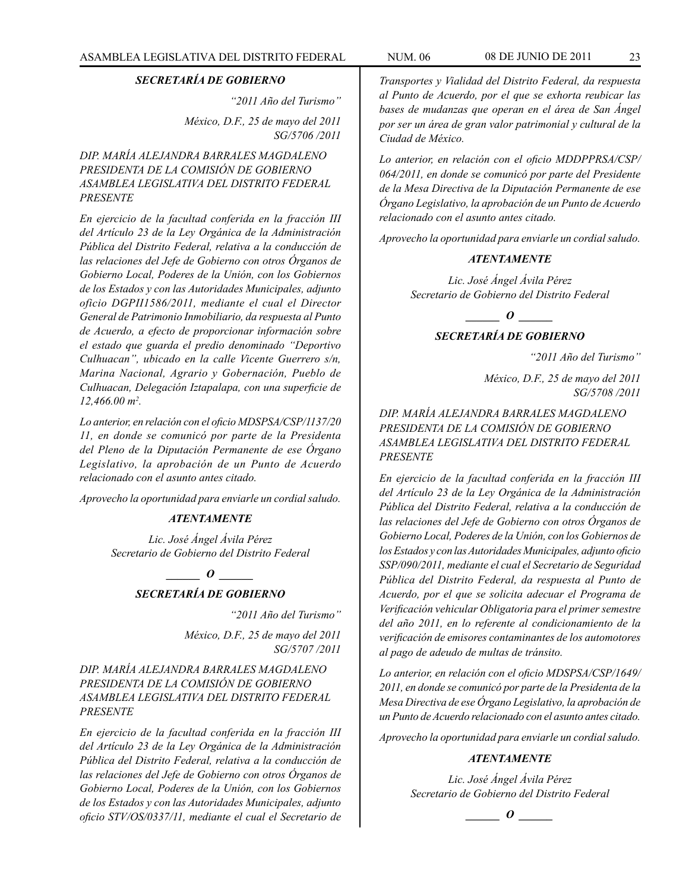*"2011 Año del Turismo"*

*México, D.F., 25 de mayo del 2011 SG/5706 /2011*

# *DIP. MARÍA ALEJANDRA BARRALES MAGDALENO PRESIDENTA DE LA COMISIÓN DE GOBIERNO ASAMBLEA LEGISLATIVA DEL DISTRITO FEDERAL PRESENTE*

*En ejercicio de la facultad conferida en la fracción III del Artículo 23 de la Ley Orgánica de la Administración Pública del Distrito Federal, relativa a la conducción de las relaciones del Jefe de Gobierno con otros Órganos de Gobierno Local, Poderes de la Unión, con los Gobiernos de los Estados y con las Autoridades Municipales, adjunto oficio DGPII1586/2011, mediante el cual el Director General de Patrimonio Inmobiliario, da respuesta al Punto de Acuerdo, a efecto de proporcionar información sobre el estado que guarda el predio denominado "Deportivo Culhuacan", ubicado en la calle Vicente Guerrero s/n, Marina Nacional, Agrario y Gobernación, Pueblo de Culhuacan, Delegación Iztapalapa, con una superficie de 12,466.00 m2 .*

*Lo anterior, en relación con el oficio MDSPSA/CSP/1137/20 11, en donde se comunicó por parte de la Presidenta del Pleno de la Diputación Permanente de ese Órgano Legislativo, la aprobación de un Punto de Acuerdo relacionado con el asunto antes citado.*

*Aprovecho la oportunidad para enviarle un cordial saludo.*

# *ATENTAMENTE*

*Lic. José Ángel Ávila Pérez Secretario de Gobierno del Distrito Federal*

*o*  $\theta$ 

# *SECRETARÍA DE GOBIERNO*

*"2011 Año del Turismo"*

*México, D.F., 25 de mayo del 2011 SG/5707 /2011*

*DIP. MARÍA ALEJANDRA BARRALES MAGDALENO PRESIDENTA DE LA COMISIÓN DE GOBIERNO ASAMBLEA LEGISLATIVA DEL DISTRITO FEDERAL PRESENTE*

*En ejercicio de la facultad conferida en la fracción III del Artículo 23 de la Ley Orgánica de la Administración Pública del Distrito Federal, relativa a la conducción de las relaciones del Jefe de Gobierno con otros Órganos de Gobierno Local, Poderes de la Unión, con los Gobiernos de los Estados y con las Autoridades Municipales, adjunto oficio STV/OS/0337/11, mediante el cual el Secretario de*  *Transportes y Vialidad del Distrito Federal, da respuesta al Punto de Acuerdo, por el que se exhorta reubicar las bases de mudanzas que operan en el área de San Ángel por ser un área de gran valor patrimonial y cultural de la Ciudad de México.*

*Lo anterior, en relación con el oficio MDDPPRSA/CSP/ 064/2011, en donde se comunicó por parte del Presidente de la Mesa Directiva de la Diputación Permanente de ese Órgano Legislativo, la aprobación de un Punto de Acuerdo relacionado con el asunto antes citado.*

*Aprovecho la oportunidad para enviarle un cordial saludo.*

# *ATENTAMENTE*

*Lic. José Ángel Ávila Pérez Secretario de Gobierno del Distrito Federal*

*\_\_\_\_\_\_ O \_\_\_\_\_\_*

# *SECRETARÍA DE GOBIERNO*

*"2011 Año del Turismo"*

*México, D.F., 25 de mayo del 2011 SG/5708 /2011*

*DIP. MARÍA ALEJANDRA BARRALES MAGDALENO PRESIDENTA DE LA COMISIÓN DE GOBIERNO ASAMBLEA LEGISLATIVA DEL DISTRITO FEDERAL PRESENTE*

*En ejercicio de la facultad conferida en la fracción III del Artículo 23 de la Ley Orgánica de la Administración Pública del Distrito Federal, relativa a la conducción de las relaciones del Jefe de Gobierno con otros Órganos de Gobierno Local, Poderes de la Unión, con los Gobiernos de los Estados y con las Autoridades Municipales, adjunto oficio SSP/090/2011, mediante el cual el Secretario de Seguridad Pública del Distrito Federal, da respuesta al Punto de Acuerdo, por el que se solicita adecuar el Programa de Verificación vehicular Obligatoria para el primer semestre del año 2011, en lo referente al condicionamiento de la verificación de emisores contaminantes de los automotores al pago de adeudo de multas de tránsito.*

*Lo anterior, en relación con el oficio MDSPSA/CSP/1649/ 2011, en donde se comunicó por parte de la Presidenta de la Mesa Directiva de ese Órgano Legislativo, la aprobación de un Punto de Acuerdo relacionado con el asunto antes citado.*

*Aprovecho la oportunidad para enviarle un cordial saludo.*

# *ATENTAMENTE*

*\_\_\_\_\_\_ O \_\_\_\_\_\_*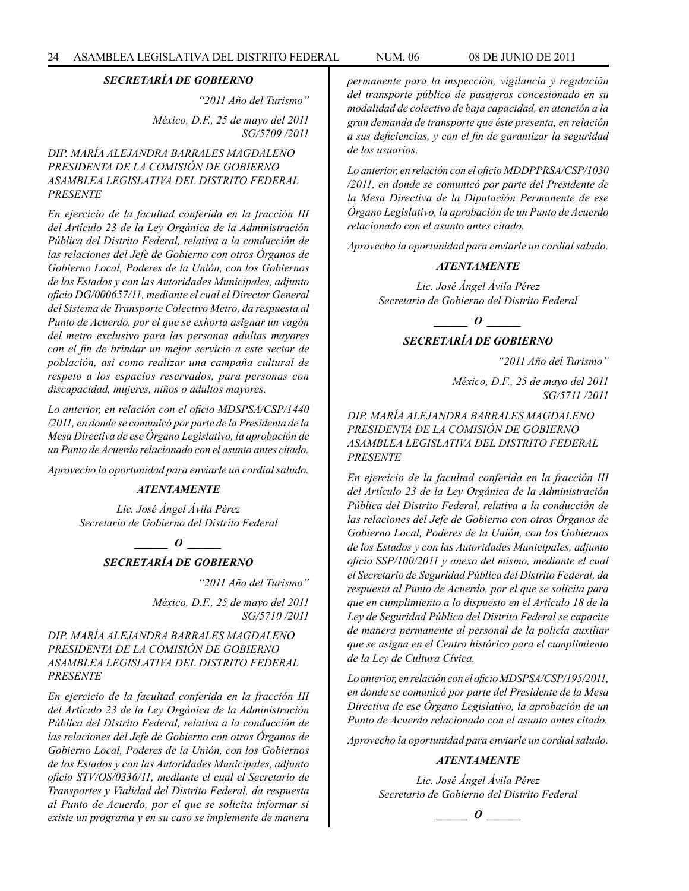*"2011 Año del Turismo"*

*México, D.F., 25 de mayo del 2011 SG/5709 /2011*

# *DIP. MARÍA ALEJANDRA BARRALES MAGDALENO PRESIDENTA DE LA COMISIÓN DE GOBIERNO ASAMBLEA LEGISLATIVA DEL DISTRITO FEDERAL PRESENTE*

*En ejercicio de la facultad conferida en la fracción III del Artículo 23 de la Ley Orgánica de la Administración Pública del Distrito Federal, relativa a la conducción de las relaciones del Jefe de Gobierno con otros Órganos de Gobierno Local, Poderes de la Unión, con los Gobiernos de los Estados y con las Autoridades Municipales, adjunto oficio DG/000657/11, mediante el cual el Director General del Sistema de Transporte Colectivo Metro, da respuesta al Punto de Acuerdo, por el que se exhorta asignar un vagón del metro exclusivo para las personas adultas mayores con el fin de brindar un mejor servicio a este sector de población, asi como realizar una campaña cultural de respeto a los espacios reservados, para personas con discapacidad, mujeres, niños o adultos mayores.*

*Lo anterior, en relación con el oficio MDSPSA/CSP/1440 /2011, en donde se comunicó por parte de la Presidenta de la Mesa Directiva de ese Órgano Legislativo, la aprobación de un Punto de Acuerdo relacionado con el asunto antes citado.*

*Aprovecho la oportunidad para enviarle un cordial saludo.*

# *ATENTAMENTE*

*Lic. José Ángel Ávila Pérez Secretario de Gobierno del Distrito Federal*

> *o*  $\theta$ *SECRETARÍA DE GOBIERNO*

> > *"2011 Año del Turismo" México, D.F., 25 de mayo del 2011 SG/5710 /2011*

# *DIP. MARÍA ALEJANDRA BARRALES MAGDALENO PRESIDENTA DE LA COMISIÓN DE GOBIERNO ASAMBLEA LEGISLATIVA DEL DISTRITO FEDERAL PRESENTE*

*En ejercicio de la facultad conferida en la fracción III del Artículo 23 de la Ley Orgánica de la Administración Pública del Distrito Federal, relativa a la conducción de las relaciones del Jefe de Gobierno con otros Órganos de Gobierno Local, Poderes de la Unión, con los Gobiernos de los Estados y con las Autoridades Municipales, adjunto oficio STV/OS/0336/11, mediante el cual el Secretario de Transportes y Vialidad del Distrito Federal, da respuesta al Punto de Acuerdo, por el que se solicita informar si existe un programa y en su caso se implemente de manera*  *permanente para la inspección, vigilancia y regulación del transporte público de pasajeros concesionado en su modalidad de colectivo de baja capacidad, en atención a la gran demanda de transporte que éste presenta, en relación a sus deficiencias, y con el fin de garantizar la seguridad de los usuarios.*

*Lo anterior, en relación con el oficio MDDPPRSA/CSP/1030 /2011, en donde se comunicó por parte del Presidente de la Mesa Directiva de la Diputación Permanente de ese Órgano Legislativo, la aprobación de un Punto de Acuerdo relacionado con el asunto antes citado.*

*Aprovecho la oportunidad para enviarle un cordial saludo.*

# *ATENTAMENTE*

*Lic. José Ángel Ávila Pérez Secretario de Gobierno del Distrito Federal*

*\_\_\_\_\_\_ O \_\_\_\_\_\_*

# *SECRETARÍA DE GOBIERNO*

*"2011 Año del Turismo"*

*México, D.F., 25 de mayo del 2011 SG/5711 /2011*

*DIP. MARÍA ALEJANDRA BARRALES MAGDALENO PRESIDENTA DE LA COMISIÓN DE GOBIERNO ASAMBLEA LEGISLATIVA DEL DISTRITO FEDERAL PRESENTE*

*En ejercicio de la facultad conferida en la fracción III del Artículo 23 de la Ley Orgánica de la Administración Pública del Distrito Federal, relativa a la conducción de las relaciones del Jefe de Gobierno con otros Órganos de Gobierno Local, Poderes de la Unión, con los Gobiernos de los Estados y con las Autoridades Municipales, adjunto oficio SSP/100/2011 y anexo del mismo, mediante el cual el Secretario de Seguridad Pública del Distrito Federal, da respuesta al Punto de Acuerdo, por el que se solicita para que en cumplimiento a lo dispuesto en el Artículo 18 de la Ley de Seguridad Pública del Distrito Federal se capacite de manera permanente al personal de la policía auxiliar que se asigna en el Centro histórico para el cumplimiento de la Ley de Cultura Cívica.*

*Lo anterior, en relación con el oficio MDSPSA/CSP/195/2011, en donde se comunicó por parte del Presidente de la Mesa Directiva de ese Órgano Legislativo, la aprobación de un Punto de Acuerdo relacionado con el asunto antes citado.*

*Aprovecho la oportunidad para enviarle un cordial saludo.*

# *ATENTAMENTE*

$$
\_\_o\_
$$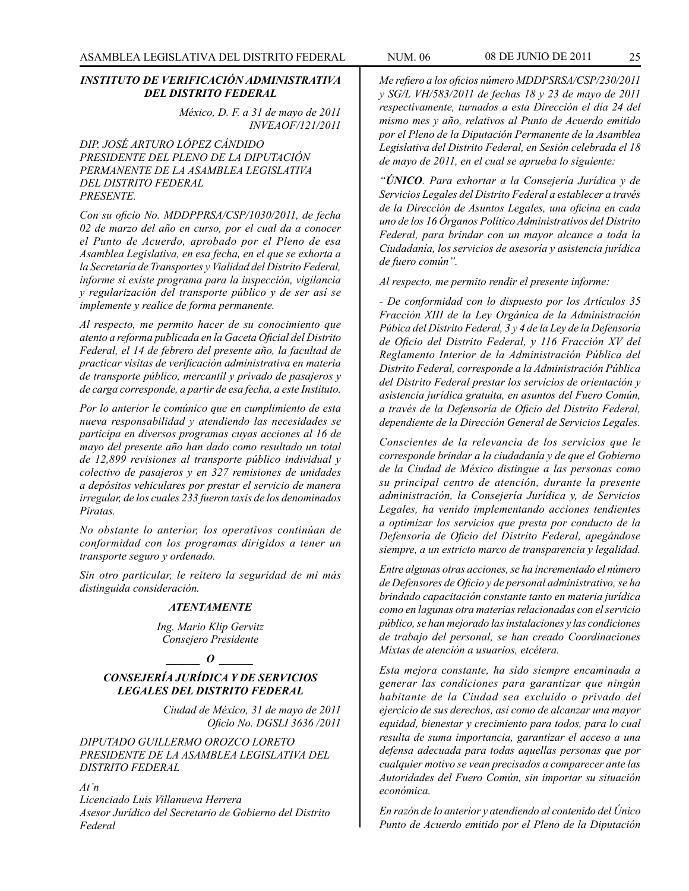# *INSTITUTO DE VERIFICACIÓN ADMINISTRATIVA DEL DISTRITO FEDERAL*

*México, D. F. a 31 de mayo de 2011 INVEAOF/121/2011*

*DIP. JOSÉ ARTURO LÓPEZ CÁNDIDO PRESIDENTE DEL PLENO DE LA DIPUTACIÓN PERMANENTE DE LA ASAMBLEA LEGISLATIVA DEL DISTRITO FEDERAL PRESENTE.*

*Con su oficio No. MDDPPRSA/CSP/1030/2011, de fecha 02 de marzo del año en curso, por el cual da a conocer el Punto de Acuerdo, aprobado por el Pleno de esa Asamblea Legislativa, en esa fecha, en el que se exhorta a la Secretaría de Transportes y Vialidad del Distrito Federal, informe si existe programa para la inspección, vigilancia y regularización del transporte público y de ser así se implemente y realice de forma permanente.*

*Al respecto, me permito hacer de su conocimiento que atento a reforma publicada en la Gaceta Oficial del Distrito Federal, el 14 de febrero del presente año, la facultad de practicar visitas de verificación administrativa en materia de transporte público, mercantil y privado de pasajeros y de carga corresponde, a partir de esa fecha, a este Instituto.*

*Por lo anterior le comúnico que en cumplimiento de esta nueva responsabilidad y atendiendo las necesidades se participa en diversos programas cuyas acciones al 16 de mayo del presente año han dado como resultado un total de 12,899 revisiones al transporte público individual y colectivo de pasajeros y en 327 remisiones de unidades a depósitos vehiculares por prestar el servicio de manera irregular, de los cuales 233 fueron taxis de los denominados Piratas.*

*No obstante lo anterior, los operativos continúan de conformidad con los programas dirigidos a tener un transporte seguro y ordenado.*

*Sin otro particular, le reitero la seguridad de mi más distinguida consideración.*

# *ATENTAMENTE*

*Ing. Mario Klip Gervitz Consejero Presidente*

#### *\_\_\_\_\_\_ O \_\_\_\_\_\_*

# *CONSEJERÍA JURÍDICA Y DE SERVICIOS LEGALES DEL DISTRITO FEDERAL*

*Ciudad de México, 31 de mayo de 2011 Oficio No. DGSLI 3636 /2011*

*DIPUTADO GUILLERMO OROZCO LORETO PRESIDENTE DE LA ASAMBLEA LEGISLATIVA DEL DISTRITO FEDERAL*

*At'n* 

*Licenciado Luis Villanueva Herrera Asesor Jurídico del Secretario de Gobierno del Distrito Federal*

*Me refiero a los oficios número MDDPSRSA/CSP/230/2011 y SG/L VH/583/2011 de fechas 18 y 23 de mayo de 2011 respectivamente, turnados a esta Dirección el día 24 del mismo mes y año, relativos al Punto de Acuerdo emitido por el Pleno de la Diputación Permanente de la Asamblea Legislativa del Distrito Federal, en Sesión celebrada el 18 de mayo de 2011, en el cual se aprueba lo siguiente:*

*"ÚNICO. Para exhortar a la Consejería Jurídica y de Servicios Legales del Distrito Federal a establecer a través de la Dirección de Asuntos Legales, una oficina en cada uno de los 16 Órganos Político Administrativos del Distrito Federal, para brindar con un mayor alcance a toda la Ciudadanía, los servicios de asesoría y asistencia jurídica de fuero común".*

*Al respecto, me permito rendir el presente informe:* 

*- De conformidad con lo dispuesto por los Artículos 35 Fracción XIII de la Ley Orgánica de la Administración Púbica del Distrito Federal, 3 y 4 de la Ley de la Defensoría de Oficio del Distrito Federal, y 116 Fracción XV del Reglamento Interior de la Administración Pública del Distrito Federal, corresponde a la Administración Pública del Distrito Federal prestar los servicios de orientación y asistencia jurídica gratuita, en asuntos del Fuero Común, a través de la Defensoría de Oficio del Distrito Federal, dependiente de la Dirección General de Servicios Legales.*

*Conscientes de la relevancia de los servicios que le corresponde brindar a la ciudadanía y de que el Gobierno de la Ciudad de México distingue a las personas como su principal centro de atención, durante la presente administración, la Consejería Jurídica y, de Servicios Legales, ha venido implementando acciones tendientes a optimizar los servicios que presta por conducto de la Defensoría de Oficio del Distrito Federal, apegándose siempre, a un estricto marco de transparencia y legalidad.*

*Entre algunas otras acciones, se ha incrementado el número de Defensores de Oficio y de personal administrativo, se ha brindado capacitación constante tanto en materia jurídica como en lagunas otra materias relacionadas con el servicio público, se han mejorado las instalaciones y las condiciones de trabajo del personal, se han creado Coordinaciones Mixtas de atención a usuarios, etcétera.*

*Esta mejora constante, ha sido siempre encaminada a generar las condiciones para garantizar que ningún habitante de la Ciudad sea excluido o privado del ejercicio de sus derechos, así como de alcanzar una mayor equidad, bienestar y crecimiento para todos, para lo cual resulta de suma importancia, garantizar el acceso a una defensa adecuada para todas aquellas personas que por cualquier motivo se vean precisados a comparecer ante las Autoridades del Fuero Común, sin importar su situación económica.*

*En razón de lo anterior y atendiendo al contenido del Único Punto de Acuerdo emitido por el Pleno de la Diputación*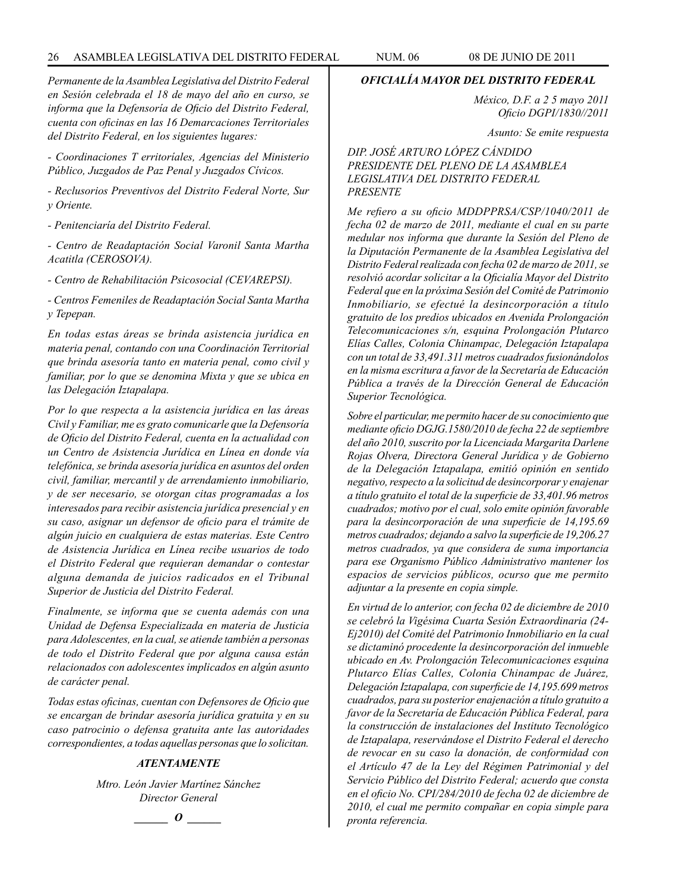#### 26 ASAMBLEA LEGISLATIVA DEL DISTRITO FEDERAL NUM. 06 08 de JUNIO de 2011

*Permanente de la Asamblea Legislativa del Distrito Federal en Sesión celebrada el 18 de mayo del año en curso, se informa que la Defensoría de Oficio del Distrito Federal, cuenta con oficinas en las 16 Demarcaciones Territoriales del Distrito Federal, en los siguientes lugares:*

*- Coordinaciones T erritoríales, Agencias del Ministerio Público, Juzgados de Paz Penal y Juzgados Cívicos.*

*- Reclusorios Preventivos del Distrito Federal Norte, Sur y Oriente.*

*- Penitenciaría del Distrito Federal.*

*- Centro de Readaptación Social Varonil Santa Martha Acatitla (CEROSOVA).*

*- Centro de Rehabilitación Psicosocial (CEVAREPSI).*

*- Centros Femeniles de Readaptación Social Santa Martha y Tepepan.* 

*En todas estas áreas se brinda asistencia jurídica en materia penal, contando con una Coordinación Territorial que brinda asesoría tanto en materia penal, como civil y familiar, por lo que se denomina Mixta y que se ubica en las Delegación Iztapalapa.* 

*Por lo que respecta a la asistencia jurídica en las áreas Civil y Familiar, me es grato comunicarle que la Defensoría de Oficio del Distrito Federal, cuenta en la actualidad con un Centro de Asistencia Jurídica en Línea en donde vía telefónica, se brinda asesoría jurídica en asuntos del orden civil, familiar, mercantil y de arrendamiento inmobiliario, y de ser necesario, se otorgan citas programadas a los interesados para recibir asistencia jurídica presencial y en su caso, asignar un defensor de oficio para el trámite de algún juicio en cualquiera de estas materias. Este Centro de Asistencia Jurídica en Línea recibe usuarios de todo el Distrito Federal que requieran demandar o contestar alguna demanda de juicios radicados en el Tribunal Superior de Justicia del Distrito Federal.*

*Finalmente, se informa que se cuenta además con una Unidad de Defensa Especializada en materia de Justicia para Adolescentes, en la cual, se atiende también a personas de todo el Distrito Federal que por alguna causa están relacionados con adolescentes implicados en algún asunto de carácter penal.*

*Todas estas oficinas, cuentan con Defensores de Oficio que se encargan de brindar asesoría jurídica gratuita y en su caso patrocinio o defensa gratuita ante las autoridades correspondientes, a todas aquellas personas que lo solicitan.*

#### *ATENTAMENTE*

*Mtro. León Javier Martínez Sánchez Director General*

$$
\_\_o\_
$$

#### *OFICIALÍA MAYOR DEL DISTRITO FEDERAL*

*México, D.F. a 2 5 mayo 2011 Oficio DGPI/1830//2011*

*Asunto: Se emite respuesta*

# *DIP. JOSÉ ARTURO LÓPEZ CÁNDIDO PRESIDENTE DEL PLENO DE LA ASAMBLEA LEGISLATIVA DEL DISTRITO FEDERAL PRESENTE*

*Me refiero a su oficio MDDPPRSA/CSP/1040/2011 de fecha 02 de marzo de 2011, mediante el cual en su parte medular nos informa que durante la Sesión del Pleno de la Diputación Permanente de la Asamblea Legislativa del Distrito Federal realizada con fecha 02 de marzo de 2011, se resolvió acordar solicitar a la Oficialía Mayor del Distrito Federal que en la próxima Sesión del Comité de Patrimonio Inmobiliario, se efectué la desincorporación a título gratuito de los predios ubicados en Avenida Prolongación Telecomunicaciones s/n, esquina Prolongación Plutarco Elías Calles, Colonia Chinampac, Delegación Iztapalapa con un total de 33,491.311 metros cuadrados fusionándolos en la misma escritura a favor de la Secretaría de Educación Pública a través de la Dirección General de Educación Superior Tecnológica.*

*Sobre el particular, me permito hacer de su conocimiento que mediante oficio DGJG.1580/2010 de fecha 22 de septiembre del año 2010, suscrito por la Licenciada Margarita Darlene Rojas Olvera, Directora General Jurídica y de Gobierno de la Delegación Iztapalapa, emitió opinión en sentido negativo, respecto a la solicitud de desincorporar y enajenar a título gratuito el total de la superficie de 33,401.96 metros cuadrados; motivo por el cual, solo emite opinión favorable para la desincorporación de una superficie de 14,195.69 metros cuadrados; dejando a salvo la superficie de 19,206.27 metros cuadrados, ya que considera de suma importancia para ese Organismo Público Administrativo mantener los espacios de servicios públicos, ocurso que me permito adjuntar a la presente en copia simple.*

*En virtud de lo anterior, con fecha 02 de diciembre de 2010 se celebró la Vigésima Cuarta Sesión Extraordinaria (24- Ej2010) del Comité del Patrimonio Inmobiliario en la cual se dictaminó procedente la desincorporación del inmueble ubicado en Av. Prolongación Telecomunicaciones esquina Plutarco Elías Calles, Colonia Chinampac de Juárez, Delegación Iztapalapa, con superficie de 14,195.699 metros cuadrados, para su posterior enajenación a título gratuito a favor de la Secretaría de Educación Pública Federal, para la construcción de instalaciones del Instituto Tecnológico de Iztapalapa, reservándose el Distrito Federal el derecho de revocar en su caso la donación, de conformidad con el Artículo 47 de la Ley del Régimen Patrimonial y del Servicio Público del Distrito Federal; acuerdo que consta en el oficio No. CPI/284/2010 de fecha 02 de diciembre de 2010, el cual me permito compañar en copia simple para pronta referencia.*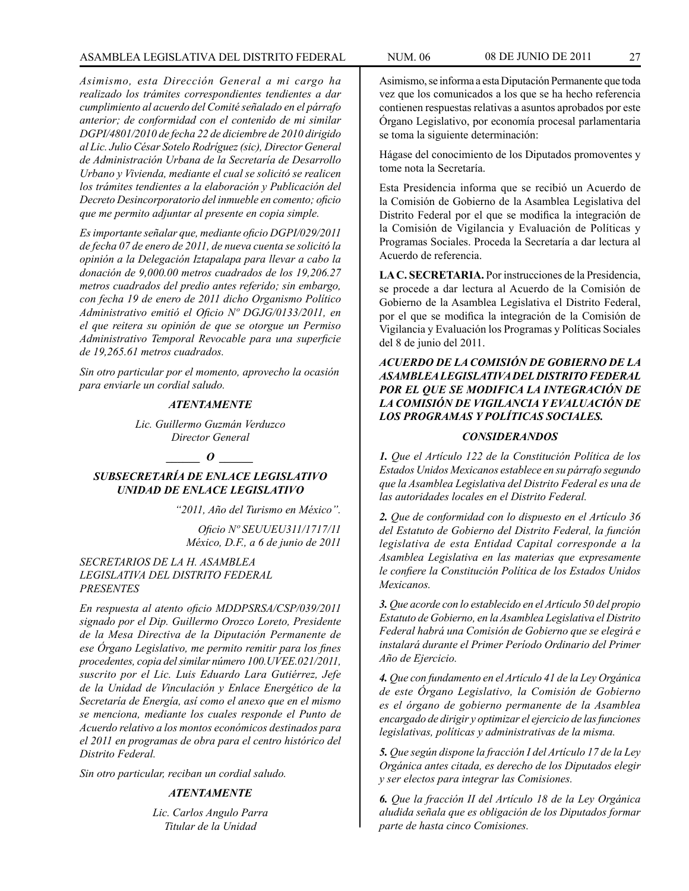*Asimismo, esta Dirección General a mi cargo ha realizado los trámites correspondientes tendientes a dar cumplimiento al acuerdo del Comité señalado en el párrafo anterior; de conformidad con el contenido de mi similar DGPI/4801/2010 de fecha 22 de diciembre de 2010 dirigido al Lic. Julio César Sotelo Rodríguez (sic), Director General de Administración Urbana de la Secretaría de Desarrollo Urbano y Vivienda, mediante el cual se solicitó se realicen los trámites tendientes a la elaboración y Publicación del Decreto Desincorporatorio del inmueble en comento; oficio que me permito adjuntar al presente en copia simple.*

*Es importante señalar que, mediante oficio DGPI/029/2011 de fecha 07 de enero de 2011, de nueva cuenta se solicitó la opinión a la Delegación Iztapalapa para llevar a cabo la donación de 9,000.00 metros cuadrados de los 19,206.27 metros cuadrados del predio antes referido; sin embargo, con fecha 19 de enero de 2011 dicho Organismo Político Administrativo emitió el Oficio Nº DGJG/0133/2011, en el que reitera su opinión de que se otorgue un Permiso Administrativo Temporal Revocable para una superficie de 19,265.61 metros cuadrados.*

*Sin otro particular por el momento, aprovecho la ocasión para enviarle un cordial saludo.*

#### *ATENTAMENTE*

*Lic. Guillermo Guzmán Verduzco Director General*

# *D*

# *SUBSECRETARÍA DE ENLACE LEGISLATIVO UNIDAD DE ENLACE LEGISLATIVO*

*"2011, Año del Turismo en México".*

*Oficio Nº SEUUEU311/1717/11 México, D.F., a 6 de junio de 2011*

# *SECRETARIOS DE LA H. ASAMBLEA LEGISLATIVA DEL DISTRITO FEDERAL PRESENTES*

*En respuesta al atento oficio MDDPSRSA/CSP/039/2011 signado por el Dip. Guillermo Orozco Loreto, Presidente de la Mesa Directiva de la Diputación Permanente de ese Órgano Legislativo, me permito remitir para los fines procedentes, copia del similar número 100.UVEE.021/2011, suscrito por el Lic. Luis Eduardo Lara Gutiérrez, Jefe de la Unidad de Vinculación y Enlace Energético de la Secretaría de Energía, así como el anexo que en el mismo se menciona, mediante los cuales responde el Punto de Acuerdo relativo a los montos económicos destinados para el 2011 en programas de obra para el centro histórico del Distrito Federal.* 

*Sin otro particular, reciban un cordial saludo.*

# *ATENTAMENTE*

*Lic. Carlos Angulo Parra Titular de la Unidad*

Asimismo, se informa a esta Diputación Permanente que toda vez que los comunicados a los que se ha hecho referencia contienen respuestas relativas a asuntos aprobados por este Órgano Legislativo, por economía procesal parlamentaria se toma la siguiente determinación:

Hágase del conocimiento de los Diputados promoventes y tome nota la Secretaría.

Esta Presidencia informa que se recibió un Acuerdo de la Comisión de Gobierno de la Asamblea Legislativa del Distrito Federal por el que se modifica la integración de la Comisión de Vigilancia y Evaluación de Políticas y Programas Sociales. Proceda la Secretaría a dar lectura al Acuerdo de referencia.

**LA C. SECRETARIA.** Por instrucciones de la Presidencia, se procede a dar lectura al Acuerdo de la Comisión de Gobierno de la Asamblea Legislativa el Distrito Federal, por el que se modifica la integración de la Comisión de Vigilancia y Evaluación los Programas y Políticas Sociales del 8 de junio del 2011.

# *ACUERDO DE LA COMISIÓN DE GOBIERNO DE LA ASAMBLEA LEGISLATIVA DEL DISTRITO FEDERAL POR EL QUE SE MODIFICA LA INTEGRACIÓN DE LA COMISIÓN DE VIGILANCIA Y EVALUACIÓN DE LOS PROGRAMAS Y POLÍTICAS SOCIALES.*

# *CONSIDERANDOS*

*1. Que el Artículo 122 de la Constitución Política de los Estados Unidos Mexicanos establece en su párrafo segundo que la Asamblea Legislativa del Distrito Federal es una de las autoridades locales en el Distrito Federal.*

*2. Que de conformidad con lo dispuesto en el Artículo 36 del Estatuto de Gobierno del Distrito Federal, la función legislativa de esta Entidad Capital corresponde a la Asamblea Legislativa en las materias que expresamente le confiere la Constitución Política de los Estados Unidos Mexicanos.*

*3. Que acorde con lo establecido en el Artículo 50 del propio Estatuto de Gobierno, en la Asamblea Legislativa el Distrito Federal habrá una Comisión de Gobierno que se elegirá e instalará durante el Primer Período Ordinario del Primer Año de Ejercicio.*

*4. Que con fundamento en el Artículo 41 de la Ley Orgánica de este Órgano Legislativo, la Comisión de Gobierno es el órgano de gobierno permanente de la Asamblea encargado de dirigir y optimizar el ejercicio de las funciones legislativas, políticas y administrativas de la misma.*

*5. Que según dispone la fracción I del Artículo 17 de la Ley Orgánica antes citada, es derecho de los Diputados elegir y ser electos para integrar las Comisiones.*

*6. Que la fracción II del Artículo 18 de la Ley Orgánica aludida señala que es obligación de los Diputados formar parte de hasta cinco Comisiones.*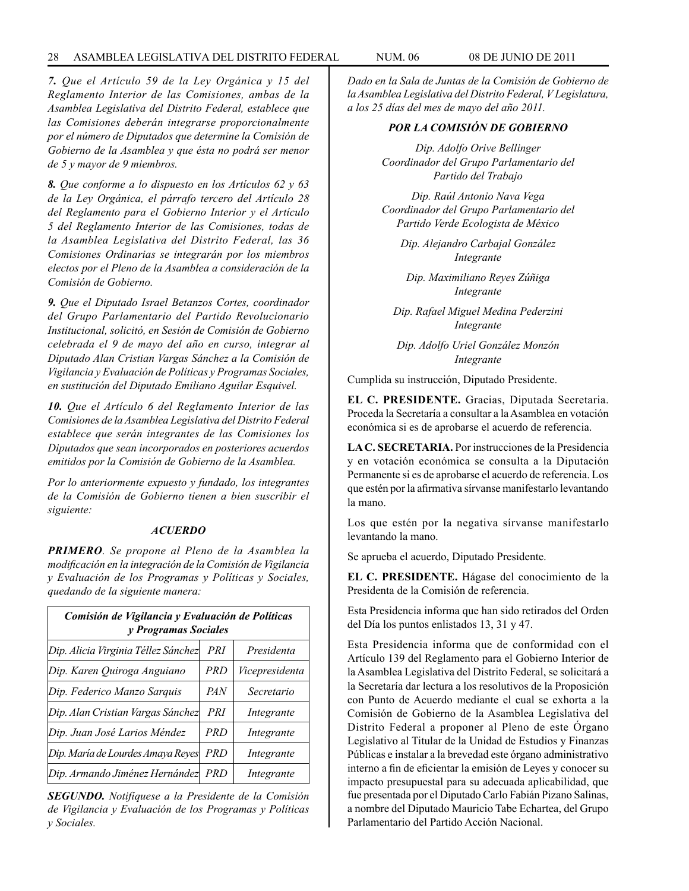#### 28 ASAMBLEA LEGISLATIVA DEL DISTRITO FEDERAL NUM. 06 08 de JUNIO de 2011

*7. Que el Artículo 59 de la Ley Orgánica y 15 del Reglamento Interior de las Comisiones, ambas de la Asamblea Legislativa del Distrito Federal, establece que las Comisiones deberán integrarse proporcionalmente por el número de Diputados que determine la Comisión de Gobierno de la Asamblea y que ésta no podrá ser menor de 5 y mayor de 9 miembros.*

*8. Que conforme a lo dispuesto en los Artículos 62 y 63 de la Ley Orgánica, el párrafo tercero del Artículo 28 del Reglamento para el Gobierno Interior y el Artículo 5 del Reglamento Interior de las Comisiones, todas de la Asamblea Legislativa del Distrito Federal, las 36 Comisiones Ordinarias se integrarán por los miembros electos por el Pleno de la Asamblea a consideración de la Comisión de Gobierno.*

*9. Que el Diputado Israel Betanzos Cortes, coordinador del Grupo Parlamentario del Partido Revolucionario Institucional, solicitó, en Sesión de Comisión de Gobierno celebrada el 9 de mayo del año en curso, integrar al Diputado Alan Cristian Vargas Sánchez a la Comisión de Vigilancia y Evaluación de Políticas y Programas Sociales, en sustitución del Diputado Emiliano Aguilar Esquivel.*

*10. Que el Artículo 6 del Reglamento Interior de las Comisiones de la Asamblea Legislativa del Distrito Federal establece que serán integrantes de las Comisiones los Diputados que sean incorporados en posteriores acuerdos emitidos por la Comisión de Gobierno de la Asamblea.*

*Por lo anteriormente expuesto y fundado, los integrantes de la Comisión de Gobierno tienen a bien suscribir el siguiente:*

#### *ACUERDO*

*PRIMERO. Se propone al Pleno de la Asamblea la modificación en la integración de la Comisión de Vigilancia y Evaluación de los Programas y Políticas y Sociales, quedando de la siguiente manera:*

| Comisión de Vigilancia y Evaluación de Políticas<br>y Programas Sociales |            |                |
|--------------------------------------------------------------------------|------------|----------------|
| Dip. Alicia Virginia Téllez Sánchez                                      | PRI        | Presidenta     |
| Dip. Karen Quiroga Anguiano                                              | <b>PRD</b> | Vicepresidenta |
| Dip. Federico Manzo Sarquis                                              | <i>PAN</i> | Secretario     |
| Dip. Alan Cristian Vargas Sánchez                                        | PRI        | Integrante     |
| Dip. Juan José Larios Méndez                                             | <b>PRD</b> | Integrante     |
| Dip. María de Lourdes Amaya Reyes                                        | <i>PRD</i> | Integrante     |
| Dip. Armando Jiménez Hernández                                           | <i>PRD</i> | Integrante     |

*SEGUNDO. Notifíquese a la Presidente de la Comisión de Vigilancia y Evaluación de los Programas y Políticas y Sociales.*

*Dado en la Sala de Juntas de la Comisión de Gobierno de la Asamblea Legislativa del Distrito Federal, V Legislatura, a los 25 días del mes de mayo del año 2011.*

### *POR LA COMISIÓN DE GOBIERNO*

*Dip. Adolfo Orive Bellinger Coordinador del Grupo Parlamentario del Partido del Trabajo*

*Dip. Raúl Antonio Nava Vega Coordinador del Grupo Parlamentario del Partido Verde Ecologista de México*

*Dip. Alejandro Carbajal González Integrante*

*Dip. Maximiliano Reyes Zúñiga Integrante*

*Dip. Rafael Miguel Medina Pederzini Integrante*

*Dip. Adolfo Uriel González Monzón Integrante*

Cumplida su instrucción, Diputado Presidente.

**EL C. PRESIDENTE.** Gracias, Diputada Secretaria. Proceda la Secretaría a consultar a la Asamblea en votación económica si es de aprobarse el acuerdo de referencia.

**LA C. SECRETARIA.** Por instrucciones de la Presidencia y en votación económica se consulta a la Diputación Permanente si es de aprobarse el acuerdo de referencia. Los que estén por la afirmativa sírvanse manifestarlo levantando la mano.

Los que estén por la negativa sírvanse manifestarlo levantando la mano.

Se aprueba el acuerdo, Diputado Presidente.

**EL C. PRESIDENTE.** Hágase del conocimiento de la Presidenta de la Comisión de referencia.

Esta Presidencia informa que han sido retirados del Orden del Día los puntos enlistados 13, 31 y 47.

Esta Presidencia informa que de conformidad con el Artículo 139 del Reglamento para el Gobierno Interior de la Asamblea Legislativa del Distrito Federal, se solicitará a la Secretaría dar lectura a los resolutivos de la Proposición con Punto de Acuerdo mediante el cual se exhorta a la Comisión de Gobierno de la Asamblea Legislativa del Distrito Federal a proponer al Pleno de este Órgano Legislativo al Titular de la Unidad de Estudios y Finanzas Públicas e instalar a la brevedad este órgano administrativo interno a fin de eficientar la emisión de Leyes y conocer su impacto presupuestal para su adecuada aplicabilidad, que fue presentada por el Diputado Carlo Fabián Pizano Salinas, a nombre del Diputado Mauricio Tabe Echartea, del Grupo Parlamentario del Partido Acción Nacional.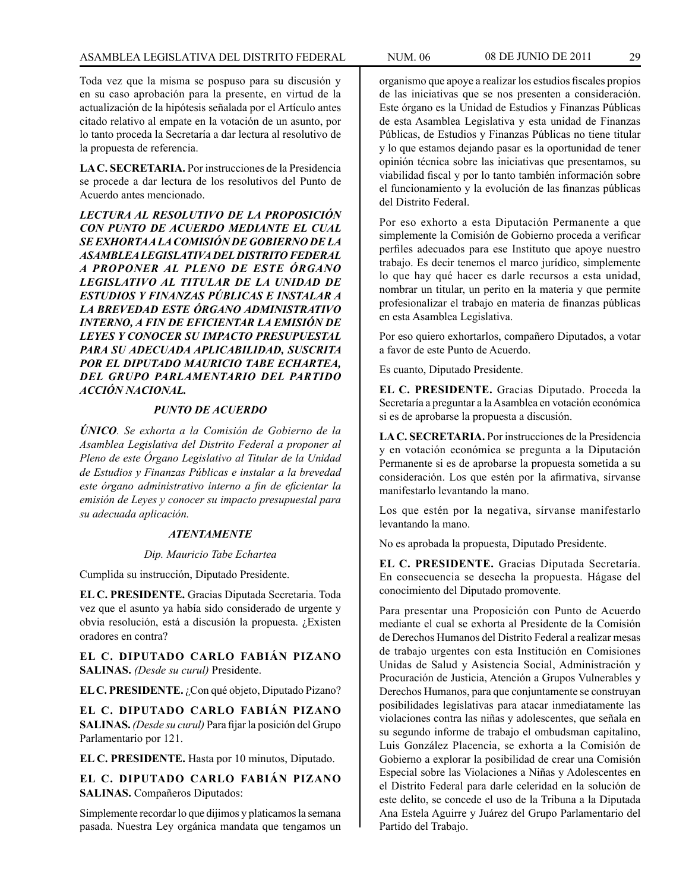Toda vez que la misma se pospuso para su discusión y en su caso aprobación para la presente, en virtud de la actualización de la hipótesis señalada por el Artículo antes citado relativo al empate en la votación de un asunto, por lo tanto proceda la Secretaría a dar lectura al resolutivo de la propuesta de referencia.

**LA C. SECRETARIA.** Por instrucciones de la Presidencia se procede a dar lectura de los resolutivos del Punto de Acuerdo antes mencionado.

*LECTURA AL RESOLUTIVO DE LA PROPOSICIÓN CON PUNTO DE ACUERDO MEDIANTE EL CUAL SE EXHORTA A LA COMISIÓN DE GOBIERNO DE LA ASAMBLEA LEGISLATIVA DEL DISTRITO FEDERAL A PROPONER AL PLENO DE ESTE ÓRGANO LEGISLATIVO AL TITULAR DE LA UNIDAD DE ESTUDIOS Y FINANZAS PÚBLICAS E INSTALAR A LA BREVEDAD ESTE ÓRGANO ADMINISTRATIVO INTERNO, A FIN DE EFICIENTAR LA EMISIÓN DE LEYES Y CONOCER SU IMPACTO PRESUPUESTAL PARA SU ADECUADA APLICABILIDAD, SUSCRITA POR EL DIPUTADO MAURICIO TABE ECHARTEA, DEL GRUPO PARLAMENTARIO DEL PARTIDO ACCIÓN NACIONAL.*

# *PUNTO DE ACUERDO*

*ÚNICO. Se exhorta a la Comisión de Gobierno de la Asamblea Legislativa del Distrito Federal a proponer al Pleno de este Órgano Legislativo al Titular de la Unidad de Estudios y Finanzas Públicas e instalar a la brevedad este órgano administrativo interno a fin de eficientar la emisión de Leyes y conocer su impacto presupuestal para su adecuada aplicación.*

#### *ATENTAMENTE*

#### *Dip. Mauricio Tabe Echartea*

Cumplida su instrucción, Diputado Presidente.

**EL C. PRESIDENTE.** Gracias Diputada Secretaria. Toda vez que el asunto ya había sido considerado de urgente y obvia resolución, está a discusión la propuesta. ¿Existen oradores en contra?

**EL C. DIPUTADO CARLO FABIÁN PIZANO SALINAS.** *(Desde su curul)* Presidente.

**EL C. PRESIDENTE.** ¿Con qué objeto, Diputado Pizano?

**EL C. DIPUTADO CARLO FABIÁN PIZANO SALINAS.** *(Desde su curul)* Para fijar la posición del Grupo Parlamentario por 121.

**EL C. PRESIDENTE.** Hasta por 10 minutos, Diputado.

**EL C. DIPUTADO CARLO FABIÁN PIZANO SALINAS.** Compañeros Diputados:

Simplemente recordar lo que dijimos y platicamos la semana pasada. Nuestra Ley orgánica mandata que tengamos un

organismo que apoye a realizar los estudios fiscales propios de las iniciativas que se nos presenten a consideración. Este órgano es la Unidad de Estudios y Finanzas Públicas de esta Asamblea Legislativa y esta unidad de Finanzas Públicas, de Estudios y Finanzas Públicas no tiene titular y lo que estamos dejando pasar es la oportunidad de tener opinión técnica sobre las iniciativas que presentamos, su viabilidad fiscal y por lo tanto también información sobre el funcionamiento y la evolución de las finanzas públicas del Distrito Federal.

Por eso exhorto a esta Diputación Permanente a que simplemente la Comisión de Gobierno proceda a verificar perfiles adecuados para ese Instituto que apoye nuestro trabajo. Es decir tenemos el marco jurídico, simplemente lo que hay qué hacer es darle recursos a esta unidad, nombrar un titular, un perito en la materia y que permite profesionalizar el trabajo en materia de finanzas públicas en esta Asamblea Legislativa.

Por eso quiero exhortarlos, compañero Diputados, a votar a favor de este Punto de Acuerdo.

Es cuanto, Diputado Presidente.

**EL C. PRESIDENTE.** Gracias Diputado. Proceda la Secretaría a preguntar a la Asamblea en votación económica si es de aprobarse la propuesta a discusión.

**LA C. SECRETARIA.** Por instrucciones de la Presidencia y en votación económica se pregunta a la Diputación Permanente si es de aprobarse la propuesta sometida a su consideración. Los que estén por la afirmativa, sírvanse manifestarlo levantando la mano.

Los que estén por la negativa, sírvanse manifestarlo levantando la mano.

No es aprobada la propuesta, Diputado Presidente.

**EL C. PRESIDENTE.** Gracias Diputada Secretaría. En consecuencia se desecha la propuesta. Hágase del conocimiento del Diputado promovente.

Para presentar una Proposición con Punto de Acuerdo mediante el cual se exhorta al Presidente de la Comisión de Derechos Humanos del Distrito Federal a realizar mesas de trabajo urgentes con esta Institución en Comisiones Unidas de Salud y Asistencia Social, Administración y Procuración de Justicia, Atención a Grupos Vulnerables y Derechos Humanos, para que conjuntamente se construyan posibilidades legislativas para atacar inmediatamente las violaciones contra las niñas y adolescentes, que señala en su segundo informe de trabajo el ombudsman capitalino, Luis González Placencia, se exhorta a la Comisión de Gobierno a explorar la posibilidad de crear una Comisión Especial sobre las Violaciones a Niñas y Adolescentes en el Distrito Federal para darle celeridad en la solución de este delito, se concede el uso de la Tribuna a la Diputada Ana Estela Aguirre y Juárez del Grupo Parlamentario del Partido del Trabajo.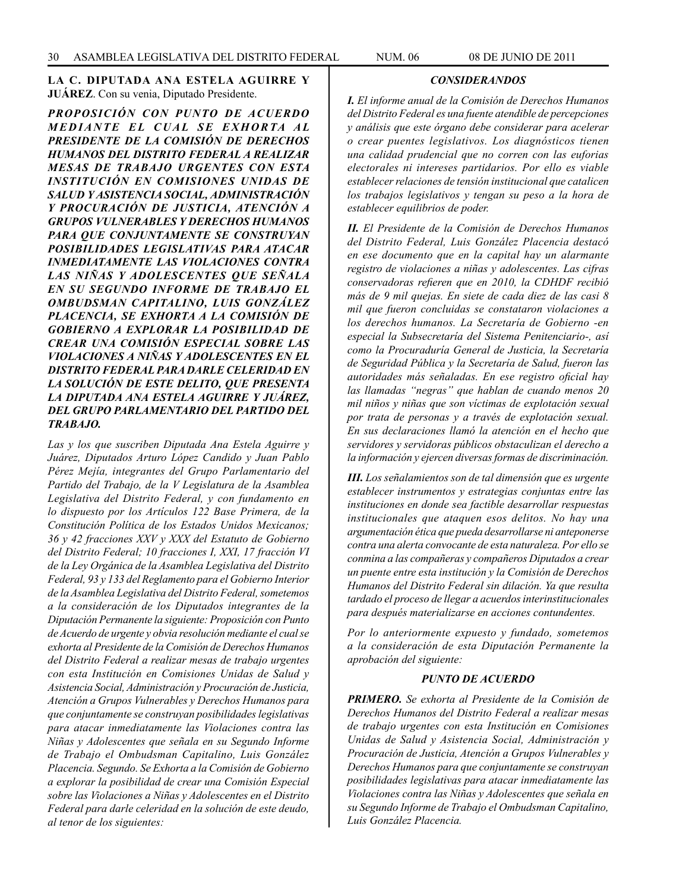**LA C. DIPUTADA ANA ESTELA AGUIRRE Y JUÁREZ**. Con su venia, Diputado Presidente.

*PROPOSICIÓN CON PUNTO DE ACUERDO*  **MEDIANTE EL CUAL SE EXHORTA AL** *PRESIDENTE DE LA COMISIÓN DE DERECHOS HUMANOS DEL DISTRITO FEDERAL A REALIZAR MESAS DE TRABAJO URGENTES CON ESTA INSTITUCIÓN EN COMISIONES UNIDAS DE SALUD Y ASISTENCIA SOCIAL, ADMINISTRACIÓN Y PROCURACIÓN DE JUSTICIA, ATENCIÓN A GRUPOS VULNERABLES Y DERECHOS HUMANOS PARA QUE CONJUNTAMENTE SE CONSTRUYAN POSIBILIDADES LEGISLATIVAS PARA ATACAR INMEDIATAMENTE LAS VIOLACIONES CONTRA LAS NIÑAS Y ADOLESCENTES QUE SEÑALA EN SU SEGUNDO INFORME DE TRABAJO EL OMBUDSMAN CAPITALINO, LUIS GONZÁLEZ PLACENCIA, SE EXHORTA A LA COMISIÓN DE GOBIERNO A EXPLORAR LA POSIBILIDAD DE CREAR UNA COMISIÓN ESPECIAL SOBRE LAS VIOLACIONES A NIÑAS Y ADOLESCENTES EN EL DISTRITO FEDERAL PARA DARLE CELERIDAD EN LA SOLUCIÓN DE ESTE DELITO, QUE PRESENTA LA DIPUTADA ANA ESTELA AGUIRRE Y JUÁREZ, DEL GRUPO PARLAMENTARIO DEL PARTIDO DEL TRABAJO.*

*Las y los que suscriben Diputada Ana Estela Aguirre y Juárez, Diputados Arturo López Candido y Juan Pablo Pérez Mejía, integrantes del Grupo Parlamentario del Partido del Trabajo, de la V Legislatura de la Asamblea Legislativa del Distrito Federal, y con fundamento en lo dispuesto por los Artículos 122 Base Primera, de la Constitución Política de los Estados Unidos Mexicanos; 36 y 42 fracciones XXV y XXX del Estatuto de Gobierno del Distrito Federal; 10 fracciones I, XXI, 17 fracción VI de la Ley Orgánica de la Asamblea Legislativa del Distrito Federal, 93 y 133 del Reglamento para el Gobierno Interior de la Asamblea Legislativa del Distrito Federal, sometemos a la consideración de los Diputados integrantes de la Diputación Permanente la siguiente: Proposición con Punto de Acuerdo de urgente y obvia resolución mediante el cual se exhorta al Presidente de la Comisión de Derechos Humanos del Distrito Federal a realizar mesas de trabajo urgentes con esta Institución en Comisiones Unidas de Salud y Asistencia Social, Administración y Procuración de Justicia, Atención a Grupos Vulnerables y Derechos Humanos para que conjuntamente se construyan posibilidades legislativas para atacar inmediatamente las Violaciones contra las Niñas y Adolescentes que señala en su Segundo Informe de Trabajo el Ombudsman Capitalino, Luis González Placencia. Segundo. Se Exhorta a la Comisión de Gobierno a explorar la posibilidad de crear una Comisión Especial sobre las Violaciones a Niñas y Adolescentes en el Distrito Federal para darle celeridad en la solución de este deudo, al tenor de los siguientes:*

# *CONSIDERANDOS*

*I. El informe anual de la Comisión de Derechos Humanos del Distrito Federal es una fuente atendible de percepciones y análisis que este órgano debe considerar para acelerar o crear puentes legislativos. Los diagnósticos tienen una calidad prudencial que no corren con las euforias electorales ni intereses partidarios. Por ello es viable establecer relaciones de tensión institucional que catalicen los trabajos legislativos y tengan su peso a la hora de establecer equilibrios de poder.*

*II. El Presidente de la Comisión de Derechos Humanos del Distrito Federal, Luis González Placencia destacó en ese documento que en la capital hay un alarmante registro de violaciones a niñas y adolescentes. Las cifras conservadoras refieren que en 2010, la CDHDF recibió más de 9 mil quejas. En siete de cada diez de las casi 8 mil que fueron concluidas se constataron violaciones a los derechos humanos. La Secretaría de Gobierno -en especial la Subsecretaría del Sistema Penitenciario-, así como la Procuraduría General de Justicia, la Secretaría de Seguridad Pública y la Secretaría de Salud, fueron las autoridades más señaladas. En ese registro oficial hay las llamadas "negras" que hablan de cuando menos 20 mil niños y niñas que son víctimas de explotación sexual por trata de personas y a través de explotación sexual. En sus declaraciones llamó la atención en el hecho que servidores y servidoras públicos obstaculizan el derecho a la información y ejercen diversas formas de discriminación.*

*III. Los señalamientos son de tal dimensión que es urgente establecer instrumentos y estrategias conjuntas entre las instituciones en donde sea factible desarrollar respuestas institucionales que ataquen esos delitos. No hay una argumentación ética que pueda desarrollarse ni anteponerse contra una alerta convocante de esta naturaleza. Por ello se conmina a las compañeras y compañeros Diputados a crear un puente entre esta institución y la Comisión de Derechos Humanos del Distrito Federal sin dilación. Ya que resulta tardado el proceso de llegar a acuerdos interinstitucionales para después materializarse en acciones contundentes.*

*Por lo anteriormente expuesto y fundado, sometemos a la consideración de esta Diputación Permanente la aprobación del siguiente:*

#### *PUNTO DE ACUERDO*

*PRIMERO. Se exhorta al Presidente de la Comisión de Derechos Humanos del Distrito Federal a realizar mesas de trabajo urgentes con esta Institución en Comisiones Unidas de Salud y Asistencia Social, Administración y Procuración de Justicia, Atención a Grupos Vulnerables y Derechos Humanos para que conjuntamente se construyan posibilidades legislativas para atacar inmediatamente las Violaciones contra las Niñas y Adolescentes que señala en su Segundo Informe de Trabajo el Ombudsman Capitalino, Luis González Placencia.*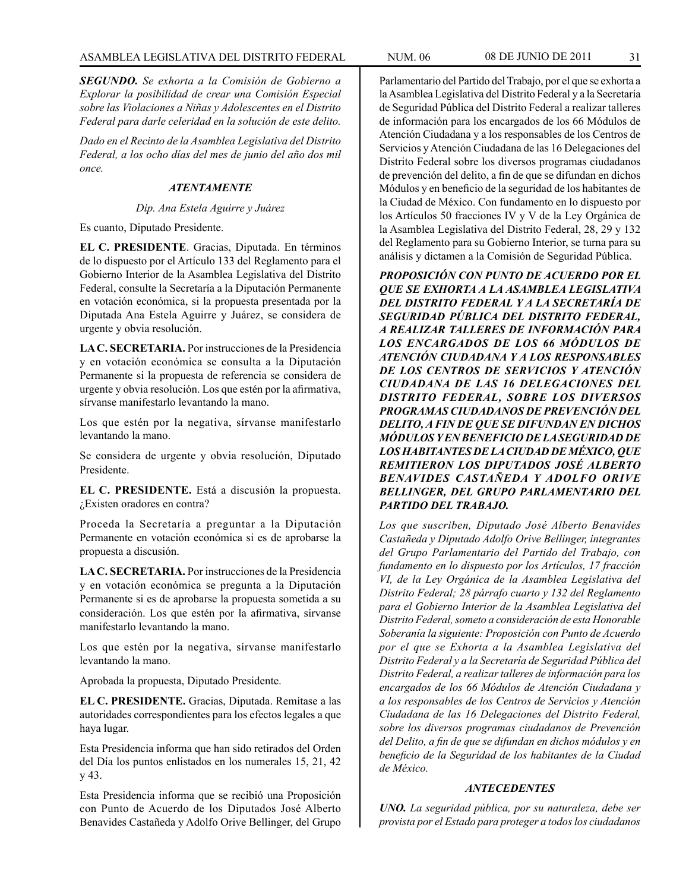*SEGUNDO. Se exhorta a la Comisión de Gobierno a Explorar la posibilidad de crear una Comisión Especial sobre las Violaciones a Niñas y Adolescentes en el Distrito Federal para darle celeridad en la solución de este delito.*

*Dado en el Recinto de la Asamblea Legislativa del Distrito Federal, a los ocho días del mes de junio del año dos mil once.*

# *ATENTAMENTE*

### *Dip. Ana Estela Aguirre y Juárez*

Es cuanto, Diputado Presidente.

**EL C. PRESIDENTE**. Gracias, Diputada. En términos de lo dispuesto por el Artículo 133 del Reglamento para el Gobierno Interior de la Asamblea Legislativa del Distrito Federal, consulte la Secretaría a la Diputación Permanente en votación económica, si la propuesta presentada por la Diputada Ana Estela Aguirre y Juárez, se considera de urgente y obvia resolución.

**LA C. SECRETARIA.** Por instrucciones de la Presidencia y en votación económica se consulta a la Diputación Permanente si la propuesta de referencia se considera de urgente y obvia resolución. Los que estén por la afirmativa, sírvanse manifestarlo levantando la mano.

Los que estén por la negativa, sírvanse manifestarlo levantando la mano.

Se considera de urgente y obvia resolución, Diputado Presidente.

**EL C. PRESIDENTE.** Está a discusión la propuesta. ¿Existen oradores en contra?

Proceda la Secretaría a preguntar a la Diputación Permanente en votación económica si es de aprobarse la propuesta a discusión.

**LA C. SECRETARIA.** Por instrucciones de la Presidencia y en votación económica se pregunta a la Diputación Permanente si es de aprobarse la propuesta sometida a su consideración. Los que estén por la afirmativa, sírvanse manifestarlo levantando la mano.

Los que estén por la negativa, sírvanse manifestarlo levantando la mano.

Aprobada la propuesta, Diputado Presidente.

**EL C. PRESIDENTE.** Gracias, Diputada. Remítase a las autoridades correspondientes para los efectos legales a que haya lugar.

Esta Presidencia informa que han sido retirados del Orden del Día los puntos enlistados en los numerales 15, 21, 42 y 43.

Esta Presidencia informa que se recibió una Proposición con Punto de Acuerdo de los Diputados José Alberto Benavides Castañeda y Adolfo Orive Bellinger, del Grupo

Parlamentario del Partido del Trabajo, por el que se exhorta a la Asamblea Legislativa del Distrito Federal y a la Secretaría de Seguridad Pública del Distrito Federal a realizar talleres de información para los encargados de los 66 Módulos de Atención Ciudadana y a los responsables de los Centros de Servicios y Atención Ciudadana de las 16 Delegaciones del Distrito Federal sobre los diversos programas ciudadanos de prevención del delito, a fin de que se difundan en dichos Módulos y en beneficio de la seguridad de los habitantes de la Ciudad de México. Con fundamento en lo dispuesto por los Artículos 50 fracciones IV y V de la Ley Orgánica de la Asamblea Legislativa del Distrito Federal, 28, 29 y 132 del Reglamento para su Gobierno Interior, se turna para su análisis y dictamen a la Comisión de Seguridad Pública.

*PROPOSICIÓN CON PUNTO DE ACUERDO POR EL QUE SE EXHORTA A LA ASAMBLEA LEGISLATIVA DEL DISTRITO FEDERAL Y A LA SECRETARÍA DE SEGURIDAD PÚBLICA DEL DISTRITO FEDERAL, A REALIZAR TALLERES DE INFORMACIÓN PARA LOS ENCARGADOS DE LOS 66 MÓDULOS DE ATENCIÓN CIUDADANA Y A LOS RESPONSABLES DE LOS CENTROS DE SERVICIOS Y ATENCIÓN CIUDADANA DE LAS 16 DELEGACIONES DEL DISTRITO FEDERAL, SOBRE LOS DIVERSOS PROGRAMAS CIUDADANOS DE PREVENCIÓN DEL DELITO, A FIN DE QUE SE DIFUNDAN EN DICHOS MÓDULOS Y EN BENEFICIO DE LA SEGURIDAD DE LOS HABITANTES DE LA CIUDAD DE MÉXICO, QUE REMITIERON LOS DIPUTADOS JOSÉ ALBERTO BENAVIDES CASTAÑEDA Y ADOLFO ORIVE BELLINGER, DEL GRUPO PARLAMENTARIO DEL PARTIDO DEL TRABAJO.*

*Los que suscriben, Diputado José Alberto Benavides Castañeda y Diputado Adolfo Orive Bellinger, integrantes del Grupo Parlamentario del Partido del Trabajo, con fundamento en lo dispuesto por los Artículos, 17 fracción VI, de la Ley Orgánica de la Asamblea Legislativa del Distrito Federal; 28 párrafo cuarto y 132 del Reglamento para el Gobierno Interior de la Asamblea Legislativa del Distrito Federal, someto a consideración de esta Honorable Soberanía la siguiente: Proposición con Punto de Acuerdo por el que se Exhorta a la Asamblea Legislativa del Distrito Federal y a la Secretaría de Seguridad Pública del Distrito Federal, a realizar talleres de información para los encargados de los 66 Módulos de Atención Ciudadana y a los responsables de los Centros de Servicios y Atención Ciudadana de las 16 Delegaciones del Distrito Federal, sobre los diversos programas ciudadanos de Prevención del Delito, a fin de que se difundan en dichos módulos y en beneficio de la Seguridad de los habitantes de la Ciudad de México.*

#### *ANTECEDENTES*

*UNO. La seguridad pública, por su naturaleza, debe ser provista por el Estado para proteger a todos los ciudadanos*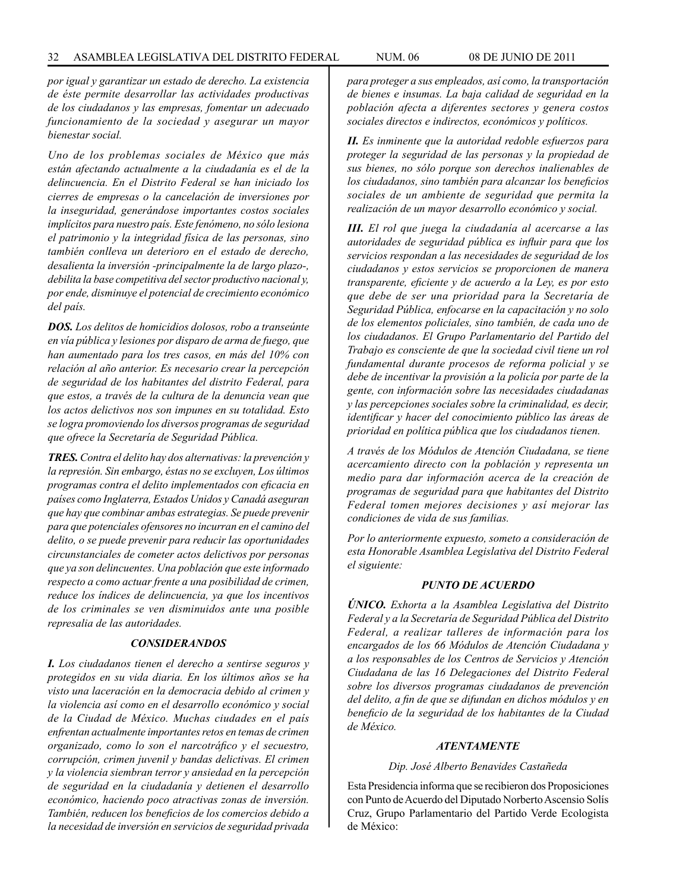*por igual y garantizar un estado de derecho. La existencia de éste permite desarrollar las actividades productivas de los ciudadanos y las empresas, fomentar un adecuado funcionamiento de la sociedad y asegurar un mayor bienestar social.*

*Uno de los problemas sociales de México que más están afectando actualmente a la ciudadanía es el de la delincuencia. En el Distrito Federal se han iniciado los cierres de empresas o la cancelación de inversiones por la inseguridad, generándose importantes costos sociales implícitos para nuestro país. Este fenómeno, no sólo lesiona el patrimonio y la integridad física de las personas, sino también conlleva un deterioro en el estado de derecho, desalienta la inversión -principalmente la de largo plazo-, debilita la base competitiva del sector productivo nacional y, por ende, disminuye el potencial de crecimiento económico del país.*

*DOS. Los delitos de homicidios dolosos, robo a transeúnte en vía pública y lesiones por disparo de arma de fuego, que han aumentado para los tres casos, en más del 10% con relación al año anterior. Es necesario crear la percepción de seguridad de los habitantes del distrito Federal, para que estos, a través de la cultura de la denuncia vean que los actos delictivos nos son impunes en su totalidad. Esto se logra promoviendo los diversos programas de seguridad que ofrece la Secretaría de Seguridad Pública.*

*TRES. Contra el delito hay dos alternativas: la prevención y la represión. Sin embargo, éstas no se excluyen, Los últimos programas contra el delito implementados con eficacia en países como Inglaterra, Estados Unidos y Canadá aseguran que hay que combinar ambas estrategias. Se puede prevenir para que potenciales ofensores no incurran en el camino del delito, o se puede prevenir para reducir las oportunidades circunstanciales de cometer actos delictivos por personas que ya son delincuentes. Una población que este informado respecto a como actuar frente a una posibilidad de crimen, reduce los índices de delincuencia, ya que los incentivos de los criminales se ven disminuidos ante una posible represalia de las autoridades.*

# *CONSIDERANDOS*

*I. Los ciudadanos tienen el derecho a sentirse seguros y protegidos en su vida diaria. En los últimos años se ha visto una laceración en la democracia debido al crimen y la violencia así como en el desarrollo económico y social de la Ciudad de México. Muchas ciudades en el país enfrentan actualmente importantes retos en temas de crimen organizado, como lo son el narcotráfico y el secuestro, corrupción, crimen juvenil y bandas delictivas. El crimen y la violencia siembran terror y ansiedad en la percepción de seguridad en la ciudadanía y detienen el desarrollo económico, haciendo poco atractivas zonas de inversión. También, reducen los beneficios de los comercios debido a la necesidad de inversión en servicios de seguridad privada* 

*para proteger a sus empleados, así como, la transportación de bienes e insumas. La baja calidad de seguridad en la población afecta a diferentes sectores y genera costos sociales directos e indirectos, económicos y políticos.*

*II. Es inminente que la autoridad redoble esfuerzos para proteger la seguridad de las personas y la propiedad de sus bienes, no sólo porque son derechos inalienables de los ciudadanos, sino también para alcanzar los beneficios sociales de un ambiente de seguridad que permita la realización de un mayor desarrollo económico y social.*

*III. El rol que juega la ciudadanía al acercarse a las autoridades de seguridad pública es influir para que los servicios respondan a las necesidades de seguridad de los ciudadanos y estos servicios se proporcionen de manera transparente, eficiente y de acuerdo a la Ley, es por esto que debe de ser una prioridad para la Secretaría de Seguridad Pública, enfocarse en la capacitación y no solo de los elementos policiales, sino también, de cada uno de los ciudadanos. El Grupo Parlamentario del Partido del Trabajo es consciente de que la sociedad civil tiene un rol fundamental durante procesos de reforma policial y se debe de incentivar la provisión a la policía por parte de la gente, con información sobre las necesidades ciudadanas y las percepciones sociales sobre la criminalidad, es decir, identificar y hacer del conocimiento público las áreas de prioridad en política pública que los ciudadanos tienen.*

*A través de los Módulos de Atención Ciudadana, se tiene acercamiento directo con la población y representa un medio para dar información acerca de la creación de programas de seguridad para que habitantes del Distrito Federal tomen mejores decisiones y así mejorar las condiciones de vida de sus familias.*

*Por lo anteriormente expuesto, someto a consideración de esta Honorable Asamblea Legislativa del Distrito Federal el siguiente:*

#### *PUNTO DE ACUERDO*

*ÚNICO. Exhorta a la Asamblea Legislativa del Distrito Federal y a la Secretaría de Seguridad Pública del Distrito Federal, a realizar talleres de información para los encargados de los 66 Módulos de Atención Ciudadana y a los responsables de los Centros de Servicios y Atención Ciudadana de las 16 Delegaciones del Distrito Federal sobre los diversos programas ciudadanos de prevención del delito, a fin de que se difundan en dichos módulos y en beneficio de la seguridad de los habitantes de la Ciudad de México.*

#### *ATENTAMENTE*

*Dip. José Alberto Benavides Castañeda*

Esta Presidencia informa que se recibieron dos Proposiciones con Punto de Acuerdo del Diputado Norberto Ascensio Solís Cruz, Grupo Parlamentario del Partido Verde Ecologista de México: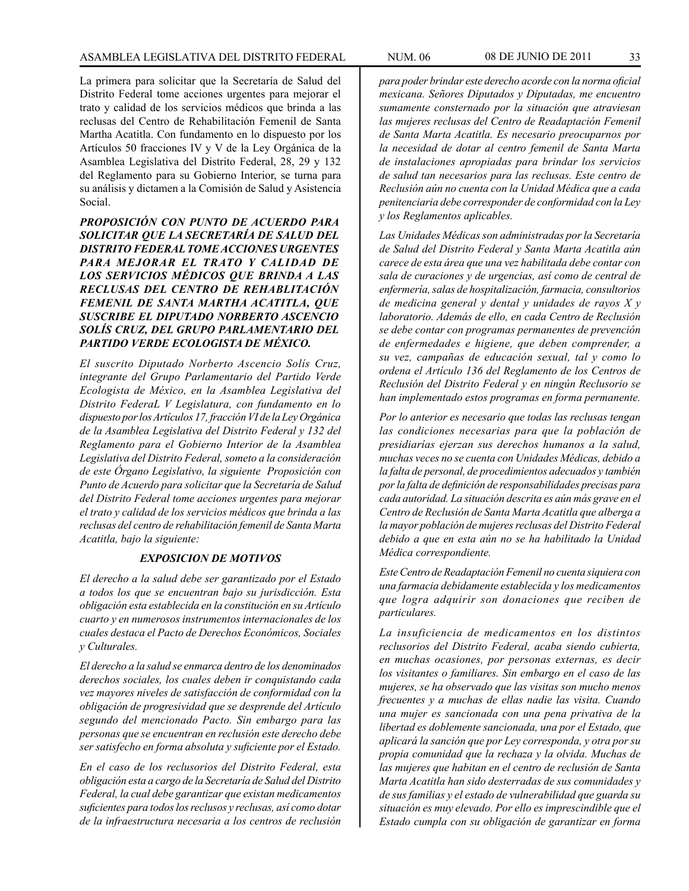La primera para solicitar que la Secretaría de Salud del Distrito Federal tome acciones urgentes para mejorar el trato y calidad de los servicios médicos que brinda a las reclusas del Centro de Rehabilitación Femenil de Santa Martha Acatitla. Con fundamento en lo dispuesto por los Artículos 50 fracciones IV y V de la Ley Orgánica de la Asamblea Legislativa del Distrito Federal, 28, 29 y 132 del Reglamento para su Gobierno Interior, se turna para su análisis y dictamen a la Comisión de Salud y Asistencia Social.

*PROPOSICIÓN CON PUNTO DE ACUERDO PARA SOLICITAR QUE LA SECRETARÍA DE SALUD DEL DISTRITO FEDERAL TOME ACCIONES URGENTES PARA MEJORAR EL TRATO Y CALIDAD DE LOS SERVICIOS MÉDICOS QUE BRINDA A LAS RECLUSAS DEL CENTRO DE REHABLITACIÓN FEMENIL DE SANTA MARTHA ACATITLA, QUE SUSCRIBE EL DIPUTADO NORBERTO ASCENCIO SOLÍS CRUZ, DEL GRUPO PARLAMENTARIO DEL PARTIDO VERDE ECOLOGISTA DE MÉXICO.*

*El suscrito Diputado Norberto Ascencio Solís Cruz, integrante del Grupo Parlamentario del Partido Verde Ecologista de México, en la Asamblea Legislativa del Distrito FederaL V Legislatura, con fundamento en lo dispuesto por los Artículos 17, fracción VI de la Ley Orgánica de la Asamblea Legislativa del Distrito Federal y 132 del Reglamento para el Gobierno Interior de la Asamblea Legislativa del Distrito Federal, someto a la consideración de este Órgano Legislativo, la siguiente Proposición con Punto de Acuerdo para solicitar que la Secretaría de Salud del Distrito Federal tome acciones urgentes para mejorar el trato y calidad de los servicios médicos que brinda a las reclusas del centro de rehabilitación femenil de Santa Marta Acatitla, bajo la siguiente:*

# *EXPOSICION DE MOTIVOS*

*El derecho a la salud debe ser garantizado por el Estado a todos los que se encuentran bajo su jurisdicción. Esta obligación esta establecida en la constitución en su Artículo cuarto y en numerosos instrumentos internacionales de los cuales destaca el Pacto de Derechos Económicos, Sociales y Culturales.*

*El derecho a la salud se enmarca dentro de los denominados derechos sociales, los cuales deben ir conquistando cada vez mayores niveles de satisfacción de conformidad con la obligación de progresividad que se desprende del Artículo segundo del mencionado Pacto. Sin embargo para las personas que se encuentran en reclusión este derecho debe ser satisfecho en forma absoluta y suficiente por el Estado.*

*En el caso de los reclusorios del Distrito Federal, esta obligación esta a cargo de la Secretaría de Salud del Distrito Federal, la cual debe garantizar que existan medicamentos suficientes para todos los reclusos y reclusas, así como dotar de la infraestructura necesaria a los centros de reclusión* 

*para poder brindar este derecho acorde con la norma oficial mexicana. Señores Diputados y Diputadas, me encuentro sumamente consternado por la situación que atraviesan las mujeres reclusas del Centro de Readaptación Femenil de Santa Marta Acatitla. Es necesario preocuparnos por la necesidad de dotar al centro femenil de Santa Marta de instalaciones apropiadas para brindar los servicios de salud tan necesarios para las reclusas. Este centro de Reclusión aún no cuenta con la Unidad Médica que a cada penitenciaria debe corresponder de conformidad con la Ley y los Reglamentos aplicables.*

*Las Unidades Médicas son administradas por la Secretaría de Salud del Distrito Federal y Santa Marta Acatitla aún carece de esta área que una vez habilitada debe contar con sala de curaciones y de urgencias, así como de central de enfermería, salas de hospitalización, farmacia, consultorios de medicina general y dental y unidades de rayos X y laboratorio. Además de ello, en cada Centro de Reclusión se debe contar con programas permanentes de prevención de enfermedades e higiene, que deben comprender, a su vez, campañas de educación sexual, tal y como lo ordena el Artículo 136 del Reglamento de los Centros de Reclusión del Distrito Federal y en ningún Reclusorio se han implementado estos programas en forma permanente.*

*Por lo anterior es necesario que todas las reclusas tengan las condiciones necesarias para que la población de presidiarías ejerzan sus derechos humanos a la salud, muchas veces no se cuenta con Unidades Médicas, debido a la falta de personal, de procedimientos adecuados y también por la falta de definición de responsabilidades precisas para cada autoridad. La situación descrita es aún más grave en el Centro de Reclusión de Santa Marta Acatitla que alberga a la mayor población de mujeres reclusas del Distrito Federal debido a que en esta aún no se ha habilitado la Unidad Médica correspondiente.*

*Este Centro de Readaptación Femenil no cuenta siquiera con una farmacia debidamente establecida y los medicamentos que logra adquirir son donaciones que reciben de particulares.*

*La insuficiencia de medicamentos en los distintos reclusorios del Distrito Federal, acaba siendo cubierta, en muchas ocasiones, por personas externas, es decir los visitantes o familiares. Sin embargo en el caso de las mujeres, se ha observado que las visitas son mucho menos frecuentes y a muchas de ellas nadie las visita. Cuando una mujer es sancionada con una pena privativa de la libertad es doblemente sancionada, una por el Estado, que aplicará la sanción que por Ley corresponda, y otra por su propia comunidad que la rechaza y la olvida. Muchas de las mujeres que habitan en el centro de reclusión de Santa Marta Acatitla han sido desterradas de sus comunidades y de sus familias y el estado de vulnerabilidad que guarda su situación es muy elevado. Por ello es imprescindible que el Estado cumpla con su obligación de garantizar en forma*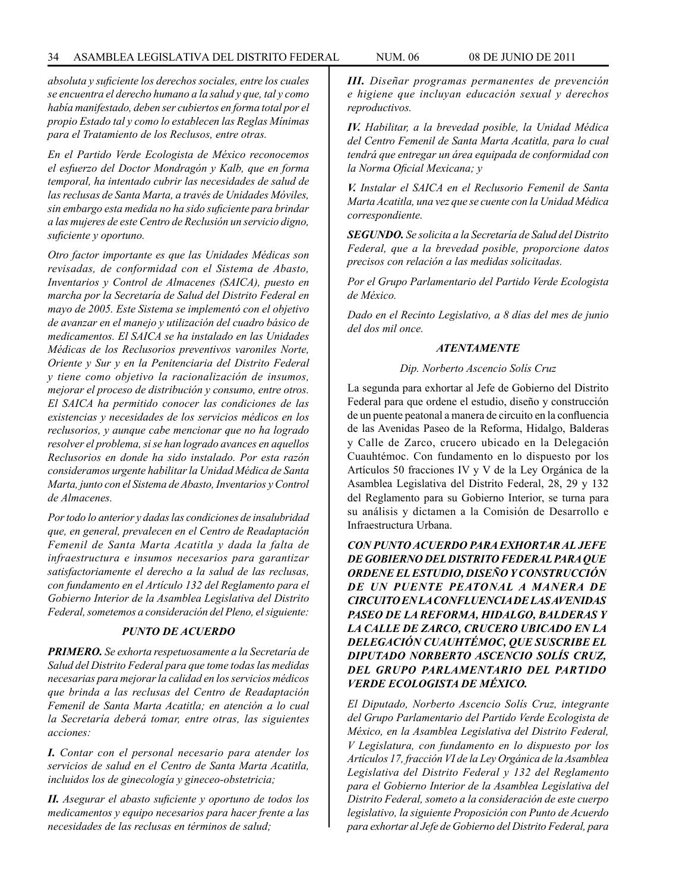*absoluta y suficiente los derechos sociales, entre los cuales se encuentra el derecho humano a la salud y que, tal y como había manifestado, deben ser cubiertos en forma total por el propio Estado tal y como lo establecen las Reglas Mínimas para el Tratamiento de los Reclusos, entre otras.*

*En el Partido Verde Ecologista de México reconocemos el esfuerzo del Doctor Mondragón y Kalb, que en forma temporal, ha intentado cubrir las necesidades de salud de las reclusas de Santa Marta, a través de Unidades Móviles, sin embargo esta medida no ha sido suficiente para brindar a las mujeres de este Centro de Reclusión un servicio digno, suficiente y oportuno.*

*Otro factor importante es que las Unidades Médicas son revisadas, de conformidad con el Sistema de Abasto, Inventarios y Control de Almacenes (SAICA), puesto en marcha por la Secretaría de Salud del Distrito Federal en mayo de 2005. Este Sistema se implementó con el objetivo de avanzar en el manejo y utilización del cuadro básico de medicamentos. El SAICA se ha instalado en las Unidades Médicas de los Reclusorios preventivos varoniles Norte, Oriente y Sur y en la Penitenciaria del Distrito Federal y tiene como objetivo la racionalización de insumos, mejorar el proceso de distribución y consumo, entre otros. El SAICA ha permitido conocer las condiciones de las existencias y necesidades de los servicios médicos en los reclusorios, y aunque cabe mencionar que no ha logrado resolver el problema, si se han logrado avances en aquellos Reclusorios en donde ha sido instalado. Por esta razón consideramos urgente habilitar la Unidad Médica de Santa Marta, junto con el Sistema de Abasto, Inventarios y Control de Almacenes.*

*Por todo lo anterior y dadas las condiciones de insalubridad que, en general, prevalecen en el Centro de Readaptación Femenil de Santa Marta Acatitla y dada la falta de infraestructura e insumos necesarios para garantizar satisfactoriamente el derecho a la salud de las reclusas, con fundamento en el Artículo 132 del Reglamento para el Gobierno Interior de la Asamblea Legislativa del Distrito Federal, sometemos a consideración del Pleno, el siguiente:*

# *PUNTO DE ACUERDO*

*PRIMERO. Se exhorta respetuosamente a la Secretaría de Salud del Distrito Federal para que tome todas las medidas necesarias para mejorar la calidad en los servicios médicos que brinda a las reclusas del Centro de Readaptación Femenil de Santa Marta Acatitla; en atención a lo cual la Secretaría deberá tomar, entre otras, las siguientes acciones:*

*I. Contar con el personal necesario para atender los servicios de salud en el Centro de Santa Marta Acatitla, incluidos los de ginecología y gineceo-obstetricia;*

*II. Asegurar el abasto suficiente y oportuno de todos los medicamentos y equipo necesarios para hacer frente a las necesidades de las reclusas en términos de salud;*

*III. Diseñar programas permanentes de prevención e higiene que incluyan educación sexual y derechos reproductivos.*

*IV. Habilitar, a la brevedad posible, la Unidad Médica del Centro Femenil de Santa Marta Acatitla, para lo cual tendrá que entregar un área equipada de conformidad con la Norma Oficial Mexicana; y*

*V. Instalar el SAICA en el Reclusorio Femenil de Santa Marta Acatitla, una vez que se cuente con la Unidad Médica correspondiente.*

*SEGUNDO. Se solicita a la Secretaría de Salud del Distrito Federal, que a la brevedad posible, proporcione datos precisos con relación a las medidas solicitadas.*

*Por el Grupo Parlamentario del Partido Verde Ecologista de México.*

*Dado en el Recinto Legislativo, a 8 días del mes de junio del dos mil once.*

#### *ATENTAMENTE*

#### *Dip. Norberto Ascencio Solís Cruz*

La segunda para exhortar al Jefe de Gobierno del Distrito Federal para que ordene el estudio, diseño y construcción de un puente peatonal a manera de circuito en la confluencia de las Avenidas Paseo de la Reforma, Hidalgo, Balderas y Calle de Zarco, crucero ubicado en la Delegación Cuauhtémoc. Con fundamento en lo dispuesto por los Artículos 50 fracciones IV y V de la Ley Orgánica de la Asamblea Legislativa del Distrito Federal, 28, 29 y 132 del Reglamento para su Gobierno Interior, se turna para su análisis y dictamen a la Comisión de Desarrollo e Infraestructura Urbana.

*CON PUNTO ACUERDO PARA EXHORTAR AL JEFE DE GOBIERNO DEL DISTRITO FEDERAL PARA QUE ORDENE EL ESTUDIO, DISEÑO Y CONSTRUCCIÓN DE UN PUENTE PEATONAL A MANERA DE CIRCUITO EN LA CONFLUENCIA DE LAS AVENIDAS PASEO DE LA REFORMA, HIDALGO, BALDERAS Y LA CALLE DE ZARCO, CRUCERO UBICADO EN LA DELEGACIÓN CUAUHTÉMOC, QUE SUSCRIBE EL DIPUTADO NORBERTO ASCENCIO SOLÍS CRUZ, DEL GRUPO PARLAMENTARIO DEL PARTIDO VERDE ECOLOGISTA DE MÉXICO.*

*El Diputado, Norberto Ascencio Solís Cruz, integrante del Grupo Parlamentario del Partido Verde Ecologista de México, en la Asamblea Legislativa del Distrito Federal, V Legislatura, con fundamento en lo dispuesto por los Artículos 17, fracción VI de la Ley Orgánica de la Asamblea Legislativa del Distrito Federal y 132 del Reglamento para el Gobierno Interior de la Asamblea Legislativa del Distrito Federal, someto a la consideración de este cuerpo legislativo, la siguiente Proposición con Punto de Acuerdo para exhortar al Jefe de Gobierno del Distrito Federal, para*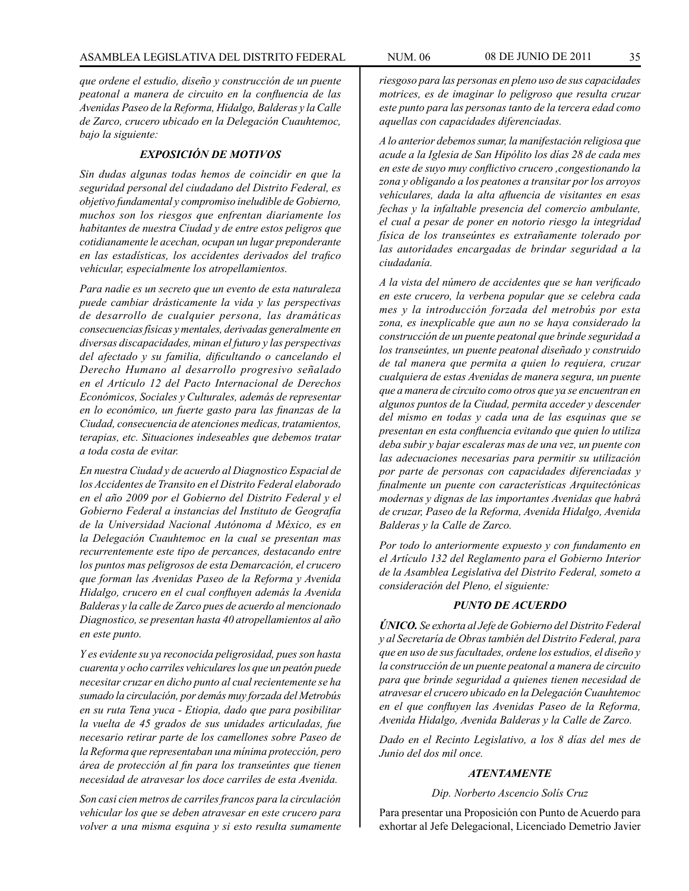*que ordene el estudio, diseño y construcción de un puente peatonal a manera de circuito en la confluencia de las Avenidas Paseo de la Reforma, Hidalgo, Balderas y la Calle de Zarco, crucero ubicado en la Delegación Cuauhtemoc, bajo la siguiente:*

# *EXPOSICIÓN DE MOTIVOS*

*Sin dudas algunas todas hemos de coincidir en que la seguridad personal del ciudadano del Distrito Federal, es objetivo fundamental y compromiso ineludible de Gobierno, muchos son los riesgos que enfrentan diariamente los habitantes de nuestra Ciudad y de entre estos peligros que cotidianamente le acechan, ocupan un lugar preponderante en las estadísticas, los accidentes derivados del trafico vehicular, especialmente los atropellamientos.*

*Para nadie es un secreto que un evento de esta naturaleza puede cambiar drásticamente la vida y las perspectivas de desarrollo de cualquier persona, las dramáticas consecuencias físicas y mentales, derivadas generalmente en diversas discapacidades, minan el futuro y las perspectivas del afectado y su familia, dificultando o cancelando el Derecho Humano al desarrollo progresivo señalado en el Artículo 12 del Pacto Internacional de Derechos Económicos, Sociales y Culturales, además de representar en lo económico, un fuerte gasto para las finanzas de la Ciudad, consecuencia de atenciones medicas, tratamientos, terapias, etc. Situaciones indeseables que debemos tratar a toda costa de evitar.*

*En nuestra Ciudad y de acuerdo al Diagnostico Espacial de los Accidentes de Transito en el Distrito Federal elaborado en el año 2009 por el Gobierno del Distrito Federal y el Gobierno Federal a instancias del Instituto de Geografía de la Universidad Nacional Autónoma d México, es en la Delegación Cuauhtemoc en la cual se presentan mas recurrentemente este tipo de percances, destacando entre los puntos mas peligrosos de esta Demarcación, el crucero que forman las Avenidas Paseo de la Reforma y Avenida Hidalgo, crucero en el cual confluyen además la Avenida Balderas y la calle de Zarco pues de acuerdo al mencionado Diagnostico, se presentan hasta 40 atropellamientos al año en este punto.* 

*Y es evidente su ya reconocida peligrosidad, pues son hasta cuarenta y ocho carriles vehiculares los que un peatón puede necesitar cruzar en dicho punto al cual recientemente se ha sumado la circulación, por demás muy forzada del Metrobús en su ruta Tena yuca - Etiopia, dado que para posibilitar la vuelta de 45 grados de sus unidades articuladas, fue necesario retirar parte de los camellones sobre Paseo de la Reforma que representaban una mínima protección, pero área de protección al fin para los transeúntes que tienen necesidad de atravesar los doce carriles de esta Avenida.*

*Son casi cien metros de carriles francos para la circulación vehicular los que se deben atravesar en este crucero para volver a una misma esquina y si esto resulta sumamente*  *riesgoso para las personas en pleno uso de sus capacidades motrices, es de imaginar lo peligroso que resulta cruzar este punto para las personas tanto de la tercera edad como aquellas con capacidades diferenciadas.*

*A lo anterior debemos sumar, la manifestación religiosa que acude a la Iglesia de San Hipólito los días 28 de cada mes en este de suyo muy conflictivo crucero ,congestionando la zona y obligando a los peatones a transitar por los arroyos vehiculares, dada la alta afluencia de visitantes en esas fechas y la infaltable presencia del comercio ambulante, el cual a pesar de poner en notorio riesgo la integridad física de los transeúntes es extrañamente tolerado por las autoridades encargadas de brindar seguridad a la ciudadanía.*

*A la vista del número de accidentes que se han verificado en este crucero, la verbena popular que se celebra cada mes y la introducción forzada del metrobús por esta zona, es inexplicable que aun no se haya considerado la construcción de un puente peatonal que brinde seguridad a los transeúntes, un puente peatonal diseñado y construido de tal manera que permita a quien lo requiera, cruzar cualquiera de estas Avenidas de manera segura, un puente que a manera de circuito como otros que ya se encuentran en algunos puntos de la Ciudad, permita acceder y descender del mismo en todas y cada una de las esquinas que se presentan en esta confluencia evitando que quien lo utiliza deba subir y bajar escaleras mas de una vez, un puente con las adecuaciones necesarias para permitir su utilización por parte de personas con capacidades diferenciadas y finalmente un puente con características Arquitectónicas modernas y dignas de las importantes Avenidas que habrá de cruzar, Paseo de la Reforma, Avenida Hidalgo, Avenida Balderas y la Calle de Zarco.*

*Por todo lo anteriormente expuesto y con fundamento en el Artículo 132 del Reglamento para el Gobierno Interior de la Asamblea Legislativa del Distrito Federal, someto a consideración del Pleno, el siguiente:*

#### *PUNTO DE ACUERDO*

*ÚNICO. Se exhorta al Jefe de Gobierno del Distrito Federal y al Secretaría de Obras también del Distrito Federal, para que en uso de sus facultades, ordene los estudios, el diseño y la construcción de un puente peatonal a manera de circuito para que brinde seguridad a quienes tienen necesidad de atravesar el crucero ubicado en la Delegación Cuauhtemoc en el que confluyen las Avenidas Paseo de la Reforma, Avenida Hidalgo, Avenida Balderas y la Calle de Zarco.*

*Dado en el Recinto Legislativo, a los 8 días del mes de Junio del dos mil once.*

# *ATENTAMENTE*

*Dip. Norberto Ascencio Solís Cruz*

Para presentar una Proposición con Punto de Acuerdo para exhortar al Jefe Delegacional, Licenciado Demetrio Javier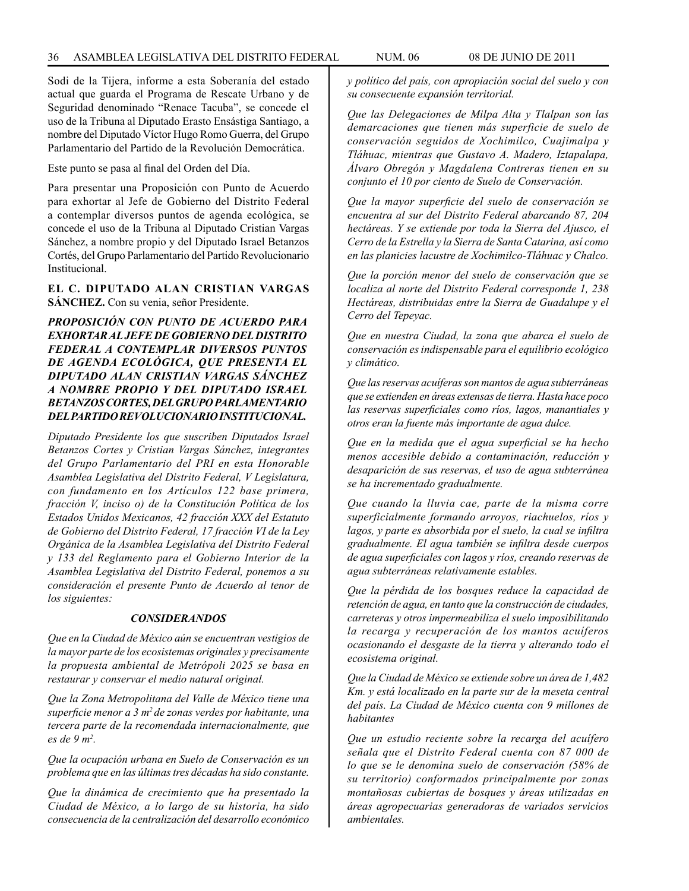Sodi de la Tijera, informe a esta Soberanía del estado actual que guarda el Programa de Rescate Urbano y de Seguridad denominado "Renace Tacuba", se concede el uso de la Tribuna al Diputado Erasto Ensástiga Santiago, a nombre del Diputado Víctor Hugo Romo Guerra, del Grupo Parlamentario del Partido de la Revolución Democrática.

Este punto se pasa al final del Orden del Día.

Para presentar una Proposición con Punto de Acuerdo para exhortar al Jefe de Gobierno del Distrito Federal a contemplar diversos puntos de agenda ecológica, se concede el uso de la Tribuna al Diputado Cristian Vargas Sánchez, a nombre propio y del Diputado Israel Betanzos Cortés, del Grupo Parlamentario del Partido Revolucionario Institucional.

**EL C. DIPUTADO ALAN CRISTIAN VARGAS SÁNCHEZ.** Con su venia, señor Presidente.

*PROPOSICIÓN CON PUNTO DE ACUERDO PARA EXHORTAR AL JEFE DE GOBIERNO DEL DISTRITO FEDERAL A CONTEMPLAR DIVERSOS PUNTOS DE AGENDA ECOLÓGICA, QUE PRESENTA EL DIPUTADO ALAN CRISTIAN VARGAS SÁNCHEZ A NOMBRE PROPIO Y DEL DIPUTADO ISRAEL BETANZOS CORTES, DEL GRUPO PARLAMENTARIO DEL PARTIDO REVOLUCIONARIO INSTITUCIONAL.*

*Diputado Presidente los que suscriben Diputados Israel Betanzos Cortes y Cristian Vargas Sánchez, integrantes del Grupo Parlamentario del PRI en esta Honorable Asamblea Legislativa del Distrito Federal, V Legislatura, con fundamento en los Artículos 122 base primera, fracción V, inciso o) de la Constitución Política de los Estados Unidos Mexicanos, 42 fracción XXX del Estatuto de Gobierno del Distrito Federal, 17 fracción VI de la Ley Orgánica de la Asamblea Legislativa del Distrito Federal y 133 del Reglamento para el Gobierno Interior de la Asamblea Legislativa del Distrito Federal, ponemos a su consideración el presente Punto de Acuerdo al tenor de los siguientes:*

#### *CONSIDERANDOS*

*Que en la Ciudad de México aún se encuentran vestigios de la mayor parte de los ecosistemas originales y precisamente la propuesta ambiental de Metrópoli 2025 se basa en restaurar y conservar el medio natural original.*

*Que la Zona Metropolitana del Valle de México tiene una superficie menor a 3 m2 de zonas verdes por habitante, una tercera parte de la recomendada internacionalmente, que es de 9 m2 .*

*Que la ocupación urbana en Suelo de Conservación es un problema que en las últimas tres décadas ha sido constante.*

*Que la dinámica de crecimiento que ha presentado la Ciudad de México, a lo largo de su historia, ha sido consecuencia de la centralización del desarrollo económico* 

*y político del país, con apropiación social del suelo y con su consecuente expansión territorial.*

*Que las Delegaciones de Milpa Alta y Tlalpan son las demarcaciones que tienen más superficie de suelo de conservación seguidos de Xochimilco, Cuajimalpa y Tláhuac, mientras que Gustavo A. Madero, Iztapalapa, Álvaro Obregón y Magdalena Contreras tienen en su conjunto el 10 por ciento de Suelo de Conservación.*

*Que la mayor superficie del suelo de conservación se encuentra al sur del Distrito Federal abarcando 87, 204 hectáreas. Y se extiende por toda la Sierra del Ajusco, el Cerro de la Estrella y la Sierra de Santa Catarina, así como en las planicies lacustre de Xochimilco-Tláhuac y Chalco.*

*Que la porción menor del suelo de conservación que se localiza al norte del Distrito Federal corresponde 1, 238 Hectáreas, distribuidas entre la Sierra de Guadalupe y el Cerro del Tepeyac.*

*Que en nuestra Ciudad, la zona que abarca el suelo de conservación es indispensable para el equilibrio ecológico y climático.*

*Que las reservas acuíferas son mantos de agua subterráneas que se extienden en áreas extensas de tierra. Hasta hace poco las reservas superficiales como ríos, lagos, manantiales y otros eran la fuente más importante de agua dulce.*

*Que en la medida que el agua superficial se ha hecho menos accesible debido a contaminación, reducción y desaparición de sus reservas, el uso de agua subterránea se ha incrementado gradualmente.*

*Que cuando la lluvia cae, parte de la misma corre superficialmente formando arroyos, riachuelos, ríos y lagos, y parte es absorbida por el suelo, la cual se infiltra gradualmente. El agua también se infiltra desde cuerpos de agua superficiales con lagos y ríos, creando reservas de agua subterráneas relativamente estables.*

*Que la pérdida de los bosques reduce la capacidad de retención de agua, en tanto que la construcción de ciudades, carreteras y otros impermeabiliza el suelo imposibilitando la recarga y recuperación de los mantos acuíferos ocasionando el desgaste de la tierra y alterando todo el ecosistema original.*

*Que la Ciudad de México se extiende sobre un área de 1,482 Km. y está localizado en la parte sur de la meseta central del país. La Ciudad de México cuenta con 9 millones de habitantes*

*Que un estudio reciente sobre la recarga del acuífero señala que el Distrito Federal cuenta con 87 000 de lo que se le denomina suelo de conservación (58% de su territorio) conformados principalmente por zonas montañosas cubiertas de bosques y áreas utilizadas en áreas agropecuarias generadoras de variados servicios ambientales.*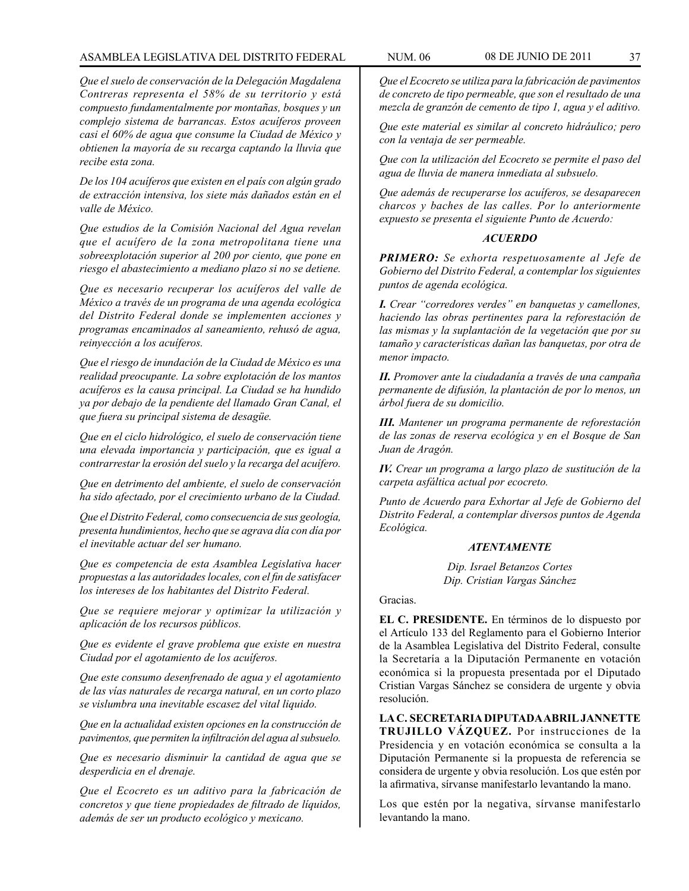# ASAMBLEA LEGISLATIVA DEL DISTRITO FEDERAL NUM. 06 08 de JUNIO de 2011 37

*Que el suelo de conservación de la Delegación Magdalena Contreras representa el 58% de su territorio y está compuesto fundamentalmente por montañas, bosques y un complejo sistema de barrancas. Estos acuíferos proveen casi el 60% de agua que consume la Ciudad de México y obtienen la mayoría de su recarga captando la lluvia que recibe esta zona.*

*De los 104 acuíferos que existen en el país con algún grado de extracción intensiva, los siete más dañados están en el valle de México.*

*Que estudios de la Comisión Nacional del Agua revelan que el acuífero de la zona metropolitana tiene una sobreexplotación superior al 200 por ciento, que pone en riesgo el abastecimiento a mediano plazo si no se detiene.*

*Que es necesario recuperar los acuíferos del valle de México a través de un programa de una agenda ecológica del Distrito Federal donde se implementen acciones y programas encaminados al saneamiento, rehusó de agua, reinyección a los acuíferos.*

*Que el riesgo de inundación de la Ciudad de México es una realidad preocupante. La sobre explotación de los mantos acuíferos es la causa principal. La Ciudad se ha hundido ya por debajo de la pendiente del llamado Gran Canal, el que fuera su principal sistema de desagüe.*

*Que en el ciclo hidrológico, el suelo de conservación tiene una elevada importancia y participación, que es igual a contrarrestar la erosión del suelo y la recarga del acuífero.*

*Que en detrimento del ambiente, el suelo de conservación ha sido afectado, por el crecimiento urbano de la Ciudad.*

*Que el Distrito Federal, como consecuencia de sus geología, presenta hundimientos, hecho que se agrava día con día por el inevitable actuar del ser humano.*

*Que es competencia de esta Asamblea Legislativa hacer propuestas a las autoridades locales, con el fin de satisfacer los intereses de los habitantes del Distrito Federal.*

*Que se requiere mejorar y optimizar la utilización y aplicación de los recursos públicos.*

*Que es evidente el grave problema que existe en nuestra Ciudad por el agotamiento de los acuíferos.*

*Que este consumo desenfrenado de agua y el agotamiento de las vías naturales de recarga natural, en un corto plazo se vislumbra una inevitable escasez del vital liquido.*

*Que en la actualidad existen opciones en la construcción de pavimentos, que permiten la infiltración del agua al subsuelo.*

*Que es necesario disminuir la cantidad de agua que se desperdicia en el drenaje.*

*Que el Ecocreto es un aditivo para la fabricación de concretos y que tiene propiedades de filtrado de líquidos, además de ser un producto ecológico y mexicano.*

*Que el Ecocreto se utiliza para la fabricación de pavimentos de concreto de tipo permeable, que son el resultado de una mezcla de granzón de cemento de tipo 1, agua y el aditivo.*

*Que este material es similar al concreto hidráulico; pero con la ventaja de ser permeable.*

*Que con la utilización del Ecocreto se permite el paso del agua de lluvia de manera inmediata al subsuelo.*

*Que además de recuperarse los acuíferos, se desaparecen charcos y baches de las calles. Por lo anteriormente expuesto se presenta el siguiente Punto de Acuerdo:*

# *ACUERDO*

*PRIMERO: Se exhorta respetuosamente al Jefe de Gobierno del Distrito Federal, a contemplar los siguientes puntos de agenda ecológica.*

*I. Crear "corredores verdes" en banquetas y camellones, haciendo las obras pertinentes para la reforestación de las mismas y la suplantación de la vegetación que por su tamaño y características dañan las banquetas, por otra de menor impacto.*

*II. Promover ante la ciudadanía a través de una campaña permanente de difusión, la plantación de por lo menos, un árbol fuera de su domicilio.*

*III. Mantener un programa permanente de reforestación de las zonas de reserva ecológica y en el Bosque de San Juan de Aragón.*

*IV. Crear un programa a largo plazo de sustitución de la carpeta asfáltica actual por ecocreto.*

*Punto de Acuerdo para Exhortar al Jefe de Gobierno del Distrito Federal, a contemplar diversos puntos de Agenda Ecológica.*

#### *ATENTAMENTE*

*Dip. Israel Betanzos Cortes Dip. Cristian Vargas Sánchez*

# Gracias.

**EL C. PRESIDENTE.** En términos de lo dispuesto por el Artículo 133 del Reglamento para el Gobierno Interior de la Asamblea Legislativa del Distrito Federal, consulte la Secretaría a la Diputación Permanente en votación económica si la propuesta presentada por el Diputado Cristian Vargas Sánchez se considera de urgente y obvia resolución.

**LA C. SECRETARIA DIPUTADA ABRIL JANNETTE TRUJILLO VÁZQUEZ.** Por instrucciones de la Presidencia y en votación económica se consulta a la Diputación Permanente si la propuesta de referencia se considera de urgente y obvia resolución. Los que estén por la afirmativa, sírvanse manifestarlo levantando la mano.

Los que estén por la negativa, sírvanse manifestarlo levantando la mano.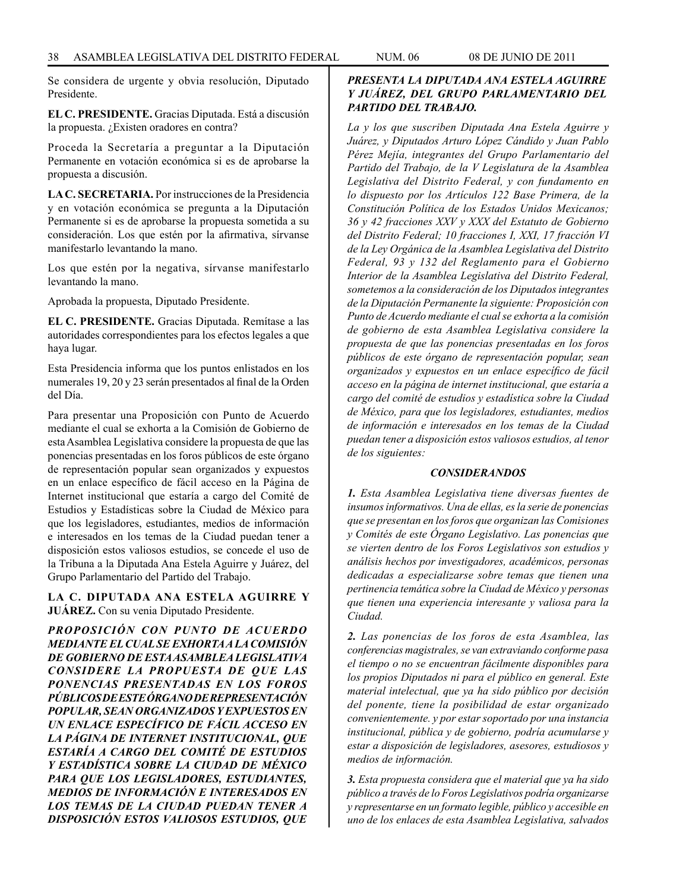Se considera de urgente y obvia resolución, Diputado Presidente.

**EL C. PRESIDENTE.** Gracias Diputada. Está a discusión la propuesta. ¿Existen oradores en contra?

Proceda la Secretaría a preguntar a la Diputación Permanente en votación económica si es de aprobarse la propuesta a discusión.

**LA C. SECRETARIA.** Por instrucciones de la Presidencia y en votación económica se pregunta a la Diputación Permanente si es de aprobarse la propuesta sometida a su consideración. Los que estén por la afirmativa, sírvanse manifestarlo levantando la mano.

Los que estén por la negativa, sírvanse manifestarlo levantando la mano.

Aprobada la propuesta, Diputado Presidente.

**EL C. PRESIDENTE.** Gracias Diputada. Remítase a las autoridades correspondientes para los efectos legales a que haya lugar.

Esta Presidencia informa que los puntos enlistados en los numerales 19, 20 y 23 serán presentados al final de la Orden del Día.

Para presentar una Proposición con Punto de Acuerdo mediante el cual se exhorta a la Comisión de Gobierno de esta Asamblea Legislativa considere la propuesta de que las ponencias presentadas en los foros públicos de este órgano de representación popular sean organizados y expuestos en un enlace específico de fácil acceso en la Página de Internet institucional que estaría a cargo del Comité de Estudios y Estadísticas sobre la Ciudad de México para que los legisladores, estudiantes, medios de información e interesados en los temas de la Ciudad puedan tener a disposición estos valiosos estudios, se concede el uso de la Tribuna a la Diputada Ana Estela Aguirre y Juárez, del Grupo Parlamentario del Partido del Trabajo.

**LA C. DIPUTADA ANA ESTELA AGUIRRE Y JUÁREZ.** Con su venia Diputado Presidente.

*PROPOSICIÓN CON PUNTO DE ACUERDO MEDIANTE EL CUAL SE EXHORTA A LA COMISIÓN DE GOBIERNO DE ESTA ASAMBLEA LEGISLATIVA CONSIDERE LA PROPUESTA DE QUE LAS PONENCIAS PRESENTADAS EN LOS FOROS PÚBLICOS DE ESTE ÓRGANO DE REPRESENTACIÓN POPULAR, SEAN ORGANIZADOS Y EXPUESTOS EN UN ENLACE ESPECÍFICO DE FÁCIL ACCESO EN LA PÁGINA DE INTERNET INSTITUCIONAL, QUE ESTARÍA A CARGO DEL COMITÉ DE ESTUDIOS Y ESTADÍSTICA SOBRE LA CIUDAD DE MÉXICO PARA QUE LOS LEGISLADORES, ESTUDIANTES, MEDIOS DE INFORMACIÓN E INTERESADOS EN LOS TEMAS DE LA CIUDAD PUEDAN TENER A DISPOSICIÓN ESTOS VALIOSOS ESTUDIOS, QUE* 

# *PRESENTA LA DIPUTADA ANA ESTELA AGUIRRE Y JUÁREZ, DEL GRUPO PARLAMENTARIO DEL PARTIDO DEL TRABAJO.*

*La y los que suscriben Diputada Ana Estela Aguirre y Juárez, y Diputados Arturo López Cándido y Juan Pablo Pérez Mejía, integrantes del Grupo Parlamentario del Partido del Trabajo, de la V Legislatura de la Asamblea Legislativa del Distrito Federal, y con fundamento en lo dispuesto por los Artículos 122 Base Primera, de la Constitución Política de los Estados Unidos Mexicanos; 36 y 42 fracciones XXV y XXX del Estatuto de Gobierno del Distrito Federal; 10 fracciones I, XXI, 17 fracción VI de la Ley Orgánica de la Asamblea Legislativa del Distrito Federal, 93 y 132 del Reglamento para el Gobierno Interior de la Asamblea Legislativa del Distrito Federal, sometemos a la consideración de los Diputados integrantes de la Diputación Permanente la siguiente: Proposición con Punto de Acuerdo mediante el cual se exhorta a la comisión de gobierno de esta Asamblea Legislativa considere la propuesta de que las ponencias presentadas en los foros públicos de este órgano de representación popular, sean organizados y expuestos en un enlace específico de fácil acceso en la página de internet institucional, que estaría a cargo del comité de estudios y estadística sobre la Ciudad de México, para que los legisladores, estudiantes, medios de información e interesados en los temas de la Ciudad puedan tener a disposición estos valiosos estudios, al tenor de los siguientes:*

#### *CONSIDERANDOS*

*1. Esta Asamblea Legislativa tiene diversas fuentes de insumos informativos. Una de ellas, es la serie de ponencias que se presentan en los foros que organizan las Comisiones y Comités de este Órgano Legislativo. Las ponencias que se vierten dentro de los Foros Legislativos son estudios y análisis hechos por investigadores, académicos, personas dedicadas a especializarse sobre temas que tienen una pertinencia temática sobre la Ciudad de México y personas que tienen una experiencia interesante y valiosa para la Ciudad.*

*2. Las ponencias de los foros de esta Asamblea, las conferencias magistrales, se van extraviando conforme pasa el tiempo o no se encuentran fácilmente disponibles para los propios Diputados ni para el público en general. Este material intelectual, que ya ha sido público por decisión del ponente, tiene la posibilidad de estar organizado convenientemente. y por estar soportado por una instancia institucional, pública y de gobierno, podría acumularse y estar a disposición de legisladores, asesores, estudiosos y medios de información.*

*3. Esta propuesta considera que el material que ya ha sido público a través de lo Foros Legislativos podría organizarse y representarse en un formato legible, público y accesible en uno de los enlaces de esta Asamblea Legislativa, salvados*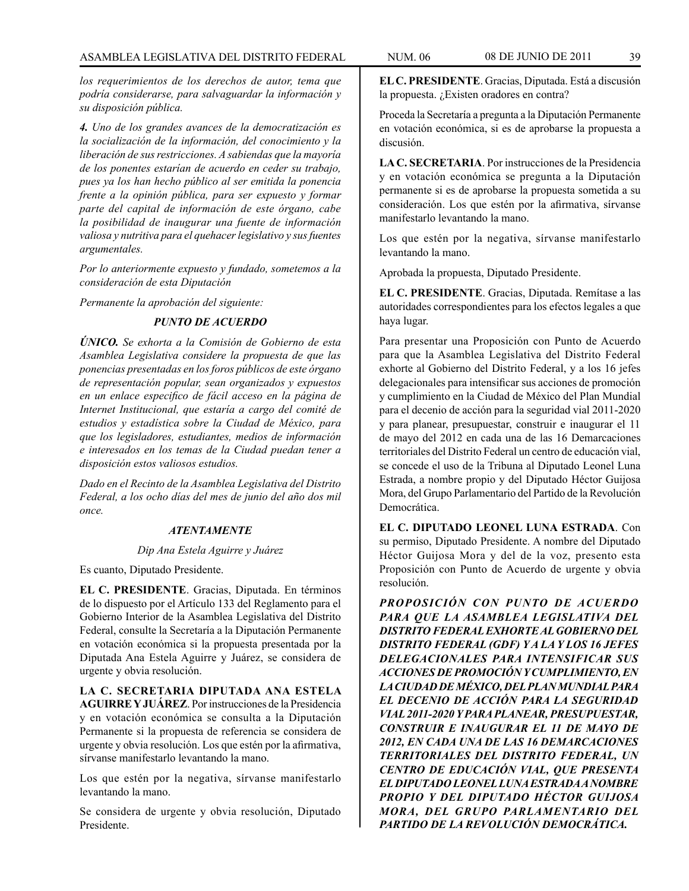*los requerimientos de los derechos de autor, tema que podría considerarse, para salvaguardar la información y su disposición pública.*

*4. Uno de los grandes avances de la democratización es la socialización de la información, del conocimiento y la liberación de sus restricciones. A sabiendas que la mayoría de los ponentes estarían de acuerdo en ceder su trabajo, pues ya los han hecho público al ser emitida la ponencia frente a la opinión pública, para ser expuesto y formar parte del capital de información de este órgano, cabe la posibilidad de inaugurar una fuente de información valiosa y nutritiva para el quehacer legislativo y sus fuentes argumentales.*

*Por lo anteriormente expuesto y fundado, sometemos a la consideración de esta Diputación*

*Permanente la aprobación del siguiente:*

# *PUNTO DE ACUERDO*

*ÚNICO. Se exhorta a la Comisión de Gobierno de esta Asamblea Legislativa considere la propuesta de que las ponencias presentadas en los foros públicos de este órgano de representación popular, sean organizados y expuestos en un enlace especifico de fácil acceso en la página de Internet Institucional, que estaría a cargo del comité de estudios y estadística sobre la Ciudad de México, para que los legisladores, estudiantes, medios de información e interesados en los temas de la Ciudad puedan tener a disposición estos valiosos estudios.*

*Dado en el Recinto de la Asamblea Legislativa del Distrito Federal, a los ocho días del mes de junio del año dos mil once.*

#### *ATENTAMENTE*

# *Dip Ana Estela Aguirre y Juárez*

Es cuanto, Diputado Presidente.

**EL C. PRESIDENTE**. Gracias, Diputada. En términos de lo dispuesto por el Artículo 133 del Reglamento para el Gobierno Interior de la Asamblea Legislativa del Distrito Federal, consulte la Secretaría a la Diputación Permanente en votación económica si la propuesta presentada por la Diputada Ana Estela Aguirre y Juárez, se considera de urgente y obvia resolución.

**LA C. SECRETARIA DIPUTADA ANA ESTELA AGUIRRE Y JUÁREZ**. Por instrucciones de la Presidencia y en votación económica se consulta a la Diputación Permanente si la propuesta de referencia se considera de urgente y obvia resolución. Los que estén por la afirmativa, sírvanse manifestarlo levantando la mano.

Los que estén por la negativa, sírvanse manifestarlo levantando la mano.

Se considera de urgente y obvia resolución, Diputado Presidente.

**EL C. PRESIDENTE**. Gracias, Diputada. Está a discusión la propuesta. ¿Existen oradores en contra?

Proceda la Secretaría a pregunta a la Diputación Permanente en votación económica, si es de aprobarse la propuesta a discusión.

**LA C. SECRETARIA**. Por instrucciones de la Presidencia y en votación económica se pregunta a la Diputación permanente si es de aprobarse la propuesta sometida a su consideración. Los que estén por la afirmativa, sírvanse manifestarlo levantando la mano.

Los que estén por la negativa, sírvanse manifestarlo levantando la mano.

Aprobada la propuesta, Diputado Presidente.

**EL C. PRESIDENTE**. Gracias, Diputada. Remítase a las autoridades correspondientes para los efectos legales a que haya lugar.

Para presentar una Proposición con Punto de Acuerdo para que la Asamblea Legislativa del Distrito Federal exhorte al Gobierno del Distrito Federal, y a los 16 jefes delegacionales para intensificar sus acciones de promoción y cumplimiento en la Ciudad de México del Plan Mundial para el decenio de acción para la seguridad vial 2011-2020 y para planear, presupuestar, construir e inaugurar el 11 de mayo del 2012 en cada una de las 16 Demarcaciones territoriales del Distrito Federal un centro de educación vial, se concede el uso de la Tribuna al Diputado Leonel Luna Estrada, a nombre propio y del Diputado Héctor Guijosa Mora, del Grupo Parlamentario del Partido de la Revolución Democrática.

**EL C. DIPUTADO LEONEL LUNA ESTRADA**. Con su permiso, Diputado Presidente. A nombre del Diputado Héctor Guijosa Mora y del de la voz, presento esta Proposición con Punto de Acuerdo de urgente y obvia resolución.

*PROPOSICIÓN CON PUNTO DE ACUERDO PARA QUE LA ASAMBLEA LEGISLATIVA DEL DISTRITO FEDERAL EXHORTE AL GOBIERNO DEL DISTRITO FEDERAL (GDF) Y A LA Y LOS 16 JEFES DELEGACIONALES PARA INTENSIFICAR SUS ACCIONES DE PROMOCIÓN Y CUMPLIMIENTO, EN LA CIUDAD DE MÉXICO, DEL PLAN MUNDIAL PARA EL DECENIO DE ACCIÓN PARA LA SEGURIDAD VIAL 2011-2020 Y PARA PLANEAR, PRESUPUESTAR, CONSTRUIR E INAUGURAR EL 11 DE MAYO DE 2012, EN CADA UNA DE LAS 16 DEMARCACIONES TERRITORIALES DEL DISTRITO FEDERAL, UN CENTRO DE EDUCACIÓN VIAL, QUE PRESENTA EL DIPUTADO LEONEL LUNA ESTRADA A NOMBRE PROPIO Y DEL DIPUTADO HÉCTOR GUIJOSA MORA, DEL GRUPO PARLAMENTARIO DEL PARTIDO DE LA REVOLUCIÓN DEMOCRÁTICA.*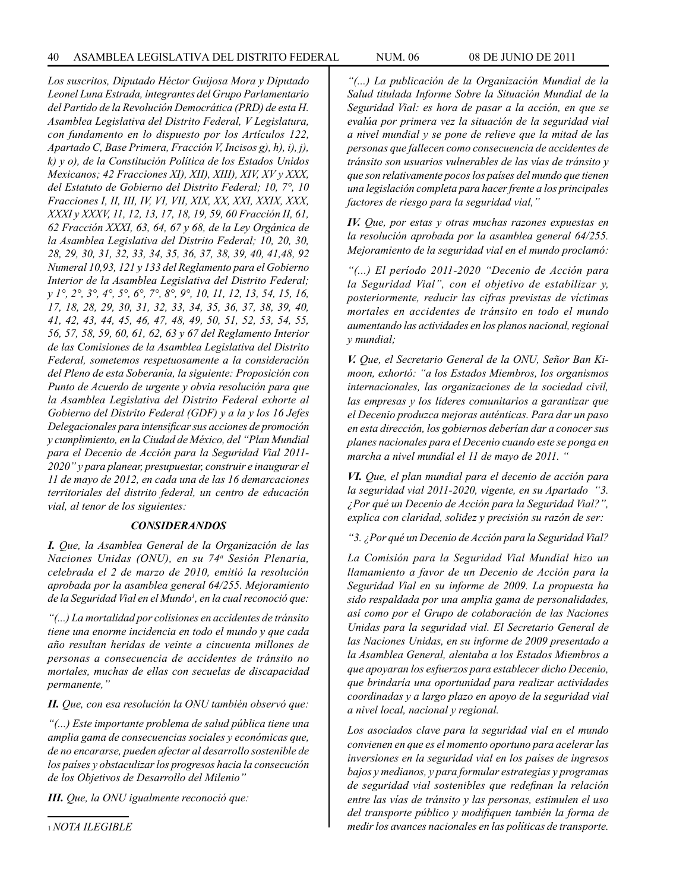*Los suscritos, Diputado Héctor Guijosa Mora y Diputado Leonel Luna Estrada, integrantes del Grupo Parlamentario del Partido de la Revolución Democrática (PRD) de esta H. Asamblea Legislativa del Distrito Federal, V Legislatura, con fundamento en lo dispuesto por los Artículos 122, Apartado C, Base Primera, Fracción V, Incisos g), h), i), j), k) y o), de la Constitución Política de los Estados Unidos Mexicanos; 42 Fracciones XI), XII), XIII), XIV, XV y XXX, del Estatuto de Gobierno del Distrito Federal; 10, 7°, 10 Fracciones I, II, III, IV, VI, VII, XIX, XX, XXI, XXIX, XXX, XXXI y XXXV, 11, 12, 13, 17, 18, 19, 59, 60 Fracción II, 61, 62 Fracción XXXI, 63, 64, 67 y 68, de la Ley Orgánica de la Asamblea Legislativa del Distrito Federal; 10, 20, 30, 28, 29, 30, 31, 32, 33, 34, 35, 36, 37, 38, 39, 40, 41,48, 92 Numeral 10,93, 121 y 133 del Reglamento para el Gobierno Interior de la Asamblea Legislativa del Distrito Federal; y 1°, 2°, 3°, 4°, 5°, 6°, 7°, 8°, 9°, 10, 11, 12, 13, 54, 15, 16, 17, 18, 28, 29, 30, 31, 32, 33, 34, 35, 36, 37, 38, 39, 40, 41, 42, 43, 44, 45, 46, 47, 48, 49, 50, 51, 52, 53, 54, 55, 56, 57, 58, 59, 60, 61, 62, 63 y 67 del Reglamento Interior de las Comisiones de la Asamblea Legislativa del Distrito Federal, sometemos respetuosamente a la consideración del Pleno de esta Soberanía, la siguiente: Proposición con Punto de Acuerdo de urgente y obvia resolución para que la Asamblea Legislativa del Distrito Federal exhorte al Gobierno del Distrito Federal (GDF) y a la y los 16 Jefes Delegacionales para intensificar sus acciones de promoción y cumplimiento, en la Ciudad de México, del "Plan Mundial para el Decenio de Acción para la Seguridad Vial 2011- 2020" y para planear, presupuestar, construir e inaugurar el 11 de mayo de 2012, en cada una de las 16 demarcaciones territoriales del distrito federal, un centro de educación vial, al tenor de los siguientes:*

# *CONSIDERANDOS*

*I. Que, la Asamblea General de la Organización de las Naciones Unidas (ONU), en su 74a Sesión Plenaria, celebrada el 2 de marzo de 2010, emitió la resolución aprobada por la asamblea general 64/255. Mejoramiento de la Seguridad Vial en el Mundo1 , en la cual reconoció que:*

*"(...) La mortalidad por colisiones en accidentes de tránsito tiene una enorme incidencia en todo el mundo y que cada año resultan heridas de veinte a cincuenta millones de personas a consecuencia de accidentes de tránsito no mortales, muchas de ellas con secuelas de discapacidad permanente,"*

*II. Que, con esa resolución la ONU también observó que:*

*"(...) Este importante problema de salud pública tiene una amplia gama de consecuencias sociales y económicas que, de no encararse, pueden afectar al desarrollo sostenible de los países y obstaculizar los progresos hacia la consecución de los Objetivos de Desarrollo del Milenio"*

*III. Que, la ONU igualmente reconoció que:*

*"(...) La publicación de la Organización Mundial de la Salud titulada Informe Sobre la Situación Mundial de la Seguridad Vial: es hora de pasar a la acción, en que se evalúa por primera vez la situación de la seguridad vial a nivel mundial y se pone de relieve que la mitad de las personas que fallecen como consecuencia de accidentes de tránsito son usuarios vulnerables de las vías de tránsito y que son relativamente pocos los países del mundo que tienen una legislación completa para hacer frente a los principales* 

*factores de riesgo para la seguridad vial," IV. Que, por estas y otras muchas razones expuestas en la resolución aprobada por la asamblea general 64/255. Mejoramiento de la seguridad vial en el mundo proclamó:*

*"(...) El período 2011-2020 "Decenio de Acción para la Seguridad Vial", con el objetivo de estabilizar y, posteriormente, reducir las cifras previstas de víctimas mortales en accidentes de tránsito en todo el mundo aumentando las actividades en los planos nacional, regional y mundial;*

*V. Que, el Secretario General de la ONU, Señor Ban Kimoon, exhortó: "a los Estados Miembros, los organismos internacionales, las organizaciones de la sociedad civil, las empresas y los líderes comunitarios a garantizar que el Decenio produzca mejoras auténticas. Para dar un paso en esta dirección, los gobiernos deberían dar a conocer sus planes nacionales para el Decenio cuando este se ponga en marcha a nivel mundial el 11 de mayo de 2011. "*

*VI. Que, el plan mundial para el decenio de acción para la seguridad vial 2011-2020, vigente, en su Apartado "3. ¿Por qué un Decenio de Acción para la Seguridad Vial?", explica con claridad, solidez y precisión su razón de ser:*

*"3. ¿Por qué un Decenio de Acción para la Seguridad Vial?*

*La Comisión para la Seguridad Vial Mundial hizo un llamamiento a favor de un Decenio de Acción para la Seguridad Vial en su informe de 2009. La propuesta ha sido respaldada por una amplia gama de personalidades, así como por el Grupo de colaboración de las Naciones Unidas para la seguridad vial. El Secretario General de las Naciones Unidas, en su informe de 2009 presentado a la Asamblea General, alentaba a los Estados Miembros a que apoyaran los esfuerzos para establecer dicho Decenio, que brindaría una oportunidad para realizar actividades coordinadas y a largo plazo en apoyo de la seguridad vial a nivel local, nacional y regional.*

*Los asociados clave para la seguridad vial en el mundo convienen en que es el momento oportuno para acelerar las inversiones en la seguridad vial en los países de ingresos bajos y medianos, y para formular estrategias y programas de seguridad vial sostenibles que redefinan la relación entre las vías de tránsito y las personas, estimulen el uso del transporte público y modifiquen también la forma de medir los avances nacionales en las políticas de transporte.*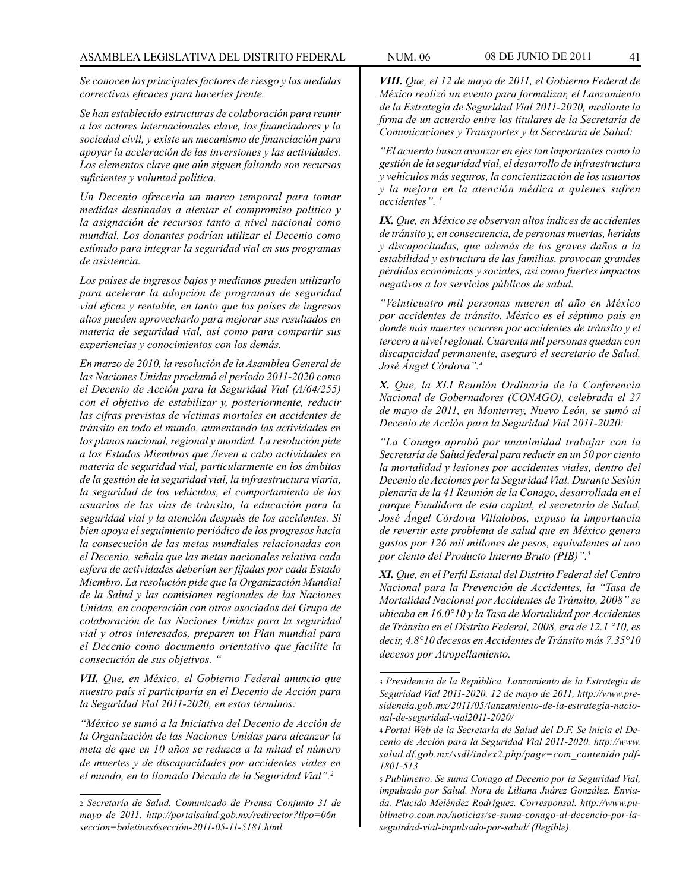*Se conocen los principales factores de riesgo y las medidas correctivas eficaces para hacerles frente.*

*Se han establecido estructuras de colaboración para reunir a los actores internacionales clave, los financiadores y la sociedad civil, y existe un mecanismo de financiación para apoyar la aceleración de las inversiones y las actividades. Los elementos clave que aún siguen faltando son recursos suficientes y voluntad política.*

*Un Decenio ofrecería un marco temporal para tomar medidas destinadas a alentar el compromiso político y la asignación de recursos tanto a nivel nacional como mundial. Los donantes podrían utilizar el Decenio como estímulo para integrar la seguridad vial en sus programas de asistencia.*

*Los países de ingresos bajos y medianos pueden utilizarlo para acelerar la adopción de programas de seguridad vial eficaz y rentable, en tanto que los países de ingresos altos pueden aprovecharlo para mejorar sus resultados en materia de seguridad vial, así como para compartir sus experiencias y conocimientos con los demás.*

*En marzo de 2010, la resolución de la Asamblea General de las Naciones Unidas proclamó el período 2011-2020 como el Decenio de Acción para la Seguridad Vial (A/64/255) con el objetivo de estabilizar y, posteriormente, reducir las cifras previstas de víctimas mortales en accidentes de tránsito en todo el mundo, aumentando las actividades en los planos nacional, regional y mundial. La resolución pide a los Estados Miembros que /leven a cabo actividades en materia de seguridad vial, particularmente en los ámbitos de la gestión de la seguridad vial, la infraestructura viaria, la seguridad de los vehículos, el comportamiento de los usuarios de las vías de tránsito, la educación para la seguridad vial y la atención después de los accidentes. Si bien apoya el seguimiento periódico de los progresos hacia la consecución de las metas mundiales relacionadas con el Decenio, señala que las metas nacionales relativa cada esfera de actividades deberían ser fijadas por cada Estado Miembro. La resolución pide que la Organización Mundial de la Salud y las comisiones regionales de las Naciones Unidas, en cooperación con otros asociados del Grupo de colaboración de las Naciones Unidas para la seguridad vial y otros interesados, preparen un Plan mundial para el Decenio como documento orientativo que facilite la consecución de sus objetivos. "*

*VII. Que, en México, el Gobierno Federal anuncio que nuestro país si participaría en el Decenio de Acción para la Seguridad Vial 2011-2020, en estos términos:*

*"México se sumó a la Iniciativa del Decenio de Acción de la Organización de las Naciones Unidas para alcanzar la meta de que en 10 años se reduzca a la mitad el número de muertes y de discapacidades por accidentes viales en el mundo, en la llamada Década de la Seguridad Vial".2*

*VIII. Que, el 12 de mayo de 2011, el Gobierno Federal de México realizó un evento para formalizar, el Lanzamiento de la Estrategia de Seguridad Vial 2011-2020, mediante la firma de un acuerdo entre los titulares de la Secretaría de Comunicaciones y Transportes y la Secretaría de Salud:*

*"El acuerdo busca avanzar en ejes tan importantes como la gestión de la seguridad vial, el desarrollo de infraestructura y vehículos más seguros, la concientización de los usuarios y la mejora en la atención médica a quienes sufren accidentes". 3*

*IX. Que, en México se observan altos índices de accidentes de tránsito y, en consecuencia, de personas muertas, heridas y discapacitadas, que además de los graves daños a la estabilidad y estructura de las familias, provocan grandes pérdidas económicas y sociales, así como fuertes impactos negativos a los servicios públicos de salud.*

*"Veinticuatro mil personas mueren al año en México por accidentes de tránsito. México es el séptimo país en donde más muertes ocurren por accidentes de tránsito y el tercero a nivel regional. Cuarenta mil personas quedan con discapacidad permanente, aseguró el secretario de Salud, José Ángel Córdova".4*

*X. Que, la XLI Reunión Ordinaria de la Conferencia Nacional de Gobernadores (CONAGO), celebrada el 27 de mayo de 2011, en Monterrey, Nuevo León, se sumó al Decenio de Acción para la Seguridad Vial 2011-2020:*

*"La Conago aprobó por unanimidad trabajar con la Secretaría de Salud federal para reducir en un 50 por ciento la mortalidad y lesiones por accidentes viales, dentro del Decenio de Acciones por la Seguridad Vial. Durante Sesión plenaria de la 41 Reunión de la Conago, desarrollada en el parque Fundidora de esta capital, el secretario de Salud, José Ángel Córdova Villalobos, expuso la importancia de revertir este problema de salud que en México genera gastos por 126 mil millones de pesos, equivalentes al uno por ciento del Producto Interno Bruto (PIB)".5*

*XI. Que, en el Perfil Estatal del Distrito Federal del Centro Nacional para la Prevención de Accidentes, la "Tasa de Mortalidad Nacional por Accidentes de Tránsito, 2008" se ubicaba en 16.0°10 y la Tasa de Mortalidad por Accidentes de Tránsito en el Distrito Federal, 2008, era de 12.1 °10, es decir, 4.8°10 decesos en Accidentes de Tránsito más 7.35°10 decesos por Atropellamiento.*

<sup>2</sup> *Secretaría de Salud. Comunicado de Prensa Conjunto 31 de mayo de 2011. http://portalsalud.gob.mx/redirector?lipo=06n\_ seccion=boletines6sección-2011-05-11-5181.html*

<sup>3</sup> *Presidencia de la República. Lanzamiento de la Estrategia de Seguridad Vial 2011-2020. 12 de mayo de 2011, http://www.presidencia.gob.mx/2011/05/lanzamiento-de-la-estrategia-nacional-de-seguridad-vial2011-2020/*

<sup>4</sup> *Portal Web de la Secretaría de Salud del D.F. Se inicia el Decenio de Acción para la Seguridad Vial 2011-2020. http://www. salud.df.gob.mx/ssdl/index2.php/page=com\_contenido.pdf-1801-513*

<sup>5</sup> *Publimetro. Se suma Conago al Decenio por la Seguridad Vial, impulsado por Salud. Nora de Liliana Juárez González. Enviada. Placido Meléndez Rodríguez. Corresponsal. http://www.publimetro.com.mx/noticias/se-suma-conago-al-decencio-por-laseguirdad-vial-impulsado-por-salud/ (Ilegible).*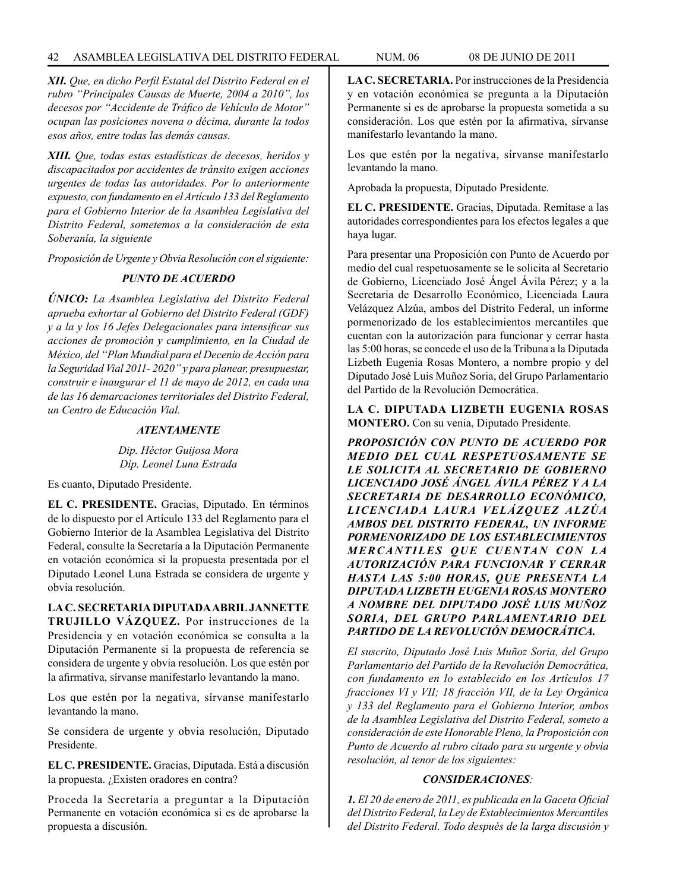# 42 ASAMBLEA LEGISLATIVA DEL DISTRITO FEDERAL NUM. 06 08 de JUNIO de 2011

*XII. Que, en dicho Perfil Estatal del Distrito Federal en el rubro "Principales Causas de Muerte, 2004 a 2010", los decesos por "Accidente de Tráfico de Vehículo de Motor" ocupan las posiciones novena o décima, durante la todos esos años, entre todas las demás causas.*

*XIII. Que, todas estas estadísticas de decesos, heridos y discapacitados por accidentes de tránsito exigen acciones urgentes de todas las autoridades. Por lo anteriormente expuesto, con fundamento en el Artículo 133 del Reglamento para el Gobierno Interior de la Asamblea Legislativa del Distrito Federal, sometemos a la consideración de esta Soberanía, la siguiente*

*Proposición de Urgente y Obvia Resolución con el siguiente:*

# *PUNTO DE ACUERDO*

*ÚNICO: La Asamblea Legislativa del Distrito Federal aprueba exhortar al Gobierno del Distrito Federal (GDF) y a la y los 16 Jefes Delegacionales para intensificar sus acciones de promoción y cumplimiento, en la Ciudad de México, del "Plan Mundial para el Decenio de Acción para la Seguridad Vial 2011- 2020" y para planear, presupuestar, construir e inaugurar el 11 de mayo de 2012, en cada una de las 16 demarcaciones territoriales del Distrito Federal, un Centro de Educación Vial.*

# *ATENTAMENTE*

*Dip. Héctor Guijosa Mora Dip. Leonel Luna Estrada*

Es cuanto, Diputado Presidente.

**EL C. PRESIDENTE.** Gracias, Diputado. En términos de lo dispuesto por el Artículo 133 del Reglamento para el Gobierno Interior de la Asamblea Legislativa del Distrito Federal, consulte la Secretaría a la Diputación Permanente en votación económica si la propuesta presentada por el Diputado Leonel Luna Estrada se considera de urgente y obvia resolución.

**LA C. SECRETARIA DIPUTADA ABRIL JANNETTE TRUJILLO VÁZQUEZ.** Por instrucciones de la Presidencia y en votación económica se consulta a la Diputación Permanente si la propuesta de referencia se considera de urgente y obvia resolución. Los que estén por la afirmativa, sírvanse manifestarlo levantando la mano.

Los que estén por la negativa, sírvanse manifestarlo levantando la mano.

Se considera de urgente y obvia resolución, Diputado Presidente.

**EL C. PRESIDENTE.** Gracias, Diputada. Está a discusión la propuesta. ¿Existen oradores en contra?

Proceda la Secretaría a preguntar a la Diputación Permanente en votación económica si es de aprobarse la propuesta a discusión.

**LA C. SECRETARIA.** Por instrucciones de la Presidencia y en votación económica se pregunta a la Diputación Permanente si es de aprobarse la propuesta sometida a su consideración. Los que estén por la afirmativa, sírvanse manifestarlo levantando la mano.

Los que estén por la negativa, sírvanse manifestarlo levantando la mano.

Aprobada la propuesta, Diputado Presidente.

**EL C. PRESIDENTE.** Gracias, Diputada. Remítase a las autoridades correspondientes para los efectos legales a que haya lugar.

Para presentar una Proposición con Punto de Acuerdo por medio del cual respetuosamente se le solicita al Secretario de Gobierno, Licenciado José Ángel Ávila Pérez; y a la Secretaria de Desarrollo Económico, Licenciada Laura Velázquez Alzúa, ambos del Distrito Federal, un informe pormenorizado de los establecimientos mercantiles que cuentan con la autorización para funcionar y cerrar hasta las 5:00 horas, se concede el uso de la Tribuna a la Diputada Lizbeth Eugenia Rosas Montero, a nombre propio y del Diputado José Luis Muñoz Soria, del Grupo Parlamentario del Partido de la Revolución Democrática.

**LA C. DIPUTADA LIZBETH EUGENIA ROSAS MONTERO.** Con su venia, Diputado Presidente.

*PROPOSICIÓN CON PUNTO DE ACUERDO POR MEDIO DEL CUAL RESPETUOSAMENTE SE LE SOLICITA AL SECRETARIO DE GOBIERNO LICENCIADO JOSÉ ÁNGEL ÁVILA PÉREZ Y A LA SECRETARIA DE DESARROLLO ECONÓMICO, LICENCIADA LAURA VELÁZQUEZ ALZÚA AMBOS DEL DISTRITO FEDERAL, UN INFORME PORMENORIZADO DE LOS ESTABLECIMIENTOS*  **MERCANTILES QUE CUENTAN CON LA** *AUTORIZACIÓN PARA FUNCIONAR Y CERRAR HASTA LAS 5:00 HORAS, QUE PRESENTA LA DIPUTADA LIZBETH EUGENIA ROSAS MONTERO A NOMBRE DEL DIPUTADO JOSÉ LUIS MUÑOZ SORIA, DEL GRUPO PARLAMENTARIO DEL PARTIDO DE LA REVOLUCIÓN DEMOCRÁTICA.*

*El suscrito, Diputado José Luis Muñoz Soria, del Grupo Parlamentario del Partido de la Revolución Democrática, con fundamento en lo establecido en los Artículos 17 fracciones VI y VII; 18 fracción VII, de la Ley Orgánica y 133 del Reglamento para el Gobierno Interior, ambos de la Asamblea Legislativa del Distrito Federal, someto a consideración de este Honorable Pleno, la Proposición con Punto de Acuerdo al rubro citado para su urgente y obvia resolución, al tenor de los siguientes:*

# *CONSIDERACIONES:*

*1. El 20 de enero de 2011, es publicada en la Gaceta Oficial del Distrito Federal, la Ley de Establecimientos Mercantiles del Distrito Federal. Todo después de la larga discusión y*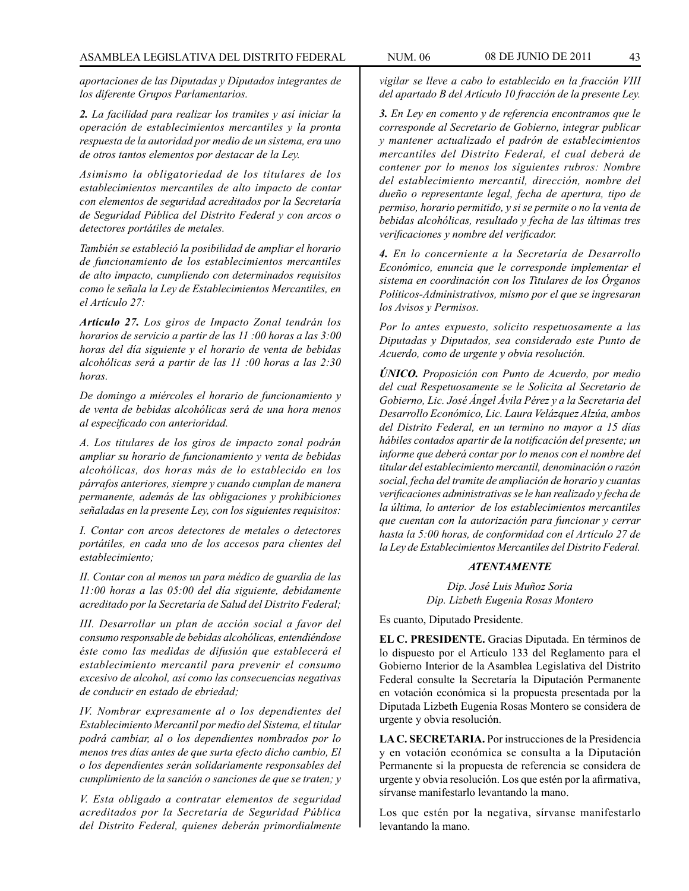*aportaciones de las Diputadas y Diputados integrantes de los diferente Grupos Parlamentarios.*

*2. La facilidad para realizar los tramites y así iniciar la operación de establecimientos mercantiles y la pronta respuesta de la autoridad por medio de un sistema, era uno de otros tantos elementos por destacar de la Ley.*

*Asimismo la obligatoriedad de los titulares de los establecimientos mercantiles de alto impacto de contar con elementos de seguridad acreditados por la Secretaría de Seguridad Pública del Distrito Federal y con arcos o detectores portátiles de metales.*

*También se estableció la posibilidad de ampliar el horario de funcionamiento de los establecimientos mercantiles de alto impacto, cumpliendo con determinados requisitos como le señala la Ley de Establecimientos Mercantiles, en el Artículo 27:*

*Artículo 27. Los giros de Impacto Zonal tendrán los horarios de servicio a partir de las 11 :00 horas a las 3:00 horas del día siguiente y el horario de venta de bebidas alcohólicas será a partir de las 11 :00 horas a las 2:30 horas.*

*De domingo a miércoles el horario de funcionamiento y de venta de bebidas alcohólicas será de una hora menos al especificado con anterioridad.*

*A. Los titulares de los giros de impacto zonal podrán ampliar su horario de funcionamiento y venta de bebidas alcohólicas, dos horas más de lo establecido en los párrafos anteriores, siempre y cuando cumplan de manera permanente, además de las obligaciones y prohibiciones señaladas en la presente Ley, con los siguientes requisitos:*

*I. Contar con arcos detectores de metales o detectores portátiles, en cada uno de los accesos para clientes del establecimiento;*

*II. Contar con al menos un para médico de guardia de las 11:00 horas a las 05:00 del día siguiente, debidamente acreditado por la Secretaría de Salud del Distrito Federal;*

*III. Desarrollar un plan de acción social a favor del consumo responsable de bebidas alcohólicas, entendiéndose éste como las medidas de difusión que establecerá el establecimiento mercantil para prevenir el consumo excesivo de alcohol, así como las consecuencias negativas de conducir en estado de ebriedad;*

*IV. Nombrar expresamente al o los dependientes del Establecimiento Mercantil por medio del Sistema, el titular podrá cambiar, al o los dependientes nombrados por lo menos tres días antes de que surta efecto dicho cambio, El o los dependientes serán solidariamente responsables del cumplimiento de la sanción o sanciones de que se traten; y*

*V. Esta obligado a contratar elementos de seguridad acreditados por la Secretaría de Seguridad Pública del Distrito Federal, quienes deberán primordialmente* 

*vigilar se lleve a cabo lo establecido en la fracción VIII del apartado B del Artículo 10 fracción de la presente Ley.*

*3. En Ley en comento y de referencia encontramos que le corresponde al Secretario de Gobierno, integrar publicar y mantener actualizado el padrón de establecimientos mercantiles del Distrito Federal, el cual deberá de contener por lo menos los siguientes rubros: Nombre del establecimiento mercantil, dirección, nombre del dueño o representante legal, fecha de apertura, tipo de permiso, horario permitido, y si se permite o no la venta de bebidas alcohólicas, resultado y fecha de las últimas tres verificaciones y nombre del verificador.*

*4. En lo concerniente a la Secretaría de Desarrollo Económico, enuncia que le corresponde implementar el sistema en coordinación con los Titulares de los Órganos Políticos-Administrativos, mismo por el que se ingresaran los Avisos y Permisos.*

*Por lo antes expuesto, solicito respetuosamente a las Diputadas y Diputados, sea considerado este Punto de Acuerdo, como de urgente y obvia resolución.*

*ÚNICO. Proposición con Punto de Acuerdo, por medio del cual Respetuosamente se le Solicita al Secretario de Gobierno, Lic. José Ángel Ávila Pérez y a la Secretaria del Desarrollo Económico, Lic. Laura Velázquez Alzúa, ambos del Distrito Federal, en un termino no mayor a 15 días hábiles contados apartir de la notificación del presente; un informe que deberá contar por lo menos con el nombre del titular del establecimiento mercantil, denominación o razón social, fecha del tramite de ampliación de horario y cuantas verificaciones administrativas se le han realizado y fecha de la última, lo anterior de los establecimientos mercantiles que cuentan con la autorización para funcionar y cerrar hasta la 5:00 horas, de conformidad con el Artículo 27 de la Ley de Establecimientos Mercantiles del Distrito Federal.*

#### *ATENTAMENTE*

*Dip. José Luis Muñoz Soria Dip. Lizbeth Eugenia Rosas Montero*

Es cuanto, Diputado Presidente.

**EL C. PRESIDENTE.** Gracias Diputada. En términos de lo dispuesto por el Artículo 133 del Reglamento para el Gobierno Interior de la Asamblea Legislativa del Distrito Federal consulte la Secretaría la Diputación Permanente en votación económica si la propuesta presentada por la Diputada Lizbeth Eugenia Rosas Montero se considera de urgente y obvia resolución.

**LA C. SECRETARIA.** Por instrucciones de la Presidencia y en votación económica se consulta a la Diputación Permanente si la propuesta de referencia se considera de urgente y obvia resolución. Los que estén por la afirmativa, sírvanse manifestarlo levantando la mano.

Los que estén por la negativa, sírvanse manifestarlo levantando la mano.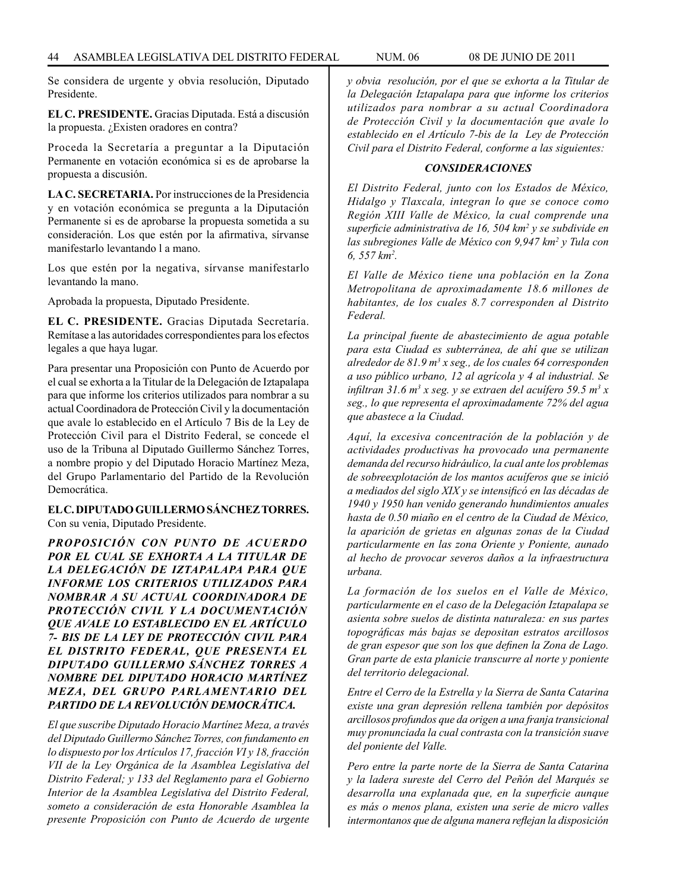Se considera de urgente y obvia resolución, Diputado Presidente.

**EL C. PRESIDENTE.** Gracias Diputada. Está a discusión la propuesta. ¿Existen oradores en contra?

Proceda la Secretaría a preguntar a la Diputación Permanente en votación económica si es de aprobarse la propuesta a discusión.

**LA C. SECRETARIA.** Por instrucciones de la Presidencia y en votación económica se pregunta a la Diputación Permanente si es de aprobarse la propuesta sometida a su consideración. Los que estén por la afirmativa, sírvanse manifestarlo levantando l a mano.

Los que estén por la negativa, sírvanse manifestarlo levantando la mano.

Aprobada la propuesta, Diputado Presidente.

**EL C. PRESIDENTE.** Gracias Diputada Secretaría. Remítase a las autoridades correspondientes para los efectos legales a que haya lugar.

Para presentar una Proposición con Punto de Acuerdo por el cual se exhorta a la Titular de la Delegación de Iztapalapa para que informe los criterios utilizados para nombrar a su actual Coordinadora de Protección Civil y la documentación que avale lo establecido en el Artículo 7 Bis de la Ley de Protección Civil para el Distrito Federal, se concede el uso de la Tribuna al Diputado Guillermo Sánchez Torres, a nombre propio y del Diputado Horacio Martínez Meza, del Grupo Parlamentario del Partido de la Revolución Democrática.

**EL C. DIPUTADO GUILLERMO SÁNCHEZ TORRES.** Con su venia, Diputado Presidente.

*PROPOSICIÓN CON PUNTO DE ACUERDO POR EL CUAL SE EXHORTA A LA TITULAR DE LA DELEGACIÓN DE IZTAPALAPA PARA QUE INFORME LOS CRITERIOS UTILIZADOS PARA NOMBRAR A SU ACTUAL COORDINADORA DE PROTECCIÓN CIVIL Y LA DOCUMENTACIÓN QUE AVALE LO ESTABLECIDO EN EL ARTÍCULO 7- BIS DE LA LEY DE PROTECCIÓN CIVIL PARA EL DISTRITO FEDERAL, QUE PRESENTA EL DIPUTADO GUILLERMO SÁNCHEZ TORRES A NOMBRE DEL DIPUTADO HORACIO MARTÍNEZ MEZA, DEL GRUPO PARLAMENTARIO DEL PARTIDO DE LA REVOLUCIÓN DEMOCRÁTICA.*

*El que suscribe Diputado Horacio Martínez Meza, a través del Diputado Guillermo Sánchez Torres, con fundamento en lo dispuesto por los Artículos 17, fracción VI y 18, fracción VII de la Ley Orgánica de la Asamblea Legislativa del Distrito Federal; y 133 del Reglamento para el Gobierno Interior de la Asamblea Legislativa del Distrito Federal, someto a consideración de esta Honorable Asamblea la presente Proposición con Punto de Acuerdo de urgente*  *y obvia resolución, por el que se exhorta a la Titular de la Delegación Iztapalapa para que informe los criterios utilizados para nombrar a su actual Coordinadora de Protección Civil y la documentación que avale lo establecido en el Artículo 7-bis de la Ley de Protección Civil para el Distrito Federal, conforme a las siguientes:*

# *CONSIDERACIONES*

*El Distrito Federal, junto con los Estados de México, Hidalgo y Tlaxcala, integran lo que se conoce como Región XIII Valle de México, la cual comprende una superficie administrativa de 16, 504 km2 y se subdivide en*  las subregiones Valle de México con 9,947 km<sup>2</sup> y Tula con *6, 557 km2 .*

*El Valle de México tiene una población en la Zona Metropolitana de aproximadamente 18.6 millones de habitantes, de los cuales 8.7 corresponden al Distrito Federal.*

*La principal fuente de abastecimiento de agua potable para esta Ciudad es subterránea, de ahí que se utilizan alrededor de 81.9 m3 x seg., de los cuales 64 corresponden a uso público urbano, 12 al agrícola y 4 al industrial. Se infiltran 31.6 m3 x seg. y se extraen del acuífero 59.5 m3 x seg., lo que representa el aproximadamente 72% del agua que abastece a la Ciudad.*

*Aquí, la excesiva concentración de la población y de actividades productivas ha provocado una permanente demanda del recurso hidráulico, la cual ante los problemas de sobreexplotación de los mantos acuíferos que se inició a mediados del siglo XIX y se intensificó en las décadas de 1940 y 1950 han venido generando hundimientos anuales hasta de 0.50 miaño en el centro de la Ciudad de México, la aparición de grietas en algunas zonas de la Ciudad particularmente en las zona Oriente y Poniente, aunado al hecho de provocar severos daños a la infraestructura urbana.*

*La formación de los suelos en el Valle de México, particularmente en el caso de la Delegación Iztapalapa se asienta sobre suelos de distinta naturaleza: en sus partes topográficas más bajas se depositan estratos arcillosos de gran espesor que son los que definen la Zona de Lago. Gran parte de esta planicie transcurre al norte y poniente del territorio delegacional.*

*Entre el Cerro de la Estrella y la Sierra de Santa Catarina existe una gran depresión rellena también por depósitos arcillosos profundos que da origen a una franja transicional muy pronunciada la cual contrasta con la transición suave del poniente del Valle.*

*Pero entre la parte norte de la Sierra de Santa Catarina y la ladera sureste del Cerro del Peñón del Marqués se desarrolla una explanada que, en la superficie aunque es más o menos plana, existen una serie de micro valles intermontanos que de alguna manera reflejan la disposición*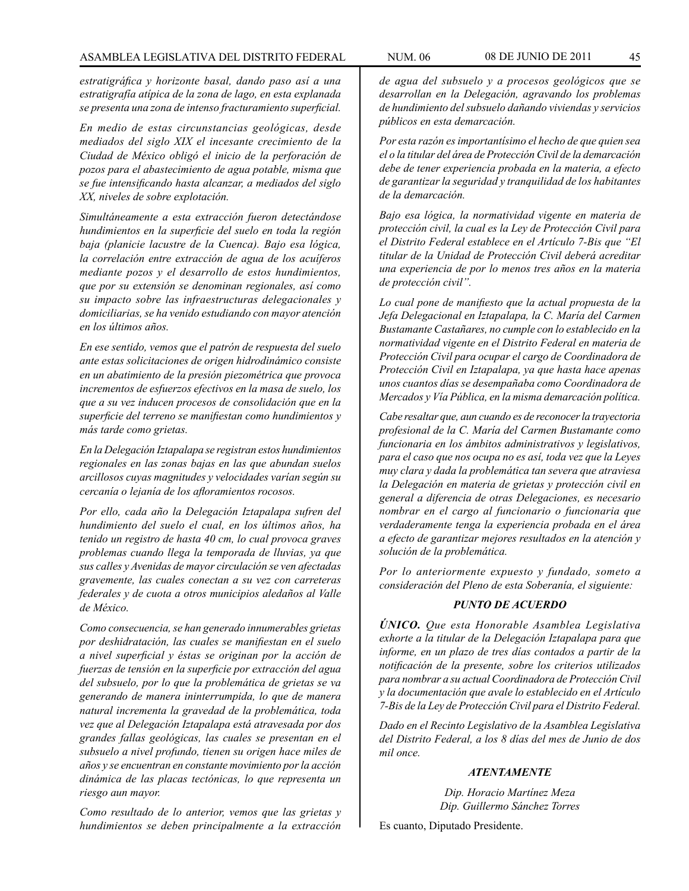*estratigráfica y horizonte basal, dando paso así a una estratigrafía atípica de la zona de lago, en esta explanada se presenta una zona de intenso fracturamiento superficial.*

*En medio de estas circunstancias geológicas, desde mediados del siglo XIX el incesante crecimiento de la Ciudad de México obligó el inicio de la perforación de pozos para el abastecimiento de agua potable, misma que se fue intensificando hasta alcanzar, a mediados del siglo XX, niveles de sobre explotación.*

*Simultáneamente a esta extracción fueron detectándose hundimientos en la superficie del suelo en toda la región baja (planicie lacustre de la Cuenca). Bajo esa lógica, la correlación entre extracción de agua de los acuíferos mediante pozos y el desarrollo de estos hundimientos, que por su extensión se denominan regionales, así como su impacto sobre las infraestructuras delegacionales y domiciliarias, se ha venido estudiando con mayor atención en los últimos años.*

*En ese sentido, vemos que el patrón de respuesta del suelo ante estas solicitaciones de origen hidrodinámico consiste en un abatimiento de la presión piezométrica que provoca incrementos de esfuerzos efectivos en la masa de suelo, los que a su vez inducen procesos de consolidación que en la superficie del terreno se manifiestan como hundimientos y más tarde como grietas.* 

*En la Delegación Iztapalapa se registran estos hundimientos regionales en las zonas bajas en las que abundan suelos arcillosos cuyas magnitudes y velocidades varían según su cercanía o lejanía de los afloramientos rocosos.* 

*Por ello, cada año la Delegación Iztapalapa sufren del hundimiento del suelo el cual, en los últimos años, ha tenido un registro de hasta 40 cm, lo cual provoca graves problemas cuando llega la temporada de lluvias, ya que sus calles y Avenidas de mayor circulación se ven afectadas gravemente, las cuales conectan a su vez con carreteras federales y de cuota a otros municipios aledaños al Valle de México.*

*Como consecuencia, se han generado innumerables grietas por deshidratación, las cuales se manifiestan en el suelo a nivel superficial y éstas se originan por la acción de fuerzas de tensión en la superficie por extracción del agua del subsuelo, por lo que la problemática de grietas se va generando de manera ininterrumpida, lo que de manera natural incrementa la gravedad de la problemática, toda vez que al Delegación Iztapalapa está atravesada por dos grandes fallas geológicas, las cuales se presentan en el subsuelo a nivel profundo, tienen su origen hace miles de años y se encuentran en constante movimiento por la acción dinámica de las placas tectónicas, lo que representa un riesgo aun mayor.*

*Como resultado de lo anterior, vemos que las grietas y hundimientos se deben principalmente a la extracción*  *de agua del subsuelo y a procesos geológicos que se desarrollan en la Delegación, agravando los problemas de hundimiento del subsuelo dañando viviendas y servicios públicos en esta demarcación.*

*Por esta razón es importantísimo el hecho de que quien sea el o la titular del área de Protección Civil de la demarcación debe de tener experiencia probada en la materia, a efecto de garantizar la seguridad y tranquilidad de los habitantes de la demarcación.*

*Bajo esa lógica, la normatividad vigente en materia de protección civil, la cual es la Ley de Protección Civil para el Distrito Federal establece en el Artículo 7-Bis que "El titular de la Unidad de Protección Civil deberá acreditar una experiencia de por lo menos tres años en la materia de protección civil".*

*Lo cual pone de manifiesto que la actual propuesta de la Jefa Delegacional en Iztapalapa, la C. María del Carmen Bustamante Castañares, no cumple con lo establecido en la normatividad vigente en el Distrito Federal en materia de Protección Civil para ocupar el cargo de Coordinadora de Protección Civil en Iztapalapa, ya que hasta hace apenas unos cuantos días se desempañaba como Coordinadora de Mercados y Vía Pública, en la misma demarcación política.*

*Cabe resaltar que, aun cuando es de reconocer la trayectoria profesional de la C. María del Carmen Bustamante como funcionaria en los ámbitos administrativos y legislativos, para el caso que nos ocupa no es así, toda vez que la Leyes muy clara y dada la problemática tan severa que atraviesa la Delegación en materia de grietas y protección civil en general a diferencia de otras Delegaciones, es necesario nombrar en el cargo al funcionario o funcionaria que verdaderamente tenga la experiencia probada en el área a efecto de garantizar mejores resultados en la atención y solución de la problemática.*

*Por lo anteriormente expuesto y fundado, someto a consideración del Pleno de esta Soberanía, el siguiente:*

# *PUNTO DE ACUERDO*

*ÚNICO. Que esta Honorable Asamblea Legislativa exhorte a la titular de la Delegación Iztapalapa para que informe, en un plazo de tres días contados a partir de la notificación de la presente, sobre los criterios utilizados para nombrar a su actual Coordinadora de Protección Civil y la documentación que avale lo establecido en el Artículo 7-Bis de la Ley de Protección Civil para el Distrito Federal.*

*Dado en el Recinto Legislativo de la Asamblea Legislativa del Distrito Federal, a los 8 días del mes de Junio de dos mil once.*

# *ATENTAMENTE*

*Dip. Horacio Martínez Meza Dip. Guillermo Sánchez Torres*

Es cuanto, Diputado Presidente.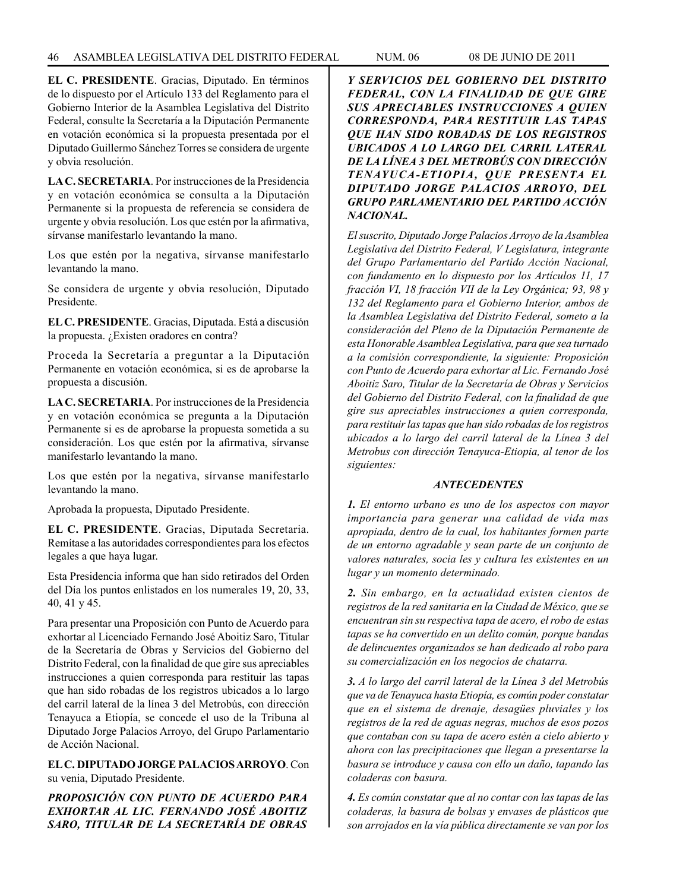**EL C. PRESIDENTE**. Gracias, Diputado. En términos de lo dispuesto por el Artículo 133 del Reglamento para el Gobierno Interior de la Asamblea Legislativa del Distrito Federal, consulte la Secretaría a la Diputación Permanente en votación económica si la propuesta presentada por el Diputado Guillermo Sánchez Torres se considera de urgente y obvia resolución.

**LA C. SECRETARIA**. Por instrucciones de la Presidencia y en votación económica se consulta a la Diputación Permanente si la propuesta de referencia se considera de urgente y obvia resolución. Los que estén por la afirmativa, sírvanse manifestarlo levantando la mano.

Los que estén por la negativa, sírvanse manifestarlo levantando la mano.

Se considera de urgente y obvia resolución, Diputado Presidente.

**EL C. PRESIDENTE**. Gracias, Diputada. Está a discusión la propuesta. ¿Existen oradores en contra?

Proceda la Secretaría a preguntar a la Diputación Permanente en votación económica, si es de aprobarse la propuesta a discusión.

**LA C. SECRETARIA**. Por instrucciones de la Presidencia y en votación económica se pregunta a la Diputación Permanente si es de aprobarse la propuesta sometida a su consideración. Los que estén por la afirmativa, sírvanse manifestarlo levantando la mano.

Los que estén por la negativa, sírvanse manifestarlo levantando la mano.

Aprobada la propuesta, Diputado Presidente.

**EL C. PRESIDENTE**. Gracias, Diputada Secretaria. Remítase a las autoridades correspondientes para los efectos legales a que haya lugar.

Esta Presidencia informa que han sido retirados del Orden del Día los puntos enlistados en los numerales 19, 20, 33, 40, 41 y 45.

Para presentar una Proposición con Punto de Acuerdo para exhortar al Licenciado Fernando José Aboitiz Saro, Titular de la Secretaría de Obras y Servicios del Gobierno del Distrito Federal, con la finalidad de que gire sus apreciables instrucciones a quien corresponda para restituir las tapas que han sido robadas de los registros ubicados a lo largo del carril lateral de la línea 3 del Metrobús, con dirección Tenayuca a Etiopía, se concede el uso de la Tribuna al Diputado Jorge Palacios Arroyo, del Grupo Parlamentario de Acción Nacional.

**EL C. DIPUTADO JORGE PALACIOS ARROYO**. Con su venia, Diputado Presidente.

*PROPOSICIÓN CON PUNTO DE ACUERDO PARA EXHORTAR AL LIC. FERNANDO JOSÉ ABOITIZ SARO, TITULAR DE LA SECRETARÍA DE OBRAS* 

*Y SERVICIOS DEL GOBIERNO DEL DISTRITO FEDERAL, CON LA FINALIDAD DE QUE GIRE SUS APRECIABLES INSTRUCCIONES A QUIEN CORRESPONDA, PARA RESTITUIR LAS TAPAS QUE HAN SIDO ROBADAS DE LOS REGISTROS UBICADOS A LO LARGO DEL CARRIL LATERAL DE LA LÍNEA 3 DEL METROBÚS CON DIRECCIÓN TENAYUCA-ETIOPIA, QUE PRESENTA EL DIPUTADO JORGE PALACIOS ARROYO, DEL GRUPO PARLAMENTARIO DEL PARTIDO ACCIÓN NACIONAL.*

*El suscrito, Diputado Jorge Palacios Arroyo de la Asamblea Legislativa del Distrito Federal, V Legislatura, integrante del Grupo Parlamentario del Partido Acción Nacional, con fundamento en lo dispuesto por los Artículos 11, 17 fracción VI, 18 fracción VII de la Ley Orgánica; 93, 98 y 132 del Reglamento para el Gobierno Interior, ambos de la Asamblea Legislativa del Distrito Federal, someto a la consideración del Pleno de la Diputación Permanente de esta Honorable Asamblea Legislativa, para que sea turnado a la comisión correspondiente, la siguiente: Proposición con Punto de Acuerdo para exhortar al Lic. Fernando José Aboitiz Saro, Titular de la Secretaría de Obras y Servicios del Gobierno del Distrito Federal, con la finalidad de que gire sus apreciables instrucciones a quien corresponda, para restituir las tapas que han sido robadas de los registros ubicados a lo largo del carril lateral de la Línea 3 del Metrobus con dirección Tenayuca-Etiopia, al tenor de los siguientes:*

# *ANTECEDENTES*

*1. El entorno urbano es uno de los aspectos con mayor importancia para generar una calidad de vida mas apropiada, dentro de la cual, los habitantes formen parte de un entorno agradable y sean parte de un conjunto de valores naturales, socia les y cuItura les existentes en un lugar y un momento determinado.*

*2. Sin embargo, en la actualidad existen cientos de registros de la red sanitaria en la Ciudad de México, que se encuentran sin su respectiva tapa de acero, el robo de estas tapas se ha convertido en un delito común, porque bandas de delincuentes organizados se han dedicado al robo para su comercialización en los negocios de chatarra.*

*3. A lo largo del carril lateral de la Línea 3 del Metrobús que va de Tenayuca hasta Etiopía, es común poder constatar que en el sistema de drenaje, desagües pluviales y los registros de la red de aguas negras, muchos de esos pozos que contaban con su tapa de acero estén a cielo abierto y ahora con las precipitaciones que llegan a presentarse la basura se introduce y causa con ello un daño, tapando las coladeras con basura.*

*4. Es común constatar que al no contar con las tapas de las coladeras, la basura de bolsas y envases de plásticos que son arrojados en la vía pública directamente se van por los*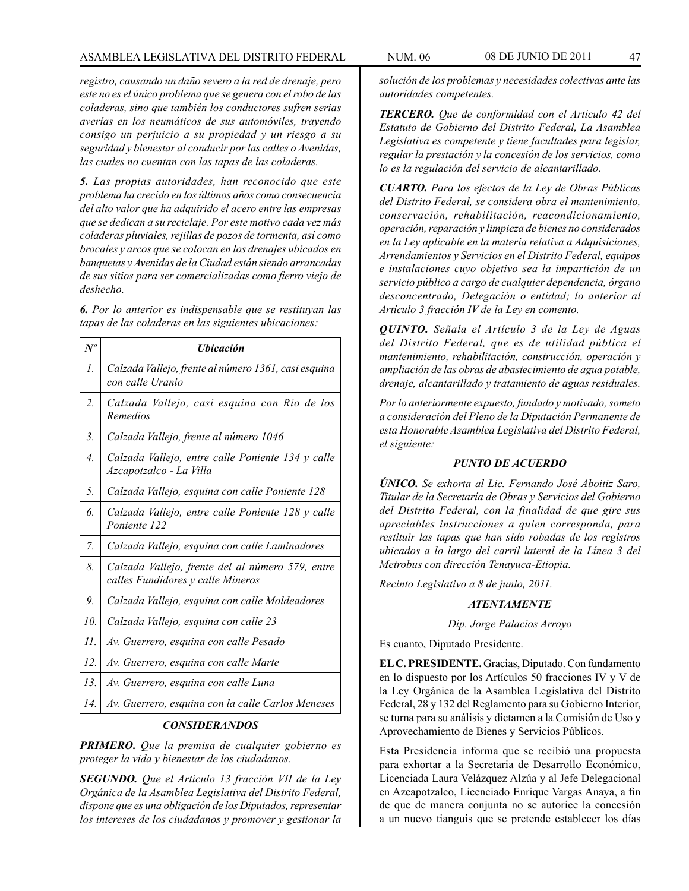*registro, causando un daño severo a la red de drenaje, pero este no es el único problema que se genera con el robo de las coladeras, sino que también los conductores sufren serias averías en los neumáticos de sus automóviles, trayendo consigo un perjuicio a su propiedad y un riesgo a su seguridad y bienestar al conducir por las calles o Avenidas, las cuales no cuentan con las tapas de las coladeras.*

*5. Las propias autoridades, han reconocido que este problema ha crecido en los últimos años como consecuencia del alto valor que ha adquirido el acero entre las empresas que se dedican a su reciclaje. Por este motivo cada vez más coladeras pluviales, rejillas de pozos de tormenta, así como brocales y arcos que se colocan en los drenajes ubicados en banquetas y Avenidas de la Ciudad están siendo arrancadas de sus sitios para ser comercializadas como fierro viejo de deshecho.*

*6. Por lo anterior es indispensable que se restituyan las tapas de las coladeras en las siguientes ubicaciones:*

| $N^o$            | <i><b>Ubicación</b></i>                                                               |
|------------------|---------------------------------------------------------------------------------------|
| $\mathcal{I}$ .  | Calzada Vallejo, frente al número 1361, casi esquina<br>con calle Uranio              |
| 2.               | Calzada Vallejo, casi esquina con Río de los<br>Remedios                              |
| 3.               | Calzada Vallejo, frente al número 1046                                                |
| $\overline{4}$ . | Calzada Vallejo, entre calle Poniente 134 y calle<br>Azcapotzalco - La Villa          |
| 5.               | Calzada Vallejo, esquina con calle Poniente 128                                       |
| б.               | Calzada Vallejo, entre calle Poniente 128 y calle<br>Poniente 122                     |
| 7.               | Calzada Vallejo, esquina con calle Laminadores                                        |
| 8.               | Calzada Vallejo, frente del al número 579, entre<br>calles Fundidores y calle Mineros |
| 9.               | Calzada Vallejo, esquina con calle Moldeadores                                        |
| 10.              | Calzada Vallejo, esquina con calle 23                                                 |
| II.              | Av. Guerrero, esquina con calle Pesado                                                |
| 12.              | Av. Guerrero, esquina con calle Marte                                                 |
| 13.              | Av. Guerrero, esquina con calle Luna                                                  |
| 14.              | Av. Guerrero, esquina con la calle Carlos Meneses                                     |

# *CONSIDERANDOS*

*PRIMERO. Que la premisa de cualquier gobierno es proteger la vida y bienestar de los ciudadanos.*

*SEGUNDO. Que el Artículo 13 fracción VII de la Ley Orgánica de la Asamblea Legislativa del Distrito Federal, dispone que es una obligación de los Diputados, representar los intereses de los ciudadanos y promover y gestionar la* 

*solución de los problemas y necesidades colectivas ante las autoridades competentes.*

*TERCERO. Que de conformidad con el Artículo 42 del Estatuto de Gobierno del Distrito Federal, La Asamblea Legislativa es competente y tiene facultades para legislar, regular la prestación y la concesión de los servicios, como lo es la regulación del servicio de alcantarillado.*

*CUARTO. Para los efectos de la Ley de Obras Públicas del Distrito Federal, se considera obra el mantenimiento, conservación, rehabilitación, reacondicionamiento, operación, reparación y limpieza de bienes no considerados en la Ley aplicable en la materia relativa a Adquisiciones, Arrendamientos y Servicios en el Distrito Federal, equipos e instalaciones cuyo objetivo sea la impartición de un servicio público a cargo de cualquier dependencia, órgano desconcentrado, Delegación o entidad; lo anterior al Artículo 3 fracción IV de la Ley en comento.*

*QUINTO. Señala el Artículo 3 de la Ley de Aguas del Distrito Federal, que es de utilidad pública el mantenimiento, rehabilitación, construcción, operación y ampliación de las obras de abastecimiento de agua potable, drenaje, alcantarillado y tratamiento de aguas residuales.*

*Por lo anteriormente expuesto, fundado y motivado, someto a consideración del Pleno de la Diputación Permanente de esta Honorable Asamblea Legislativa del Distrito Federal, el siguiente:*

# *PUNTO DE ACUERDO*

*ÚNICO. Se exhorta al Lic. Fernando José Aboitiz Saro, Titular de la Secretaría de Obras y Servicios del Gobierno del Distrito Federal, con la finalidad de que gire sus apreciables instrucciones a quien corresponda, para restituir las tapas que han sido robadas de los registros ubicados a lo largo del carril lateral de la Línea 3 del Metrobus con dirección Tenayuca-Etiopia.*

*Recinto Legislativo a 8 de junio, 2011.*

# *ATENTAMENTE*

*Dip. Jorge Palacios Arroyo*

Es cuanto, Diputado Presidente.

**EL C. PRESIDENTE.** Gracias, Diputado. Con fundamento en lo dispuesto por los Artículos 50 fracciones IV y V de la Ley Orgánica de la Asamblea Legislativa del Distrito Federal, 28 y 132 del Reglamento para su Gobierno Interior, se turna para su análisis y dictamen a la Comisión de Uso y Aprovechamiento de Bienes y Servicios Públicos.

Esta Presidencia informa que se recibió una propuesta para exhortar a la Secretaria de Desarrollo Económico, Licenciada Laura Velázquez Alzúa y al Jefe Delegacional en Azcapotzalco, Licenciado Enrique Vargas Anaya, a fin de que de manera conjunta no se autorice la concesión a un nuevo tianguis que se pretende establecer los días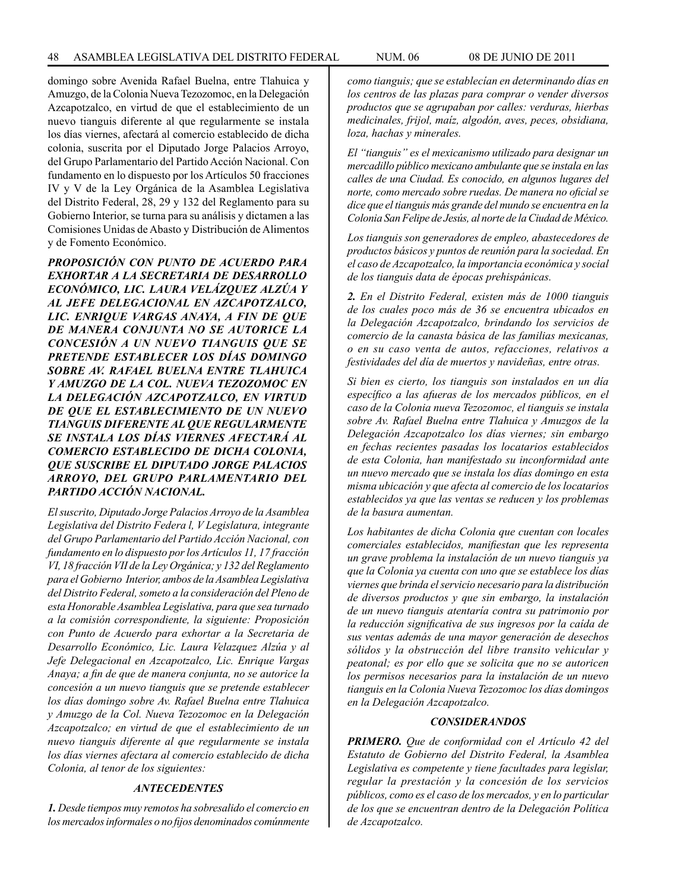domingo sobre Avenida Rafael Buelna, entre Tlahuica y Amuzgo, de la Colonia Nueva Tezozomoc, en la Delegación Azcapotzalco, en virtud de que el establecimiento de un nuevo tianguis diferente al que regularmente se instala los días viernes, afectará al comercio establecido de dicha colonia, suscrita por el Diputado Jorge Palacios Arroyo, del Grupo Parlamentario del Partido Acción Nacional. Con fundamento en lo dispuesto por los Artículos 50 fracciones IV y V de la Ley Orgánica de la Asamblea Legislativa del Distrito Federal, 28, 29 y 132 del Reglamento para su Gobierno Interior, se turna para su análisis y dictamen a las Comisiones Unidas de Abasto y Distribución de Alimentos y de Fomento Económico.

*PROPOSICIÓN CON PUNTO DE ACUERDO PARA EXHORTAR A LA SECRETARIA DE DESARROLLO ECONÓMICO, LIC. LAURA VELÁZQUEZ ALZÚA Y AL JEFE DELEGACIONAL EN AZCAPOTZALCO, LIC. ENRIQUE VARGAS ANAYA, A FIN DE QUE DE MANERA CONJUNTA NO SE AUTORICE LA CONCESIÓN A UN NUEVO TIANGUIS QUE SE PRETENDE ESTABLECER LOS DÍAS DOMINGO SOBRE AV. RAFAEL BUELNA ENTRE TLAHUICA Y AMUZGO DE LA COL. NUEVA TEZOZOMOC EN LA DELEGACIÓN AZCAPOTZALCO, EN VIRTUD DE QUE EL ESTABLECIMIENTO DE UN NUEVO TIANGUIS DIFERENTE AL QUE REGULARMENTE SE INSTALA LOS DÍAS VIERNES AFECTARÁ AL COMERCIO ESTABLECIDO DE DICHA COLONIA, QUE SUSCRIBE EL DIPUTADO JORGE PALACIOS ARROYO, DEL GRUPO PARLAMENTARIO DEL PARTIDO ACCIÓN NACIONAL.*

*El suscrito, Diputado Jorge Palacios Arroyo de la Asamblea Legislativa del Distrito Federa l, V Legislatura, integrante del Grupo Parlamentario del Partido Acción Nacional, con fundamento en lo dispuesto por los Artículos 11, 17 fracción VI, 18 fracción VII de la Ley Orgánica; y 132 del Reglamento para el Gobierno Interior, ambos de la Asamblea Legislativa del Distrito Federal, someto a la consideración del Pleno de esta Honorable Asamblea Legislativa, para que sea turnado a la comisión correspondiente, la siguiente: Proposición con Punto de Acuerdo para exhortar a la Secretaria de Desarrollo Económico, Lic. Laura Velazquez Alzúa y al Jefe Delegacional en Azcapotzalco, Lic. Enrique Vargas Anaya; a fin de que de manera conjunta, no se autorice la concesión a un nuevo tianguis que se pretende establecer los días domingo sobre Av. Rafael Buelna entre Tlahuica y Amuzgo de la Col. Nueva Tezozomoc en la Delegación Azcapotzalco; en virtud de que el establecimiento de un nuevo tianguis diferente al que regularmente se instala los días viernes afectara al comercio establecido de dicha Colonia, al tenor de los siguientes:*

# *ANTECEDENTES*

*1. Desde tiempos muy remotos ha sobresalido el comercio en los mercados informales o no fijos denominados comúnmente* 

*como tianguis; que se establecían en determinando días en los centros de las plazas para comprar o vender diversos productos que se agrupaban por calles: verduras, hierbas medicinales, frijol, maíz, algodón, aves, peces, obsidiana, loza, hachas y minerales.*

*El "tianguis" es el mexicanismo utilizado para designar un mercadillo público mexicano ambulante que se instala en las calles de una Ciudad. Es conocido, en algunos lugares del norte, como mercado sobre ruedas. De manera no oficial se dice que el tianguis más grande del mundo se encuentra en la Colonia San Felipe de Jesús, al norte de la Ciudad de México.*

*Los tianguis son generadores de empleo, abastecedores de productos básicos y puntos de reunión para la sociedad. En el caso de Azcapotzalco, la importancia económica y social de los tianguis data de épocas prehispánicas.*

*2. En el Distrito Federal, existen más de 1000 tianguis de los cuales poco más de 36 se encuentra ubicados en la Delegación Azcapotzalco, brindando los servicios de comercio de la canasta básica de las familias mexicanas, o en su caso venta de autos, refacciones, relativos a festividades del día de muertos y navideñas, entre otras.*

*Si bien es cierto, los tianguis son instalados en un día específico a las afueras de los mercados públicos, en el caso de la Colonia nueva Tezozomoc, el tianguis se instala sobre Av. Rafael Buelna entre Tlahuica y Amuzgos de la Delegación Azcapotzalco los días viernes; sin embargo en fechas recientes pasadas los locatarios establecidos de esta Colonia, han manifestado su inconformidad ante un nuevo mercado que se instala los días domingo en esta misma ubicación y que afecta al comercio de los locatarios establecidos ya que las ventas se reducen y los problemas de la basura aumentan.*

*Los habitantes de dicha Colonia que cuentan con locales comerciales establecidos, manifiestan que les representa un grave problema la instalación de un nuevo tianguis ya que la Colonia ya cuenta con uno que se establece los días viernes que brinda el servicio necesario para la distribución de diversos productos y que sin embargo, la instalación de un nuevo tianguis atentaría contra su patrimonio por la reducción significativa de sus ingresos por la caída de sus ventas además de una mayor generación de desechos sólidos y la obstrucción del libre transito vehicular y peatonal; es por ello que se solicita que no se autoricen los permisos necesarios para la instalación de un nuevo tianguis en la Colonia Nueva Tezozomoc los días domingos en la Delegación Azcapotzalco.*

#### *CONSIDERANDOS*

*PRIMERO. Que de conformidad con el Artículo 42 del Estatuto de Gobierno del Distrito Federal, la Asamblea Legislativa es competente y tiene facultades para legislar, regular la prestación y la concesión de los servicios públicos, como es el caso de los mercados, y en lo particular de los que se encuentran dentro de la Delegación Política de Azcapotzalco.*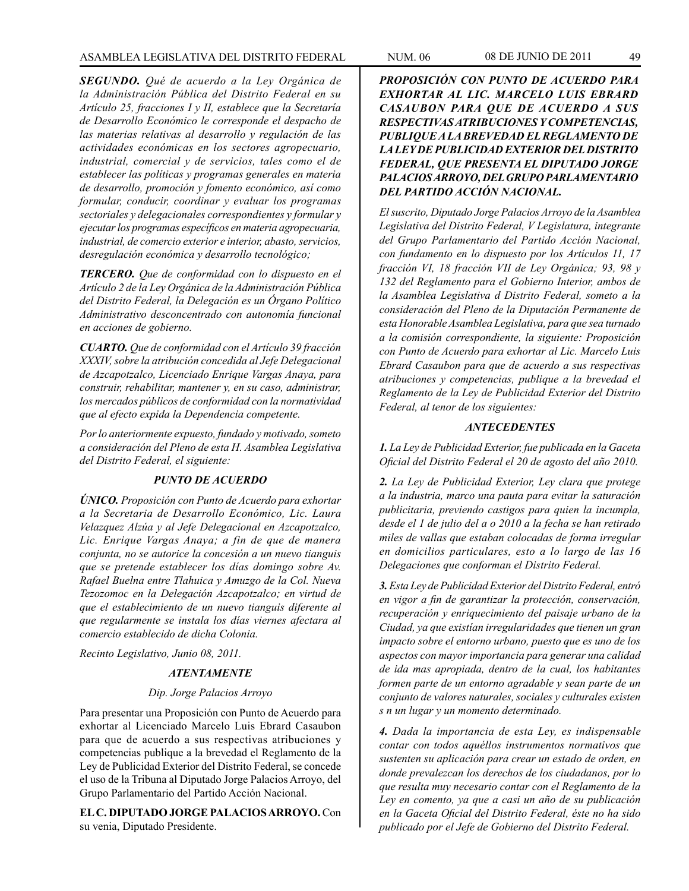*SEGUNDO. Qué de acuerdo a la Ley Orgánica de la Administración Pública del Distrito Federal en su Artículo 25, fracciones I y II, establece que la Secretaría de Desarrollo Económico le corresponde el despacho de las materias relativas al desarrollo y regulación de las actividades económicas en los sectores agropecuario, industrial, comercial y de servicios, tales como el de establecer las políticas y programas generales en materia de desarrollo, promoción y fomento económico, así como formular, conducir, coordinar y evaluar los programas sectoriales y delegacionales correspondientes y formular y ejecutar los programas específicos en materia agropecuaria, industrial, de comercio exterior e interior, abasto, servicios, desregulación económica y desarrollo tecnológico;*

*TERCERO. Que de conformidad con lo dispuesto en el Artículo 2 de la Ley Orgánica de la Administración Pública del Distrito Federal, la Delegación es un Órgano Político Administrativo desconcentrado con autonomía funcional en acciones de gobierno.*

*CUARTO. Que de conformidad con el Artículo 39 fracción XXXIV, sobre la atribución concedida al Jefe Delegacional de Azcapotzalco, Licenciado Enrique Vargas Anaya, para construir, rehabilitar, mantener y, en su caso, administrar, los mercados públicos de conformidad con la normatividad que al efecto expida la Dependencia competente.*

*Por lo anteriormente expuesto, fundado y motivado, someto a consideración del Pleno de esta H. Asamblea Legislativa del Distrito Federal, el siguiente:*

# *PUNTO DE ACUERDO*

*ÚNICO. Proposición con Punto de Acuerdo para exhortar a la Secretaria de Desarrollo Económico, Lic. Laura Velazquez Alzúa y al Jefe Delegacional en Azcapotzalco, Lic. Enrique Vargas Anaya; a fin de que de manera conjunta, no se autorice la concesión a un nuevo tianguis que se pretende establecer los días domingo sobre Av. Rafael Buelna entre Tlahuica y Amuzgo de la Col. Nueva Tezozomoc en la Delegación Azcapotzalco; en virtud de que el establecimiento de un nuevo tianguis diferente al que regularmente se instala los días viernes afectara al comercio establecido de dicha Colonia.*

*Recinto Legislativo, Junio 08, 2011.*

#### *ATENTAMENTE*

# *Dip. Jorge Palacios Arroyo*

Para presentar una Proposición con Punto de Acuerdo para exhortar al Licenciado Marcelo Luis Ebrard Casaubon para que de acuerdo a sus respectivas atribuciones y competencias publique a la brevedad el Reglamento de la Ley de Publicidad Exterior del Distrito Federal, se concede el uso de la Tribuna al Diputado Jorge Palacios Arroyo, del Grupo Parlamentario del Partido Acción Nacional.

**EL C. DIPUTADO JORGE PALACIOS ARROYO.** Con su venia, Diputado Presidente.

*PROPOSICIÓN CON PUNTO DE ACUERDO PARA EXHORTAR AL LIC. MARCELO LUIS EBRARD CASAUBON PARA QUE DE ACUERDO A SUS RESPECTIVAS ATRIBUCIONES Y COMPETENCIAS, PUBLIQUE A LA BREVEDAD EL REGLAMENTO DE LA LEY DE PUBLICIDAD EXTERIOR DEL DISTRITO FEDERAL, QUE PRESENTA EL DIPUTADO JORGE PALACIOS ARROYO, DEL GRUPO PARLAMENTARIO DEL PARTIDO ACCIÓN NACIONAL.*

*El suscrito, Diputado Jorge Palacios Arroyo de la Asamblea Legislativa del Distrito Federal, V Legislatura, integrante del Grupo Parlamentario del Partido Acción Nacional, con fundamento en lo dispuesto por los Artículos 11, 17 fracción VI, 18 fracción VII de Ley Orgánica; 93, 98 y 132 del Reglamento para el Gobierno Interior, ambos de la Asamblea Legislativa d Distrito Federal, someto a la consideración del Pleno de la Diputación Permanente de esta Honorable Asamblea Legislativa, para que sea turnado a la comisión correspondiente, la siguiente: Proposición con Punto de Acuerdo para exhortar al Lic. Marcelo Luis Ebrard Casaubon para que de acuerdo a sus respectivas atribuciones y competencias, publique a la brevedad el Reglamento de la Ley de Publicidad Exterior del Distrito Federal, al tenor de los siguientes:*

#### *ANTECEDENTES*

*1. La Ley de Publicidad Exterior, fue publicada en la Gaceta Oficial del Distrito Federal el 20 de agosto del año 2010.*

*2. La Ley de Publicidad Exterior, Ley clara que protege a la industria, marco una pauta para evitar la saturación publicitaria, previendo castigos para quien la incumpla, desde el 1 de julio del a o 2010 a la fecha se han retirado miles de vallas que estaban colocadas de forma irregular en domicilios particulares, esto a lo largo de las 16 Delegaciones que conforman el Distrito Federal.*

*3. Esta Ley de Publicidad Exterior del Distrito Federal, entró en vigor a fin de garantizar la protección, conservación, recuperación y enriquecimiento del paisaje urbano de la Ciudad, ya que existían irregularidades que tienen un gran impacto sobre el entorno urbano, puesto que es uno de los aspectos con mayor importancia para generar una calidad de ida mas apropiada, dentro de la cual, los habitantes formen parte de un entorno agradable y sean parte de un conjunto de valores naturales, sociales y culturales existen s n un lugar y un momento determinado.*

*4. Dada la importancia de esta Ley, es indispensable contar con todos aquéllos instrumentos normativos que sustenten su aplicación para crear un estado de orden, en donde prevalezcan los derechos de los ciudadanos, por lo que resulta muy necesario contar con el Reglamento de la Ley en comento, ya que a casi un año de su publicación en la Gaceta Oficial del Distrito Federal, éste no ha sido publicado por el Jefe de Gobierno del Distrito Federal.*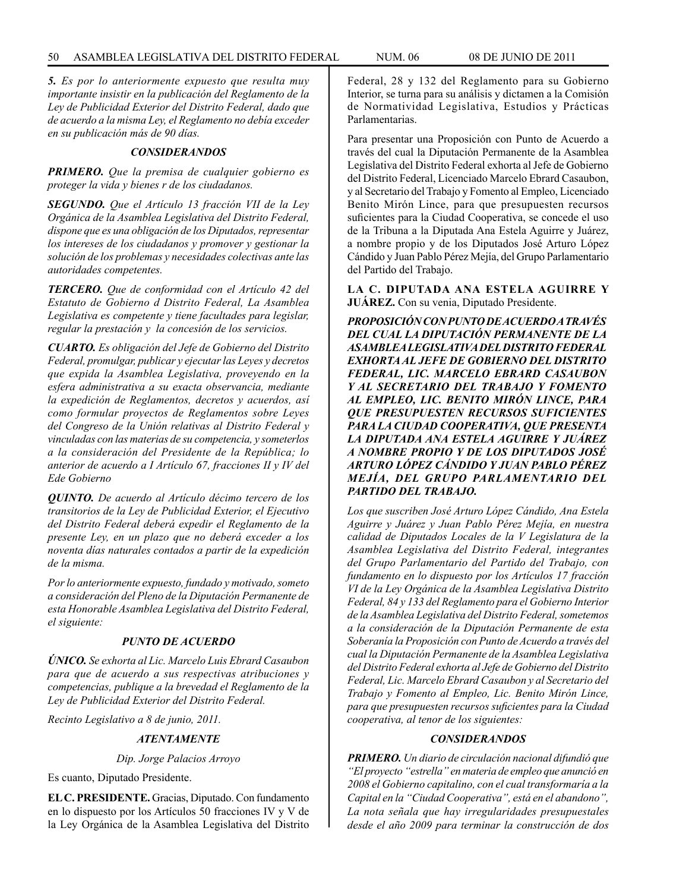*5. Es por lo anteriormente expuesto que resulta muy importante insistir en la publicación del Reglamento de la Ley de Publicidad Exterior del Distrito Federal, dado que de acuerdo a la misma Ley, el Reglamento no debía exceder en su publicación más de 90 días.* 

#### *CONSIDERANDOS*

*PRIMERO. Que la premisa de cualquier gobierno es proteger la vida y bienes r de los ciudadanos.*

*SEGUNDO. Que el Artículo 13 fracción VII de la Ley Orgánica de la Asamblea Legislativa del Distrito Federal, dispone que es una obligación de los Diputados, representar los intereses de los ciudadanos y promover y gestionar la solución de los problemas y necesidades colectivas ante las autoridades competentes.*

*TERCERO. Que de conformidad con el Artículo 42 del Estatuto de Gobierno d Distrito Federal, La Asamblea Legislativa es competente y tiene facultades para legislar, regular la prestación y la concesión de los servicios.*

*CUARTO. Es obligación del Jefe de Gobierno del Distrito Federal, promulgar, publicar y ejecutar las Leyes y decretos que expida la Asamblea Legislativa, proveyendo en la esfera administrativa a su exacta observancia, mediante la expedición de Reglamentos, decretos y acuerdos, así como formular proyectos de Reglamentos sobre Leyes del Congreso de la Unión relativas al Distrito Federal y vinculadas con las materias de su competencia, y someterlos a la consideración del Presidente de la República; lo anterior de acuerdo a I Artículo 67, fracciones II y IV del Ede Gobierno*

*QUINTO. De acuerdo al Artículo décimo tercero de los transitorios de la Ley de Publicidad Exterior, el Ejecutivo del Distrito Federal deberá expedir el Reglamento de la presente Ley, en un plazo que no deberá exceder a los noventa días naturales contados a partir de la expedición de la misma.*

*Por lo anteriormente expuesto, fundado y motivado, someto a consideración del Pleno de la Diputación Permanente de esta Honorable Asamblea Legislativa del Distrito Federal, el siguiente:*

#### *PUNTO DE ACUERDO*

*ÚNICO. Se exhorta al Lic. Marcelo Luis Ebrard Casaubon para que de acuerdo a sus respectivas atribuciones y competencias, publique a la brevedad el Reglamento de la Ley de Publicidad Exterior del Distrito Federal.*

*Recinto Legislativo a 8 de junio, 2011.*

#### *ATENTAMENTE*

*Dip. Jorge Palacios Arroyo*

Es cuanto, Diputado Presidente.

**EL C. PRESIDENTE.** Gracias, Diputado. Con fundamento en lo dispuesto por los Artículos 50 fracciones IV y V de la Ley Orgánica de la Asamblea Legislativa del Distrito Federal, 28 y 132 del Reglamento para su Gobierno Interior, se turna para su análisis y dictamen a la Comisión de Normatividad Legislativa, Estudios y Prácticas Parlamentarias.

Para presentar una Proposición con Punto de Acuerdo a través del cual la Diputación Permanente de la Asamblea Legislativa del Distrito Federal exhorta al Jefe de Gobierno del Distrito Federal, Licenciado Marcelo Ebrard Casaubon, y al Secretario del Trabajo y Fomento al Empleo, Licenciado Benito Mirón Lince, para que presupuesten recursos suficientes para la Ciudad Cooperativa, se concede el uso de la Tribuna a la Diputada Ana Estela Aguirre y Juárez, a nombre propio y de los Diputados José Arturo López Cándido y Juan Pablo Pérez Mejía, del Grupo Parlamentario del Partido del Trabajo.

**LA C. DIPUTADA ANA ESTELA AGUIRRE Y JUÁREZ.** Con su venia, Diputado Presidente.

*PROPOSICIÓN CON PUNTO DE ACUERDO A TRAVÉS DEL CUAL LA DIPUTACIÓN PERMANENTE DE LA ASAMBLEA LEGISLATIVA DEL DISTRITO FEDERAL EXHORTA AL JEFE DE GOBIERNO DEL DISTRITO FEDERAL, LIC. MARCELO EBRARD CASAUBON Y AL SECRETARIO DEL TRABAJO Y FOMENTO AL EMPLEO, LIC. BENITO MIRÓN LINCE, PARA QUE PRESUPUESTEN RECURSOS SUFICIENTES PARA LA CIUDAD COOPERATIVA, QUE PRESENTA LA DIPUTADA ANA ESTELA AGUIRRE Y JUÁREZ A NOMBRE PROPIO Y DE LOS DIPUTADOS JOSÉ ARTURO LÓPEZ CÁNDIDO Y JUAN PABLO PÉREZ MEJÍA, DEL GRUPO PARLAMENTARIO DEL PARTIDO DEL TRABAJO.*

*Los que suscriben José Arturo López Cándido, Ana Estela Aguirre y Juárez y Juan Pablo Pérez Mejía, en nuestra calidad de Diputados Locales de la V Legislatura de la Asamblea Legislativa del Distrito Federal, integrantes del Grupo Parlamentario del Partido del Trabajo, con fundamento en lo dispuesto por los Artículos 17 fracción VI de la Ley Orgánica de la Asamblea Legislativa Distrito Federal, 84 y 133 del Reglamento para el Gobierno Interior de la Asamblea Legislativa del Distrito Federal, sometemos a la consideración de la Diputación Permanente de esta Soberanía la Proposición con Punto de Acuerdo a través del cual la Diputación Permanente de la Asamblea Legislativa del Distrito Federal exhorta al Jefe de Gobierno del Distrito Federal, Lic. Marcelo Ebrard Casaubon y al Secretario del Trabajo y Fomento al Empleo, Lic. Benito Mirón Lince, para que presupuesten recursos suficientes para la Ciudad cooperativa, al tenor de los siguientes:*

#### *CONSIDERANDOS*

*PRIMERO. Un diario de circulación nacional difundió que "El proyecto "estrella" en materia de empleo que anunció en 2008 el Gobierno capitalino, con el cual transformaría a la Capital en la "Ciudad Cooperativa", está en el abandono", La nota señala que hay irregularidades presupuestales desde el año 2009 para terminar la construcción de dos*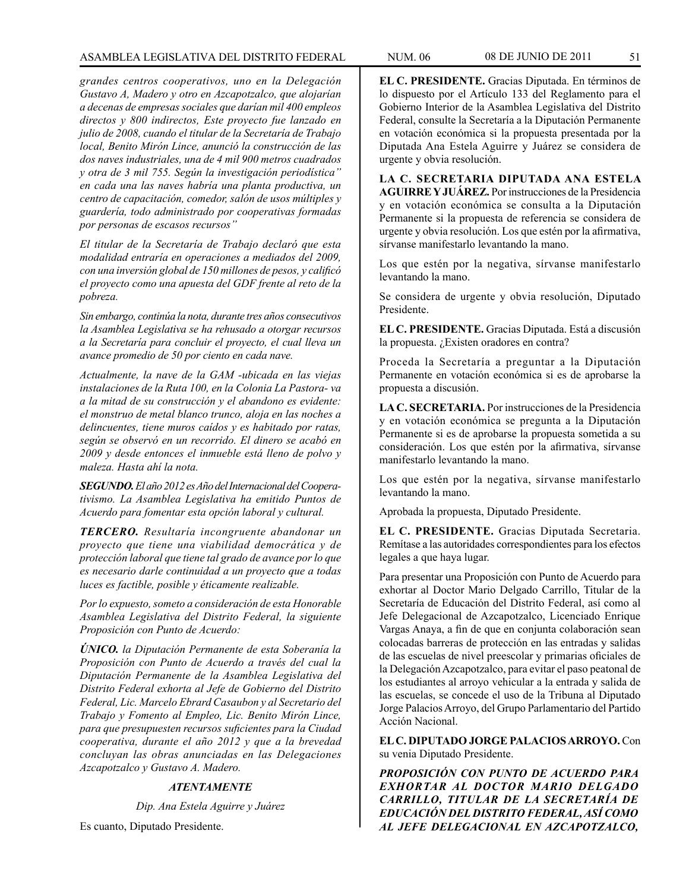# ASAMBLEA LEGISLATIVA DEL DISTRITO FEDERAL NUM. 06 08 de JUNIO de 2011 51

*grandes centros cooperativos, uno en la Delegación Gustavo A, Madero y otro en Azcapotzalco, que alojarían a decenas de empresas sociales que darían mil 400 empleos directos y 800 indirectos, Este proyecto fue lanzado en julio de 2008, cuando el titular de la Secretaría de Trabajo local, Benito Mirón Lince, anunció la construcción de las dos naves industriales, una de 4 mil 900 metros cuadrados y otra de 3 mil 755. Según la investigación periodística" en cada una las naves habría una planta productiva, un centro de capacitación, comedor, salón de usos múltiples y guardería, todo administrado por cooperativas formadas por personas de escasos recursos"*

*El titular de la Secretaría de Trabajo declaró que esta modalidad entraría en operaciones a mediados del 2009, con una inversión global de 150 millones de pesos, y calificó el proyecto como una apuesta del GDF frente al reto de la pobreza.*

*Sin embargo, continúa la nota, durante tres años consecutivos la Asamblea Legislativa se ha rehusado a otorgar recursos a la Secretaría para concluir el proyecto, el cual lleva un avance promedio de 50 por ciento en cada nave.*

*Actualmente, la nave de la GAM -ubicada en las viejas instalaciones de la Ruta 100, en la Colonia La Pastora- va a la mitad de su construcción y el abandono es evidente: el monstruo de metal blanco trunco, aloja en las noches a delincuentes, tiene muros caídos y es habitado por ratas, según se observó en un recorrido. El dinero se acabó en 2009 y desde entonces el inmueble está lleno de polvo y maleza. Hasta ahí la nota.*

*SEGUNDO. El año 2012 es Año del Internacional del Cooperativismo. La Asamblea Legislativa ha emitido Puntos de Acuerdo para fomentar esta opción laboral y cultural.*

*TERCERO. Resultaría incongruente abandonar un proyecto que tiene una viabilidad democrática y de protección laboral que tiene tal grado de avance por lo que es necesario darle continuidad a un proyecto que a todas luces es factible, posible y éticamente realizable.*

*Por lo expuesto, someto a consideración de esta Honorable Asamblea Legislativa del Distrito Federal, la siguiente Proposición con Punto de Acuerdo:*

*ÚNICO. la Diputación Permanente de esta Soberanía la Proposición con Punto de Acuerdo a través del cual la Diputación Permanente de la Asamblea Legislativa del Distrito Federal exhorta al Jefe de Gobierno del Distrito Federal, Lic. Marcelo Ebrard Casaubon y al Secretario del Trabajo y Fomento al Empleo, Lic. Benito Mirón Lince, para que presupuesten recursos suficientes para la Ciudad cooperativa, durante el año 2012 y que a la brevedad concluyan las obras anunciadas en las Delegaciones Azcapotzalco y Gustavo A. Madero.* 

# *ATENTAMENTE*

*Dip. Ana Estela Aguirre y Juárez*

Es cuanto, Diputado Presidente.

**EL C. PRESIDENTE.** Gracias Diputada. En términos de lo dispuesto por el Artículo 133 del Reglamento para el Gobierno Interior de la Asamblea Legislativa del Distrito Federal, consulte la Secretaría a la Diputación Permanente en votación económica si la propuesta presentada por la Diputada Ana Estela Aguirre y Juárez se considera de urgente y obvia resolución.

**LA C. SECRETARIA DIPUTADA ANA ESTELA AGUIRRE Y JUÁREZ.** Por instrucciones de la Presidencia y en votación económica se consulta a la Diputación Permanente si la propuesta de referencia se considera de urgente y obvia resolución. Los que estén por la afirmativa, sírvanse manifestarlo levantando la mano.

Los que estén por la negativa, sírvanse manifestarlo levantando la mano.

Se considera de urgente y obvia resolución, Diputado Presidente.

**EL C. PRESIDENTE.** Gracias Diputada. Está a discusión la propuesta. ¿Existen oradores en contra?

Proceda la Secretaría a preguntar a la Diputación Permanente en votación económica si es de aprobarse la propuesta a discusión.

**LA C. SECRETARIA.** Por instrucciones de la Presidencia y en votación económica se pregunta a la Diputación Permanente si es de aprobarse la propuesta sometida a su consideración. Los que estén por la afirmativa, sírvanse manifestarlo levantando la mano.

Los que estén por la negativa, sírvanse manifestarlo levantando la mano.

Aprobada la propuesta, Diputado Presidente.

**EL C. PRESIDENTE.** Gracias Diputada Secretaria. Remítase a las autoridades correspondientes para los efectos legales a que haya lugar.

Para presentar una Proposición con Punto de Acuerdo para exhortar al Doctor Mario Delgado Carrillo, Titular de la Secretaría de Educación del Distrito Federal, así como al Jefe Delegacional de Azcapotzalco, Licenciado Enrique Vargas Anaya, a fin de que en conjunta colaboración sean colocadas barreras de protección en las entradas y salidas de las escuelas de nivel preescolar y primarias oficiales de la Delegación Azcapotzalco, para evitar el paso peatonal de los estudiantes al arroyo vehicular a la entrada y salida de las escuelas, se concede el uso de la Tribuna al Diputado Jorge Palacios Arroyo, del Grupo Parlamentario del Partido Acción Nacional.

**EL C. DIPUTADO JORGE PALACIOS ARROYO.** Con su venia Diputado Presidente.

*PROPOSICIÓN CON PUNTO DE ACUERDO PARA EXHORTAR AL DOCTOR MARIO DELGADO CARRILLO, TITULAR DE LA SECRETARÍA DE EDUCACIÓN DEL DISTRITO FEDERAL, ASÍ COMO AL JEFE DELEGACIONAL EN AZCAPOTZALCO,*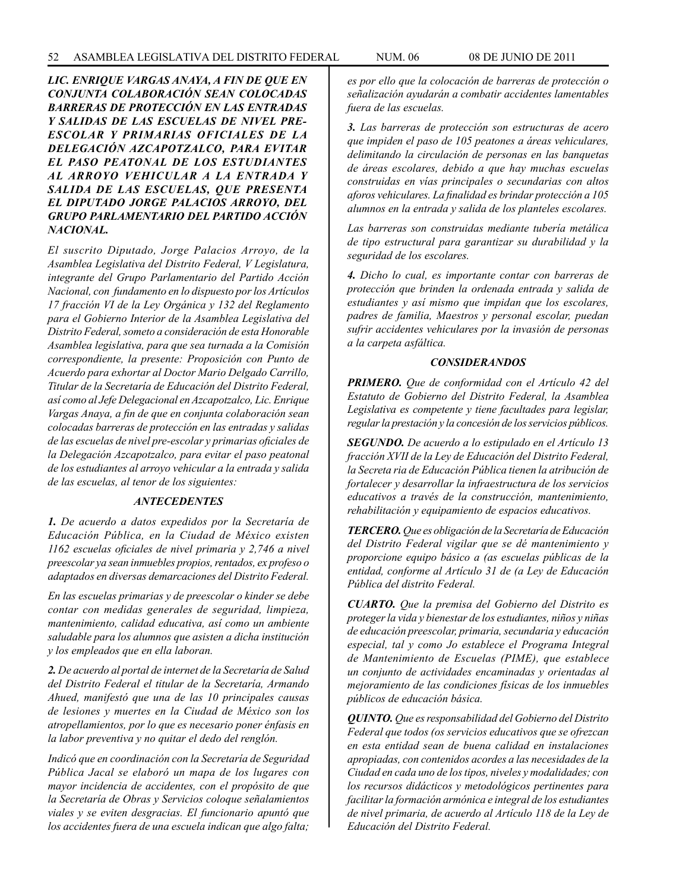*LIC. ENRIQUE VARGAS ANAYA, A FIN DE QUE EN CONJUNTA COLABORACIÓN SEAN COLOCADAS BARRERAS DE PROTECCIÓN EN LAS ENTRADAS Y SALIDAS DE LAS ESCUELAS DE NIVEL PRE-ESCOLAR Y PRIMARIAS OFICIALES DE LA DELEGACIÓN AZCAPOTZALCO, PARA EVITAR EL PASO PEATONAL DE LOS ESTUDIANTES AL ARROYO VEHICULAR A LA ENTRADA Y SALIDA DE LAS ESCUELAS, QUE PRESENTA EL DIPUTADO JORGE PALACIOS ARROYO, DEL GRUPO PARLAMENTARIO DEL PARTIDO ACCIÓN NACIONAL.*

*El suscrito Diputado, Jorge Palacios Arroyo, de la Asamblea Legislativa del Distrito Federal, V Legislatura, integrante del Grupo Parlamentario del Partido Acción Nacional, con fundamento en lo dispuesto por los Artículos 17 fracción VI de la Ley Orgánica y 132 del Reglamento para el Gobierno Interior de la Asamblea Legislativa del Distrito Federal, someto a consideración de esta Honorable Asamblea legislativa, para que sea turnada a la Comisión correspondiente, la presente: Proposición con Punto de Acuerdo para exhortar al Doctor Mario Delgado Carrillo, Titular de la Secretaría de Educación del Distrito Federal, así como al Jefe Delegacional en Azcapotzalco, Lic. Enrique Vargas Anaya, a fin de que en conjunta colaboración sean colocadas barreras de protección en las entradas y salidas de las escuelas de nivel pre-escolar y primarias oficiales de la Delegación Azcapotzalco, para evitar el paso peatonal de los estudiantes al arroyo vehicular a la entrada y salida de las escuelas, al tenor de los siguientes:*

#### *ANTECEDENTES*

*1. De acuerdo a datos expedidos por la Secretaría de Educación Pública, en la Ciudad de México existen 1162 escuelas oficiales de nivel primaria y 2,746 a nivel preescolar ya sean inmuebles propios, rentados, ex profeso o adaptados en diversas demarcaciones del Distrito Federal.*

*En las escuelas primarias y de preescolar o kinder se debe contar con medidas generales de seguridad, limpieza, mantenimiento, calidad educativa, así como un ambiente saludable para los alumnos que asisten a dicha institución y los empleados que en ella laboran.* 

*2. De acuerdo al portal de internet de la Secretaría de Salud del Distrito Federal el titular de la Secretaría, Armando Ahued, manifestó que una de las 10 principales causas de lesiones y muertes en la Ciudad de México son los atropellamientos, por lo que es necesario poner énfasis en la labor preventiva y no quitar el dedo del renglón.*

*Indicó que en coordinación con la Secretaría de Seguridad Pública Jacal se elaboró un mapa de los lugares con mayor incidencia de accidentes, con el propósito de que la Secretaría de Obras y Servicios coloque señalamientos viales y se eviten desgracias. El funcionario apuntó que los accidentes fuera de una escuela indican que algo falta;* 

*es por ello que la colocación de barreras de protección o señalización ayudarán a combatir accidentes lamentables fuera de las escuelas.* 

*3. Las barreras de protección son estructuras de acero que impiden el paso de 105 peatones a áreas vehiculares, delimitando la circulación de personas en las banquetas de áreas escolares, debido a que hay muchas escuelas construidas en vías principales o secundarias con altos aforos vehiculares. La finalidad es brindar protección a 105 alumnos en la entrada y salida de los planteles escolares.*

*Las barreras son construidas mediante tubería metálica de tipo estructural para garantizar su durabilidad y la seguridad de los escolares.*

*4. Dicho lo cual, es importante contar con barreras de protección que brinden la ordenada entrada y salida de estudiantes y así mismo que impidan que los escolares, padres de familia, Maestros y personal escolar, puedan sufrir accidentes vehiculares por la invasión de personas a la carpeta asfáltica.* 

#### *CONSIDERANDOS*

*PRIMERO. Que de conformidad con el Artículo 42 del Estatuto de Gobierno del Distrito Federal, la Asamblea Legislativa es competente y tiene facultades para legislar, regular la prestación y la concesión de los servicios públicos.* 

*SEGUNDO. De acuerdo a lo estipulado en el Artículo 13 fracción XVII de la Ley de Educación del Distrito Federal, la Secreta ria de Educación Pública tienen la atribución de fortalecer y desarrollar la infraestructura de los servicios educativos a través de la construcción, mantenimiento, rehabilitación y equipamiento de espacios educativos.* 

*TERCERO. Que es obligación de la Secretaría de Educación del Distrito Federal vigilar que se dé mantenimiento y proporcione equipo básico a (as escuelas públicas de la entidad, conforme al Artículo 31 de (a Ley de Educación Pública del distrito Federal.*

*CUARTO. Que la premisa del Gobierno del Distrito es proteger la vida y bienestar de los estudiantes, niños y niñas de educación preescolar, primaria, secundaria y educación especial, tal y como Jo establece el Programa Integral de Mantenimiento de Escuelas (PIME), que establece un conjunto de actividades encaminadas y orientadas al mejoramiento de las condiciones físicas de los inmuebles públicos de educación básica.* 

*QUINTO. Que es responsabilidad del Gobierno del Distrito Federal que todos (os servicios educativos que se ofrezcan en esta entidad sean de buena calidad en instalaciones apropiadas, con contenidos acordes a las necesidades de la Ciudad en cada uno de los tipos, niveles y modalidades; con los recursos didácticos y metodológicos pertinentes para facilitar la formación armónica e integral de los estudiantes de nivel primaria, de acuerdo al Artículo 118 de la Ley de Educación del Distrito Federal.*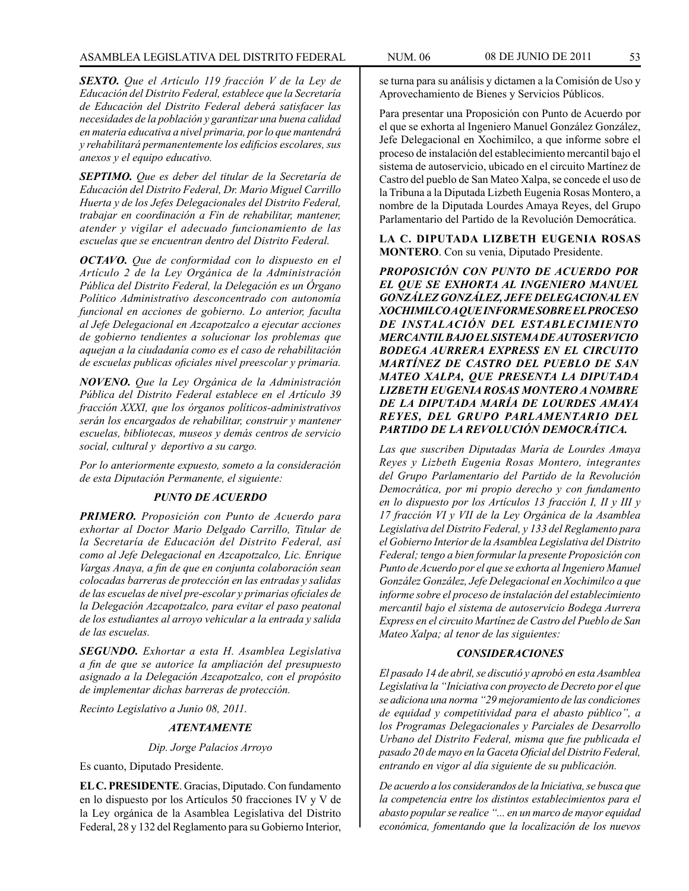*SEXTO. Que el Artículo 119 fracción V de la Ley de Educación del Distrito Federal, establece que la Secretaría de Educación del Distrito Federal deberá satisfacer las necesidades de la población y garantizar una buena calidad en materia educativa a nivel primaria, por lo que mantendrá y rehabilitará permanentemente los edificios escolares, sus anexos y el equipo educativo.*

*SEPTIMO. Que es deber del titular de la Secretaría de Educación del Distrito Federal, Dr. Mario Miguel Carrillo Huerta y de los Jefes Delegacionales del Distrito Federal, trabajar en coordinación a Fin de rehabilitar, mantener, atender y vigilar el adecuado funcionamiento de las escuelas que se encuentran dentro del Distrito Federal.* 

*OCTAVO. Que de conformidad con lo dispuesto en el Artículo 2 de la Ley Orgánica de la Administración Pública del Distrito Federal, la Delegación es un Órgano Político Administrativo desconcentrado con autonomía funcional en acciones de gobierno. Lo anterior, faculta al Jefe Delegacional en Azcapotzalco a ejecutar acciones de gobierno tendientes a solucionar los problemas que aquejan a la ciudadanía como es el caso de rehabilitación de escuelas publicas oficiales nivel preescolar y primaria.* 

*NOVENO. Que la Ley Orgánica de la Administración Pública del Distrito Federal establece en el Artículo 39 fracción XXXI, que los órganos políticos-administrativos serán los encargados de rehabilitar, construir y mantener escuelas, bibliotecas, museos y demás centros de servicio social, cultural y deportivo a su cargo.*

*Por lo anteriormente expuesto, someto a la consideración de esta Diputación Permanente, el siguiente:*

# *PUNTO DE ACUERDO*

*PRIMERO. Proposición con Punto de Acuerdo para exhortar al Doctor Mario Delgado Carrillo, Titular de la Secretaría de Educación del Distrito Federal, así como al Jefe Delegacional en Azcapotzalco, Lic. Enrique Vargas Anaya, a fin de que en conjunta colaboración sean colocadas barreras de protección en las entradas y salidas de las escuelas de nivel pre-escolar y primarias oficiales de la Delegación Azcapotzalco, para evitar el paso peatonal de los estudiantes al arroyo vehicular a la entrada y salida de las escuelas.*

*SEGUNDO. Exhortar a esta H. Asamblea Legislativa a fin de que se autorice la ampliación del presupuesto asignado a la Delegación Azcapotzalco, con el propósito de implementar dichas barreras de protección.* 

*Recinto Legislativo a Junio 08, 2011.*

#### *ATENTAMENTE*

*Dip. Jorge Palacios Arroyo*

Es cuanto, Diputado Presidente.

**EL C. PRESIDENTE**. Gracias, Diputado. Con fundamento en lo dispuesto por los Artículos 50 fracciones IV y V de la Ley orgánica de la Asamblea Legislativa del Distrito Federal, 28 y 132 del Reglamento para su Gobierno Interior, se turna para su análisis y dictamen a la Comisión de Uso y Aprovechamiento de Bienes y Servicios Públicos.

Para presentar una Proposición con Punto de Acuerdo por el que se exhorta al Ingeniero Manuel González González, Jefe Delegacional en Xochimilco, a que informe sobre el proceso de instalación del establecimiento mercantil bajo el sistema de autoservicio, ubicado en el circuito Martínez de Castro del pueblo de San Mateo Xalpa, se concede el uso de la Tribuna a la Diputada Lizbeth Eugenia Rosas Montero, a nombre de la Diputada Lourdes Amaya Reyes, del Grupo Parlamentario del Partido de la Revolución Democrática.

### **LA C. DIPUTADA LIZBETH EUGENIA ROSAS MONTERO**. Con su venia, Diputado Presidente.

*PROPOSICIÓN CON PUNTO DE ACUERDO POR EL QUE SE EXHORTA AL INGENIERO MANUEL GONZÁLEZ GONZÁLEZ, JEFE DELEGACIONAL EN XOCHIMILCO A QUE INFORME SOBRE EL PROCESO DE INSTALACIÓN DEL ESTABLECIMIENTO MERCANTIL BAJO EL SISTEMA DE AUTOSERVICIO BODEGA AURRERA EXPRESS EN EL CIRCUITO MARTÍNEZ DE CASTRO DEL PUEBLO DE SAN MATEO XALPA, QUE PRESENTA LA DIPUTADA LIZBETH EUGENIA ROSAS MONTERO A NOMBRE DE LA DIPUTADA MARÍA DE LOURDES AMAYA REYES, DEL GRUPO PARLAMENTARIO DEL PARTIDO DE LA REVOLUCIÓN DEMOCRÁTICA.*

*Las que suscriben Diputadas María de Lourdes Amaya Reyes y Lizbeth Eugenia Rosas Montero, integrantes del Grupo Parlamentario del Partido de la Revolución Democrática, por mi propio derecho y con fundamento en lo dispuesto por los Artículos 13 fracción I, II y III y 17 fracción VI y VII de la Ley Orgánica de la Asamblea Legislativa del Distrito Federal, y 133 del Reglamento para el Gobierno Interior de la Asamblea Legislativa del Distrito Federal; tengo a bien formular la presente Proposición con Punto de Acuerdo por el que se exhorta al Ingeniero Manuel González González, Jefe Delegacional en Xochimilco a que informe sobre el proceso de instalación del establecimiento mercantil bajo el sistema de autoservicio Bodega Aurrera Express en el circuito Martínez de Castro del Pueblo de San Mateo Xalpa; al tenor de las siguientes:*

#### *CONSIDERACIONES*

*El pasado 14 de abril, se discutió y aprobó en esta Asamblea Legislativa la "Iniciativa con proyecto de Decreto por el que se adiciona una norma "29 mejoramiento de las condiciones de equidad y competitividad para el abasto público", a los Programas Delegacionales y Parciales de Desarrollo Urbano del Distrito Federal, misma que fue publicada el pasado 20 de mayo en la Gaceta Oficial del Distrito Federal, entrando en vigor al día siguiente de su publicación.*

*De acuerdo a los considerandos de la Iniciativa, se busca que la competencia entre los distintos establecimientos para el abasto popular se realice "... en un marco de mayor equidad económica, fomentando que la localización de los nuevos*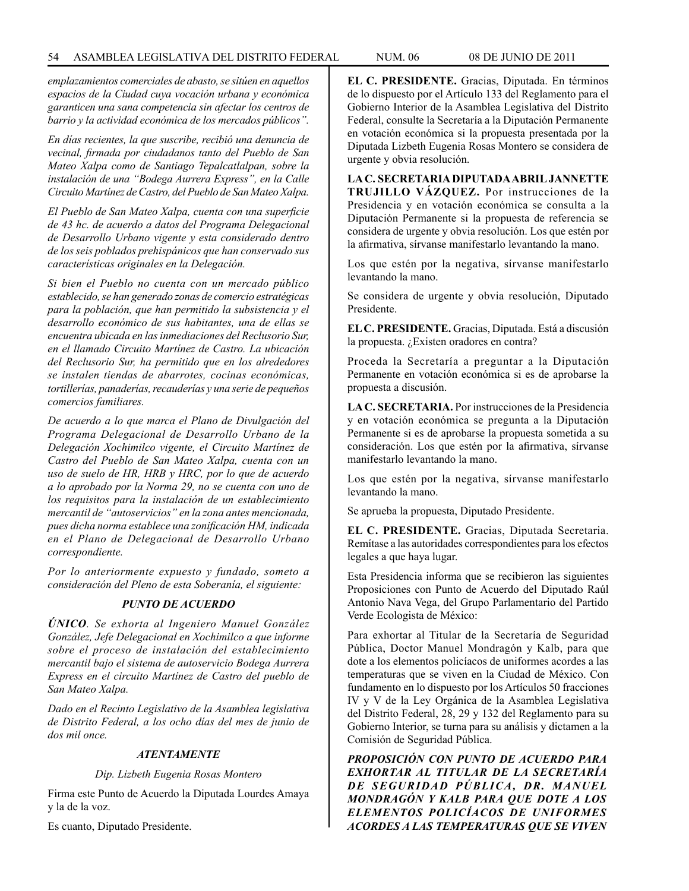*emplazamientos comerciales de abasto, se sitúen en aquellos espacios de la Ciudad cuya vocación urbana y económica garanticen una sana competencia sin afectar los centros de barrio y la actividad económica de los mercados públicos".* 

*En días recientes, la que suscribe, recibió una denuncia de vecinal, firmada por ciudadanos tanto del Pueblo de San Mateo Xalpa como de Santiago Tepalcatlalpan, sobre la instalación de una "Bodega Aurrera Express", en la Calle Circuito Martínez de Castro, del Pueblo de San Mateo Xalpa.*

*El Pueblo de San Mateo Xalpa, cuenta con una superficie de 43 hc. de acuerdo a datos del Programa Delegacional de Desarrollo Urbano vigente y esta considerado dentro de los seis poblados prehispánicos que han conservado sus características originales en la Delegación.*

*Si bien el Pueblo no cuenta con un mercado público establecido, se han generado zonas de comercio estratégicas para la población, que han permitido la subsistencia y el desarrollo económico de sus habitantes, una de ellas se encuentra ubicada en las inmediaciones del Reclusorio Sur, en el llamado Circuito Martínez de Castro. La ubicación del Reclusorio Sur, ha permitido que en los alrededores se instalen tiendas de abarrotes, cocinas económicas, tortillerías, panaderías, recauderías y una serie de pequeños comercios familiares.*

*De acuerdo a lo que marca el Plano de Divulgación del Programa Delegacional de Desarrollo Urbano de la Delegación Xochimilco vigente, el Circuito Martínez de Castro del Pueblo de San Mateo Xalpa, cuenta con un uso de suelo de HR, HRB y HRC, por lo que de acuerdo a lo aprobado por la Norma 29, no se cuenta con uno de los requisitos para la instalación de un establecimiento mercantil de "autoservicios" en la zona antes mencionada, pues dicha norma establece una zonificación HM, indicada en el Plano de Delegacional de Desarrollo Urbano correspondiente.* 

*Por lo anteriormente expuesto y fundado, someto a consideración del Pleno de esta Soberanía, el siguiente:*

#### *PUNTO DE ACUERDO*

*ÚNICO. Se exhorta al Ingeniero Manuel González González, Jefe Delegacional en Xochimilco a que informe sobre el proceso de instalación del establecimiento mercantil bajo el sistema de autoservicio Bodega Aurrera Express en el circuito Martínez de Castro del pueblo de San Mateo Xalpa.*

*Dado en el Recinto Legislativo de la Asamblea legislativa de Distrito Federal, a los ocho días del mes de junio de dos mil once.*

# *ATENTAMENTE*

*Dip. Lizbeth Eugenia Rosas Montero*

Firma este Punto de Acuerdo la Diputada Lourdes Amaya y la de la voz.

Es cuanto, Diputado Presidente.

**EL C. PRESIDENTE.** Gracias, Diputada. En términos de lo dispuesto por el Artículo 133 del Reglamento para el Gobierno Interior de la Asamblea Legislativa del Distrito Federal, consulte la Secretaría a la Diputación Permanente en votación económica si la propuesta presentada por la Diputada Lizbeth Eugenia Rosas Montero se considera de urgente y obvia resolución.

**LA C. SECRETARIA DIPUTADA ABRIL JANNETTE TRUJILLO VÁZQUEZ.** Por instrucciones de la Presidencia y en votación económica se consulta a la Diputación Permanente si la propuesta de referencia se considera de urgente y obvia resolución. Los que estén por la afirmativa, sírvanse manifestarlo levantando la mano.

Los que estén por la negativa, sírvanse manifestarlo levantando la mano.

Se considera de urgente y obvia resolución, Diputado Presidente.

**EL C. PRESIDENTE.** Gracias, Diputada. Está a discusión la propuesta. ¿Existen oradores en contra?

Proceda la Secretaría a preguntar a la Diputación Permanente en votación económica si es de aprobarse la propuesta a discusión.

**LA C. SECRETARIA.** Por instrucciones de la Presidencia y en votación económica se pregunta a la Diputación Permanente si es de aprobarse la propuesta sometida a su consideración. Los que estén por la afirmativa, sírvanse manifestarlo levantando la mano.

Los que estén por la negativa, sírvanse manifestarlo levantando la mano.

Se aprueba la propuesta, Diputado Presidente.

**EL C. PRESIDENTE.** Gracias, Diputada Secretaria. Remítase a las autoridades correspondientes para los efectos legales a que haya lugar.

Esta Presidencia informa que se recibieron las siguientes Proposiciones con Punto de Acuerdo del Diputado Raúl Antonio Nava Vega, del Grupo Parlamentario del Partido Verde Ecologista de México:

Para exhortar al Titular de la Secretaría de Seguridad Pública, Doctor Manuel Mondragón y Kalb, para que dote a los elementos policíacos de uniformes acordes a las temperaturas que se viven en la Ciudad de México. Con fundamento en lo dispuesto por los Artículos 50 fracciones IV y V de la Ley Orgánica de la Asamblea Legislativa del Distrito Federal, 28, 29 y 132 del Reglamento para su Gobierno Interior, se turna para su análisis y dictamen a la Comisión de Seguridad Pública.

*PROPOSICIÓN CON PUNTO DE ACUERDO PARA EXHORTAR AL TITULAR DE LA SECRETARÍA DE SEGURIDAD PÚBLICA, DR. MANUEL MONDRAGÓN Y KALB PARA QUE DOTE A LOS ELEMENTOS POLICÍACOS DE UNIFORMES ACORDES A LAS TEMPERATURAS QUE SE VIVEN*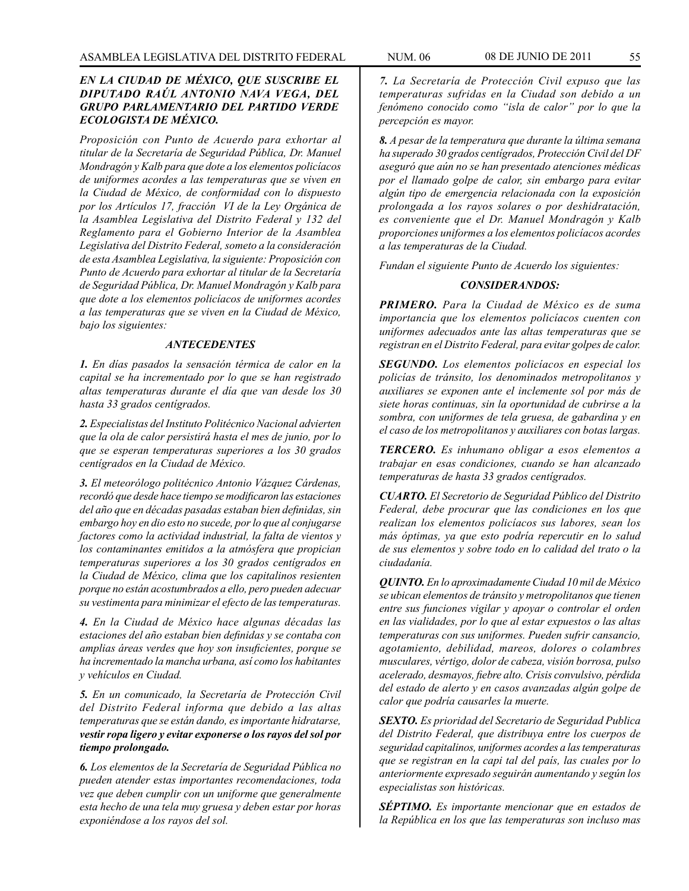# *EN LA CIUDAD DE MÉXICO, QUE SUSCRIBE EL DIPUTADO RAÚL ANTONIO NAVA VEGA, DEL GRUPO PARLAMENTARIO DEL PARTIDO VERDE ECOLOGISTA DE MÉXICO.*

*Proposición con Punto de Acuerdo para exhortar al titular de la Secretaría de Seguridad Pública, Dr. Manuel Mondragón y Kalb para que dote a los elementos policíacos de uniformes acordes a las temperaturas que se viven en la Ciudad de México, de conformidad con lo dispuesto por los Artículos 17, fracción VI de la Ley Orgánica de la Asamblea Legislativa del Distrito Federal y 132 del Reglamento para el Gobierno Interior de la Asamblea Legislativa del Distrito Federal, someto a la consideración de esta Asamblea Legislativa, la siguiente: Proposición con Punto de Acuerdo para exhortar al titular de la Secretaría de Seguridad Pública, Dr. Manuel Mondragón y Kalb para que dote a los elementos policíacos de uniformes acordes a las temperaturas que se viven en la Ciudad de México, bajo los siguientes:*

#### *ANTECEDENTES*

*1. En días pasados la sensación térmica de calor en la capital se ha incrementado por lo que se han registrado altas temperaturas durante el día que van desde los 30 hasta 33 grados centígrados.*

*2. Especialistas del Instituto Politécnico Nacional advierten que la ola de calor persistirá hasta el mes de junio, por lo que se esperan temperaturas superiores a los 30 grados centígrados en la Ciudad de México.*

*3. El meteorólogo politécnico Antonio Vázquez Cárdenas, recordó que desde hace tiempo se modificaron las estaciones del año que en décadas pasadas estaban bien definidas, sin embargo hoy en dio esto no sucede, por lo que al conjugarse factores como la actividad industrial, la falta de vientos y los contaminantes emitidos a la atmósfera que propician temperaturas superiores a los 30 grados centígrados en la Ciudad de México, clima que los capitalinos resienten porque no están acostumbrados a ello, pero pueden adecuar su vestimenta para minimizar el efecto de las temperaturas.*

*4. En la Ciudad de México hace algunas décadas las estaciones del año estaban bien definidas y se contaba con amplias áreas verdes que hoy son insuficientes, porque se ha incrementado la mancha urbana, así como los habitantes y vehículos en Ciudad.*

*5. En un comunicado, la Secretaría de Protección Civil del Distrito Federal informa que debido a las altas temperaturas que se están dando, es importante hidratarse, vestir ropa ligero y evitar exponerse o los rayos del sol por tiempo prolongado.*

*6. Los elementos de la Secretaría de Seguridad Pública no pueden atender estas importantes recomendaciones, toda vez que deben cumplir con un uniforme que generalmente esta hecho de una tela muy gruesa y deben estar por horas exponiéndose a los rayos del sol.*

*7. La Secretaría de Protección Civil expuso que las temperaturas sufridas en la Ciudad son debido a un fenómeno conocido como "isla de calor" por lo que la percepción es mayor.*

*8. A pesar de la temperatura que durante la última semana ha superado 30 grados centígrados, Protección Civil del DF aseguró que aún no se han presentado atenciones médicas por el llamado golpe de calor, sin embargo para evitar algún tipo de emergencia relacionada con la exposición prolongada a los rayos solares o por deshidratación, es conveniente que el Dr. Manuel Mondragón y Kalb proporciones uniformes a los elementos policíacos acordes a las temperaturas de la Ciudad.*

*Fundan el siguiente Punto de Acuerdo los siguientes:* 

#### *CONSIDERANDOS:*

*PRIMERO. Para la Ciudad de México es de suma importancia que los elementos policíacos cuenten con uniformes adecuados ante las altas temperaturas que se registran en el Distrito Federal, para evitar golpes de calor.*

*SEGUNDO. Los elementos policíacos en especial los policías de tránsito, los denominados metropolitanos y auxiliares se exponen ante el inclemente sol por más de siete horas continuas, sin la oportunidad de cubrirse a la sombra, con uniformes de tela gruesa, de gabardina y en el caso de los metropolitanos y auxiliares con botas largas.*

*TERCERO. Es inhumano obligar a esos elementos a trabajar en esas condiciones, cuando se han alcanzado temperaturas de hasta 33 grados centígrados.*

*CUARTO. El Secretorio de Seguridad Público del Distrito Federal, debe procurar que las condiciones en los que realizan los elementos policíacos sus labores, sean los más óptimas, ya que esto podría repercutir en lo salud de sus elementos y sobre todo en lo calidad del trato o la ciudadanía.*

*QUINTO. En lo aproximadamente Ciudad 10 mil de México se ubican elementos de tránsito y metropolitanos que tienen entre sus funciones vigilar y apoyar o controlar el orden en las vialidades, por lo que al estar expuestos o las altas temperaturas con sus uniformes. Pueden sufrir cansancio, agotamiento, debilidad, mareos, dolores o colambres musculares, vértigo, dolor de cabeza, visión borrosa, pulso acelerado, desmayos, fiebre alto. Crisis convulsivo, pérdida del estado de alerto y en casos avanzadas algún golpe de calor que podría causarles la muerte.*

*SEXTO. Es prioridad del Secretario de Seguridad Publica del Distrito Federal, que distribuya entre los cuerpos de seguridad capitalinos, uniformes acordes a las temperaturas que se registran en la capi tal del país, las cuales por lo anteriormente expresado seguirán aumentando y según los especialistas son históricas.*

*SÉPTIMO. Es importante mencionar que en estados de la República en los que las temperaturas son incluso mas*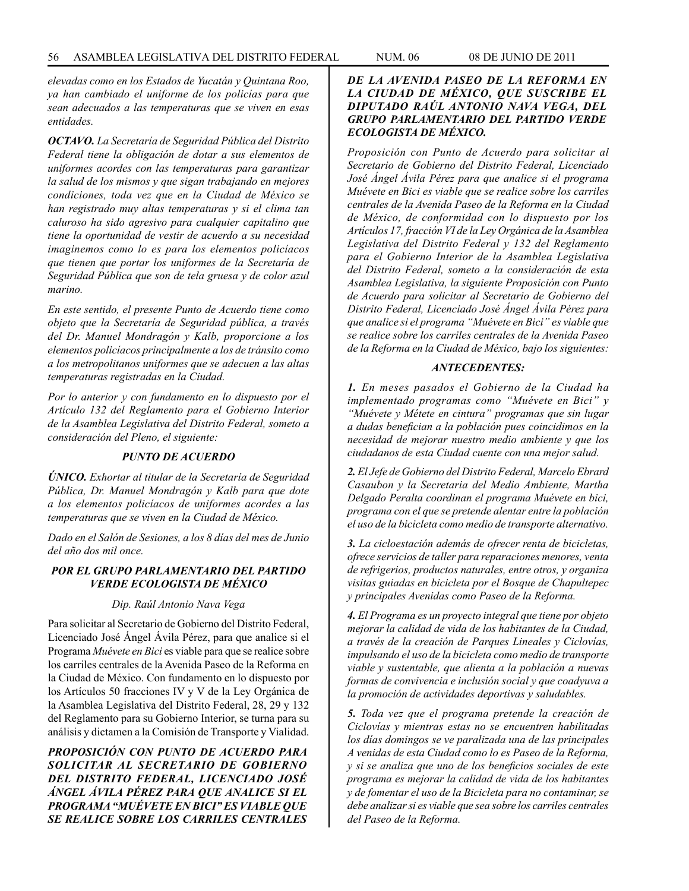*elevadas como en los Estados de Yucatán y Quintana Roo, ya han cambiado el uniforme de los policías para que sean adecuados a las temperaturas que se viven en esas entidades.*

*OCTAVO. La Secretaría de Seguridad Pública del Distrito Federal tiene la obligación de dotar a sus elementos de uniformes acordes con las temperaturas para garantizar la salud de los mismos y que sigan trabajando en mejores condiciones, toda vez que en la Ciudad de México se han registrado muy altas temperaturas y si el clima tan caluroso ha sido agresivo para cualquier capitalino que tiene la oportunidad de vestir de acuerdo a su necesidad imaginemos como lo es para los elementos policíacos que tienen que portar los uniformes de la Secretaría de Seguridad Pública que son de tela gruesa y de color azul marino.*

*En este sentido, el presente Punto de Acuerdo tiene como objeto que la Secretaría de Seguridad pública, a través del Dr. Manuel Mondragón y Kalb, proporcione a los elementos policíacos principalmente a los de tránsito como a los metropolitanos uniformes que se adecuen a las altas temperaturas registradas en la Ciudad.* 

*Por lo anterior y con fundamento en lo dispuesto por el Artículo 132 del Reglamento para el Gobierno Interior de la Asamblea Legislativa del Distrito Federal, someto a consideración del Pleno, el siguiente:*

#### *PUNTO DE ACUERDO*

*ÚNICO. Exhortar al titular de la Secretaría de Seguridad Pública, Dr. Manuel Mondragón y Kalb para que dote a los elementos policíacos de uniformes acordes a las temperaturas que se viven en la Ciudad de México.*

*Dado en el Salón de Sesiones, a los 8 días del mes de Junio del año dos mil once.*

# *POR EL GRUPO PARLAMENTARIO DEL PARTIDO VERDE ECOLOGISTA DE MÉXICO*

#### *Dip. Raúl Antonio Nava Vega*

Para solicitar al Secretario de Gobierno del Distrito Federal, Licenciado José Ángel Ávila Pérez, para que analice si el Programa *Muévete en Bici* es viable para que se realice sobre los carriles centrales de la Avenida Paseo de la Reforma en la Ciudad de México. Con fundamento en lo dispuesto por los Artículos 50 fracciones IV y V de la Ley Orgánica de la Asamblea Legislativa del Distrito Federal, 28, 29 y 132 del Reglamento para su Gobierno Interior, se turna para su análisis y dictamen a la Comisión de Transporte y Vialidad.

*PROPOSICIÓN CON PUNTO DE ACUERDO PARA SOLICITAR AL SECRETARIO DE GOBIERNO DEL DISTRITO FEDERAL, LICENCIADO JOSÉ ÁNGEL ÁVILA PÉREZ PARA QUE ANALICE SI EL PROGRAMA "MUÉVETE EN BICI" ES VIABLE QUE SE REALICE SOBRE LOS CARRILES CENTRALES* 

# *DE LA AVENIDA PASEO DE LA REFORMA EN LA CIUDAD DE MÉXICO, QUE SUSCRIBE EL DIPUTADO RAÚL ANTONIO NAVA VEGA, DEL GRUPO PARLAMENTARIO DEL PARTIDO VERDE ECOLOGISTA DE MÉXICO.*

*Proposición con Punto de Acuerdo para solicitar al Secretario de Gobierno del Distrito Federal, Licenciado José Ángel Ávila Pérez para que analice si el programa Muévete en Bici es viable que se realice sobre los carriles centrales de la Avenida Paseo de la Reforma en la Ciudad de México, de conformidad con lo dispuesto por los Artículos 17, fracción VI de la Ley Orgánica de la Asamblea Legislativa del Distrito Federal y 132 del Reglamento para el Gobierno Interior de la Asamblea Legislativa del Distrito Federal, someto a la consideración de esta Asamblea Legislativa, la siguiente Proposición con Punto de Acuerdo para solicitar al Secretario de Gobierno del Distrito Federal, Licenciado José Ángel Ávila Pérez para que analice si el programa "Muévete en Bici" es viable que se realice sobre los carriles centrales de la Avenida Paseo de la Reforma en la Ciudad de México, bajo los siguientes:*

#### *ANTECEDENTES:*

*1. En meses pasados el Gobierno de la Ciudad ha implementado programas como "Muévete en Bici" y "Muévete y Métete en cintura" programas que sin lugar a dudas benefician a la población pues coincidimos en la necesidad de mejorar nuestro medio ambiente y que los ciudadanos de esta Ciudad cuente con una mejor salud.*

*2. El Jefe de Gobierno del Distrito Federal, Marcelo Ebrard Casaubon y la Secretaria del Medio Ambiente, Martha Delgado Peralta coordinan el programa Muévete en bici, programa con el que se pretende alentar entre la población el uso de la bicicleta como medio de transporte alternativo.* 

*3. La cicloestación además de ofrecer renta de bicicletas, ofrece servicios de taller para reparaciones menores, venta de refrigerios, productos naturales, entre otros, y organiza visitas guiadas en bicicleta por el Bosque de Chapultepec y principales Avenidas como Paseo de la Reforma.* 

*4. El Programa es un proyecto integral que tiene por objeto mejorar la calidad de vida de los habitantes de la Ciudad, a través de la creación de Parques Lineales y Ciclovías, impulsando el uso de la bicicleta como medio de transporte viable y sustentable, que alienta a la población a nuevas formas de convivencia e inclusión social y que coadyuva a la promoción de actividades deportivas y saludables.* 

*5. Toda vez que el programa pretende la creación de Ciclovías y mientras estas no se encuentren habilitadas los días domingos se ve paralizada una de las principales A venidas de esta Ciudad como lo es Paseo de la Reforma, y si se analiza que uno de los beneficios sociales de este programa es mejorar la calidad de vida de los habitantes y de fomentar el uso de la Bicicleta para no contaminar, se debe analizar si es viable que sea sobre los carriles centrales del Paseo de la Reforma.*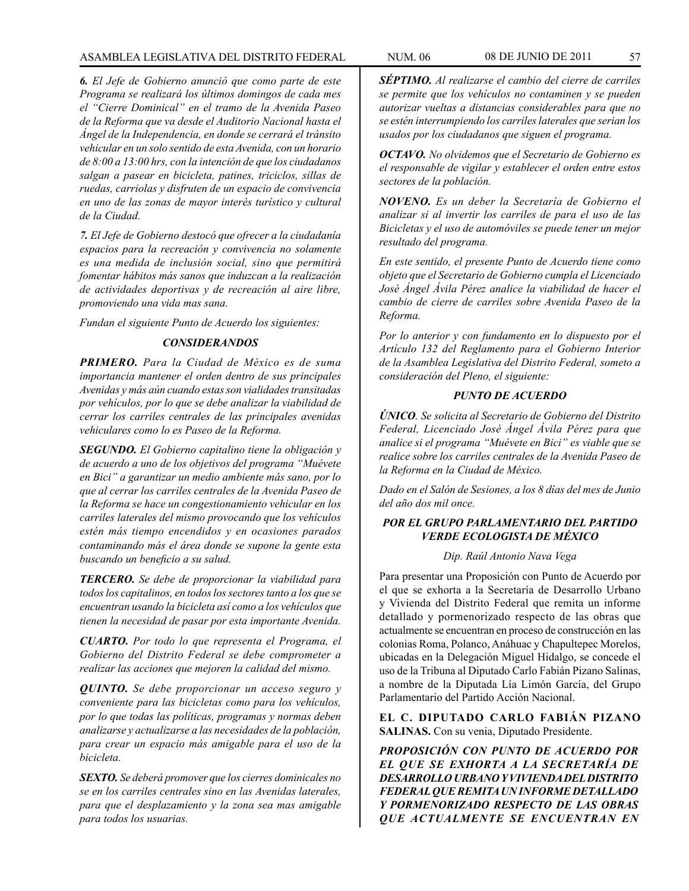*6. El Jefe de Gobierno anunció que como parte de este Programa se realizará los últimos domingos de cada mes el "Cierre Dominical" en el tramo de la Avenida Paseo de la Reforma que va desde el Auditorio Nacional hasta el Ángel de la Independencia, en donde se cerrará el tránsito vehicular en un solo sentido de esta Avenida, con un horario de 8:00 a 13:00 hrs, con la intención de que los ciudadanos salgan a pasear en bicicleta, patines, triciclos, sillas de ruedas, carriolas y disfruten de un espacio de convivencia en uno de las zonas de mayor interés turístico y cultural de la Ciudad.* 

*7. El Jefe de Gobierno destocó que ofrecer a la ciudadanía espacios para la recreación y convivencia no solamente es una medida de inclusión social, sino que permitirá fomentar hábitos más sanos que induzcan a la realización de actividades deportivas y de recreación al aire libre, promoviendo una vida mas sana.*

*Fundan el siguiente Punto de Acuerdo los siguientes:*

# *CONSIDERANDOS*

*PRIMERO. Para la Ciudad de México es de suma importancia mantener el orden dentro de sus principales Avenidas y más aún cuando estas son vialidades transitadas por vehículos, por lo que se debe analizar la viabilidad de cerrar los carriles centrales de las principales avenidas vehiculares como lo es Paseo de la Reforma.*

*SEGUNDO. El Gobierno capitalino tiene la obligación y de acuerdo a uno de los objetivos del programa "Muévete en Bici" a garantizar un medio ambiente más sano, por lo que al cerrar los carriles centrales de la Avenida Paseo de la Reforma se hace un congestionamiento vehicular en los carriles laterales del mismo provocando que los vehículos estén más tiempo encendidos y en ocasiones parados contaminando más el área donde se supone la gente esta buscando un beneficio a su salud.*

*TERCERO. Se debe de proporcionar la viabilidad para todos los capitalinos, en todos los sectores tanto a los que se encuentran usando la bicicleta así como a los vehículos que tienen la necesidad de pasar por esta importante Avenida.* 

*CUARTO. Por todo lo que representa el Programa, el Gobierno del Distrito Federal se debe comprometer a realizar las acciones que mejoren la calidad del mismo.* 

*QUINTO. Se debe proporcionar un acceso seguro y conveniente para las bicicletas como para los vehículos, por lo que todas las políticas, programas y normas deben analizarse y actualizarse a las necesidades de la población, para crear un espacio más amigable para el uso de la bicicleta.*

*SEXTO. Se deberá promover que los cierres dominicales no se en los carriles centrales sino en las Avenidas laterales, para que el desplazamiento y la zona sea mas amigable para todos los usuarias.*

*SÉPTIMO. Al realizarse el cambio del cierre de carriles se permite que los vehículos no contaminen y se pueden autorizar vueltas a distancias considerables para que no se estén interrumpiendo los carriles laterales que serian los usados por los ciudadanos que siguen el programa.*

*OCTAVO. No olvidemos que el Secretario de Gobierno es el responsable de vigilar y establecer el orden entre estos sectores de la población.*

*NOVENO. Es un deber la Secretaría de Gobierno el analizar si al invertir los carriles de para el uso de las Bicicletas y el uso de automóviles se puede tener un mejor resultado del programa.* 

*En este sentido, el presente Punto de Acuerdo tiene como objeto que el Secretario de Gobierno cumpla el Licenciado José Ángel Ávila Pérez analice la viabilidad de hacer el cambio de cierre de carriles sobre Avenida Paseo de la Reforma.*

*Por lo anterior y con fundamento en lo dispuesto por el Artículo 132 del Reglamento para el Gobierno Interior de la Asamblea Legislativa del Distrito Federal, someto a consideración del Pleno, el siguiente:*

# *PUNTO DE ACUERDO*

*ÚNICO. Se solicita al Secretario de Gobierno del Distrito Federal, Licenciado José Ángel Ávila Pérez para que analice si el programa "Muévete en Bici" es viable que se realice sobre los carriles centrales de la Avenida Paseo de la Reforma en la Ciudad de México.*

*Dado en el Salón de Sesiones, a los 8 días del mes de Junio del año dos mil once.*

# *POR EL GRUPO PARLAMENTARIO DEL PARTIDO VERDE ECOLOGISTA DE MÉXICO*

# *Dip. Raúl Antonio Nava Vega*

Para presentar una Proposición con Punto de Acuerdo por el que se exhorta a la Secretaría de Desarrollo Urbano y Vivienda del Distrito Federal que remita un informe detallado y pormenorizado respecto de las obras que actualmente se encuentran en proceso de construcción en las colonias Roma, Polanco, Anáhuac y Chapultepec Morelos, ubicadas en la Delegación Miguel Hidalgo, se concede el uso de la Tribuna al Diputado Carlo Fabián Pizano Salinas, a nombre de la Diputada Lía Limón García, del Grupo Parlamentario del Partido Acción Nacional.

**EL C. DIPUTADO CARLO FABIÁN PIZANO SALINAS.** Con su venia, Diputado Presidente.

*PROPOSICIÓN CON PUNTO DE ACUERDO POR EL QUE SE EXHORTA A LA SECRETARÍA DE DESARROLLO URBANO Y VIVIENDA DEL DISTRITO FEDERAL QUE REMITA UN INFORME DETALLADO Y PORMENORIZADO RESPECTO DE LAS OBRAS QUE ACTUALMENTE SE ENCUENTRAN EN*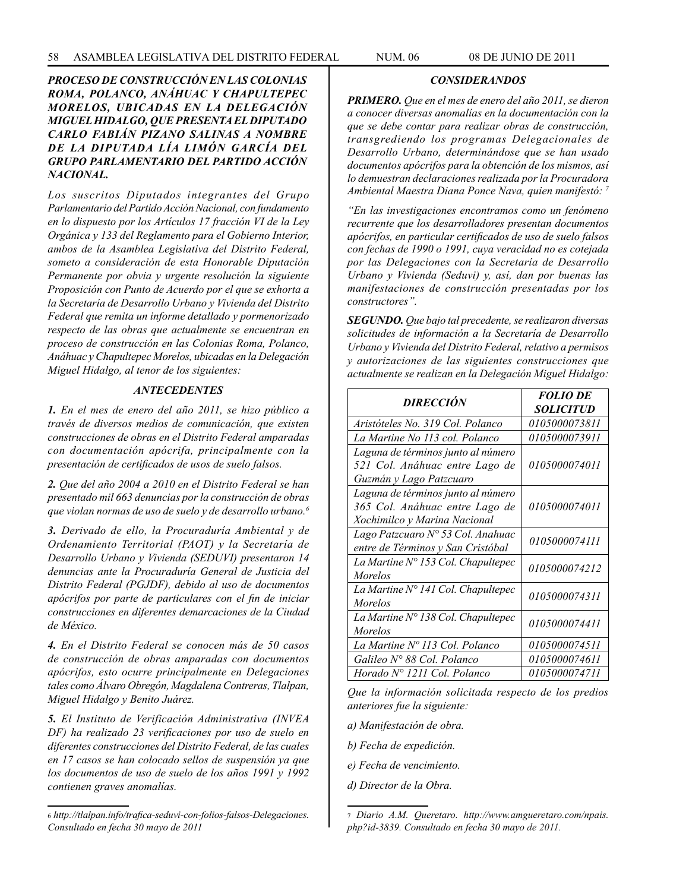# *PROCESO DE CONSTRUCCIÓN EN LAS COLONIAS ROMA, POLANCO, ANÁHUAC Y CHAPULTEPEC MORELOS, UBICADAS EN LA DELEGACIÓN MIGUEL HIDALGO, QUE PRESENTA EL DIPUTADO CARLO FABIÁN PIZANO SALINAS A NOMBRE DE LA DIPUTADA LÍA LIMÓN GARCÍA DEL GRUPO PARLAMENTARIO DEL PARTIDO ACCIÓN NACIONAL.*

*Los suscritos Diputados integrantes del Grupo Parlamentario del Partido Acción Nacional, con fundamento en lo dispuesto por los Artículos 17 fracción VI de la Ley Orgánica y 133 del Reglamento para el Gobierno Interior, ambos de la Asamblea Legislativa del Distrito Federal, someto a consideración de esta Honorable Diputación Permanente por obvia y urgente resolución la siguiente Proposición con Punto de Acuerdo por el que se exhorta a la Secretaría de Desarrollo Urbano y Vivienda del Distrito Federal que remita un informe detallado y pormenorizado respecto de las obras que actualmente se encuentran en proceso de construcción en las Colonias Roma, Polanco, Anáhuac y Chapultepec Morelos, ubicadas en la Delegación Miguel Hidalgo, al tenor de los siguientes:*

# *ANTECEDENTES*

*1. En el mes de enero del año 2011, se hizo público a través de diversos medios de comunicación, que existen construcciones de obras en el Distrito Federal amparadas con documentación apócrifa, principalmente con la presentación de certificados de usos de suelo falsos.*

*2. Que del año 2004 a 2010 en el Distrito Federal se han presentado mil 663 denuncias por la construcción de obras que violan normas de uso de suelo y de desarrollo urbano.6*

*3. Derivado de ello, la Procuraduría Ambiental y de Ordenamiento Territorial (PAOT) y la Secretaría de Desarrollo Urbano y Vivienda (SEDUVI) presentaron 14 denuncias ante la Procuraduría General de Justicia del Distrito Federal (PGJDF), debido al uso de documentos apócrifos por parte de particulares con el fin de iniciar construcciones en diferentes demarcaciones de la Ciudad de México.* 

*4. En el Distrito Federal se conocen más de 50 casos de construcción de obras amparadas con documentos apócrifos, esto ocurre principalmente en Delegaciones tales como Álvaro Obregón, Magdalena Contreras, Tlalpan, Miguel Hidalgo y Benito Juárez.*

*5. El Instituto de Verificación Administrativa (INVEA DF) ha realizado 23 verificaciones por uso de suelo en diferentes construcciones del Distrito Federal, de las cuales en 17 casos se han colocado sellos de suspensión ya que los documentos de uso de suelo de los años 1991 y 1992 contienen graves anomalías.*

# *CONSIDERANDOS*

*PRIMERO. Que en el mes de enero del año 2011, se dieron a conocer diversas anomalías en la documentación con la que se debe contar para realizar obras de construcción, transgrediendo los programas Delegacionales de Desarrollo Urbano, determinándose que se han usado documentos apócrifos para la obtención de los mismos, así lo demuestran declaraciones realizada por la Procuradora Ambiental Maestra Diana Ponce Nava, quien manifestó: 7*

*"En las investigaciones encontramos como un fenómeno recurrente que los desarrolladores presentan documentos apócrifos, en particular certificados de uso de suelo falsos con fechas de 1990 o 1991, cuya veracidad no es cotejada por las Delegaciones con la Secretaría de Desarrollo Urbano y Vivienda (Seduvi) y, así, dan por buenas las manifestaciones de construcción presentadas por los constructores".*

*SEGUNDO. Que bajo tal precedente, se realizaron diversas solicitudes de información a la Secretaría de Desarrollo Urbano y Vivienda del Distrito Federal, relativo a permisos y autorizaciones de las siguientes construcciones que actualmente se realizan en la Delegación Miguel Hidalgo:* 

| <b>DIRECCIÓN</b>                                                                                     | <b>FOLIO DE</b><br>SOLICITUD |
|------------------------------------------------------------------------------------------------------|------------------------------|
| Aristóteles No. 319 Col. Polanco                                                                     | 0105000073811                |
| La Martine No 113 col. Polanco                                                                       | 0105000073911                |
| Laguna de términos junto al número<br>521 Col. Anáhuac entre Lago de<br>Guzmán y Lago Patzcuaro      | 0105000074011                |
| Laguna de términos junto al número<br>365 Col. Anáhuac entre Lago de<br>Xochimilco y Marina Nacional | 0105000074011                |
| Lago Patzcuaro Nº 53 Col. Anahuac<br>entre de Términos y San Cristóbal                               | 0105000074111                |
| La Martine $N^{\circ}$ 153 Col. Chapultepec<br>Morelos                                               | 0105000074212                |
| La Martine $N^{\circ}$ 141 Col. Chapultepec<br><i>Morelos</i>                                        | 0105000074311                |
| La Martine N° 138 Col. Chapultepec<br><b>Morelos</b>                                                 | 0105000074411                |
| La Martine Nº 113 Col. Polanco                                                                       | <i>0105000074511</i>         |
| Galileo Nº 88 Col. Polanco                                                                           | <i>0105000074611</i>         |
| Horado N° 1211 Col. Polanco                                                                          | <i>0105000074711</i>         |

*Que la información solicitada respecto de los predios anteriores fue la siguiente:*

*a) Manifestación de obra.*

*b) Fecha de expedición.*

*e) Fecha de vencimiento.*

*d) Director de la Obra.*

<sup>6</sup> *http://tlalpan.info/trafica-seduvi-con-folios-falsos-Delegaciones. Consultado en fecha 30 mayo de 2011*

<sup>7</sup> *Diario A.M. Queretaro. http://www.amgueretaro.com/npais. php?id-3839. Consultado en fecha 30 mayo de 2011.*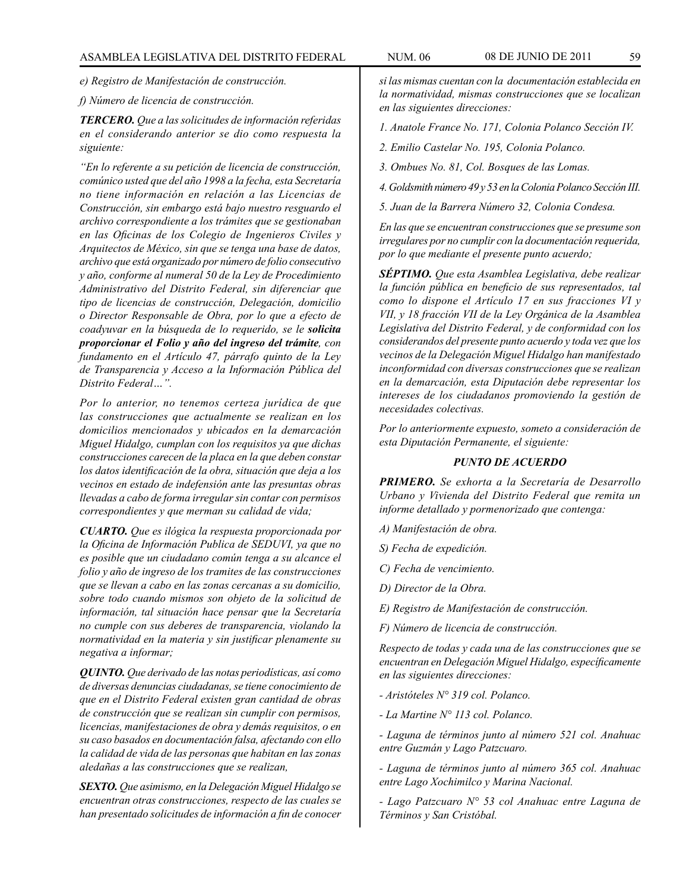*e) Registro de Manifestación de construcción.*

*f) Número de licencia de construcción.*

*TERCERO. Que a las solicitudes de información referidas en el considerando anterior se dio como respuesta la siguiente:* 

*"En lo referente a su petición de licencia de construcción, comúnico usted que del año 1998 a la fecha, esta Secretaría no tiene información en relación a las Licencias de Construcción, sin embargo está bajo nuestro resguardo el archivo correspondiente a los trámites que se gestionaban en las Oficinas de los Colegio de Ingenieros Civiles y Arquitectos de México, sin que se tenga una base de datos, archivo que está organizado por número de folio consecutivo y año, conforme al numeral 50 de la Ley de Procedimiento Administrativo del Distrito Federal, sin diferenciar que tipo de licencias de construcción, Delegación, domicilio o Director Responsable de Obra, por lo que a efecto de coadyuvar en la búsqueda de lo requerido, se le solicita proporcionar el Folio y año del ingreso del trámite, con fundamento en el Artículo 47, párrafo quinto de la Ley de Transparencia y Acceso a la Información Pública del Distrito Federal…".*

*Por lo anterior, no tenemos certeza jurídica de que las construcciones que actualmente se realizan en los domicilios mencionados y ubicados en la demarcación Miguel Hidalgo, cumplan con los requisitos ya que dichas construcciones carecen de la placa en la que deben constar los datos identificación de la obra, situación que deja a los vecinos en estado de indefensión ante las presuntas obras llevadas a cabo de forma irregular sin contar con permisos correspondientes y que merman su calidad de vida;* 

*CUARTO. Que es ilógica la respuesta proporcionada por la Oficina de Información Publica de SEDUVI, ya que no es posible que un ciudadano común tenga a su alcance el folio y año de ingreso de los tramites de las construcciones que se llevan a cabo en las zonas cercanas a su domicilio, sobre todo cuando mismos son objeto de la solicitud de información, tal situación hace pensar que la Secretaría no cumple con sus deberes de transparencia, violando la normatividad en la materia y sin justificar plenamente su negativa a informar;* 

*QUINTO. Que derivado de las notas periodísticas, así como de diversas denuncias ciudadanas, se tiene conocimiento de que en el Distrito Federal existen gran cantidad de obras de construcción que se realizan sin cumplir con permisos, licencias, manifestaciones de obra y demás requisitos, o en su caso basados en documentación falsa, afectando con ello la calidad de vida de las personas que habitan en las zonas aledañas a las construcciones que se realizan,* 

*SEXTO. Que asimismo, en la Delegación Miguel Hidalgo se encuentran otras construcciones, respecto de las cuales se han presentado solicitudes de información a fin de conocer*  *si las mismas cuentan con la documentación establecida en la normatividad, mismas construcciones que se localizan en las siguientes direcciones:*

*1. Anatole France No. 171, Colonia Polanco Sección IV.*

*2. Emilio Castelar No. 195, Colonia Polanco.*

*3. Ombues No. 81, Col. Bosques de las Lomas.*

*4. Goldsmith número 49 y 53 en la Colonia Polanco Sección III.*

*5. Juan de la Barrera Número 32, Colonia Condesa.*

*En las que se encuentran construcciones que se presume son irregulares por no cumplir con la documentación requerida, por lo que mediante el presente punto acuerdo;*

*SÉPTIMO. Que esta Asamblea Legislativa, debe realizar la función pública en beneficio de sus representados, tal como lo dispone el Artículo 17 en sus fracciones VI y VII, y 18 fracción VII de la Ley Orgánica de la Asamblea Legislativa del Distrito Federal, y de conformidad con los considerandos del presente punto acuerdo y toda vez que los vecinos de la Delegación Miguel Hidalgo han manifestado inconformidad con diversas construcciones que se realizan en la demarcación, esta Diputación debe representar los intereses de los ciudadanos promoviendo la gestión de necesidades colectivas.*

*Por lo anteriormente expuesto, someto a consideración de esta Diputación Permanente, el siguiente:*

# *PUNTO DE ACUERDO*

*PRIMERO. Se exhorta a la Secretaría de Desarrollo Urbano y Vivienda del Distrito Federal que remita un informe detallado y pormenorizado que contenga:*

*A) Manifestación de obra.*

*S) Fecha de expedición.*

*C) Fecha de vencimiento.*

*D) Director de la Obra.*

*E) Registro de Manifestación de construcción.*

*F) Número de licencia de construcción.*

*Respecto de todas y cada una de las construcciones que se encuentran en Delegación Miguel Hidalgo, específicamente en las siguientes direcciones:*

*- Aristóteles N° 319 col. Polanco.*

*- La Martine N° 113 col. Polanco.*

*- Laguna de términos junto al número 521 col. Anahuac entre Guzmán y Lago Patzcuaro.*

*- Laguna de términos junto al número 365 col. Anahuac entre Lago Xochimilco y Marina Nacional.*

*- Lago Patzcuaro N° 53 col Anahuac entre Laguna de Términos y San Cristóbal.*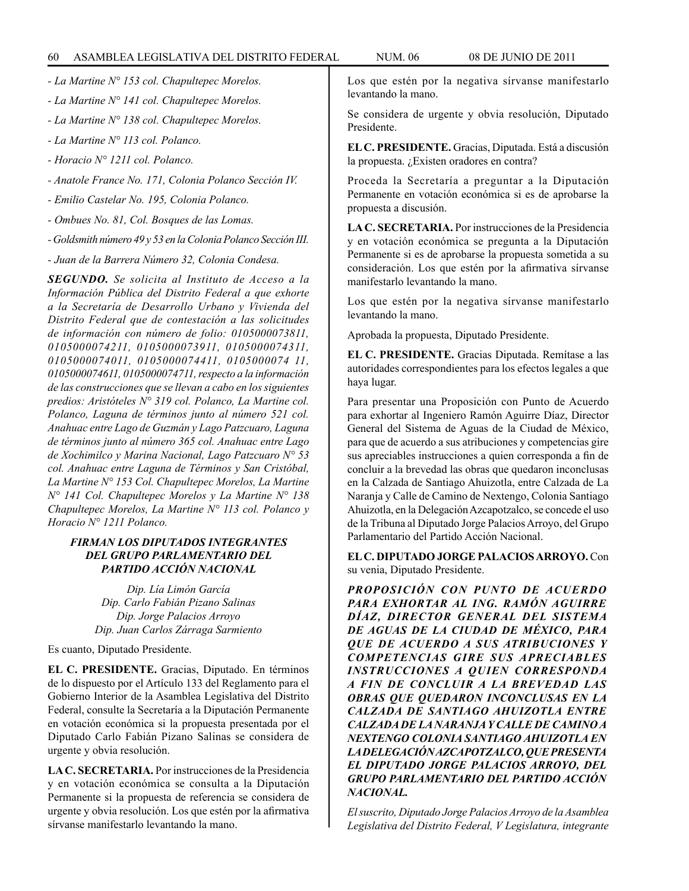*- La Martine N° 153 col. Chapultepec Morelos.*

- *La Martine N° 141 col. Chapultepec Morelos.*
- *La Martine N° 138 col. Chapultepec Morelos.*
- *La Martine N° 113 col. Polanco.*
- *Horacio N° 1211 col. Polanco.*
- *Anatole France No. 171, Colonia Polanco Sección IV.*
- *Emilio Castelar No. 195, Colonia Polanco.*
- *Ombues No. 81, Col. Bosques de las Lomas.*
- *Goldsmith número 49 y 53 en la Colonia Polanco Sección III.*

*- Juan de la Barrera Número 32, Colonia Condesa.*

*SEGUNDO. Se solicita al Instituto de Acceso a la Información Pública del Distrito Federal a que exhorte a la Secretaría de Desarrollo Urbano y Vivienda del Distrito Federal que de contestación a las solicitudes de información con número de folio: 0105000073811, 0105000074211, 0105000073911, 0105000074311, 0105000074011, 0105000074411, 0105000074 11, 0105000074611, 0105000074711, respecto a la información de las construcciones que se llevan a cabo en los siguientes predios: Aristóteles N° 319 col. Polanco, La Martine col. Polanco, Laguna de términos junto al número 521 col. Anahuac entre Lago de Guzmán y Lago Patzcuaro, Laguna de términos junto al número 365 col. Anahuac entre Lago de Xochimilco y Marina Nacional, Lago Patzcuaro N° 53 col. Anahuac entre Laguna de Términos y San Cristóbal, La Martine N° 153 Col. Chapultepec Morelos, La Martine N° 141 Col. Chapultepec Morelos y La Martine N° 138 Chapultepec Morelos, La Martine N° 113 col. Polanco y Horacio N° 1211 Polanco.*

# *FIRMAN LOS DIPUTADOS INTEGRANTES DEL GRUPO PARLAMENTARIO DEL PARTIDO ACCIÓN NACIONAL*

*Dip. Lía Limón García Dip. Carlo Fabián Pizano Salinas Dip. Jorge Palacios Arroyo Dip. Juan Carlos Zárraga Sarmiento*

Es cuanto, Diputado Presidente.

**EL C. PRESIDENTE.** Gracias, Diputado. En términos de lo dispuesto por el Artículo 133 del Reglamento para el Gobierno Interior de la Asamblea Legislativa del Distrito Federal, consulte la Secretaría a la Diputación Permanente en votación económica si la propuesta presentada por el Diputado Carlo Fabián Pizano Salinas se considera de urgente y obvia resolución.

**LA C. SECRETARIA.** Por instrucciones de la Presidencia y en votación económica se consulta a la Diputación Permanente si la propuesta de referencia se considera de urgente y obvia resolución. Los que estén por la afirmativa sírvanse manifestarlo levantando la mano.

Los que estén por la negativa sírvanse manifestarlo levantando la mano.

Se considera de urgente y obvia resolución, Diputado Presidente.

**EL C. PRESIDENTE.** Gracias, Diputada. Está a discusión la propuesta. ¿Existen oradores en contra?

Proceda la Secretaría a preguntar a la Diputación Permanente en votación económica si es de aprobarse la propuesta a discusión.

**LA C. SECRETARIA.** Por instrucciones de la Presidencia y en votación económica se pregunta a la Diputación Permanente si es de aprobarse la propuesta sometida a su consideración. Los que estén por la afirmativa sírvanse manifestarlo levantando la mano.

Los que estén por la negativa sírvanse manifestarlo levantando la mano.

Aprobada la propuesta, Diputado Presidente.

**EL C. PRESIDENTE.** Gracias Diputada. Remítase a las autoridades correspondientes para los efectos legales a que haya lugar.

Para presentar una Proposición con Punto de Acuerdo para exhortar al Ingeniero Ramón Aguirre Díaz, Director General del Sistema de Aguas de la Ciudad de México, para que de acuerdo a sus atribuciones y competencias gire sus apreciables instrucciones a quien corresponda a fin de concluir a la brevedad las obras que quedaron inconclusas en la Calzada de Santiago Ahuizotla, entre Calzada de La Naranja y Calle de Camino de Nextengo, Colonia Santiago Ahuizotla, en la Delegación Azcapotzalco, se concede el uso de la Tribuna al Diputado Jorge Palacios Arroyo, del Grupo Parlamentario del Partido Acción Nacional.

**EL C. DIPUTADO JORGE PALACIOS ARROYO.** Con su venia, Diputado Presidente.

*PROPOSICIÓN CON PUNTO DE ACUERDO PARA EXHORTAR AL ING. RAMÓN AGUIRRE DÍAZ, DIRECTOR GENERAL DEL SISTEMA DE AGUAS DE LA CIUDAD DE MÉXICO, PARA QUE DE ACUERDO A SUS ATRIBUCIONES Y COMPETENCIAS GIRE SUS APRECIABLES INSTRUCCIONES A QUIEN CORRESPONDA A FIN DE CONCLUIR A LA BREVEDAD LAS OBRAS QUE QUEDARON INCONCLUSAS EN LA CALZADA DE SANTIAGO AHUIZOTLA ENTRE CALZADA DE LA NARANJA Y CALLE DE CAMINO A NEXTENGO COLONIA SANTIAGO AHUIZOTLA EN LA DELEGACIÓN AZCAPOTZALCO, QUE PRESENTA EL DIPUTADO JORGE PALACIOS ARROYO, DEL GRUPO PARLAMENTARIO DEL PARTIDO ACCIÓN NACIONAL.*

*El suscrito, Diputado Jorge Palacios Arroyo de la Asamblea Legislativa del Distrito Federal, V Legislatura, integrante*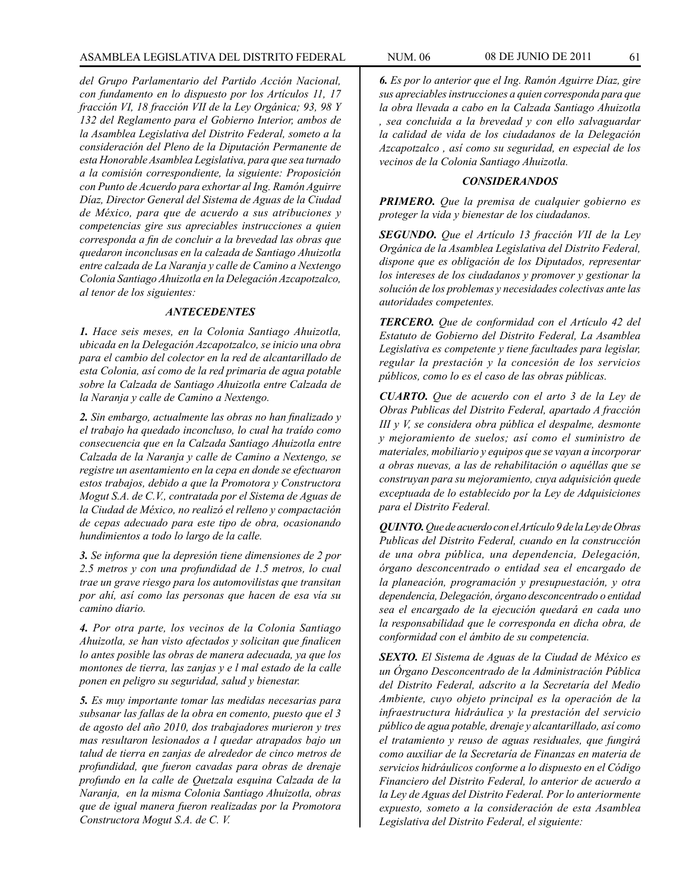*del Grupo Parlamentario del Partido Acción Nacional, con fundamento en lo dispuesto por los Artículos 11, 17 fracción VI, 18 fracción VII de la Ley Orgánica; 93, 98 Y 132 del Reglamento para el Gobierno Interior, ambos de la Asamblea Legislativa del Distrito Federal, someto a la consideración del Pleno de la Diputación Permanente de esta Honorable Asamblea Legislativa, para que sea turnado a la comisión correspondiente, la siguiente: Proposición con Punto de Acuerdo para exhortar al Ing. Ramón Aguirre Díaz, Director General del Sistema de Aguas de la Ciudad de México, para que de acuerdo a sus atribuciones y competencias gire sus apreciables instrucciones a quien corresponda a fin de concluir a la brevedad las obras que quedaron inconclusas en la calzada de Santiago Ahuizotla entre calzada de La Naranja y calle de Camino a Nextengo Colonia Santiago Ahuizotla en la Delegación Azcapotzalco, al tenor de los siguientes:*

#### *ANTECEDENTES*

*1. Hace seis meses, en la Colonia Santiago Ahuizotla, ubicada en la Delegación Azcapotzalco, se inicio una obra para el cambio del colector en la red de alcantarillado de esta Colonia, así como de la red primaria de agua potable sobre la Calzada de Santiago Ahuizotla entre Calzada de la Naranja y calle de Camino a Nextengo.* 

*2. Sin embargo, actualmente las obras no han finalizado y el trabajo ha quedado inconcluso, lo cual ha traído como consecuencia que en la Calzada Santiago Ahuizotla entre Calzada de la Naranja y calle de Camino a Nextengo, se registre un asentamiento en la cepa en donde se efectuaron estos trabajos, debido a que la Promotora y Constructora Mogut S.A. de C.V., contratada por el Sistema de Aguas de la Ciudad de México, no realizó el relleno y compactación de cepas adecuado para este tipo de obra, ocasionando hundimientos a todo lo largo de la calle.* 

*3. Se informa que la depresión tiene dimensiones de 2 por 2.5 metros y con una profundidad de 1.5 metros, lo cual trae un grave riesgo para los automovilistas que transitan por ahí, así como las personas que hacen de esa vía su camino diario.* 

*4. Por otra parte, los vecinos de la Colonia Santiago Ahuizotla, se han visto afectados y solicitan que finalicen lo antes posible las obras de manera adecuada, ya que los montones de tierra, las zanjas y e l mal estado de la calle ponen en peligro su seguridad, salud y bienestar.*

*5. Es muy importante tomar las medidas necesarias para subsanar las fallas de la obra en comento, puesto que el 3 de agosto del año 2010, dos trabajadores murieron y tres mas resultaron lesionados a l quedar atrapados bajo un talud de tierra en zanjas de alrededor de cinco metros de profundidad, que fueron cavadas para obras de drenaje profundo en la calle de Quetzala esquina Calzada de la Naranja, en la misma Colonia Santiago Ahuizotla, obras que de igual manera fueron realizadas por la Promotora Constructora Mogut S.A. de C. V.*

*6. Es por lo anterior que el Ing. Ramón Aguirre Díaz, gire sus apreciables instrucciones a quien corresponda para que la obra llevada a cabo en la Calzada Santiago Ahuizotla , sea concluida a la brevedad y con ello salvaguardar la calidad de vida de los ciudadanos de la Delegación Azcapotzalco , así como su seguridad, en especial de los vecinos de la Colonia Santiago Ahuizotla.*

# *CONSIDERANDOS*

*PRIMERO. Que la premisa de cualquier gobierno es proteger la vida y bienestar de los ciudadanos.*

*SEGUNDO. Que el Artículo 13 fracción VII de la Ley Orgánica de la Asamblea Legislativa del Distrito Federal, dispone que es obligación de los Diputados, representar los intereses de los ciudadanos y promover y gestionar la solución de los problemas y necesidades colectivas ante las autoridades competentes.* 

*TERCERO. Que de conformidad con el Artículo 42 del Estatuto de Gobierno del Distrito Federal, La Asamblea Legislativa es competente y tiene facultades para legislar, regular la prestación y la concesión de los servicios públicos, como lo es el caso de las obras públicas.*

*CUARTO. Que de acuerdo con el arto 3 de la Ley de Obras Publicas del Distrito Federal, apartado A fracción III y V, se considera obra pública el despalme, desmonte y mejoramiento de suelos; así como el suministro de materiales, mobiliario y equipos que se vayan a incorporar a obras nuevas, a las de rehabilitación o aquéllas que se construyan para su mejoramiento, cuya adquisición quede exceptuada de lo establecido por la Ley de Adquisiciones para el Distrito Federal.* 

*QUINTO. Que de acuerdo con el Artículo 9 de la Ley de Obras Publicas del Distrito Federal, cuando en la construcción de una obra pública, una dependencia, Delegación, órgano desconcentrado o entidad sea el encargado de la planeación, programación y presupuestación, y otra dependencia, Delegación, órgano desconcentrado o entidad sea el encargado de la ejecución quedará en cada uno la responsabilidad que le corresponda en dicha obra, de conformidad con el ámbito de su competencia.*

*SEXTO. El Sistema de Aguas de la Ciudad de México es un Órgano Desconcentrado de la Administración Pública del Distrito Federal, adscrito a la Secretaría del Medio Ambiente, cuyo objeto principal es la operación de la infraestructura hidráulica y la prestación del servicio público de agua potable, drenaje y alcantarillado, así como el tratamiento y reuso de aguas residuales, que fungirá como auxiliar de la Secretaría de Finanzas en materia de servicios hidráulicos conforme a lo dispuesto en el Código Financiero del Distrito Federal, lo anterior de acuerdo a la Ley de Aguas del Distrito Federal. Por lo anteriormente expuesto, someto a la consideración de esta Asamblea Legislativa del Distrito Federal, el siguiente:*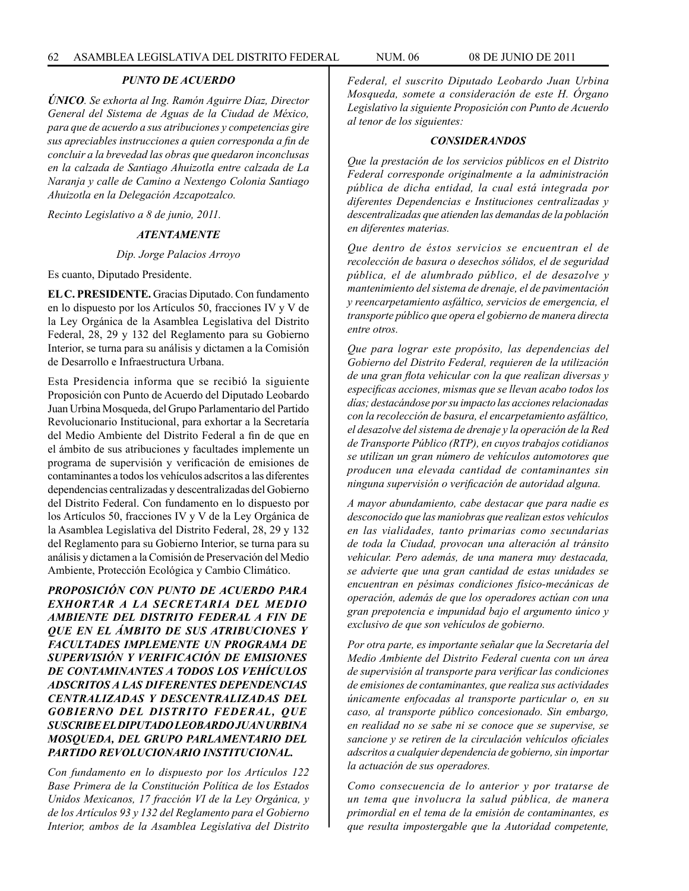# *PUNTO DE ACUERDO*

*ÚNICO. Se exhorta al Ing. Ramón Aguirre Díaz, Director General del Sistema de Aguas de la Ciudad de México, para que de acuerdo a sus atribuciones y competencias gire sus apreciables instrucciones a quien corresponda a fin de concluir a la brevedad las obras que quedaron inconclusas en la calzada de Santiago Ahuizotla entre calzada de La Naranja y calle de Camino a Nextengo Colonia Santiago Ahuizotla en la Delegación Azcapotzalco.*

*Recinto Legislativo a 8 de junio, 2011.*

# *ATENTAMENTE*

#### *Dip. Jorge Palacios Arroyo*

Es cuanto, Diputado Presidente.

**EL C. PRESIDENTE.** Gracias Diputado. Con fundamento en lo dispuesto por los Artículos 50, fracciones IV y V de la Ley Orgánica de la Asamblea Legislativa del Distrito Federal, 28, 29 y 132 del Reglamento para su Gobierno Interior, se turna para su análisis y dictamen a la Comisión de Desarrollo e Infraestructura Urbana.

Esta Presidencia informa que se recibió la siguiente Proposición con Punto de Acuerdo del Diputado Leobardo Juan Urbina Mosqueda, del Grupo Parlamentario del Partido Revolucionario Institucional, para exhortar a la Secretaría del Medio Ambiente del Distrito Federal a fin de que en el ámbito de sus atribuciones y facultades implemente un programa de supervisión y verificación de emisiones de contaminantes a todos los vehículos adscritos a las diferentes dependencias centralizadas y descentralizadas del Gobierno del Distrito Federal. Con fundamento en lo dispuesto por los Artículos 50, fracciones IV y V de la Ley Orgánica de la Asamblea Legislativa del Distrito Federal, 28, 29 y 132 del Reglamento para su Gobierno Interior, se turna para su análisis y dictamen a la Comisión de Preservación del Medio Ambiente, Protección Ecológica y Cambio Climático.

*PROPOSICIÓN CON PUNTO DE ACUERDO PARA EXHORTAR A LA SECRETARIA DEL MEDIO AMBIENTE DEL DISTRITO FEDERAL A FIN DE QUE EN EL ÁMBITO DE SUS ATRIBUCIONES Y FACULTADES IMPLEMENTE UN PROGRAMA DE SUPERVISIÓN Y VERIFICACIÓN DE EMISIONES DE CONTAMINANTES A TODOS LOS VEHÍCULOS ADSCRITOS A LAS DIFERENTES DEPENDENCIAS CENTRALIZADAS Y DESCENTRALIZADAS DEL GOBIERNO DEL DISTRITO FEDERAL, QUE SUSCRIBE EL DIPUTADO LEOBARDO JUAN URBINA MOSQUEDA, DEL GRUPO PARLAMENTARIO DEL PARTIDO REVOLUCIONARIO INSTITUCIONAL.*

*Con fundamento en lo dispuesto por los Artículos 122 Base Primera de la Constitución Política de los Estados Unidos Mexicanos, 17 fracción VI de la Ley Orgánica, y de los Artículos 93 y 132 del Reglamento para el Gobierno Interior, ambos de la Asamblea Legislativa del Distrito* 

*Federal, el suscrito Diputado Leobardo Juan Urbina Mosqueda, somete a consideración de este H. Órgano Legislativo la siguiente Proposición con Punto de Acuerdo al tenor de los siguientes:*

#### *CONSIDERANDOS*

*Que la prestación de los servicios públicos en el Distrito Federal corresponde originalmente a la administración pública de dicha entidad, la cual está integrada por diferentes Dependencias e Instituciones centralizadas y descentralizadas que atienden las demandas de la población en diferentes materias.* 

*Que dentro de éstos servicios se encuentran el de recolección de basura o desechos sólidos, el de seguridad pública, el de alumbrado público, el de desazolve y mantenimiento del sistema de drenaje, el de pavimentación y reencarpetamiento asfáltico, servicios de emergencia, el transporte público que opera el gobierno de manera directa entre otros.*

*Que para lograr este propósito, las dependencias del Gobierno del Distrito Federal, requieren de la utilización de una gran flota vehicular con la que realizan diversas y especificas acciones, mismas que se llevan acabo todos los días; destacándose por su impacto las acciones relacionadas con la recolección de basura, el encarpetamiento asfáltico, el desazolve del sistema de drenaje y la operación de la Red de Transporte Público (RTP), en cuyos trabajos cotidianos se utilizan un gran número de vehículos automotores que producen una elevada cantidad de contaminantes sin ninguna supervisión o verificación de autoridad alguna.* 

*A mayor abundamiento, cabe destacar que para nadie es desconocido que las maniobras que realizan estos vehículos en las vialidades, tanto primarias como secundarias de toda la Ciudad, provocan una alteración al tránsito vehicular. Pero además, de una manera muy destacada, se advierte que una gran cantidad de estas unidades se encuentran en pésimas condiciones físico-mecánicas de operación, además de que los operadores actúan con una gran prepotencia e impunidad bajo el argumento único y exclusivo de que son vehículos de gobierno.*

*Por otra parte, es importante señalar que la Secretaría del Medio Ambiente del Distrito Federal cuenta con un área de supervisión al transporte para verificar las condiciones de emisiones de contaminantes, que realiza sus actividades únicamente enfocadas al transporte particular o, en su caso, al transporte público concesionado. Sin embargo, en realidad no se sabe ni se conoce que se supervise, se sancione y se retiren de la circulación vehículos oficiales adscritos a cualquier dependencia de gobierno, sin importar la actuación de sus operadores.*

*Como consecuencia de lo anterior y por tratarse de un tema que involucra la salud pública, de manera primordial en el tema de la emisión de contaminantes, es que resulta impostergable que la Autoridad competente,*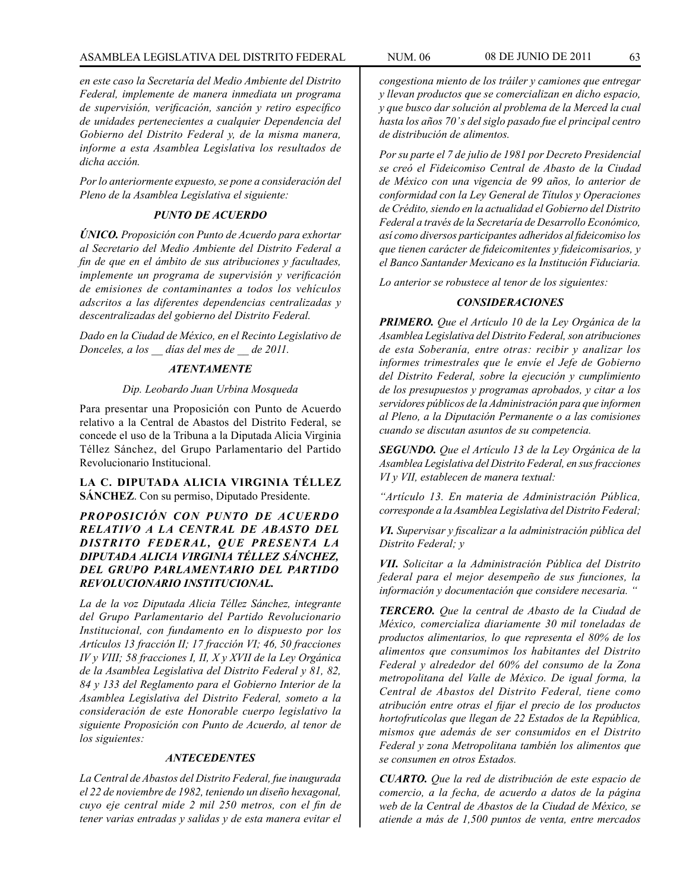#### ASAMBLEA LEGISLATIVA DEL DISTRITO FEDERAL NUM. 06 08 DE JUNIO DE 2011 63

*en este caso la Secretaría del Medio Ambiente del Distrito Federal, implemente de manera inmediata un programa de supervisión, verificación, sanción y retiro específico de unidades pertenecientes a cualquier Dependencia del Gobierno del Distrito Federal y, de la misma manera, informe a esta Asamblea Legislativa los resultados de dicha acción.*

*Por lo anteriormente expuesto, se pone a consideración del Pleno de la Asamblea Legislativa el siguiente:*

# *PUNTO DE ACUERDO*

*ÚNICO. Proposición con Punto de Acuerdo para exhortar al Secretario del Medio Ambiente del Distrito Federal a fin de que en el ámbito de sus atribuciones y facultades, implemente un programa de supervisión y verificación de emisiones de contaminantes a todos los vehículos adscritos a las diferentes dependencias centralizadas y descentralizadas del gobierno del Distrito Federal.*

*Dado en la Ciudad de México, en el Recinto Legislativo de Donceles, a los \_\_ días del mes de \_\_ de 2011.*

# *ATENTAMENTE*

#### *Dip. Leobardo Juan Urbina Mosqueda*

Para presentar una Proposición con Punto de Acuerdo relativo a la Central de Abastos del Distrito Federal, se concede el uso de la Tribuna a la Diputada Alicia Virginia Téllez Sánchez, del Grupo Parlamentario del Partido Revolucionario Institucional.

**LA C. DIPUTADA ALICIA VIRGINIA TÉLLEZ SÁNCHEZ**. Con su permiso, Diputado Presidente.

*PROPOSICIÓN CON PUNTO DE ACUERDO RELATIVO A LA CENTRAL DE ABASTO DEL DISTRITO FEDERAL, QUE PRESENTA LA DIPUTADA ALICIA VIRGINIA TÉLLEZ SÁNCHEZ, DEL GRUPO PARLAMENTARIO DEL PARTIDO REVOLUCIONARIO INSTITUCIONAL.*

*La de la voz Diputada Alicia Téllez Sánchez, integrante del Grupo Parlamentario del Partido Revolucionario Institucional, con fundamento en lo dispuesto por los Artículos 13 fracción II; 17 fracción VI; 46, 50 fracciones IV y VIII; 58 fracciones I, II, X y XVII de la Ley Orgánica de la Asamblea Legislativa del Distrito Federal y 81, 82, 84 y 133 del Reglamento para el Gobierno Interior de la Asamblea Legislativa del Distrito Federal, someto a la consideración de este Honorable cuerpo legislativo la siguiente Proposición con Punto de Acuerdo, al tenor de los siguientes:*

# *ANTECEDENTES*

*La Central de Abastos del Distrito Federal, fue inaugurada el 22 de noviembre de 1982, teniendo un diseño hexagonal, cuyo eje central mide 2 mil 250 metros, con el fin de tener varias entradas y salidas y de esta manera evitar el* 

*congestiona miento de los tráiler y camiones que entregar y llevan productos que se comercializan en dicho espacio, y que busco dar solución al problema de la Merced la cual hasta los años 70' s del siglo pasado fue el principal centro de distribución de alimentos.* 

*Por su parte el 7 de julio de 1981 por Decreto Presidencial se creó el Fideicomiso Central de Abasto de la Ciudad de México con una vigencia de 99 años, lo anterior de conformidad con la Ley General de Títulos y Operaciones de Crédito, siendo en la actualidad el Gobierno del Distrito Federal a través de la Secretaría de Desarrollo Económico, así como diversos participantes adheridos al fideicomiso los que tienen carácter de fideicomitentes y fideicomisarios, y el Banco Santander Mexicano es la Institución Fiduciaria.*

*Lo anterior se robustece al tenor de los siguientes:*

# *CONSIDERACIONES*

*PRIMERO. Que el Artículo 10 de la Ley Orgánica de la Asamblea Legislativa del Distrito Federal, son atribuciones de esta Soberanía, entre otras: recibir y analizar los informes trimestrales que le envíe el Jefe de Gobierno del Distrito Federal, sobre la ejecución y cumplimiento de los presupuestos y programas aprobados, y citar a los servidores públicos de la Administración para que informen al Pleno, a la Diputación Permanente o a las comisiones cuando se discutan asuntos de su competencia.*

*SEGUNDO. Que el Artículo 13 de la Ley Orgánica de la Asamblea Legislativa del Distrito Federal, en sus fracciones VI y VII, establecen de manera textual:*

*"Artículo 13. En materia de Administración Pública, corresponde a la Asamblea Legislativa del Distrito Federal;*

*VI. Supervisar y fiscalizar a la administración pública del Distrito Federal; y*

*VII. Solicitar a la Administración Pública del Distrito federal para el mejor desempeño de sus funciones, la información y documentación que considere necesaria. "*

*TERCERO. Que la central de Abasto de la Ciudad de México, comercializa diariamente 30 mil toneladas de productos alimentarios, lo que representa el 80% de los alimentos que consumimos los habitantes del Distrito Federal y alrededor del 60% del consumo de la Zona metropolitana del Valle de México. De igual forma, la Central de Abastos del Distrito Federal, tiene como atribución entre otras el fijar el precio de los productos hortofrutícolas que llegan de 22 Estados de la República, mismos que además de ser consumidos en el Distrito Federal y zona Metropolitana también los alimentos que se consumen en otros Estados.*

*CUARTO. Que la red de distribución de este espacio de comercio, a la fecha, de acuerdo a datos de la página web de la Central de Abastos de la Ciudad de México, se atiende a más de 1,500 puntos de venta, entre mercados*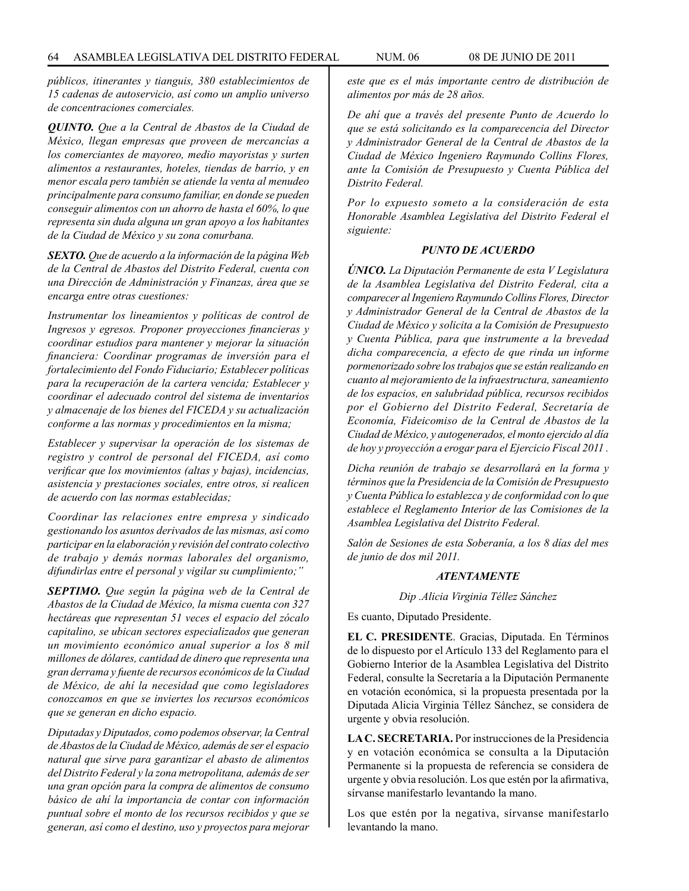*públicos, itinerantes y tianguis, 380 establecimientos de 15 cadenas de autoservicio, así como un amplio universo de concentraciones comerciales.*

*QUINTO. Que a la Central de Abastos de la Ciudad de México, llegan empresas que proveen de mercancías a los comerciantes de mayoreo, medio mayoristas y surten alimentos a restaurantes, hoteles, tiendas de barrio, y en menor escala pero también se atiende la venta al menudeo principalmente para consumo familiar, en donde se pueden conseguir alimentos con un ahorro de hasta el 60%, lo que representa sin duda alguna un gran apoyo a los habitantes de la Ciudad de México y su zona conurbana.*

*SEXTO. Que de acuerdo a la información de la página Web de la Central de Abastos del Distrito Federal, cuenta con una Dirección de Administración y Finanzas, área que se encarga entre otras cuestiones:*

*Instrumentar los lineamientos y políticas de control de Ingresos y egresos. Proponer proyecciones financieras y coordinar estudios para mantener y mejorar la situación financiera: Coordinar programas de inversión para el fortalecimiento del Fondo Fiduciario; Establecer políticas para la recuperación de la cartera vencida; Establecer y coordinar el adecuado control del sistema de inventarios y almacenaje de los bienes del FICEDA y su actualización conforme a las normas y procedimientos en la misma;* 

*Establecer y supervisar la operación de los sistemas de registro y control de personal del FICEDA, así como verificar que los movimientos (altas y bajas), incidencias, asistencia y prestaciones sociales, entre otros, si realicen de acuerdo con las normas establecidas;*

*Coordinar las relaciones entre empresa y sindicado gestionando los asuntos derivados de las mismas, así como participar en la elaboración y revisión del contrato colectivo de trabajo y demás normas laborales del organismo, difundirlas entre el personal y vigilar su cumplimiento;"*

*SEPTIMO. Que según la página web de la Central de Abastos de la Ciudad de México, la misma cuenta con 327 hectáreas que representan 51 veces el espacio del zócalo capitalino, se ubican sectores especializados que generan un movimiento económico anual superior a los 8 mil millones de dólares, cantidad de dinero que representa una gran derrama y fuente de recursos económicos de la Ciudad de México, de ahí la necesidad que como legisladores conozcamos en que se inviertes los recursos económicos que se generan en dicho espacio.* 

*Diputadas y Diputados, como podemos observar, la Central de Abastos de la Ciudad de México, además de ser el espacio natural que sirve para garantizar el abasto de alimentos del Distrito Federal y la zona metropolitana, además de ser una gran opción para la compra de alimentos de consumo básico de ahí la importancia de contar con información puntual sobre el monto de los recursos recibidos y que se generan, así como el destino, uso y proyectos para mejorar* 

*este que es el más importante centro de distribución de alimentos por más de 28 años.* 

*De ahí que a través del presente Punto de Acuerdo lo que se está solicitando es la comparecencia del Director y Administrador General de la Central de Abastos de la Ciudad de México Ingeniero Raymundo Collins Flores, ante la Comisión de Presupuesto y Cuenta Pública del Distrito Federal.*

*Por lo expuesto someto a la consideración de esta Honorable Asamblea Legislativa del Distrito Federal el siguiente:*

### *PUNTO DE ACUERDO*

*ÚNICO. La Diputación Permanente de esta V Legislatura de la Asamblea Legislativa del Distrito Federal, cita a comparecer al Ingeniero Raymundo Collins Flores, Director y Administrador General de la Central de Abastos de la Ciudad de México y solicita a la Comisión de Presupuesto y Cuenta Pública, para que instrumente a la brevedad dicha comparecencia, a efecto de que rinda un informe pormenorizado sobre los trabajos que se están realizando en cuanto al mejoramiento de la infraestructura, saneamiento de los espacios, en salubridad pública, recursos recibidos por el Gobierno del Distrito Federal, Secretaría de Economía, Fideicomiso de la Central de Abastos de la Ciudad de México, y autogenerados, el monto ejercido al día de hoy y proyección a erogar para el Ejercicio Fiscal 2011 .*

*Dicha reunión de trabajo se desarrollará en la forma y términos que la Presidencia de la Comisión de Presupuesto y Cuenta Pública lo establezca y de conformidad con lo que establece el Reglamento Interior de las Comisiones de la Asamblea Legislativa del Distrito Federal.*

*Salón de Sesiones de esta Soberanía, a los 8 días del mes de junio de dos mil 2011.*

#### *ATENTAMENTE*

*Dip .Alicia Virginia Téllez Sánchez*

Es cuanto, Diputado Presidente.

**EL C. PRESIDENTE**. Gracias, Diputada. En Términos de lo dispuesto por el Artículo 133 del Reglamento para el Gobierno Interior de la Asamblea Legislativa del Distrito Federal, consulte la Secretaría a la Diputación Permanente en votación económica, si la propuesta presentada por la Diputada Alicia Virginia Téllez Sánchez, se considera de urgente y obvia resolución.

**LA C. SECRETARIA.** Por instrucciones de la Presidencia y en votación económica se consulta a la Diputación Permanente si la propuesta de referencia se considera de urgente y obvia resolución. Los que estén por la afirmativa, sírvanse manifestarlo levantando la mano.

Los que estén por la negativa, sírvanse manifestarlo levantando la mano.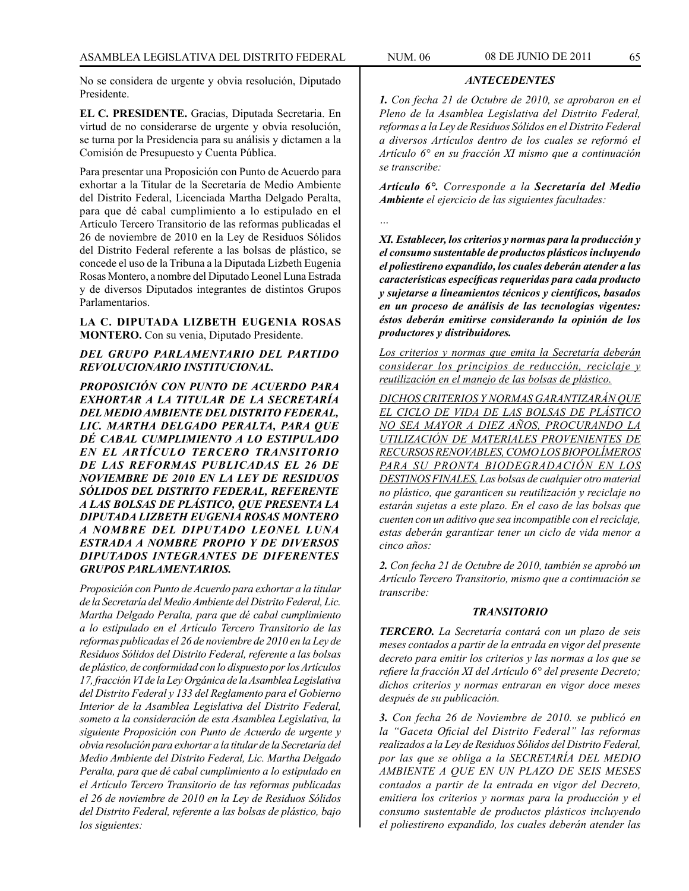No se considera de urgente y obvia resolución, Diputado Presidente.

**EL C. PRESIDENTE.** Gracias, Diputada Secretaria. En virtud de no considerarse de urgente y obvia resolución, se turna por la Presidencia para su análisis y dictamen a la Comisión de Presupuesto y Cuenta Pública.

Para presentar una Proposición con Punto de Acuerdo para exhortar a la Titular de la Secretaría de Medio Ambiente del Distrito Federal, Licenciada Martha Delgado Peralta, para que dé cabal cumplimiento a lo estipulado en el Artículo Tercero Transitorio de las reformas publicadas el 26 de noviembre de 2010 en la Ley de Residuos Sólidos del Distrito Federal referente a las bolsas de plástico, se concede el uso de la Tribuna a la Diputada Lizbeth Eugenia Rosas Montero, a nombre del Diputado Leonel Luna Estrada y de diversos Diputados integrantes de distintos Grupos Parlamentarios.

**LA C. DIPUTADA LIZBETH EUGENIA ROSAS MONTERO.** Con su venia, Diputado Presidente.

# *DEL GRUPO PARLAMENTARIO DEL PARTIDO REVOLUCIONARIO INSTITUCIONAL.*

*PROPOSICIÓN CON PUNTO DE ACUERDO PARA EXHORTAR A LA TITULAR DE LA SECRETARÍA DEL MEDIO AMBIENTE DEL DISTRITO FEDERAL, LIC. MARTHA DELGADO PERALTA, PARA QUE DÉ CABAL CUMPLIMIENTO A LO ESTIPULADO EN EL ARTÍCULO TERCERO TRANSITORIO DE LAS REFORMAS PUBLICADAS EL 26 DE NOVIEMBRE DE 2010 EN LA LEY DE RESIDUOS SÓLIDOS DEL DISTRITO FEDERAL, REFERENTE A LAS BOLSAS DE PLÁSTICO, QUE PRESENTA LA DIPUTADA LIZBETH EUGENIA ROSAS MONTERO A NOMBRE DEL DIPUTADO LEONEL LUNA ESTRADA A NOMBRE PROPIO Y DE DIVERSOS DIPUTADOS INTEGRANTES DE DIFERENTES GRUPOS PARLAMENTARIOS.*

*Proposición con Punto de Acuerdo para exhortar a la titular de la Secretaría del Medio Ambiente del Distrito Federal, Lic. Martha Delgado Peralta, para que dé cabal cumplimiento a lo estipulado en el Artículo Tercero Transitorio de las reformas publicadas el 26 de noviembre de 2010 en la Ley de Residuos Sólidos del Distrito Federal, referente a las bolsas de plástico, de conformidad con lo dispuesto por los Artículos 17, fracción VI de la Ley Orgánica de la Asamblea Legislativa del Distrito Federal y 133 del Reglamento para el Gobierno Interior de la Asamblea Legislativa del Distrito Federal, someto a la consideración de esta Asamblea Legislativa, la siguiente Proposición con Punto de Acuerdo de urgente y obvia resolución para exhortar a la titular de la Secretaría del Medio Ambiente del Distrito Federal, Lic. Martha Delgado Peralta, para que dé cabal cumplimiento a lo estipulado en el Artículo Tercero Transitorio de las reformas publicadas el 26 de noviembre de 2010 en la Ley de Residuos Sólidos del Distrito Federal, referente a las bolsas de plástico, bajo los siguientes:*

*ANTECEDENTES*

*Artículo 6°. Corresponde a la Secretaría del Medio Ambiente el ejercicio de las siguientes facultades:*

*…*

*XI. Establecer, los criterios y normas para la producción y el consumo sustentable de productos plásticos incluyendo el poliestireno expandido, los cuales deberán atender a las características específicas requeridas para cada producto y sujetarse a lineamientos técnicos y científicos, basados en un proceso de análisis de las tecnologías vigentes: éstos deberán emitirse considerando la opinión de los productores y distribuidores.* 

*Los criterios y normas que emita la Secretaría deberán considerar los principios de reducción, reciclaje y reutilización en el manejo de las bolsas de plástico.*

*DICHOS CRITERIOS Y NORMAS GARANTIZARÁN QUE EL CICLO DE VIDA DE LAS BOLSAS DE PLÁSTICO NO SEA MAYOR A DIEZ AÑOS, PROCURANDO LA UTILIZACIÓN DE MATERIALES PROVENIENTES DE RECURSOS RENOVABLES, COMO LOS BIOPOLÍMEROS PARA SU PRONTA BIODEGRADACIÓN EN LOS DESTINOS FINALES. Las bolsas de cualquier otro material no plástico, que garanticen su reutilización y reciclaje no estarán sujetas a este plazo. En el caso de las bolsas que cuenten con un aditivo que sea incompatible con el reciclaje, estas deberán garantizar tener un ciclo de vida menor a cinco años:*

*2. Con fecha 21 de Octubre de 2010, también se aprobó un Artículo Tercero Transitorio, mismo que a continuación se transcribe:*

# *TRANSITORIO*

*TERCERO. La Secretaría contará con un plazo de seis meses contados a partir de la entrada en vigor del presente decreto para emitir los criterios y las normas a los que se refiere la fracción XI del Artículo 6° del presente Decreto; dichos criterios y normas entraran en vigor doce meses después de su publicación.*

*3. Con fecha 26 de Noviembre de 2010. se publicó en la "Gaceta Oficial del Distrito Federal" las reformas realizados a la Ley de Residuos Sólidos del Distrito Federal, por las que se obliga a la SECRETARÍA DEL MEDIO AMBIENTE A QUE EN UN PLAZO DE SEIS MESES contados a partir de la entrada en vigor del Decreto, emitiera los criterios y normas para la producción y el consumo sustentable de productos plásticos incluyendo el poliestireno expandido, los cuales deberán atender las*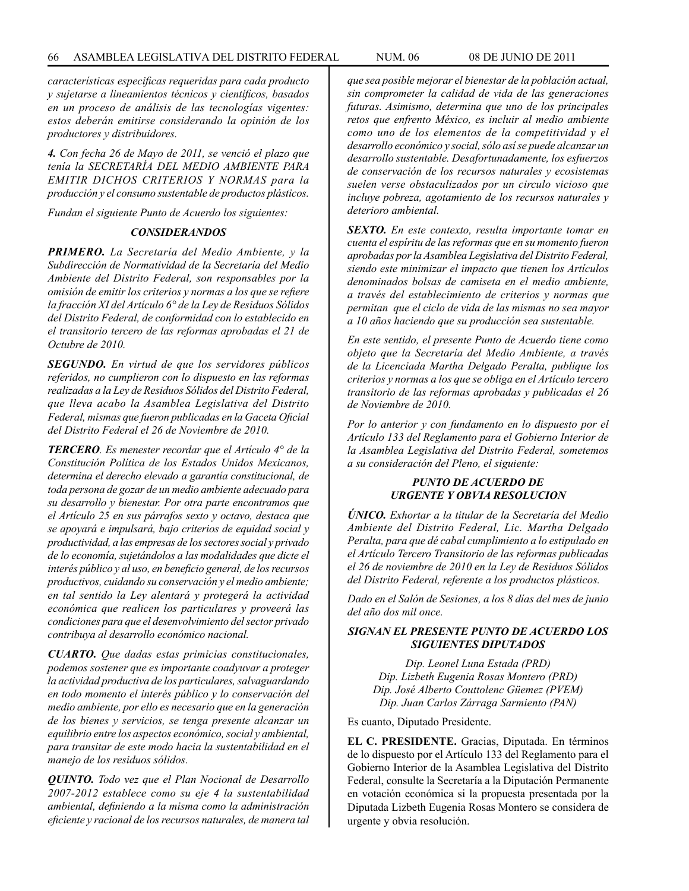*características especificas requeridas para cada producto y sujetarse a lineamientos técnicos y científicos, basados en un proceso de análisis de las tecnologías vigentes: estos deberán emitirse considerando la opinión de los productores y distribuidores.*

*4. Con fecha 26 de Mayo de 2011, se venció el plazo que tenía la SECRETARÍA DEL MEDIO AMBIENTE PARA EMITIR DICHOS CRITERIOS Y NORMAS para la producción y el consumo sustentable de productos plásticos.* 

*Fundan el siguiente Punto de Acuerdo los siguientes:* 

#### *CONSIDERANDOS*

*PRIMERO. La Secretaría del Medio Ambiente, y la Subdirección de Normatividad de la Secretaría del Medio Ambiente del Distrito Federal, son responsables por la omisión de emitir los criterios y normas a los que se refiere la fracción XI del Artículo 6° de la Ley de Residuos Sólidos del Distrito Federal, de conformidad con lo establecido en el transitorio tercero de las reformas aprobadas el 21 de Octubre de 2010.*

*SEGUNDO. En virtud de que los servidores públicos referidos, no cumplieron con lo dispuesto en las reformas realizadas a la Ley de Residuos Sólidos del Distrito Federal, que lleva acabo la Asamblea Legislativa del Distrito Federal, mismas que fueron publicadas en la Gaceta Oficial del Distrito Federal el 26 de Noviembre de 2010.*

*TERCERO. Es menester recordar que el Artículo 4° de la Constitución Política de los Estados Unidos Mexicanos, determina el derecho elevado a garantía constitucional, de toda persona de gozar de un medio ambiente adecuado para su desarrollo y bienestar. Por otra parte encontramos que el Artículo 25 en sus párrafos sexto y octavo, destaca que se apoyará e impulsará, bajo criterios de equidad social y productividad, a las empresas de los sectores social y privado de lo economía, sujetándolos a las modalidades que dicte el interés público y al uso, en beneficio general, de los recursos productivos, cuidando su conservación y el medio ambiente; en tal sentido la Ley alentará y protegerá la actividad económica que realicen los particulares y proveerá las condiciones para que el desenvolvimiento del sector privado contribuya al desarrollo económico nacional.*

*CUARTO. Que dadas estas primicias constitucionales, podemos sostener que es importante coadyuvar a proteger la actividad productiva de los particulares, salvaguardando en todo momento el interés público y lo conservación del medio ambiente, por ello es necesario que en la generación de los bienes y servicios, se tenga presente alcanzar un equilibrio entre los aspectos económico, social y ambiental, para transitar de este modo hacia la sustentabilidad en el manejo de los residuos sólidos.*

*QUINTO. Todo vez que el Plan Nocional de Desarrollo 2007-2012 establece como su eje 4 la sustentabilidad ambiental, definiendo a la misma como la administración eficiente y racional de los recursos naturales, de manera tal*  *que sea posible mejorar el bienestar de la población actual, sin comprometer la calidad de vida de las generaciones futuras. Asimismo, determina que uno de los principales retos que enfrento México, es incluir al medio ambiente como uno de los elementos de la competitividad y el desarrollo económico y social, sólo así se puede alcanzar un desarrollo sustentable. Desafortunadamente, los esfuerzos de conservación de los recursos naturales y ecosistemas suelen verse obstaculizados por un circulo vicioso que incluye pobreza, agotamiento de los recursos naturales y deterioro ambiental.*

*SEXTO. En este contexto, resulta importante tomar en cuenta el espíritu de las reformas que en su momento fueron aprobadas por la Asamblea Legislativa del Distrito Federal, siendo este minimizar el impacto que tienen los Artículos denominados bolsas de camiseta en el medio ambiente, a través del establecimiento de criterios y normas que permitan que el ciclo de vida de las mismas no sea mayor a 10 años haciendo que su producción sea sustentable.*

*En este sentido, el presente Punto de Acuerdo tiene como objeto que la Secretaría del Medio Ambiente, a través de la Licenciada Martha Delgado Peralta, publique los criterios y normas a los que se obliga en el Artículo tercero transitorio de las reformas aprobadas y publicadas el 26 de Noviembre de 2010.*

*Por lo anterior y con fundamento en lo dispuesto por el Artículo 133 del Reglamento para el Gobierno Interior de la Asamblea Legislativa del Distrito Federal, sometemos a su consideración del Pleno, el siguiente:*

# *PUNTO DE ACUERDO DE URGENTE Y OBVIA RESOLUCION*

*ÚNICO. Exhortar a la titular de la Secretaría del Medio Ambiente del Distrito Federal, Lic. Martha Delgado Peralta, para que dé cabal cumplimiento a lo estipulado en el Artículo Tercero Transitorio de las reformas publicadas el 26 de noviembre de 2010 en la Ley de Residuos Sólidos del Distrito Federal, referente a los productos plásticos.*

*Dado en el Salón de Sesiones, a los 8 días del mes de junio del año dos mil once.*

# *SIGNAN EL PRESENTE PUNTO DE ACUERDO LOS SIGUIENTES DIPUTADOS*

*Dip. Leonel Luna Estada (PRD) Dip. Lizbeth Eugenia Rosas Montero (PRD) Dip. José Alberto Couttolenc Güemez (PVEM) Dip. Juan Carlos Zárraga Sarmiento (PAN)*

Es cuanto, Diputado Presidente.

**EL C. PRESIDENTE.** Gracias, Diputada. En términos de lo dispuesto por el Artículo 133 del Reglamento para el Gobierno Interior de la Asamblea Legislativa del Distrito Federal, consulte la Secretaría a la Diputación Permanente en votación económica si la propuesta presentada por la Diputada Lizbeth Eugenia Rosas Montero se considera de urgente y obvia resolución.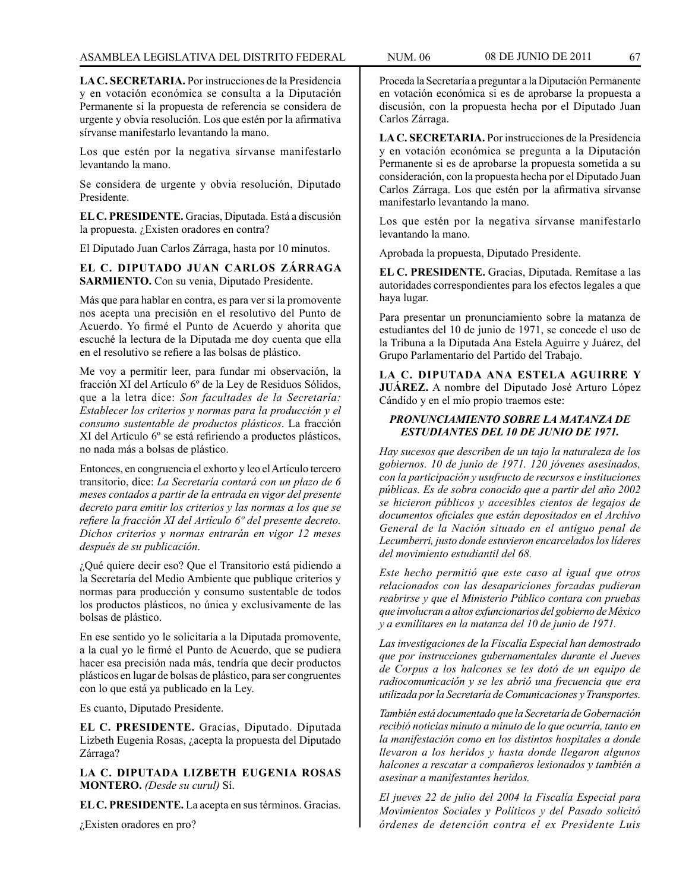**LA C. SECRETARIA.** Por instrucciones de la Presidencia y en votación económica se consulta a la Diputación Permanente si la propuesta de referencia se considera de urgente y obvia resolución. Los que estén por la afirmativa sírvanse manifestarlo levantando la mano.

Los que estén por la negativa sírvanse manifestarlo levantando la mano.

Se considera de urgente y obvia resolución, Diputado Presidente.

**EL C. PRESIDENTE.** Gracias, Diputada. Está a discusión la propuesta. ¿Existen oradores en contra?

El Diputado Juan Carlos Zárraga, hasta por 10 minutos.

**EL C. DIPUTADO JUAN CARLOS ZÁRRAGA SARMIENTO.** Con su venia, Diputado Presidente.

Más que para hablar en contra, es para ver si la promovente nos acepta una precisión en el resolutivo del Punto de Acuerdo. Yo firmé el Punto de Acuerdo y ahorita que escuché la lectura de la Diputada me doy cuenta que ella en el resolutivo se refiere a las bolsas de plástico.

Me voy a permitir leer, para fundar mi observación, la fracción XI del Artículo 6º de la Ley de Residuos Sólidos, que a la letra dice: *Son facultades de la Secretaría: Establecer los criterios y normas para la producción y el consumo sustentable de productos plásticos*. La fracción XI del Artículo 6º se está refiriendo a productos plásticos, no nada más a bolsas de plástico.

Entonces, en congruencia el exhorto y leo el Artículo tercero transitorio, dice: *La Secretaría contará con un plazo de 6 meses contados a partir de la entrada en vigor del presente decreto para emitir los criterios y las normas a los que se refiere la fracción XI del Artículo 6º del presente decreto. Dichos criterios y normas entrarán en vigor 12 meses después de su publicación*.

¿Qué quiere decir eso? Que el Transitorio está pidiendo a la Secretaría del Medio Ambiente que publique criterios y normas para producción y consumo sustentable de todos los productos plásticos, no única y exclusivamente de las bolsas de plástico.

En ese sentido yo le solicitaría a la Diputada promovente, a la cual yo le firmé el Punto de Acuerdo, que se pudiera hacer esa precisión nada más, tendría que decir productos plásticos en lugar de bolsas de plástico, para ser congruentes con lo que está ya publicado en la Ley.

Es cuanto, Diputado Presidente.

**EL C. PRESIDENTE.** Gracias, Diputado. Diputada Lizbeth Eugenia Rosas, ¿acepta la propuesta del Diputado Zárraga?

**LA C. DIPUTADA LIZBETH EUGENIA ROSAS MONTERO.** *(Desde su curul)* Sí.

**EL C. PRESIDENTE.** La acepta en sus términos. Gracias.

¿Existen oradores en pro?

Proceda la Secretaría a preguntar a la Diputación Permanente en votación económica si es de aprobarse la propuesta a discusión, con la propuesta hecha por el Diputado Juan Carlos Zárraga.

**LA C. SECRETARIA.** Por instrucciones de la Presidencia y en votación económica se pregunta a la Diputación Permanente si es de aprobarse la propuesta sometida a su consideración, con la propuesta hecha por el Diputado Juan Carlos Zárraga. Los que estén por la afirmativa sírvanse manifestarlo levantando la mano.

Los que estén por la negativa sírvanse manifestarlo levantando la mano.

Aprobada la propuesta, Diputado Presidente.

**EL C. PRESIDENTE.** Gracias, Diputada. Remítase a las autoridades correspondientes para los efectos legales a que haya lugar.

Para presentar un pronunciamiento sobre la matanza de estudiantes del 10 de junio de 1971, se concede el uso de la Tribuna a la Diputada Ana Estela Aguirre y Juárez, del Grupo Parlamentario del Partido del Trabajo.

**LA C. DIPUTADA ANA ESTELA AGUIRRE Y JUÁREZ.** A nombre del Diputado José Arturo López Cándido y en el mío propio traemos este:

# *PRONUNCIAMIENTO SOBRE LA MATANZA DE ESTUDIANTES DEL 10 DE JUNIO DE 1971.*

*Hay sucesos que describen de un tajo la naturaleza de los gobiernos. 10 de junio de 1971. 120 jóvenes asesinados, con la participación y usufructo de recursos e instituciones públicas. Es de sobra conocido que a partir del año 2002 se hicieron públicos y accesibles cientos de legajos de documentos oficiales que están depositados en el Archivo General de la Nación situado en el antiguo penal de Lecumberri, justo donde estuvieron encarcelados los líderes del movimiento estudiantil del 68.*

*Este hecho permitió que este caso al igual que otros relacionados con las desapariciones forzadas pudieran reabrirse y que el Ministerio Público contara con pruebas que involucran a altos exfuncionarios del gobierno de México y a exmilitares en la matanza del 10 de junio de 1971.*

*Las investigaciones de la Fiscalía Especial han demostrado que por instrucciones gubernamentales durante el Jueves de Corpus a los halcones se les dotó de un equipo de radiocomunicación y se les abrió una frecuencia que era utilizada por la Secretaría de Comunicaciones y Transportes.*

*También está documentado que la Secretaría de Gobernación recibió noticias minuto a minuto de lo que ocurría, tanto en la manifestación como en los distintos hospitales a donde llevaron a los heridos y hasta donde llegaron algunos halcones a rescatar a compañeros lesionados y también a asesinar a manifestantes heridos.*

*El jueves 22 de julio del 2004 la Fiscalía Especial para Movimientos Sociales y Políticos y del Pasado solicitó órdenes de detención contra el ex Presidente Luis*